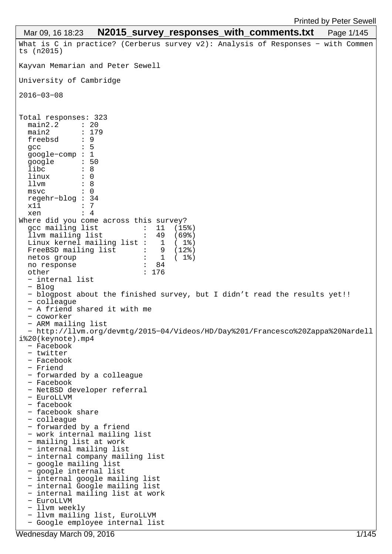```
What is C in practice? (Cerberus survey v2): Analysis of Responses − with Commen
ts (n2015)
Kayvan Memarian and Peter Sewell
University of Cambridge
2016−03−08
Total responses: 323
   main2.2 : 20
  main2 : 179<br>freebsd : 9
  freebsd : 9<br>acc : 5
  gcc
   google−comp : 1
  google : 5<br>libc : 8
   libc : 8<br>linux : 0
  \begin{array}{ccc}\n\text{linux} & & \text{:} & 0 \\
\text{11mm} & & \text{:} & 8\n\end{array}\begin{array}{ccc} 11vm & 3 \\ m_{\text{SVC}} & 3 \end{array}msvc regehr−blog : 34
  x11 : 7<br>xen : 4
  xen
Where did you come across this survey?<br>gcc mailing list \qquad \qquad : \quad 11 \quad (15\begin{array}{cc} : & 11 & (\overline{1}5\%) \\ : & 49 & (69\%) \end{array} llvm mailing list : 49 (69%)
  Linux kernel mailing list : 1 (1%)<br>FreeBSD mailing list : 9 (12%)
  FreeBSD mailing list : 9<br>netos group : 1
  netos group \begin{array}{ccc} \text{8} & \text{9} \\ \text{no} & \text{1} \\ \text{no} & \text{1} \\ \text{no} & \text{1} \\ \text{no} & \text{1} \\ \text{no} & \text{1} \\ \text{no} & \text{1} \\ \text{no} & \text{1} \\ \text{no} & \text{1} \\ \text{no} & \text{1} \\ \text{no} & \text{1} \\ \text{no} & \text{1} \\ \text{no} & \text{1} \\ \text{no} & \text{1} \\ \text{no} & \text{1} \\ \text{no} & \text{1} \\ \text{no} & \text{1no response
   other : 176
    − internal list
   − Blog
   − blogpost about the finished survey, but I didn't read the results yet!!
   − colleague
   − A friend shared it with me
    − coworker
    − ARM mailing list
    − http://llvm.org/devmtg/2015−04/Videos/HD/Day%201/Francesco%20Zappa%20Nardell
i%20(keynote).mp4
    − Facebook
    − twitter
    − Facebook
    − Friend
    − forwarded by a colleague
   − Facebook
   − NetBSD developer referral
   − EuroLLVM
   − facebook
   − facebook share
   − colleague
   − forwarded by a friend
   − work internal mailing list
   − mailing list at work
    − internal mailing list
    − internal company mailing list
    − google mailing list
    − google internal list
    − internal google mailing list
    − internal Google mailing list
    − internal mailing list at work
    − EuroLLVM
    − llvm weekly
    − llvm mailing list, EuroLLVM
    − Google employee internal list
 Mar 09, 16 18:23 N2015 survey responses with comments.txt Page 1/145
```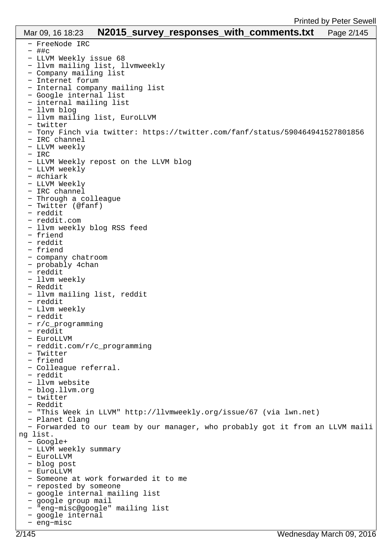| Mar 09, 16 18:23                                        |  |  | N2015_survey_responses_with_comments.txt                                       | Page 2/145 |
|---------------------------------------------------------|--|--|--------------------------------------------------------------------------------|------------|
| - FreeNode IRC                                          |  |  |                                                                                |            |
| - ##c                                                   |  |  |                                                                                |            |
| - LLVM Weekly issue 68                                  |  |  |                                                                                |            |
| - llvm mailing list, llvmweekly                         |  |  |                                                                                |            |
| - Company mailing list                                  |  |  |                                                                                |            |
| - Internet forum                                        |  |  |                                                                                |            |
| - Internal company mailing list                         |  |  |                                                                                |            |
| - Google internal list                                  |  |  |                                                                                |            |
| - internal mailing list<br>- llvm blog                  |  |  |                                                                                |            |
| - llvm mailing list, EuroLLVM                           |  |  |                                                                                |            |
| - twitter                                               |  |  |                                                                                |            |
|                                                         |  |  | - Tony Finch via twitter: https://twitter.com/fanf/status/590464941527801856   |            |
| - IRC channel                                           |  |  |                                                                                |            |
| - LLVM weekly                                           |  |  |                                                                                |            |
| $-$ IRC                                                 |  |  |                                                                                |            |
| - LLVM Weekly repost on the LLVM blog                   |  |  |                                                                                |            |
| - LLVM weekly                                           |  |  |                                                                                |            |
| - #chiark                                               |  |  |                                                                                |            |
| - LLVM Weekly                                           |  |  |                                                                                |            |
| - IRC channel                                           |  |  |                                                                                |            |
| - Through a colleague<br>- Twitter (@fanf)              |  |  |                                                                                |            |
| - reddit                                                |  |  |                                                                                |            |
| - reddit.com                                            |  |  |                                                                                |            |
| - llvm weekly blog RSS feed                             |  |  |                                                                                |            |
| - friend                                                |  |  |                                                                                |            |
| - reddit                                                |  |  |                                                                                |            |
| - friend                                                |  |  |                                                                                |            |
| - company chatroom                                      |  |  |                                                                                |            |
| - probably 4chan                                        |  |  |                                                                                |            |
| - reddit                                                |  |  |                                                                                |            |
| - llvm weekly                                           |  |  |                                                                                |            |
| - Reddit                                                |  |  |                                                                                |            |
| - llvm mailing list, reddit                             |  |  |                                                                                |            |
| - reddit<br>- Llvm weekly                               |  |  |                                                                                |            |
| - reddit                                                |  |  |                                                                                |            |
| - r/c_programming                                       |  |  |                                                                                |            |
| - reddit                                                |  |  |                                                                                |            |
| - EuroLLVM                                              |  |  |                                                                                |            |
| - reddit.com/r/c_programming                            |  |  |                                                                                |            |
| - Twitter                                               |  |  |                                                                                |            |
| - friend                                                |  |  |                                                                                |            |
| - Colleague referral.                                   |  |  |                                                                                |            |
| - reddit                                                |  |  |                                                                                |            |
| - llvm website<br>- blog.llvm.org                       |  |  |                                                                                |            |
| - twitter                                               |  |  |                                                                                |            |
| - Reddit                                                |  |  |                                                                                |            |
|                                                         |  |  | - "This Week in LLVM" http://llvmweekly.org/issue/67 (via lwn.net)             |            |
| - Planet Clang                                          |  |  |                                                                                |            |
|                                                         |  |  | - Forwarded to our team by our manager, who probably got it from an LLVM maili |            |
| ng list.                                                |  |  |                                                                                |            |
| - Google+                                               |  |  |                                                                                |            |
| - LLVM weekly summary                                   |  |  |                                                                                |            |
| - EuroLLVM                                              |  |  |                                                                                |            |
| - blog post                                             |  |  |                                                                                |            |
| - EuroLLVM                                              |  |  |                                                                                |            |
| - Someone at work forwarded it to me                    |  |  |                                                                                |            |
| - reposted by someone<br>- google internal mailing list |  |  |                                                                                |            |
| - google group mail                                     |  |  |                                                                                |            |
| - "eng-misc@google" mailing list                        |  |  |                                                                                |            |
| - google internal                                       |  |  |                                                                                |            |

− eng−misc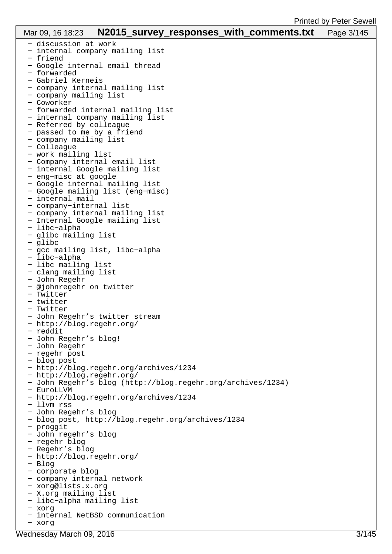| Mar 09, 16 18:23 N2015_survey_responses_with_comments.txt   | Page 3/145 |
|-------------------------------------------------------------|------------|
| - discussion at work                                        |            |
| - internal company mailing list                             |            |
| - friend                                                    |            |
| - Google internal email thread                              |            |
| - forwarded                                                 |            |
| - Gabriel Kerneis                                           |            |
| - company internal mailing list                             |            |
| - company mailing list                                      |            |
| - Coworker                                                  |            |
| - forwarded internal mailing list                           |            |
| - internal company mailing list                             |            |
| - Referred by colleague<br>- passed to me by a friend       |            |
| - company mailing list                                      |            |
| - Colleague                                                 |            |
| - work mailing list                                         |            |
| - Company internal email list                               |            |
| - internal Google mailing list                              |            |
| - eng-misc at google                                        |            |
| - Google internal mailing list                              |            |
| - Google mailing list (eng-misc)                            |            |
| - internal mail                                             |            |
| - company-internal list                                     |            |
| - company internal mailing list                             |            |
| - Internal Google mailing list                              |            |
| - libc-alpha                                                |            |
| - glibc mailing list                                        |            |
| - glibc                                                     |            |
| - gcc mailing list, libc-alpha                              |            |
| - libc-alpha                                                |            |
| - libc mailing list                                         |            |
| - clang mailing list                                        |            |
| - John Regehr                                               |            |
| - @johnregehr on twitter                                    |            |
| - Twitter                                                   |            |
| - twitter                                                   |            |
| - Twitter<br>- John Regehr's twitter stream                 |            |
| - http://blog.regehr.org/                                   |            |
| - reddit                                                    |            |
| - John Regehr's blog!                                       |            |
| - John Regehr                                               |            |
| - regehr post                                               |            |
| - blog post                                                 |            |
| - http://blog.regehr.org/archives/1234                      |            |
| - http://blog.regehr.org/                                   |            |
| - John Regehr's blog (http://blog.regehr.org/archives/1234) |            |
| - EuroLLVM                                                  |            |
| - http://blog.regehr.org/archives/1234                      |            |
| - llvm rss                                                  |            |
| - John Regehr's blog                                        |            |
| - blog post, http://blog.regehr.org/archives/1234           |            |
| - proggit                                                   |            |
| - John regehr's blog                                        |            |
| - regehr blog                                               |            |
| - Regehr's blog                                             |            |
| - http://blog.regehr.org/                                   |            |
| - Blog                                                      |            |
| - corporate blog<br>- company internal network              |            |
| - xorg@lists.x.org                                          |            |
| - X.org mailing list                                        |            |
| - libc-alpha mailing list                                   |            |
| - xorg                                                      |            |
| - internal NetBSD communication                             |            |
| - xorg                                                      |            |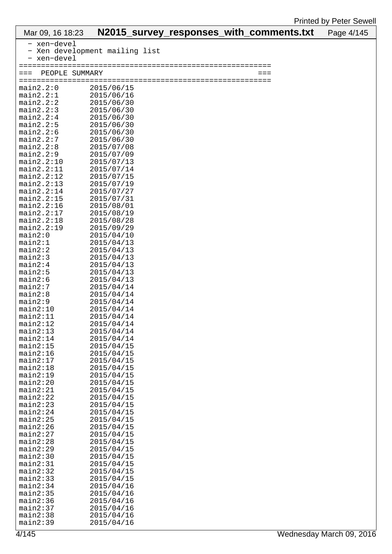| Mar 09, 16 18:23         |                                | N2015_survey_responses_with_comments.txt |             | Page 4/145 |
|--------------------------|--------------------------------|------------------------------------------|-------------|------------|
| - xen-devel              |                                |                                          |             |            |
|                          | - Xen development mailing list |                                          |             |            |
| - xen-devel              |                                |                                          |             |            |
|                          |                                |                                          |             |            |
| PEOPLE SUMMARY<br>$===$  |                                |                                          | $=$ $=$ $=$ |            |
| ================         |                                | ===============                          |             |            |
| main2.2:0<br>main2.2:1   | 2015/06/15<br>2015/06/16       |                                          |             |            |
| main2.2:2                | 2015/06/30                     |                                          |             |            |
| main2.2:3                | 2015/06/30                     |                                          |             |            |
| main2.2:4                | 2015/06/30                     |                                          |             |            |
| main2.2:5                | 2015/06/30                     |                                          |             |            |
| main2.2:6                | 2015/06/30                     |                                          |             |            |
| main2.2:7                | 2015/06/30                     |                                          |             |            |
| main2.2:8                | 2015/07/08                     |                                          |             |            |
| main2.2:9                | 2015/07/09                     |                                          |             |            |
| main2.2:10               | 2015/07/13                     |                                          |             |            |
| main2.2:11<br>main2.2:12 | 2015/07/14<br>2015/07/15       |                                          |             |            |
| main2.2:13               | 2015/07/19                     |                                          |             |            |
| main2.2:14               | 2015/07/27                     |                                          |             |            |
| main2.2:15               | 2015/07/31                     |                                          |             |            |
| main2.2:16               | 2015/08/01                     |                                          |             |            |
| main2.2:17               | 2015/08/19                     |                                          |             |            |
| main2.2:18               | 2015/08/28                     |                                          |             |            |
| main2.2:19               | 2015/09/29                     |                                          |             |            |
| main2:0                  | 2015/04/10                     |                                          |             |            |
| main2:1                  | 2015/04/13                     |                                          |             |            |
| main2:2<br>main2:3       | 2015/04/13<br>2015/04/13       |                                          |             |            |
| main2:4                  | 2015/04/13                     |                                          |             |            |
| main2:5                  | 2015/04/13                     |                                          |             |            |
| main2:6                  | 2015/04/13                     |                                          |             |            |
| main2:7                  | 2015/04/14                     |                                          |             |            |
| main2:8                  | 2015/04/14                     |                                          |             |            |
| main2:9                  | 2015/04/14                     |                                          |             |            |
| main2:10                 | 2015/04/14                     |                                          |             |            |
| main2:11                 | 2015/04/14                     |                                          |             |            |
| main2:12<br>main2:13     | 2015/04/14<br>2015/04/14       |                                          |             |            |
| main2:14                 | 2015/04/14                     |                                          |             |            |
| main2:15                 | 2015/04/15                     |                                          |             |            |
| main2:16                 | 2015/04/15                     |                                          |             |            |
| main2:17                 | 2015/04/15                     |                                          |             |            |
| main2:18                 | 2015/04/15                     |                                          |             |            |
| main2:19                 | 2015/04/15                     |                                          |             |            |
| main2:20                 | 2015/04/15                     |                                          |             |            |
| main2:21                 | 2015/04/15                     |                                          |             |            |
| main2:22<br>main2:23     | 2015/04/15<br>2015/04/15       |                                          |             |            |
| main2:24                 | 2015/04/15                     |                                          |             |            |
| main2:25                 | 2015/04/15                     |                                          |             |            |
| main2:26                 | 2015/04/15                     |                                          |             |            |
| main2:27                 | 2015/04/15                     |                                          |             |            |
| main2:28                 | 2015/04/15                     |                                          |             |            |
| main2:29                 | 2015/04/15                     |                                          |             |            |
| main2:30                 | 2015/04/15                     |                                          |             |            |
| main2:31                 | 2015/04/15                     |                                          |             |            |
| main2:32<br>main2:33     | 2015/04/15<br>2015/04/15       |                                          |             |            |
| main2:34                 | 2015/04/16                     |                                          |             |            |
| main2:35                 | 2015/04/16                     |                                          |             |            |
| main2:36                 | 2015/04/16                     |                                          |             |            |
| main2:37                 | 2015/04/16                     |                                          |             |            |
| main2:38                 | 2015/04/16                     |                                          |             |            |
| main2:39                 | 2015/04/16                     |                                          |             |            |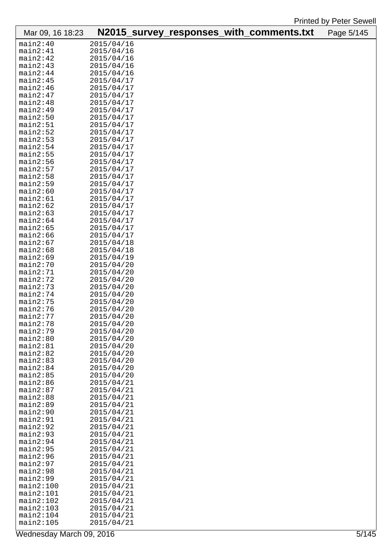| Mar 09, 16 18:23     | N2015_survey_responses_with_comments.txt |  | Page 5/145 |
|----------------------|------------------------------------------|--|------------|
| main2:40             | 2015/04/16                               |  |            |
| main2:41             | 2015/04/16                               |  |            |
| main2:42             | 2015/04/16                               |  |            |
| main2:43             | 2015/04/16                               |  |            |
| main2:44             | 2015/04/16                               |  |            |
| main2:45             | 2015/04/17                               |  |            |
| main2:46             | 2015/04/17                               |  |            |
| main2:47             | 2015/04/17                               |  |            |
| main2:48             | 2015/04/17                               |  |            |
| main2:49             | 2015/04/17                               |  |            |
| main2:50             | 2015/04/17                               |  |            |
| main2:51             | 2015/04/17                               |  |            |
| main2:52             | 2015/04/17                               |  |            |
| main2:53             | 2015/04/17                               |  |            |
| main2:54             | 2015/04/17                               |  |            |
| main2:55             | 2015/04/17                               |  |            |
| main2:56<br>main2:57 | 2015/04/17<br>2015/04/17                 |  |            |
| main2:58             |                                          |  |            |
| main2:59             | 2015/04/17<br>2015/04/17                 |  |            |
| main2:60             | 2015/04/17                               |  |            |
| main2:61             | 2015/04/17                               |  |            |
| main2:62             | 2015/04/17                               |  |            |
| main2:63             | 2015/04/17                               |  |            |
| main2:64             | 2015/04/17                               |  |            |
| main2:65             | 2015/04/17                               |  |            |
| main2:66             | 2015/04/17                               |  |            |
| main2:67             | 2015/04/18                               |  |            |
| main2:68             | 2015/04/18                               |  |            |
| main2:69             | 2015/04/19                               |  |            |
| main2:70             | 2015/04/20                               |  |            |
| main2:71             | 2015/04/20                               |  |            |
| main2:72             | 2015/04/20                               |  |            |
| main2:73             | 2015/04/20                               |  |            |
| main2:74             | 2015/04/20                               |  |            |
| main2:75             | 2015/04/20                               |  |            |
| main2:76             | 2015/04/20                               |  |            |
| main2:77             | 2015/04/20                               |  |            |
| main2:78             | 2015/04/20                               |  |            |
| main2:79<br>main2:80 | 2015/04/20<br>2015/04/20                 |  |            |
| main2:81             | 2015/04/20                               |  |            |
| main2:82             | 2015/04/20                               |  |            |
| main2:83             | 2015/04/20                               |  |            |
| main2:84             | 2015/04/20                               |  |            |
| main2:85             | 2015/04/20                               |  |            |
| main2:86             | 2015/04/21                               |  |            |
| main2:87             | 2015/04/21                               |  |            |
| main2:88             | 2015/04/21                               |  |            |
| main2:89             | 2015/04/21                               |  |            |
| main2:90             | 2015/04/21                               |  |            |
| main2:91             | 2015/04/21                               |  |            |
| main2:92             | 2015/04/21                               |  |            |
| main2:93             | 2015/04/21                               |  |            |
| main2:94             | 2015/04/21                               |  |            |
| main2:95             | 2015/04/21                               |  |            |
| main2:96<br>main2:97 | 2015/04/21<br>2015/04/21                 |  |            |
| main2:98             | 2015/04/21                               |  |            |
| main2:99             | 2015/04/21                               |  |            |
| main2:100            | 2015/04/21                               |  |            |
| main2:101            | 2015/04/21                               |  |            |
| main2:102            | 2015/04/21                               |  |            |
| main2:103            | 2015/04/21                               |  |            |
| main2:104            | 2015/04/21                               |  |            |
| main2:105            | 2015/04/21                               |  |            |

Wednesday March 09, 2016 **5/145**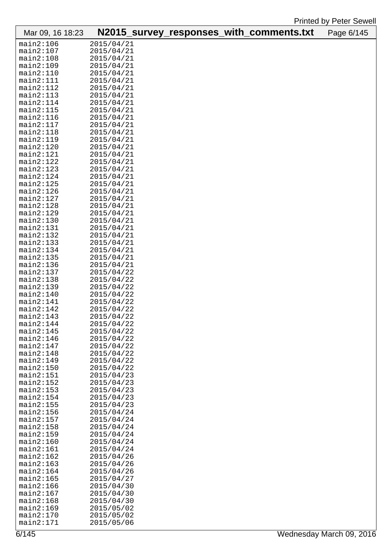| Mar 09, 16 18:23       |                          |  | N2015_survey_responses_with_comments.txt | Page 6/145 |
|------------------------|--------------------------|--|------------------------------------------|------------|
| main2:106              | 2015/04/21               |  |                                          |            |
| main2:107              | 2015/04/21               |  |                                          |            |
| main2:108              | 2015/04/21               |  |                                          |            |
| main2:109              | 2015/04/21               |  |                                          |            |
| main2:110              | 2015/04/21               |  |                                          |            |
| main2:111              | 2015/04/21               |  |                                          |            |
| main2:112              | 2015/04/21               |  |                                          |            |
| main2:113              | 2015/04/21               |  |                                          |            |
| main2:114              | 2015/04/21               |  |                                          |            |
| main2:115              | 2015/04/21               |  |                                          |            |
| main2:116              | 2015/04/21               |  |                                          |            |
| main2:117              | 2015/04/21               |  |                                          |            |
| main2:118              | 2015/04/21               |  |                                          |            |
| main2:119              | 2015/04/21               |  |                                          |            |
| main2:120              | 2015/04/21               |  |                                          |            |
| main2:121              | 2015/04/21               |  |                                          |            |
| main2:122              | 2015/04/21               |  |                                          |            |
| main2:123              | 2015/04/21               |  |                                          |            |
| main2:124              | 2015/04/21               |  |                                          |            |
| main2:125              | 2015/04/21               |  |                                          |            |
| main2:126              | 2015/04/21               |  |                                          |            |
| main2:127              | 2015/04/21               |  |                                          |            |
| main2:128              | 2015/04/21               |  |                                          |            |
| main2:129              | 2015/04/21               |  |                                          |            |
| main2:130              | 2015/04/21               |  |                                          |            |
| main2:131              | 2015/04/21               |  |                                          |            |
| main2:132              | 2015/04/21               |  |                                          |            |
| main2:133              | 2015/04/21               |  |                                          |            |
| main2:134              | 2015/04/21               |  |                                          |            |
| main2:135              | 2015/04/21               |  |                                          |            |
| main2:136              | 2015/04/21               |  |                                          |            |
| main2:137              | 2015/04/22               |  |                                          |            |
| main2:138              | 2015/04/22               |  |                                          |            |
| main2:139              | 2015/04/22               |  |                                          |            |
| main2:140              | 2015/04/22               |  |                                          |            |
| main2:141              | 2015/04/22               |  |                                          |            |
| main2:142              | 2015/04/22               |  |                                          |            |
| main2:143              | 2015/04/22               |  |                                          |            |
| main2:144              | 2015/04/22               |  |                                          |            |
| main2:145              | 2015/04/22               |  |                                          |            |
| main2:146              | 2015/04/22               |  |                                          |            |
| main2:147              | 2015/04/22               |  |                                          |            |
| main2:148              | 2015/04/22               |  |                                          |            |
| main2:149              | 2015/04/22               |  |                                          |            |
| main2:150              | 2015/04/22               |  |                                          |            |
| main2:151              | 2015/04/23               |  |                                          |            |
| main2:152              | 2015/04/23               |  |                                          |            |
| main2:153<br>main2:154 | 2015/04/23               |  |                                          |            |
| main2:155              | 2015/04/23<br>2015/04/23 |  |                                          |            |
| main2:156              | 2015/04/24               |  |                                          |            |
| main2:157              | 2015/04/24               |  |                                          |            |
| main2:158              | 2015/04/24               |  |                                          |            |
| main2:159              | 2015/04/24               |  |                                          |            |
| main2:160              | 2015/04/24               |  |                                          |            |
| main2:161              | 2015/04/24               |  |                                          |            |
| main2:162              | 2015/04/26               |  |                                          |            |
| main2:163              | 2015/04/26               |  |                                          |            |
| main2:164              | 2015/04/26               |  |                                          |            |
| main2:165              | 2015/04/27               |  |                                          |            |
| main2:166              | 2015/04/30               |  |                                          |            |
| main2:167              | 2015/04/30               |  |                                          |            |
| main2:168              | 2015/04/30               |  |                                          |            |
| main2:169              | 2015/05/02               |  |                                          |            |
| main2:170              | 2015/05/02               |  |                                          |            |
| main2:171              | 2015/05/06               |  |                                          |            |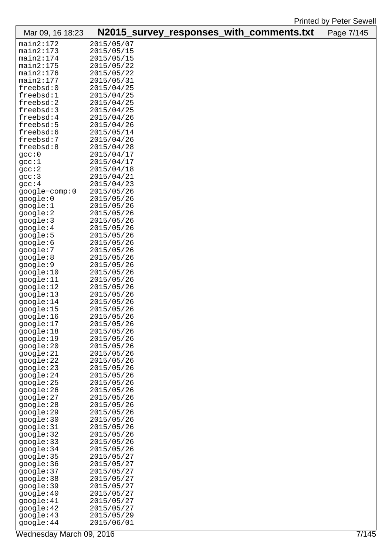| Mar 09, 16 18:23        |                          |  | N2015_survey_responses_with_comments.txt | Page 7/145 |
|-------------------------|--------------------------|--|------------------------------------------|------------|
| main2:172               | 2015/05/07               |  |                                          |            |
| main2:173               | 2015/05/15               |  |                                          |            |
| main2:174               | 2015/05/15               |  |                                          |            |
| main2:175               | 2015/05/22               |  |                                          |            |
| main2:176               | 2015/05/22               |  |                                          |            |
| main2:177               | 2015/05/31               |  |                                          |            |
| freebsd:0<br>freebsd:1  | 2015/04/25<br>2015/04/25 |  |                                          |            |
| freebsd:2               | 2015/04/25               |  |                                          |            |
| freebsd:3               | 2015/04/25               |  |                                          |            |
| freebsd:4               | 2015/04/26               |  |                                          |            |
| freebsd:5               | 2015/04/26               |  |                                          |            |
| freebsd:6               | 2015/05/14               |  |                                          |            |
| freebsd:7               | 2015/04/26               |  |                                          |            |
| freebsd:8               | 2015/04/28               |  |                                          |            |
| gcc:0                   | 2015/04/17               |  |                                          |            |
| gcc:1                   | 2015/04/17               |  |                                          |            |
| gcc:2                   | 2015/04/18               |  |                                          |            |
| qcc:3<br>gcc:4          | 2015/04/21<br>2015/04/23 |  |                                          |            |
| google-comp:0           | 2015/05/26               |  |                                          |            |
| google:0                | 2015/05/26               |  |                                          |            |
| google:1                | 2015/05/26               |  |                                          |            |
| google:2                | 2015/05/26               |  |                                          |            |
| google:3                | 2015/05/26               |  |                                          |            |
| google:4                | 2015/05/26               |  |                                          |            |
| google:5                | 2015/05/26               |  |                                          |            |
| google:6                | 2015/05/26               |  |                                          |            |
| google:7                | 2015/05/26               |  |                                          |            |
| google:8                | 2015/05/26               |  |                                          |            |
| google:9<br>google:10   | 2015/05/26<br>2015/05/26 |  |                                          |            |
| google:11               | 2015/05/26               |  |                                          |            |
| google:12               | 2015/05/26               |  |                                          |            |
| google:13               | 2015/05/26               |  |                                          |            |
| google:14               | 2015/05/26               |  |                                          |            |
| google:15               | 2015/05/26               |  |                                          |            |
| google:16               | 2015/05/26               |  |                                          |            |
| google:17               | 2015/05/26               |  |                                          |            |
| google:18               | 2015/05/26               |  |                                          |            |
| google:19<br>google:20  | 2015/05/26               |  |                                          |            |
| google:21               | 2015/05/26<br>2015/05/26 |  |                                          |            |
| google:22               | 2015/05/26               |  |                                          |            |
| google:23               | 2015/05/26               |  |                                          |            |
| google:24               | 2015/05/26               |  |                                          |            |
| google:25               | 2015/05/26               |  |                                          |            |
| google:26               | 2015/05/26               |  |                                          |            |
| google:27               | 2015/05/26               |  |                                          |            |
| google:28               | 2015/05/26               |  |                                          |            |
| google:29               | 2015/05/26               |  |                                          |            |
| google:30<br>google:31  | 2015/05/26<br>2015/05/26 |  |                                          |            |
| google:32               | 2015/05/26               |  |                                          |            |
| google:33               | 2015/05/26               |  |                                          |            |
| google:34               | 2015/05/26               |  |                                          |            |
| google:35               | 2015/05/27               |  |                                          |            |
| google:36               | 2015/05/27               |  |                                          |            |
| google:37               | 2015/05/27               |  |                                          |            |
| google:38               | 2015/05/27               |  |                                          |            |
| google:39               | 2015/05/27               |  |                                          |            |
| google:40               | 2015/05/27               |  |                                          |            |
| google: 41<br>google:42 | 2015/05/27<br>2015/05/27 |  |                                          |            |
| google:43               | 2015/05/29               |  |                                          |            |
| google:44               | 2015/06/01               |  |                                          |            |
|                         |                          |  |                                          |            |

Wednesday March 09, 2016 **7/145**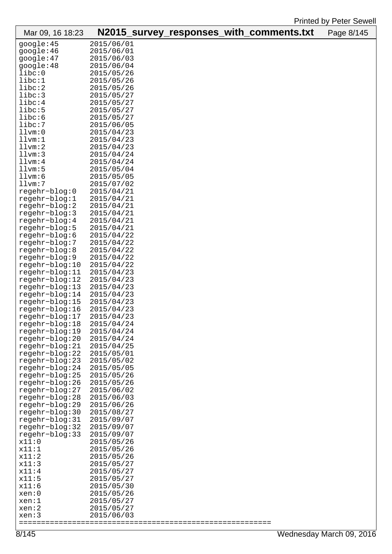| Mar 09, 16 18:23                 | N2015_survey_responses_with_comments.txt |  | Page 8/145 |
|----------------------------------|------------------------------------------|--|------------|
| google:45                        | 2015/06/01                               |  |            |
| google:46                        | 2015/06/01                               |  |            |
| google:47                        | 2015/06/03                               |  |            |
| google:48                        | 2015/06/04                               |  |            |
| libc:0                           | 2015/05/26                               |  |            |
| libc:1                           | 2015/05/26                               |  |            |
| libc:2                           | 2015/05/26                               |  |            |
| libc:3                           | 2015/05/27                               |  |            |
| libc:4                           | 2015/05/27                               |  |            |
| libc:5<br>libc:6                 | 2015/05/27<br>2015/05/27                 |  |            |
| libc:7                           | 2015/06/05                               |  |            |
| lllvm:0                          | 2015/04/23                               |  |            |
| lllvm:1                          | 2015/04/23                               |  |            |
| lllvm:2                          | 2015/04/23                               |  |            |
| lllvm:3                          | 2015/04/24                               |  |            |
| lllvm:4                          | 2015/04/24                               |  |            |
| lllvm:5                          | 2015/05/04                               |  |            |
| lllvm:6                          | 2015/05/05                               |  |            |
| lllvm:7                          | 2015/07/02                               |  |            |
| regehr-blog:0                    | 2015/04/21                               |  |            |
| regehr-blog:1                    | 2015/04/21                               |  |            |
| $regehr-blog:2$                  | 2015/04/21                               |  |            |
| regehr-blog:3<br>$regehr-blog:4$ | 2015/04/21<br>2015/04/21                 |  |            |
| regehr-blog:5                    | 2015/04/21                               |  |            |
| regehr-blog:6                    | 2015/04/22                               |  |            |
| regehr-blog:7                    | 2015/04/22                               |  |            |
| regehr-blog:8                    | 2015/04/22                               |  |            |
| regehr-blog:9                    | 2015/04/22                               |  |            |
| regehr-blog:10                   | 2015/04/22                               |  |            |
| regehr-blog:11                   | 2015/04/23                               |  |            |
| regehr-blog:12                   | 2015/04/23                               |  |            |
| $regehr-blog:13$                 | 2015/04/23                               |  |            |
| regehr-blog:14                   | 2015/04/23                               |  |            |
| regehr-blog:15                   | 2015/04/23                               |  |            |
| regehr-blog:16<br>regehr-blog:17 | 2015/04/23<br>2015/04/23                 |  |            |
| regehr-blog:18                   | 2015/04/24                               |  |            |
| regehr-blog:19                   | 2015/04/24                               |  |            |
| regehr-blog:20                   | 2015/04/24                               |  |            |
| regehr-blog:21                   | 2015/04/25                               |  |            |
| regehr-blog:22                   | 2015/05/01                               |  |            |
| $regehr-blog:23$                 | 2015/05/02                               |  |            |
| regehr-blog:24                   | 2015/05/05                               |  |            |
| regehr-blog:25                   | 2015/05/26                               |  |            |
| regehr-blog:26                   | 2015/05/26                               |  |            |
| regehr-blog:27                   | 2015/06/02                               |  |            |
| regehr-blog:28<br>regehr-blog:29 | 2015/06/03<br>2015/06/26                 |  |            |
| regehr-blog:30                   | 2015/08/27                               |  |            |
| regehr-blog:31                   | 2015/09/07                               |  |            |
| regehr-blog:32                   | 2015/09/07                               |  |            |
| regehr-blog:33                   | 2015/09/07                               |  |            |
| x11:0                            | 2015/05/26                               |  |            |
| x11:1                            | 2015/05/26                               |  |            |
| x11:2                            | 2015/05/26                               |  |            |
| x11:3                            | 2015/05/27                               |  |            |
| x11:4                            | 2015/05/27                               |  |            |
| x11:5                            | 2015/05/27                               |  |            |
| x11:6<br>xen:0                   | 2015/05/30<br>2015/05/26                 |  |            |
| xen:1                            | 2015/05/27                               |  |            |
| xen:2                            | 2015/05/27                               |  |            |
| xen:3                            | 2015/06/03                               |  |            |

=========================================================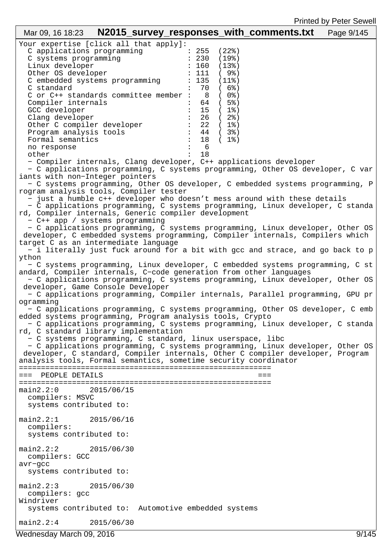| N2015_survey_responses_with_comments.txt<br>Mar 09, 16 18:23                                                                                                                                                                                                                                                                                                                                                                                                                                                                                                                                                                                                                                                                                                                                                                                                                                                                                                                                                                                                                                                                                                                                                                                                                                                                                                                                                                                                                                                                                                                                                                                                                                                                                                                                                                                                                                                                                                                                                                                                                                                                                                                                                                                                                                                                                                                                                                                                                                                                                                                              | Page 9/145 |
|-------------------------------------------------------------------------------------------------------------------------------------------------------------------------------------------------------------------------------------------------------------------------------------------------------------------------------------------------------------------------------------------------------------------------------------------------------------------------------------------------------------------------------------------------------------------------------------------------------------------------------------------------------------------------------------------------------------------------------------------------------------------------------------------------------------------------------------------------------------------------------------------------------------------------------------------------------------------------------------------------------------------------------------------------------------------------------------------------------------------------------------------------------------------------------------------------------------------------------------------------------------------------------------------------------------------------------------------------------------------------------------------------------------------------------------------------------------------------------------------------------------------------------------------------------------------------------------------------------------------------------------------------------------------------------------------------------------------------------------------------------------------------------------------------------------------------------------------------------------------------------------------------------------------------------------------------------------------------------------------------------------------------------------------------------------------------------------------------------------------------------------------------------------------------------------------------------------------------------------------------------------------------------------------------------------------------------------------------------------------------------------------------------------------------------------------------------------------------------------------------------------------------------------------------------------------------------------------|------------|
| Your expertise [click all that apply]:<br>C applications programming<br>: 255<br>(22)<br>C systems programming<br>: 230<br>(198)<br>Linux developer<br>160<br>(13)<br>Other OS developer<br>111<br>(9)<br>: 135<br>C embedded systems programming<br>$(11$ $)$<br>70<br>(68)<br>C standard<br>C or C++ standards committee member :<br>8<br>( 0%)<br>(5)<br>Compiler internals<br>64<br>GCC developer<br>15<br>$(1$ % $)$<br>Clang developer<br>26<br>(2)<br>Other C compiler developer<br>$\therefore$ 22<br>( 1%)<br>Program analysis tools<br>$\frac{1}{44}$<br>( 3%)<br>Formal semantics<br>18<br>( 1%)<br>6<br>no response<br>$\ddot{\phantom{a}}$<br>18<br>other<br>- Compiler internals, Clang developer, C++ applications developer<br>- C applications programming, C systems programming, Other OS developer, C var<br>iants with non-Integer pointers<br>- C systems programming, Other OS developer, C embedded systems programming, P<br>rogram analysis tools, Compiler tester<br>- just a humble c++ developer who doesn't mess around with these details<br>- C applications programming, C systems programming, Linux developer, C standa<br>rd, Compiler internals, Generic compiler development<br>- C++ app / systems programming<br>- C applications programming, C systems programming, Linux developer, Other OS<br>developer, C embedded systems programming, Compiler internals, Compilers which<br>target C as an intermediate language<br>- i literally just fuck around for a bit with gcc and strace, and go back to p<br>ython<br>- C systems programming, Linux developer, C embedded systems programming, C st<br>andard, Compiler internals, C-code generation from other languages<br>- C applications programming, C systems programming, Linux developer, Other OS<br>developer, Game Console Developer<br>- C applications programming, Compiler internals, Parallel programming, GPU pr<br>ogramming<br>- C applications programming, C systems programming, Other OS developer, C emb<br>edded systems programming, Program analysis tools, Crypto<br>- C applications programming, C systems programming, Linux developer, C standa<br>rd, C standard library implementation<br>- C systems programming, C standard, linux userspace, libc<br>- C applications programming, C systems programming, Linux developer, Other OS<br>developer, C standard, Compiler internals, Other C compiler developer, Program<br>analysis tools, Formal semantics, sometime security coordinator<br>PEOPLE DETAILS<br>main2.2:0<br>2015/06/15<br>compilers: MSVC |            |
| systems contributed to:<br>main2.2:1<br>2015/06/16<br>compilers:<br>systems contributed to:                                                                                                                                                                                                                                                                                                                                                                                                                                                                                                                                                                                                                                                                                                                                                                                                                                                                                                                                                                                                                                                                                                                                                                                                                                                                                                                                                                                                                                                                                                                                                                                                                                                                                                                                                                                                                                                                                                                                                                                                                                                                                                                                                                                                                                                                                                                                                                                                                                                                                               |            |
| $main2.2:2$ $2015/06/30$<br>compilers: GCC<br>$avr-gcc$<br>systems contributed to:                                                                                                                                                                                                                                                                                                                                                                                                                                                                                                                                                                                                                                                                                                                                                                                                                                                                                                                                                                                                                                                                                                                                                                                                                                                                                                                                                                                                                                                                                                                                                                                                                                                                                                                                                                                                                                                                                                                                                                                                                                                                                                                                                                                                                                                                                                                                                                                                                                                                                                        |            |
| main2.2:3<br>2015/06/30                                                                                                                                                                                                                                                                                                                                                                                                                                                                                                                                                                                                                                                                                                                                                                                                                                                                                                                                                                                                                                                                                                                                                                                                                                                                                                                                                                                                                                                                                                                                                                                                                                                                                                                                                                                                                                                                                                                                                                                                                                                                                                                                                                                                                                                                                                                                                                                                                                                                                                                                                                   |            |
| compilers: gcc<br>Windriver<br>systems contributed to: Automotive embedded systems                                                                                                                                                                                                                                                                                                                                                                                                                                                                                                                                                                                                                                                                                                                                                                                                                                                                                                                                                                                                                                                                                                                                                                                                                                                                                                                                                                                                                                                                                                                                                                                                                                                                                                                                                                                                                                                                                                                                                                                                                                                                                                                                                                                                                                                                                                                                                                                                                                                                                                        |            |
| main2.2:4<br>2015/06/30                                                                                                                                                                                                                                                                                                                                                                                                                                                                                                                                                                                                                                                                                                                                                                                                                                                                                                                                                                                                                                                                                                                                                                                                                                                                                                                                                                                                                                                                                                                                                                                                                                                                                                                                                                                                                                                                                                                                                                                                                                                                                                                                                                                                                                                                                                                                                                                                                                                                                                                                                                   |            |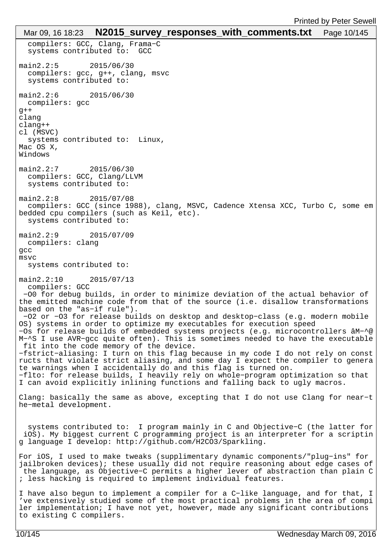```
 compilers: GCC, Clang, Frama−C
   systems contributed to: GCC
main2.2:5 2015/06/30 
   compilers: gcc, g++, clang, msvc
   systems contributed to: 
main2.2:6 2015/06/30 
  compilers: gcc
g++clang
clang++
cl (MSVC)
  systems contributed to: Linux,
Mac OS X,
Windows
main2.2:7 2015/06/30 
  compilers: GCC, Clang/LLVM
   systems contributed to: 
main2.2:8 2015/07/08 
  compilers: GCC (since 1988), clang, MSVC, Cadence Xtensa XCC, Turbo C, some em
bedded cpu compilers (such as Keil, etc).
  systems contributed to: 
main2.2:9 2015/07/09 
  compilers: clang
gcc
msvc
  systems contributed to: 
main2.2:10 2015/07/13 
  compilers: GCC
  −O0 for debug builds, in order to minimize deviation of the actual behavior of 
the emitted machine code from that of the source (i.e. disallow transformations 
based on the "as−if rule").
 −O2 or −O3 for release builds on desktop and desktop−class (e.g. modern mobile 
OS) systems in order to optimize my executables for execution speed
−Os for release builds of embedded systems projects (e.g. microcontrollers âM−^@
M−^S I use AVR−gcc quite often). This is sometimes needed to have the executable
 fit into the code memory of the device.
−fstrict−aliasing: I turn on this flag because in my code I do not rely on const
ructs that violate strict aliasing, and some day I expect the compiler to genera
te warnings when I accidentally do and this flag is turned on.
−flto: for release builds, I heavily rely on whole−program optimization so that 
I can avoid explicitly inlining functions and falling back to ugly macros.
Clang: basically the same as above, excepting that I do not use Clang for near−t
he−metal development.
   systems contributed to: I program mainly in C and Objective−C (the latter for
  iOS). My biggest current C programming project is an interpreter for a scriptin
g language I develop: http://github.com/H2CO3/Sparkling.
For iOS, I used to make tweaks (supplimentary dynamic components/"plug−ins" for 
jailbroken devices); these usually did not require reasoning about edge cases of
  the language, as Objective−C permits a higher lever of abstraction than plain C
; less hacking is required to implement individual features.
I have also begun to implement a compiler for a C−like language, and for that, I
've extensively studied some of the most practical problems in the area of compi
ler implementation; I have not yet, however, made any significant contributions
to existing C compilers.
 Mar 09, 16 18:23 N2015_survey_responses_with_comments.txt Page 10/145
```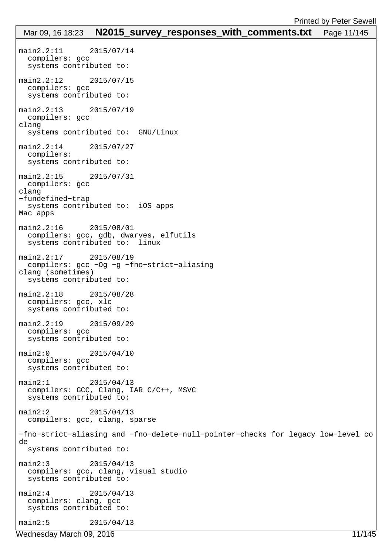# main2.2:11 2015/07/14 compilers: gcc systems contributed to: main2.2:12 2015/07/15 compilers: gcc systems contributed to: main2.2:13 2015/07/19 compilers: gcc clang systems contributed to: GNU/Linux main2.2:14 2015/07/27 compilers: systems contributed to: main2.2:15 2015/07/31 compilers: gcc clang −fundefined−trap systems contributed to: iOS apps Mac apps main2.2:16 2015/08/01 compilers: gcc, gdb, dwarves, elfutils systems contributed to: linux main2.2:17 2015/08/19 compilers: gcc −Og −g −fno−strict−aliasing clang (sometimes) systems contributed to: main2.2:18 2015/08/28 compilers: gcc, xlc systems contributed to: main2.2:19 2015/09/29 compilers: gcc systems contributed to: main2:0 2015/04/10 compilers: gcc systems contributed to: main2:1 2015/04/13 compilers: GCC, Clang, IAR C/C++, MSVC systems contributed to: main2:2 2015/04/13 compilers: gcc, clang, sparse −fno−strict−aliasing and −fno−delete−null−pointer−checks for legacy low−level co de systems contributed to: main2:3 2015/04/13 compilers: gcc, clang, visual studio systems contributed to: main2:4 2015/04/13 compilers: clang, gcc systems contributed to: main2:5 2015/04/13 Mar 09, 16 18:23 **N2015 survey responses with comments.txt** Page 11/145

Wednesday March 09, 2016 11/145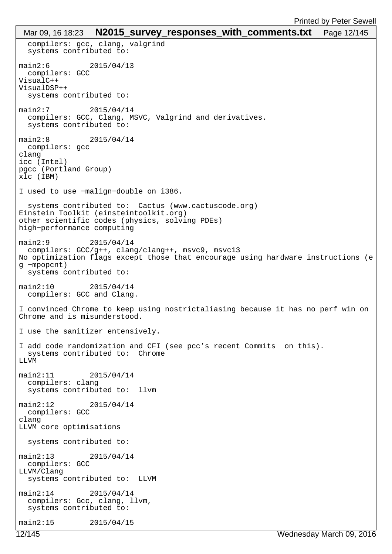```
 compilers: gcc, clang, valgrind
   systems contributed to: 
main2:6 2015/04/13 
  compilers: GCC
VisualC++
VisualDSP++
   systems contributed to: 
main2:7 2015/04/14 
   compilers: GCC, Clang, MSVC, Valgrind and derivatives.
   systems contributed to: 
main2:8 2015/04/14 
  compilers: gcc
clang
icc (Intel)
pgcc (Portland Group)
xlc (IBM)
I used to use −malign−double on i386.
   systems contributed to: Cactus (www.cactuscode.org)
Einstein Toolkit (einsteintoolkit.org)
other scientific codes (physics, solving PDEs)
high−performance computing
main2:9 2015/04/14 
  compilers: GCC/g++, clang/clang++, msvc9, msvc13
No optimization flags except those that encourage using hardware instructions (e
g −mpopcnt)
   systems contributed to: 
main2:10 2015/04/14 
  compilers: GCC and Clang.
I convinced Chrome to keep using nostrictaliasing because it has no perf win on 
Chrome and is misunderstood. 
I use the sanitizer entensively. 
I add code randomization and CFI (see pcc's recent Commits on this).
   systems contributed to: Chrome
LLVM
main2:11 2015/04/14 
  compilers: clang
   systems contributed to: llvm
main2:12 2015/04/14 
  compilers: GCC
clang
LLVM core optimisations
   systems contributed to: 
main2:13 2015/04/14 
  compilers: GCC
LLVM/Clang
  systems contributed to: LLVM
main2:14 2015/04/14 
  compilers: Gcc, clang, llvm,
   systems contributed to: 
main2:15 2015/04/15 
 Mar 09, 16 18:23 N2015 survey responses with comments.txt Page 12/145
```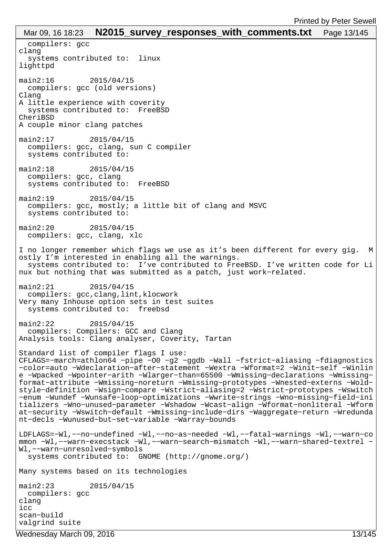| Mar 09, 16 18:23 $\,$ N2015_survey_responses_with_comments.txt $\,$ Page 13/145                                                                                                                                                                                                                                                                                                                                                                                                                                                                                                                                                                                                                                                                                                             |
|---------------------------------------------------------------------------------------------------------------------------------------------------------------------------------------------------------------------------------------------------------------------------------------------------------------------------------------------------------------------------------------------------------------------------------------------------------------------------------------------------------------------------------------------------------------------------------------------------------------------------------------------------------------------------------------------------------------------------------------------------------------------------------------------|
| compilers: gcc<br>clang<br>systems contributed to: linux<br>lighttpd                                                                                                                                                                                                                                                                                                                                                                                                                                                                                                                                                                                                                                                                                                                        |
| $main2:16$ 2015/04/15<br>compilers: gcc (old versions)<br>Clang<br>A little experience with coverity                                                                                                                                                                                                                                                                                                                                                                                                                                                                                                                                                                                                                                                                                        |
| systems contributed to: FreeBSD<br>CheriBSD<br>A couple minor clang patches                                                                                                                                                                                                                                                                                                                                                                                                                                                                                                                                                                                                                                                                                                                 |
| main2:17<br>2015/04/15<br>compilers: gcc, clang, sun C compiler<br>systems contributed to:                                                                                                                                                                                                                                                                                                                                                                                                                                                                                                                                                                                                                                                                                                  |
| main2:18<br>2015/04/15<br>compilers: gcc, clang<br>systems contributed to: FreeBSD                                                                                                                                                                                                                                                                                                                                                                                                                                                                                                                                                                                                                                                                                                          |
| main2:19<br>2015/04/15<br>compilers: gcc, mostly; a little bit of clang and MSVC<br>systems contributed to:                                                                                                                                                                                                                                                                                                                                                                                                                                                                                                                                                                                                                                                                                 |
| main2:20<br>2015/04/15<br>compilers: gcc, clang, xlc                                                                                                                                                                                                                                                                                                                                                                                                                                                                                                                                                                                                                                                                                                                                        |
| I no longer remember which flags we use as it's been different for every gig. M<br>ostly I'm interested in enabling all the warnings.<br>systems contributed to: I've contributed to FreeBSD. I've written code for Li<br>nux but nothing that was submitted as a patch, just work-related.                                                                                                                                                                                                                                                                                                                                                                                                                                                                                                 |
| $main2:21$ 2015/04/15<br>compilers: gcc, clang, lint, klocwork<br>Very many Inhouse option sets in test suites<br>systems contributed to: freebsd                                                                                                                                                                                                                                                                                                                                                                                                                                                                                                                                                                                                                                           |
| main2:22<br>2015/04/15<br>compilers: Compilers: GCC and Clang<br>Analysis tools: Clang analyser, Coverity, Tartan                                                                                                                                                                                                                                                                                                                                                                                                                                                                                                                                                                                                                                                                           |
| Standard list of compiler flags I use:<br>CFLAGS=-march=athlon64 -pipe -00 -g2 -ggdb -Wall -fstrict-aliasing -fdiagnostics<br>-color=auto -Wdeclaration-after-statement -Wextra -Wformat=2 -Winit-self -Winlin<br>e -Wpacked -Wpointer-arith -Wlarger-than=65500 -Wmissing-declarations -Wmissing-<br>format-attribute -Wmissing-noreturn -Wmissing-prototypes -Wnested-externs -Wold-<br>style-definition -Wsign-compare -Wstrict-aliasing=2 -Wstrict-prototypes -Wswitch<br>-enum -Wundef -Wunsafe-loop-optimizations -Wwrite-strings -Wno-missing-field-ini<br>tializers -Wno-unused-parameter -Wshadow -Wcast-align -Wformat-nonliteral -Wform<br>at-security -Wswitch-default -Wmissing-include-dirs -Waggregate-return -Wredunda<br>nt-decls -Wunused-but-set-variable -Warray-bounds |
| LDFLAGS=-Wl,--no-undefined -Wl,--no-as-needed -Wl,--fatal-warnings -Wl,--warn-co<br>mmon -Wl,--warn-execstack -Wl,--warn-search-mismatch -Wl,--warn-shared-textrel -<br>Wl,--warn-unresolved-symbols<br>systems contributed to: GNOME (http://gnome.org/)                                                                                                                                                                                                                                                                                                                                                                                                                                                                                                                                   |
| Many systems based on its technologies                                                                                                                                                                                                                                                                                                                                                                                                                                                                                                                                                                                                                                                                                                                                                      |
| main2:23<br>2015/04/15<br>compilers: gcc<br>clang<br>icc<br>scan-build<br>valgrind suite                                                                                                                                                                                                                                                                                                                                                                                                                                                                                                                                                                                                                                                                                                    |

Wednesday March 09, 2016 13/145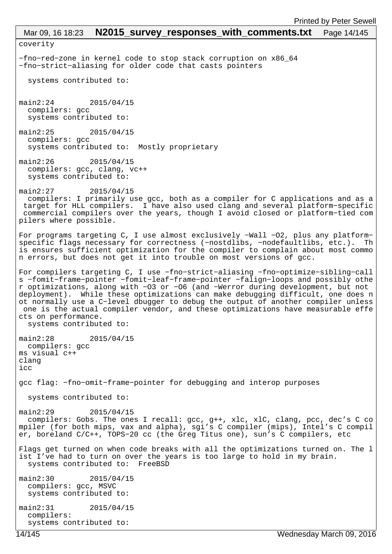coverity −fno−red−zone in kernel code to stop stack corruption on x86\_64 −fno−strict−aliasing for older code that casts pointers systems contributed to: main2:24 2015/04/15 compilers: gcc systems contributed to: main2:25 2015/04/15 compilers: gcc systems contributed to: Mostly proprietary main2:26 2015/04/15 compilers: gcc, clang, vc++ systems contributed to: main2:27 2015/04/15 compilers: I primarily use gcc, both as a compiler for C applications and as a target for HLL compilers. I have also used clang and several platform−specific commercial compilers over the years, though I avoid closed or platform−tied com pilers where possible. For programs targeting C, I use almost exclusively −Wall −O2, plus any platform− specific flags necessary for correctness (-nostdlibs, -nodefaultlibs, etc.). Th is ensures sufficient optimization for the compiler to complain about most commo n errors, but does not get it into trouble on most versions of gcc. For compilers targeting C, I use −fno−strict−aliasing −fno−optimize−sibling−call s −fomit−frame−pointer −fomit−leaf−frame−pointer −falign−loops and possibly othe r optimizations, along with −O3 or −O6 (and −Werror during development, but not deployment). While these optimizations can make debugging difficult, one does n ot normally use a C−level dbugger to debug the output of another compiler unless one is the actual compiler vendor, and these optimizations have measurable effe cts on performance. systems contributed to: main2:28 2015/04/15 compilers: gcc ms visual c++ clang icc gcc flag: −fno−omit−frame−pointer for debugging and interop purposes systems contributed to: main2:29 2015/04/15 compilers: Gobs. The ones I recall: gcc, g++, xlc, xlC, clang, pcc, dec's C co mpiler (for both mips, vax and alpha), sgi's C compiler (mips), Intel's C compil er, boreland C/C++, TOPS−20 cc (the Greg Titus one), sun's C compilers, etc Flags get turned on when code breaks with all the optimizations turned on. The l ist I've had to turn on over the years is too large to hold in my brain. systems contributed to: FreeBSD main2:30 2015/04/15 compilers: gcc, MSVC systems contributed to: main2:31 2015/04/15 compilers: systems contributed to: Mar 09, 16 18:23 **N2015\_survey\_responses\_with\_comments.txt** Page 14/145 Printed by Peter Sewell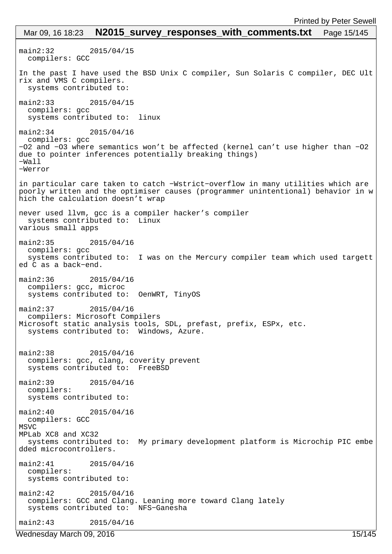main2:32 2015/04/15 compilers: GCC In the past I have used the BSD Unix C compiler, Sun Solaris C compiler, DEC Ult rix and VMS C compilers. systems contributed to: main2:33 2015/04/15 compilers: gcc systems contributed to: linux main2:34 2015/04/16 compilers: gcc −O2 and −O3 where semantics won't be affected (kernel can't use higher than −O2 due to pointer inferences potentially breaking things) −Wall −Werror in particular care taken to catch −Wstrict−overflow in many utilities which are poorly written and the optimiser causes (programmer unintentional) behavior in w hich the calculation doesn't wrap never used llvm, gcc is a compiler hacker's compiler systems contributed to: Linux various small apps main2:35 2015/04/16 compilers: gcc systems contributed to: I was on the Mercury compiler team which used targett ed C as a back−end. main2:36 2015/04/16 compilers: gcc, microc systems contributed to: OenWRT, TinyOS main2:37 2015/04/16 compilers: Microsoft Compilers Microsoft static analysis tools, SDL, prefast, prefix, ESPx, etc. systems contributed to: Windows, Azure. main2:38 2015/04/16 compilers: gcc, clang, coverity prevent systems contributed to: FreeBSD main2:39 2015/04/16 compilers: systems contributed to: main2:40 2015/04/16 compilers: GCC MSVC MPLab XC8 and XC32 systems contributed to: My primary development platform is Microchip PIC embe dded microcontrollers. main2:41 2015/04/16 compilers: systems contributed to: main2:42 2015/04/16 compilers: GCC and Clang. Leaning more toward Clang lately systems contributed to: NFS−Ganesha main2:43 2015/04/16 Mar 09, 16 18:23 **N2015\_survey\_responses\_with\_comments.txt** Page 15/145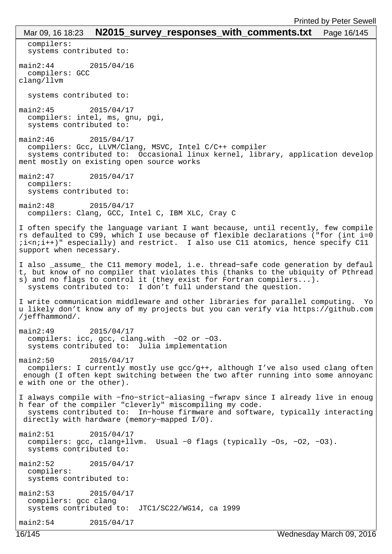| <b>FILITICA DY FEICI OCWEI</b>                                                                                                                                      |  |
|---------------------------------------------------------------------------------------------------------------------------------------------------------------------|--|
| N2015_survey_responses_with_comments.txt<br>Mar 09, 16 18:23<br>Page 16/145                                                                                         |  |
| compilers:<br>systems contributed to:                                                                                                                               |  |
| main2:44<br>2015/04/16                                                                                                                                              |  |
| compilers: GCC<br>clang/llvm                                                                                                                                        |  |
| systems contributed to:                                                                                                                                             |  |
| $main2:45$ 2015/04/17                                                                                                                                               |  |
| compilers: intel, ms, gnu, pgi,<br>systems contributed to:                                                                                                          |  |
| main2:46<br>2015/04/17                                                                                                                                              |  |
| compilers: Gcc, LLVM/Clang, MSVC, Intel C/C++ compiler                                                                                                              |  |
| systems contributed to: Occasional linux kernel, library, application develop<br>ment mostly on existing open source works                                          |  |
| main2:47<br>2015/04/17                                                                                                                                              |  |
| compilers:<br>systems contributed to:                                                                                                                               |  |
| main2:48<br>2015/04/17                                                                                                                                              |  |
| compilers: Clang, GCC, Intel C, IBM XLC, Cray C                                                                                                                     |  |
| I often specify the language variant I want because, until recently, few compile                                                                                    |  |
| rs defaulted to C99, which I use because of flexible declarations ("for (int i=0                                                                                    |  |
| ii <nii++)" also="" and="" atomics,="" cll="" cll<br="" especially)="" hence="" i="" restrict.="" specify="" use="">support when necessary.</nii++)">               |  |
| I also _assume_ the Cll memory model, i.e. thread-safe code generation by defaul                                                                                    |  |
| t, but know of no compiler that violates this (thanks to the ubiquity of Pthread                                                                                    |  |
| s) and no flags to control it (they exist for Fortran compilers).<br>systems contributed to: I don't full understand the question.                                  |  |
|                                                                                                                                                                     |  |
| I write communication middleware and other libraries for parallel computing. Yo<br>u likely don't know any of my projects but you can verify via https://github.com |  |
| /jeffhammond/.                                                                                                                                                      |  |
| main2:49<br>2015/04/17                                                                                                                                              |  |
| compilers: icc, gcc, clang.with -02 or -03.                                                                                                                         |  |
| systems contributed to: Julia implementation                                                                                                                        |  |
| main2:50<br>2015/04/17<br>compilers: I currently mostly use gcc/g++, although I've also used clang often                                                            |  |
| enough (I often kept switching between the two after running into some annoyanc                                                                                     |  |
| e with one or the other).                                                                                                                                           |  |
| I always compile with -fno-strict-aliasing -fwrapv since I already live in enoug                                                                                    |  |
| h fear of the compiler "cleverly" miscompiling my code.<br>systems contributed to: In-house firmware and software, typically interacting                            |  |
| directly with hardware (memory-mapped I/O).                                                                                                                         |  |
| main2:51<br>2015/04/17                                                                                                                                              |  |
| compilers: gcc, clang+llvm. Usual -0 flags (typically -0s, -02, -03).<br>systems contributed to:                                                                    |  |
| main2:52<br>2015/04/17                                                                                                                                              |  |
| compilers:                                                                                                                                                          |  |
| systems contributed to:                                                                                                                                             |  |
| main2:53<br>2015/04/17                                                                                                                                              |  |
| compilers: gcc clang<br>systems contributed to: JTC1/SC22/WG14, ca 1999                                                                                             |  |
| main2:54<br>2015/04/17                                                                                                                                              |  |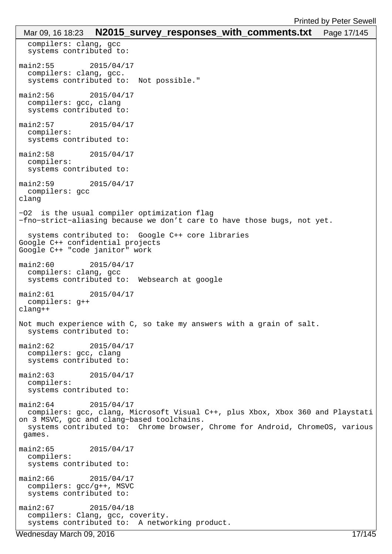```
 compilers: clang, gcc
   systems contributed to: 
main2:55 2015/04/17 
   compilers: clang, gcc.
   systems contributed to: Not possible."
main2:56 2015/04/17 
   compilers: gcc, clang
   systems contributed to: 
main2:57 2015/04/17 
   compilers: 
   systems contributed to: 
main2:58 2015/04/17 
   compilers: 
   systems contributed to: 
main2:59 2015/04/17 
  compilers: gcc
clang
−O2 is the usual compiler optimization flag
−fno−strict−aliasing because we don't care to have those bugs, not yet.
   systems contributed to: Google C++ core libraries
Google C++ confidential projects
Google C++ "code janitor" work
main2:60 2015/04/17 
  compilers: clang, gcc
   systems contributed to: Websearch at google
main2:61 2015/04/17 
  compilers: g++
clang++
Not much experience with C, so take my answers with a grain of salt.
  systems contributed to: 
main2:62 2015/04/17 
   compilers: gcc, clang
   systems contributed to: 
main2:63 2015/04/17 
   compilers: 
   systems contributed to: 
main2:64 2015/04/17 
  compilers: gcc, clang, Microsoft Visual C++, plus Xbox, Xbox 360 and Playstati
on 3 MSVC, gcc and clang−based toolchains.
  systems contributed to: Chrome browser, Chrome for Android, ChromeOS, various
 games.
main2:65 2015/04/17 
   compilers: 
   systems contributed to: 
main2:66 2015/04/17 
   compilers: gcc/g++, MSVC
   systems contributed to: 
main2:67 2015/04/18 
   compilers: Clang, gcc, coverity. 
   systems contributed to: A networking product.
 Mar 09, 16 18:23 N2015_survey_responses_with_comments.txt Page 17/145
```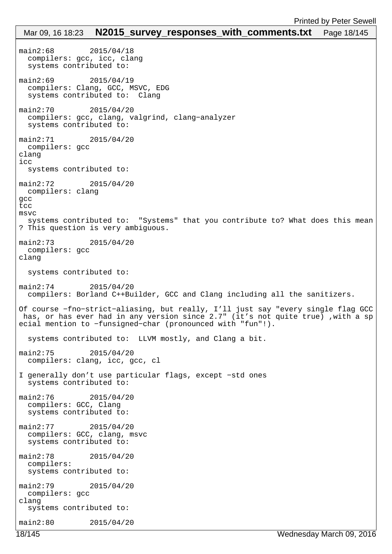```
main2:68 2015/04/18 
   compilers: gcc, icc, clang
   systems contributed to: 
main2:69 2015/04/19 
   compilers: Clang, GCC, MSVC, EDG
   systems contributed to: Clang
main2:70 2015/04/20 
  compilers: gcc, clang, valgrind, clang−analyzer
   systems contributed to: 
main2:71 2015/04/20 
  compilers: gcc
clang
icc
  systems contributed to: 
main2:72 2015/04/20 
  compilers: clang
gcc
tcc
msvc
  systems contributed to: "Systems" that you contribute to? What does this mean
? This question is very ambiguous.
main2:73 2015/04/20 
  compilers: gcc
clang
   systems contributed to: 
main2:74 2015/04/20 
  compilers: Borland C++Builder, GCC and Clang including all the sanitizers.
Of course −fno−strict−aliasing, but really, I'll just say "every single flag GCC
 has, or has ever had in any version since 2.7" (it's not quite true) ,with a sp
ecial mention to −funsigned−char (pronounced with "fun"!).
  systems contributed to: LLVM mostly, and Clang a bit.
main2:75 2015/04/20 
  compilers: clang, icc, gcc, cl
I generally don't use particular flags, except −std ones
  systems contributed to: 
main2:76 2015/04/20 
  compilers: GCC, Clang
  systems contributed to: 
main2:77 2015/04/20 
  compilers: GCC, clang, msvc
  systems contributed to: 
main2:78 2015/04/20 
  compilers: 
  systems contributed to: 
main2:79 2015/04/20 
  compilers: gcc
clang
  systems contributed to: 
main2:80 2015/04/20 
 Mar 09, 16 18:23 N2015 survey responses with comments.txt Page 18/145
```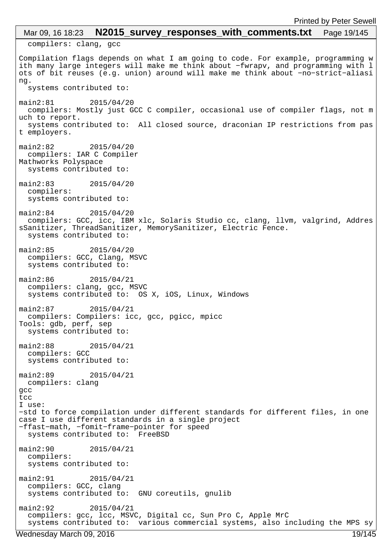# compilers: clang, gcc Compilation flags depends on what I am going to code. For example, programming w ith many large integers will make me think about −fwrapv, and programming with l ots of bit reuses (e.g. union) around will make me think about −no−strict−aliasi ng. systems contributed to: main2:81 2015/04/20 compilers: Mostly just GCC C compiler, occasional use of compiler flags, not m uch to report. systems contributed to: All closed source, draconian IP restrictions from pas t employers. main2:82 2015/04/20 compilers: IAR C Compiler Mathworks Polyspace systems contributed to: main2:83 2015/04/20 compilers: systems contributed to: main2:84 2015/04/20 compilers: GCC, icc, IBM xlc, Solaris Studio cc, clang, llvm, valgrind, Addres sSanitizer, ThreadSanitizer, MemorySanitizer, Electric Fence. systems contributed to: main2:85 2015/04/20 compilers: GCC, Clang, MSVC systems contributed to: main2:86 2015/04/21 compilers: clang, gcc, MSVC systems contributed to: OS X, iOS, Linux, Windows main2:87 2015/04/21 compilers: Compilers: icc, gcc, pgicc, mpicc Tools: gdb, perf, sep systems contributed to: main2:88 2015/04/21 compilers: GCC systems contributed to: main2:89 2015/04/21 compilers: clang gcc tcc I use: −std to force compilation under different standards for different files, in one case I use different standards in a single project −ffast−math, −fomit−frame−pointer for speed systems contributed to: FreeBSD main2:90 2015/04/21 compilers: systems contributed to: main2:91 2015/04/21 compilers: GCC, clang systems contributed to: GNU coreutils, gnulib main2:92 2015/04/21 compilers: gcc, lcc, MSVC, Digital cc, Sun Pro C, Apple MrC systems contributed to: various commercial systems, also including the MPS sy Mar 09, 16 18:23 **N2015\_survey\_responses\_with\_comments.txt** Page 19/145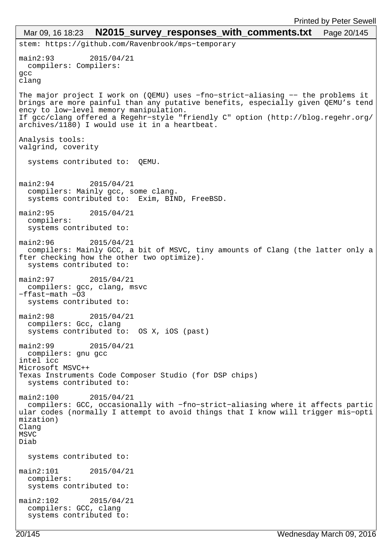```
stem: https://github.com/Ravenbrook/mps−temporary
main2:93 2015/04/21 
  compilers: Compilers:
gcc
clang
The major project I work on (QEMU) uses −fno−strict−aliasing −− the problems it 
brings are more painful than any putative benefits, especially given QEMU's tend
ency to low−level memory manipulation.
If gcc/clang offered a Regehr−style "friendly C" option (http://blog.regehr.org/
archives/1180) I would use it in a heartbeat.
Analysis tools:
valgrind, coverity
   systems contributed to: QEMU.
main2:94 2015/04/21 
   compilers: Mainly gcc, some clang.
   systems contributed to: Exim, BIND, FreeBSD.
main2:95 2015/04/21 
  compilers: 
   systems contributed to: 
main2:96 2015/04/21 
  compilers: Mainly GCC, a bit of MSVC, tiny amounts of Clang (the latter only a
fter checking how the other two optimize).
   systems contributed to: 
main2:97 2015/04/21 
  compilers: gcc, clang, msvc
−ffast−math −O3
   systems contributed to: 
main2:98 2015/04/21 
  compilers: Gcc, clang
   systems contributed to: OS X, iOS (past)
main2:99 2015/04/21 
  compilers: gnu gcc
intel icc
Microsoft MSVC++
Texas Instruments Code Composer Studio (for DSP chips)
  systems contributed to: 
main2:100 2015/04/21 
  compilers: GCC, occasionally with −fno−strict−aliasing where it affects partic
ular codes (normally I attempt to avoid things that I know will trigger mis−opti
mization)
Clang
MSVC
Diab
   systems contributed to: 
main2:101 2015/04/21 
  compilers: 
   systems contributed to: 
main2:102 2015/04/21 
  compilers: GCC, clang
   systems contributed to: 
 Mar 09, 16 18:23 N2015 survey responses with comments.txt Page 20/145
```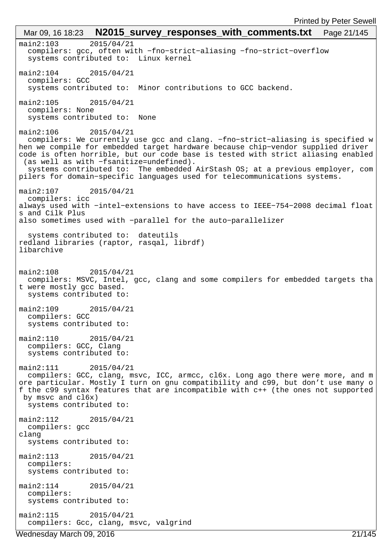main2:103 2015/04/21 compilers: gcc, often with −fno−strict−aliasing −fno−strict−overflow systems contributed to: Linux kernel main2:104 2015/04/21 compilers: GCC systems contributed to: Minor contributions to GCC backend. main2:105 2015/04/21 compilers: None systems contributed to: None main2:106 2015/04/21 compilers: We currently use gcc and clang. −fno−strict−aliasing is specified w hen we compile for embedded target hardware because chip−vendor supplied driver code is often horrible, but our code base is tested with strict aliasing enabled (as well as with −fsanitize=undefined). systems contributed to: The embedded AirStash OS; at a previous employer, com pilers for domain−specific languages used for telecommunications systems. main2:107 2015/04/21 compilers: icc always used with −intel−extensions to have access to IEEE−754−2008 decimal float s and Cilk Plus also sometimes used with −parallel for the auto−parallelizer systems contributed to: dateutils redland libraries (raptor, rasqal, librdf) libarchive main2:108 2015/04/21 compilers: MSVC, Intel, gcc, clang and some compilers for embedded targets tha t were mostly gcc based. systems contributed to: main2:109 2015/04/21 compilers: GCC systems contributed to: main2:110 2015/04/21 compilers: GCC, Clang systems contributed to: main2:111 2015/04/21 compilers: GCC, clang, msvc, ICC, armcc, cl6x. Long ago there were more, and m ore particular. Mostly I turn on gnu compatibility and c99, but don't use many o f the c99 syntax features that are incompatible with c++ (the ones not supported by msvc and cl6x) systems contributed to: main2:112 2015/04/21 compilers: gcc clang systems contributed to: main2:113 2015/04/21 compilers: systems contributed to: main2:114 2015/04/21 compilers: systems contributed to: main2:115 2015/04/21 compilers: Gcc, clang, msvc, valgrind Mar 09, 16 18:23 **N2015\_survey\_responses\_with\_comments.txt** Page 21/145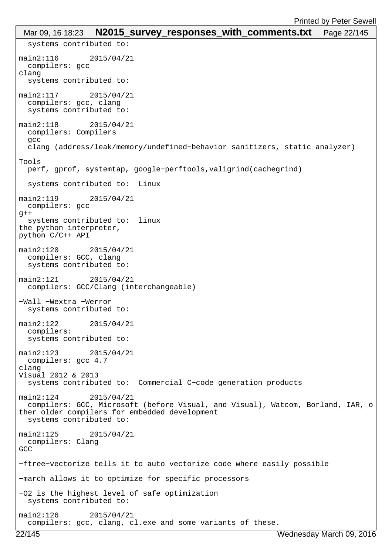```
 systems contributed to: 
main2:116 2015/04/21 
  compilers: gcc
clang
   systems contributed to: 
main2:117 2015/04/21 
   compilers: gcc, clang
   systems contributed to: 
main2:118 2015/04/21 
  compilers: Compilers
   gcc
   clang (address/leak/memory/undefined−behavior sanitizers, static analyzer)
Tools
  perf, gprof, systemtap, google−perftools,valigrind(cachegrind)
   systems contributed to: Linux
main2:119 2015/04/21 
  compilers: gcc
q++ systems contributed to: linux
the python interpreter, 
python C/C++ API
main2:120 2015/04/21 
  compilers: GCC, clang
   systems contributed to: 
main2:121 2015/04/21 
  compilers: GCC/Clang (interchangeable)
−Wall −Wextra −Werror
  systems contributed to: 
main2:122 2015/04/21 
  compilers: 
   systems contributed to: 
main2:123 2015/04/21 
  compilers: gcc 4.7
clang
Visual 2012 & 2013
   systems contributed to: Commercial C−code generation products
main2:124 2015/04/21 
  compilers: GCC, Microsoft (before Visual, and Visual), Watcom, Borland, IAR, o
ther older compilers for embedded development
   systems contributed to: 
main2:125 2015/04/21 
  compilers: Clang
GCC
−ftree−vectorize tells it to auto vectorize code where easily possible
−march allows it to optimize for specific processors
−O2 is the highest level of safe optimization
  systems contributed to: 
main2:126 2015/04/21 
   compilers: gcc, clang, cl.exe and some variants of these.
 Mar 09, 16 18:23 N2015 survey responses with comments.txt Page 22/145
```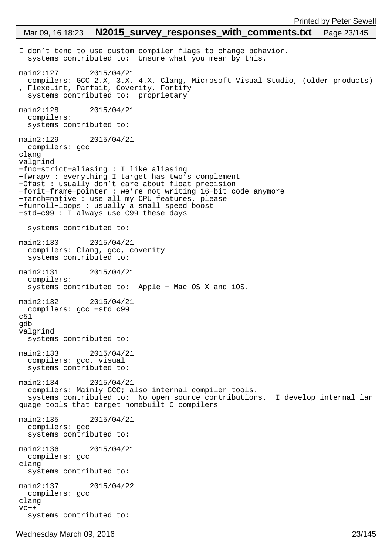```
I don't tend to use custom compiler flags to change behavior.
   systems contributed to: Unsure what you mean by this.
main2:127 2015/04/21 
 compilers: GCC 2.X, 3.X, 4.X, Clang, Microsoft Visual Studio, (older products)
, FlexeLint, Parfait, Coverity, Fortify
 systems contributed to: proprietary
main2:128 2015/04/21 
   compilers: 
   systems contributed to: 
main2:129 2015/04/21 
   compilers: gcc
clang
valgrind
−fno−strict−aliasing : I like aliasing
−fwrapv : everything I target has two's complement
−Ofast : usually don't care about float precision
−fomit−frame−pointer : we're not writing 16−bit code anymore
−march=native : use all my CPU features, please
−funroll−loops : usually a small speed boost
−std=c99 : I always use C99 these days
   systems contributed to: 
main2:130 2015/04/21 
   compilers: Clang, gcc, coverity
   systems contributed to: 
main2:131 2015/04/21 
  compilers: 
   systems contributed to: Apple − Mac OS X and iOS.
main2:132 2015/04/21 
  compilers: gcc −std=c99
c51
gdb
valgrind
  systems contributed to: 
main2:133 2015/04/21 
  compilers: gcc, visual 
   systems contributed to: 
main2:134 2015/04/21 
  compilers: Mainly GCC; also internal compiler tools.
   systems contributed to: No open source contributions. I develop internal lan
guage tools that target homebuilt C compilers
main2:135 2015/04/21 
  compilers: gcc
   systems contributed to: 
main2:136 2015/04/21 
  compilers: gcc
clang
  systems contributed to: 
main2:137 2015/04/22 
  compilers: gcc
clang 
VC++ systems contributed to: 
 Mar 09, 16 18:23 N2015 survey responses with comments.txt Page 23/145
```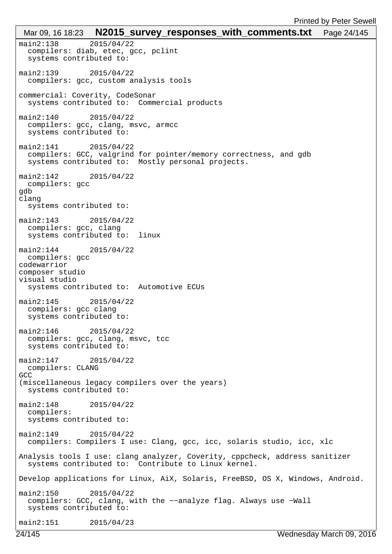```
main2:138 2015/04/22 
   compilers: diab, etec, gcc, pclint
   systems contributed to: 
main2:139 2015/04/22 
   compilers: gcc, custom analysis tools
commercial: Coverity, CodeSonar
   systems contributed to: Commercial products
main2:140 2015/04/22 
  compilers: gcc, clang, msvc, armcc
   systems contributed to: 
main2:141 2015/04/22 
   compilers: GCC, valgrind for pointer/memory correctness, and gdb
   systems contributed to: Mostly personal projects.
main2:142 2015/04/22 
  compilers: gcc
gdb
clang
   systems contributed to: 
main2:143 2015/04/22 
  compilers: gcc, clang
   systems contributed to: linux
main2:144 2015/04/22 
  compilers: gcc
codewarrior
composer studio
visual studio
   systems contributed to: Automotive ECUs
main2:145 2015/04/22 
   compilers: gcc clang
   systems contributed to: 
main2:146 2015/04/22 
  compilers: gcc, clang, msvc, tcc
   systems contributed to: 
main2:147 2015/04/22 
  compilers: CLANG
GCC
(miscellaneous legacy compilers over the years)
   systems contributed to: 
main2:148 2015/04/22 
  compilers: 
   systems contributed to: 
main2:149 2015/04/22 
  compilers: Compilers I use: Clang, gcc, icc, solaris studio, icc, xlc
Analysis tools I use: clang analyzer, Coverity, cppcheck, address sanitizer
   systems contributed to: Contribute to Linux kernel.
Develop applications for Linux, AiX, Solaris, FreeBSD, OS X, Windows, Android.
main2:150 2015/04/22 
   compilers: GCC, clang, with the −−analyze flag. Always use −Wall
   systems contributed to: 
main2:151 2015/04/23 
 Mar 09, 16 18:23 N2015_survey_responses_with_comments.txt Page 24/145
```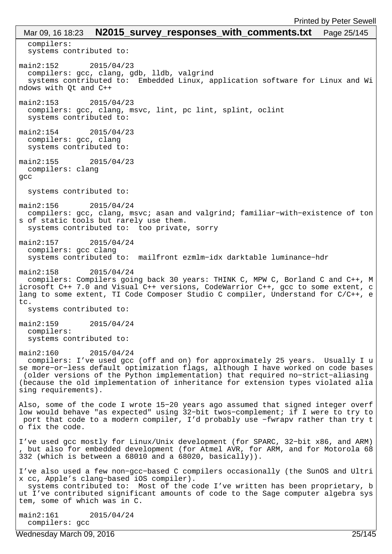compilers: systems contributed to: main2:152 2015/04/23 compilers: gcc, clang, gdb, lldb, valgrind systems contributed to: Embedded Linux, application software for Linux and Wi ndows with Qt and C++ main2:153 2015/04/23 compilers: gcc, clang, msvc, lint, pc lint, splint, oclint systems contributed to: main2:154 2015/04/23 compilers: gcc, clang systems contributed to: main2:155 2015/04/23 compilers: clang gcc systems contributed to: main2:156 2015/04/24 compilers: gcc, clang, msvc; asan and valgrind; familiar−with−existence of ton s of static tools but rarely use them. systems contributed to: too private, sorry main2:157 2015/04/24 compilers: gcc clang systems contributed to: mailfront ezmlm−idx darktable luminance−hdr main2:158 2015/04/24 compilers: Compilers going back 30 years: THINK C, MPW C, Borland C and C++, M icrosoft C++ 7.0 and Visual C++ versions, CodeWarrior C++, gcc to some extent, c lang to some extent, TI Code Composer Studio C compiler, Understand for C/C++, e  $t \sim$  systems contributed to: main2:159 2015/04/24 compilers: systems contributed to: main2:160 2015/04/24 compilers: I've used gcc (off and on) for approximately 25 years. Usually I u se more−or−less default optimization flags, although I have worked on code bases (older versions of the Python implementation) that required no−strict−aliasing (because the old implementation of inheritance for extension types violated alia sing requirements). Also, some of the code I wrote 15−20 years ago assumed that signed integer overf low would behave "as expected" using 32−bit twos−complement; if I were to try to port that code to a modern compiler, I'd probably use −fwrapv rather than try t o fix the code. I've used gcc mostly for Linux/Unix development (for SPARC, 32−bit x86, and ARM) , but also for embedded development (for Atmel AVR, for ARM, and for Motorola 68 332 (which is between a 68010 and a 68020, basically)). I've also used a few non−gcc−based C compilers occasionally (the SunOS and Ultri x cc, Apple's clang−based iOS compiler). systems contributed to: Most of the code I've written has been proprietary, b ut I've contributed significant amounts of code to the Sage computer algebra sys tem, some of which was in C. main2:161 2015/04/24 Mar 09, 16 18:23 **N2015\_survey\_responses\_with\_comments.txt** Page 25/145

Wednesday March 09, 2016 25/145

compilers: gcc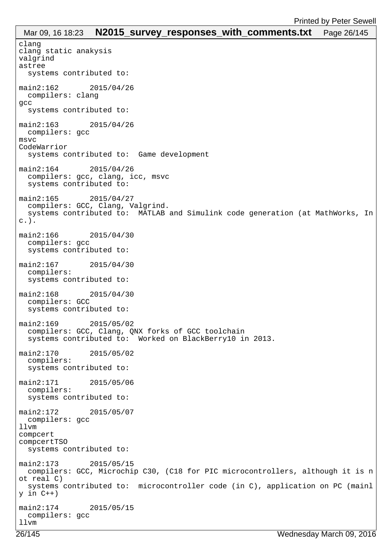```
clang
clang static anakysis
valgrind
astree
  systems contributed to: 
main2:162 2015/04/26 
  compilers: clang
gcc
  systems contributed to: 
main2:163 2015/04/26 
  compilers: gcc
msvc
CodeWarrior
  systems contributed to: Game development
main2:164 2015/04/26 
  compilers: gcc, clang, icc, msvc
   systems contributed to: 
main2:165 2015/04/27 
  compilers: GCC, Clang, Valgrind.
   systems contributed to: MATLAB and Simulink code generation (at MathWorks, In
c.).
main2:166 2015/04/30 
  compilers: gcc
   systems contributed to: 
main2:167 2015/04/30 
  compilers: 
  systems contributed to: 
main2:168 2015/04/30 
  compilers: GCC
  systems contributed to: 
main2:169 2015/05/02 
  compilers: GCC, Clang, QNX forks of GCC toolchain
   systems contributed to: Worked on BlackBerry10 in 2013.
main2:170 2015/05/02 
  compilers: 
  systems contributed to: 
main2:171 2015/05/06 
  compilers: 
  systems contributed to: 
main2:172 2015/05/07 
  compilers: gcc
llvm
compcert
compcertTSO
  systems contributed to: 
main2:173 2015/05/15 
  compilers: GCC, Microchip C30, (C18 for PIC microcontrollers, although it is n
ot real C)
  systems contributed to: microcontroller code (in C), application on PC (mainl
y in C++)
main2:174 2015/05/15 
  compilers: gcc
llvm
 Mar 09, 16 18:23 N2015 survey responses with comments.txt Page 26/145
```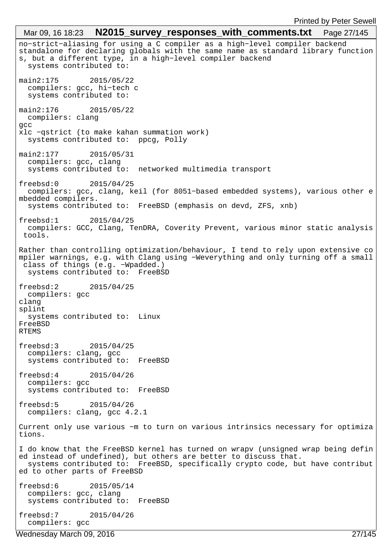# no−strict−aliasing for using a C compiler as a high−level compiler backend standalone for declaring globals with the same name as standard library function s, but a different type, in a high−level compiler backend systems contributed to: main2:175 2015/05/22 compilers: gcc, hi−tech c systems contributed to: main2:176 2015/05/22 compilers: clang gcc xlc −qstrict (to make kahan summation work) systems contributed to: ppcg, Polly main2:177 2015/05/31 compilers: gcc, clang systems contributed to: networked multimedia transport freebsd:0 2015/04/25 compilers: gcc, clang, keil (for 8051−based embedded systems), various other e mbedded compilers. systems contributed to: FreeBSD (emphasis on devd, ZFS, xnb) freebsd:1 2015/04/25 compilers: GCC, Clang, TenDRA, Coverity Prevent, various minor static analysis tools. Rather than controlling optimization/behaviour, I tend to rely upon extensive co mpiler warnings, e.g. with Clang using −Weverything and only turning off a small class of things (e.g. −Wpadded.) systems contributed to: FreeBSD freebsd:2 2015/04/25 compilers: gcc clang splint systems contributed to: Linux FreeBSD RTEMS freebsd:3 2015/04/25 compilers: clang, gcc systems contributed to: FreeBSD freebsd:4 2015/04/26 compilers: gcc systems contributed to: FreeBSD freebsd:5 2015/04/26 compilers: clang, gcc 4.2.1 Current only use various −m to turn on various intrinsics necessary for optimiza tions. I do know that the FreeBSD kernel has turned on wrapv (unsigned wrap being defin ed instead of undefined), but others are better to discuss that. systems contributed to: FreeBSD, specifically crypto code, but have contribut ed to other parts of FreeBSD freebsd:6 2015/05/14 compilers: gcc, clang systems contributed to: FreeBSD freebsd:7 2015/04/26 compilers: gcc Mar 09, 16 18:23 **N2015 survey responses with comments.txt** Page 27/145 Wednesday March 09, 2016 27/145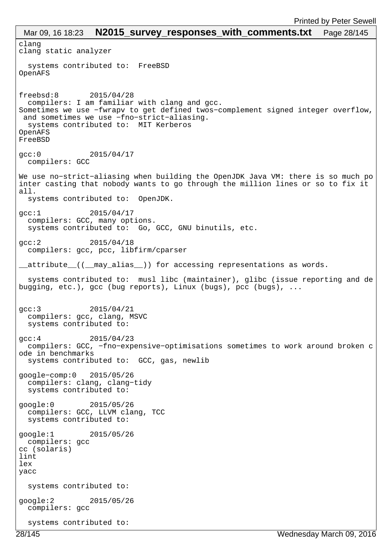clang clang static analyzer systems contributed to: FreeBSD OpenAFS freebsd:8 2015/04/28 compilers: I am familiar with clang and gcc. Sometimes we use −fwrapv to get defined twos−complement signed integer overflow, and sometimes we use −fno−strict−aliasing. systems contributed to: MIT Kerberos OpenAFS FreeBSD gcc:0 2015/04/17 compilers: GCC We use no−strict−aliasing when building the OpenJDK Java VM: there is so much po inter casting that nobody wants to go through the million lines or so to fix it all. systems contributed to: OpenJDK. gcc:1 2015/04/17 compilers: GCC, many options. systems contributed to: Go, GCC, GNU binutils, etc. gcc:2 2015/04/18 compilers: gcc, pcc, libfirm/cparser \_\_attribute\_\_((\_\_may\_alias\_\_)) for accessing representations as words. systems contributed to: musl libc (maintainer), glibc (issue reporting and de bugging, etc.), gcc (bug reports), Linux (bugs), pcc (bugs), ... gcc:3 2015/04/21 compilers: gcc, clang, MSVC systems contributed to: gcc:4 2015/04/23 compilers: GCC, −fno−expensive−optimisations sometimes to work around broken c ode in benchmarks systems contributed to: GCC, gas, newlib google−comp:0 2015/05/26 compilers: clang, clang−tidy systems contributed to: google:0 2015/05/26 compilers: GCC, LLVM clang, TCC systems contributed to: google:1 2015/05/26 compilers: gcc cc (solaris) lint lex yacc systems contributed to: google:2 2015/05/26 compilers: gcc systems contributed to: Mar 09, 16 18:23 **N2015\_survey responses with comments.txt** Page 28/145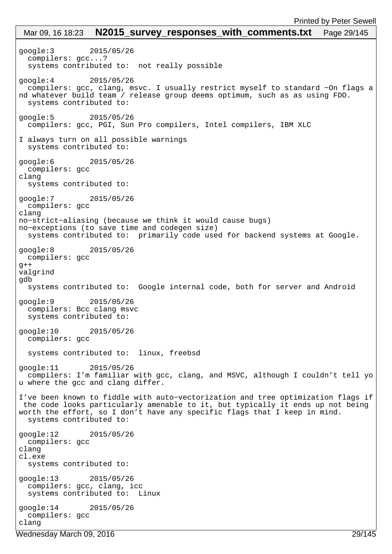google:3 2015/05/26 compilers: gcc...? systems contributed to: not really possible google:4 2015/05/26 compilers: gcc, clang, msvc. I usually restrict myself to standard −On flags a nd whatever build team / release group deems optimum, such as as using FDO. systems contributed to: google:5 2015/05/26 compilers: gcc, PGI, Sun Pro compilers, Intel compilers, IBM XLC I always turn on all possible warnings systems contributed to: google:6 2015/05/26 compilers: gcc clang systems contributed to: google:7 2015/05/26 compilers: gcc clang no−strict−aliasing (because we think it would cause bugs) no−exceptions (to save time and codegen size) systems contributed to: primarily code used for backend systems at Google. google:8 2015/05/26 compilers: gcc  $g++$ valgrind gdb systems contributed to: Google internal code, both for server and Android google:9 2015/05/26 compilers: Bcc clang msvc systems contributed to: google:10 2015/05/26 compilers: gcc systems contributed to: linux, freebsd google:11 2015/05/26 compilers: I'm familiar with gcc, clang, and MSVC, although I couldn't tell yo u where the gcc and clang differ. I've been known to fiddle with auto−vectorization and tree optimization flags if the code looks particularly amenable to it, but typically it ends up not being worth the effort, so I don't have any specific flags that I keep in mind. systems contributed to: google:12 2015/05/26 compilers: gcc clang cl.exe systems contributed to: google:13 2015/05/26 compilers: gcc, clang, icc systems contributed to: Linux google:14 2015/05/26 compilers: gcc clang Mar 09, 16 18:23 **N2015 survey responses with comments.txt** Page 29/145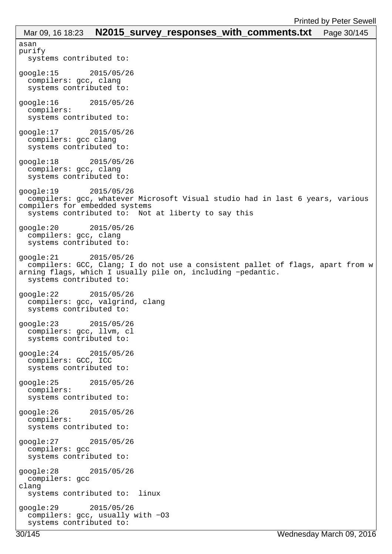```
asan
purify
  systems contributed to: 
google:15 2015/05/26 
  compilers: gcc, clang
  systems contributed to: 
google:16 2015/05/26 
  compilers: 
  systems contributed to: 
google:17 2015/05/26 
  compilers: gcc clang
  systems contributed to: 
google:18 2015/05/26 
  compilers: gcc, clang
  systems contributed to: 
google:19 2015/05/26 
  compilers: gcc, whatever Microsoft Visual studio had in last 6 years, various 
compilers for embedded systems
 systems contributed to: Not at liberty to say this
google:20 2015/05/26 
  compilers: gcc, clang
  systems contributed to: 
google:21 2015/05/26 
  compilers: GCC, Clang; I do not use a consistent pallet of flags, apart from w
arning flags, which I usually pile on, including −pedantic.
  systems contributed to: 
google:22 2015/05/26 
  compilers: gcc, valgrind, clang
  systems contributed to: 
google:23 2015/05/26 
  compilers: gcc, llvm, cl
  systems contributed to: 
google:24 2015/05/26 
  compilers: GCC, ICC
  systems contributed to: 
google:25 2015/05/26 
  compilers: 
  systems contributed to: 
google:26 2015/05/26 
  compilers: 
  systems contributed to: 
google:27 2015/05/26 
  compilers: gcc
  systems contributed to: 
google:28 2015/05/26 
  compilers: gcc
clang
  systems contributed to: linux
google:29 2015/05/26 
  compilers: gcc, usually with −O3
  systems contributed to: 
 Mar 09, 16 18:23 N2015_survey_responses_with_comments.txt Page 30/145
```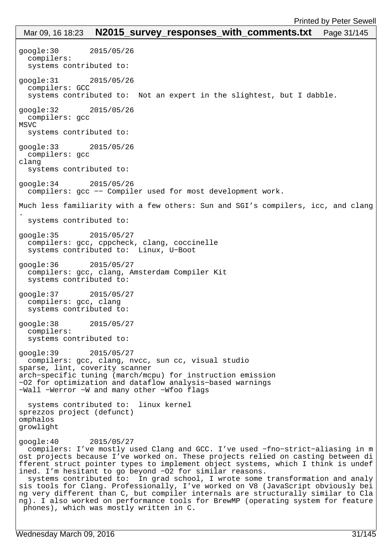google:30 2015/05/26 compilers: systems contributed to: google:31 2015/05/26 compilers: GCC systems contributed to: Not an expert in the slightest, but I dabble. google:32 2015/05/26 compilers: gcc MSVC systems contributed to: google:33 2015/05/26 compilers: gcc clang systems contributed to: google:34 2015/05/26 compilers: gcc −− Compiler used for most development work. Much less familiarity with a few others: Sun and SGI's compilers, icc, and clang . systems contributed to: google:35 2015/05/27 compilers: gcc, cppcheck, clang, coccinelle systems contributed to: Linux, U−Boot google:36 2015/05/27 compilers: gcc, clang, Amsterdam Compiler Kit systems contributed to: google:37 2015/05/27 compilers: gcc, clang systems contributed to: google:38 2015/05/27 compilers: systems contributed to: google:39 2015/05/27 compilers: gcc, clang, nvcc, sun cc, visual studio sparse, lint, coverity scanner arch−specific tuning (march/mcpu) for instruction emission −O2 for optimization and dataflow analysis−based warnings −Wall −Werror −W and many other −Wfoo flags systems contributed to: linux kernel sprezzos project (defunct) omphalos growlight google:40 2015/05/27 compilers: I've mostly used Clang and GCC. I've used −fno−strict−aliasing in m ost projects because I've worked on. These projects relied on casting between di fferent struct pointer types to implement object systems, which I think is undef ined. I'm hesitant to go beyond −O2 for similar reasons. systems contributed to: In grad school, I wrote some transformation and analy sis tools for Clang. Professionally, I've worked on V8 (JavaScript obviously bei ng very different than C, but compiler internals are structurally similar to Cla ng). I also worked on performance tools for BrewMP (operating system for feature phones), which was mostly written in C. Mar 09, 16 18:23 **N2015 survey responses with comments.txt** Page 31/145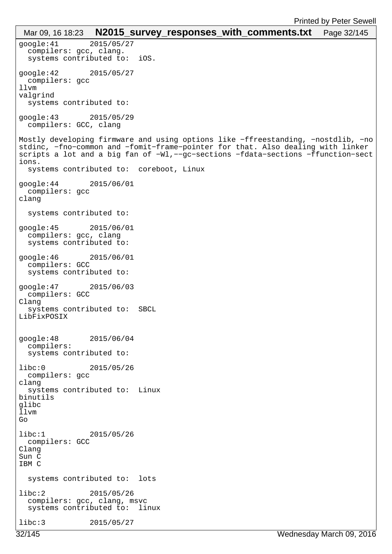```
google:41 2015/05/27 
  compilers: gcc, clang.
  systems contributed to: iOS.
google:42 2015/05/27 
  compilers: gcc
llvm
valgrind
  systems contributed to: 
google:43 2015/05/29 
  compilers: GCC, clang
Mostly developing firmware and using options like −ffreestanding, −nostdlib, −no
stdinc, −fno−common and −fomit−frame−pointer for that. Also dealing with linker 
scripts a lot and a big fan of −Wl,−−gc−sections −fdata−sections −ffunction−sect
ions.
  systems contributed to: coreboot, Linux
google:44 2015/06/01 
  compilers: gcc
clang
  systems contributed to: 
google:45 2015/06/01 
  compilers: gcc, clang
  systems contributed to: 
google:46 2015/06/01 
  compilers: GCC
  systems contributed to: 
google:47 2015/06/03 
  compilers: GCC
Clang
  systems contributed to: SBCL
LibFixPOSIX
google:48 2015/06/04 
  compilers: 
  systems contributed to: 
libc:0 2015/05/26 
  compilers: gcc
clang
  systems contributed to: Linux
binutils
glibc
\overline{1} l vm
Go
libc:1 2015/05/26 
 compilers: GCC
Clang
Sun C
IBM C
  systems contributed to: lots
libc:2 2015/05/26 
  compilers: gcc, clang, msvc
  systems contributed to: linux
libc:3 2015/05/27 
 Mar 09, 16 18:23 N2015_survey_responses_with_comments.txt Page 32/145
```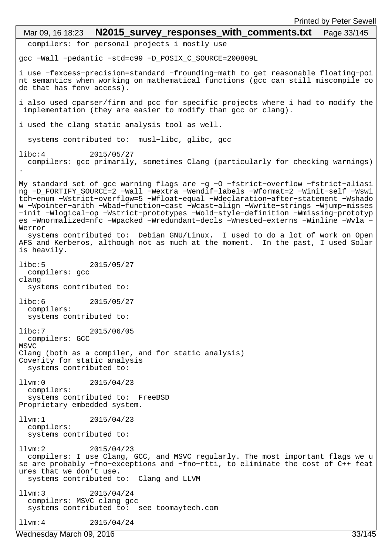```
 compilers: for personal projects i mostly use
gcc −Wall −pedantic −std=c99 −D_POSIX_C_SOURCE=200809L
i use −fexcess−precision=standard −frounding−math to get reasonable floating−poi
nt semantics when working on mathematical functions (gcc can still miscompile co
de that has fenv access).
i also used cparser/firm and pcc for specific projects where i had to modify the
implementation (they are easier to modify than gcc or clang).
i used the clang static analysis tool as well.
  systems contributed to: musl−libc, glibc, gcc
libc:4 2015/05/27 
  compilers: gcc primarily, sometimes Clang (particularly for checking warnings)
.
My standard set of gcc warning flags are −g −O −fstrict−overflow −fstrict−aliasi
ng −D_FORTIFY_SOURCE=2 −Wall −Wextra −Wendif−labels −Wformat=2 −Winit−self −Wswi
tch−enum −Wstrict−overflow=5 −Wfloat−equal −Wdeclaration−after−statement −Wshado
w −Wpointer−arith −Wbad−function−cast −Wcast−align −Wwrite−strings −Wjump−misses
−init −Wlogical−op −Wstrict−prototypes −Wold−style−definition −Wmissing−prototyp
es −Wnormalized=nfc −Wpacked −Wredundant−decls −Wnested−externs −Winline −Wvla −
Werror
  systems contributed to: Debian GNU/Linux. I used to do a lot of work on Open
AFS and Kerberos, although not as much at the moment. In the past, I used Solar
is heavily.
libc:5 2015/05/27 
  compilers: gcc
clang
  systems contributed to: 
libc:6 2015/05/27 
  compilers: 
  systems contributed to: 
libc:7 2015/06/05 
  compilers: GCC
MSVC
Clang (both as a compiler, and for static analysis)
Coverity for static analysis
  systems contributed to: 
llvm:0 2015/04/23 
  compilers: 
  systems contributed to: FreeBSD
Proprietary embedded system. 
llvm:1 2015/04/23 
  compilers: 
  systems contributed to: 
llvm:2 2015/04/23 
  compilers: I use Clang, GCC, and MSVC regularly. The most important flags we u
se are probably −fno−exceptions and −fno−rtti, to eliminate the cost of C++ feat
ures that we don't use.
  systems contributed to: Clang and LLVM
llvm:3 2015/04/24 
  compilers: MSVC clang gcc
  systems contributed to: see toomaytech.com
llvm:4 2015/04/24 
 Mar 09, 16 18:23 N2015 survey responses with comments.txt Page 33/145
```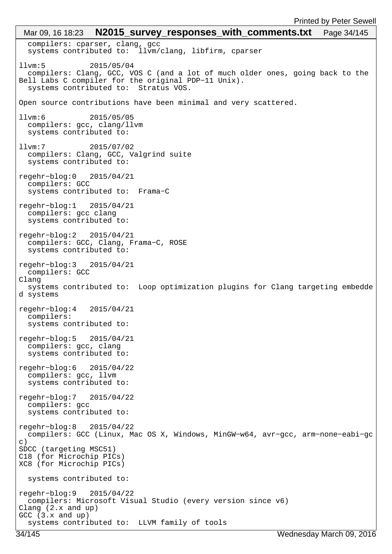compilers: cparser, clang, gcc systems contributed to: llvm/clang, libfirm, cparser llvm:5 2015/05/04 compilers: Clang, GCC, VOS C (and a lot of much older ones, going back to the Bell Labs C compiler for the original PDP−11 Unix). systems contributed to: Stratus VOS. Open source contributions have been minimal and very scattered. llvm:6 2015/05/05 compilers: gcc, clang/llvm systems contributed to: llvm:7 2015/07/02 compilers: Clang, GCC, Valgrind suite systems contributed to: regehr−blog:0 2015/04/21 compilers: GCC systems contributed to: Frama−C regehr−blog:1 2015/04/21 compilers: gcc clang systems contributed to: regehr−blog:2 2015/04/21 compilers: GCC, Clang, Frama−C, ROSE systems contributed to: regehr−blog:3 2015/04/21 compilers: GCC Clang systems contributed to: Loop optimization plugins for Clang targeting embedde d systems regehr−blog:4 2015/04/21 compilers: systems contributed to: regehr−blog:5 2015/04/21 compilers: gcc, clang systems contributed to: regehr−blog:6 2015/04/22 compilers: gcc, llvm systems contributed to: regehr−blog:7 2015/04/22 compilers: gcc systems contributed to: regehr−blog:8 2015/04/22 compilers: GCC (Linux, Mac OS X, Windows, MinGW−w64, avr−gcc, arm−none−eabi−gc  $\cap$ ) SDCC (targeting MSC51) C18 (for Microchip PICs) XC8 (for Microchip PICs) systems contributed to: regehr−blog:9 2015/04/22 compilers: Microsoft Visual Studio (every version since v6) Clang (2.x and up) GCC (3.x and up) systems contributed to: LLVM family of tools Mar 09, 16 18:23 **N2015 survey responses with comments.txt** Page 34/145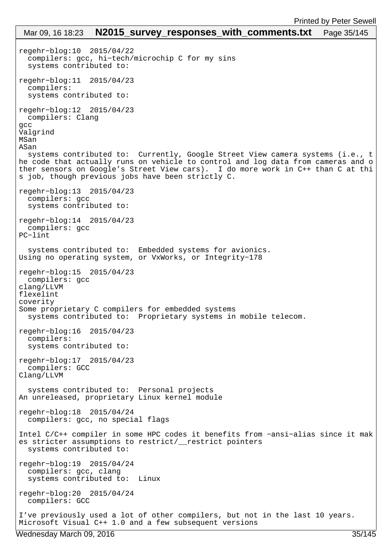# regehr−blog:10 2015/04/22 compilers: gcc, hi−tech/microchip C for my sins systems contributed to: regehr−blog:11 2015/04/23 compilers: systems contributed to: regehr−blog:12 2015/04/23 compilers: Clang gcc Valgrind MSan ASan systems contributed to: Currently, Google Street View camera systems (i.e., t he code that actually runs on vehicle to control and log data from cameras and o ther sensors on Google's Street View cars). I do more work in C++ than C at thi s job, though previous jobs have been strictly C. regehr−blog:13 2015/04/23 compilers: gcc systems contributed to: regehr−blog:14 2015/04/23 compilers: gcc PC−lint systems contributed to: Embedded systems for avionics. Using no operating system, or VxWorks, or Integrity−178 regehr−blog:15 2015/04/23 compilers: gcc clang/LLVM flexelint coverity Some proprietary C compilers for embedded systems systems contributed to: Proprietary systems in mobile telecom. regehr−blog:16 2015/04/23 compilers: systems contributed to: regehr−blog:17 2015/04/23 compilers: GCC Clang/LLVM systems contributed to: Personal projects An unreleased, proprietary Linux kernel module regehr−blog:18 2015/04/24 compilers: gcc, no special flags Intel C/C++ compiler in some HPC codes it benefits from −ansi−alias since it mak es stricter assumptions to restrict/\_\_restrict pointers systems contributed to: regehr−blog:19 2015/04/24 compilers: gcc, clang systems contributed to: Linux regehr−blog:20 2015/04/24 compilers: GCC I've previously used a lot of other compilers, but not in the last 10 years. Microsoft Visual C++ 1.0 and a few subsequent versions Mar 09, 16 18:23 **N2015\_survey responses with comments.txt** Page 35/145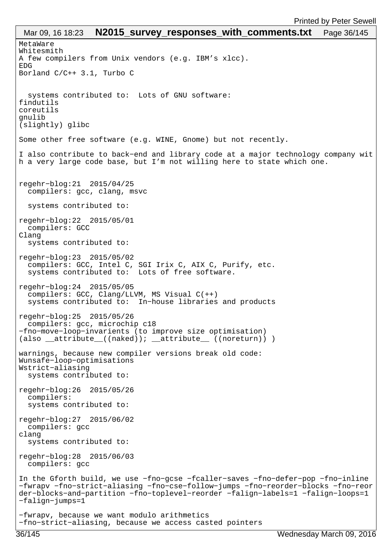```
MetaWare
Whitesmith
A few compilers from Unix vendors (e.g. IBM's xlcc).
EDG
Borland C/C++ 3.1, Turbo C
   systems contributed to: Lots of GNU software:
findutils
coreutils
gnulib
(slightly) glibc
Some other free software (e.g. WINE, Gnome) but not recently.
I also contribute to back−end and library code at a major technology company wit
h a very large code base, but I'm not willing here to state which one.
regehr−blog:21 2015/04/25 
  compilers: gcc, clang, msvc
   systems contributed to: 
regehr−blog:22 2015/05/01 
  compilers: GCC
Clang
   systems contributed to: 
regehr−blog:23 2015/05/02 
   compilers: GCC, Intel C, SGI Irix C, AIX C, Purify, etc.
  systems contributed to: Lots of free software.
regehr−blog:24 2015/05/05 
 compilers: GCC, Clang/LLVM, MS Visual C(++)
   systems contributed to: In−house libraries and products
regehr−blog:25 2015/05/26 
   compilers: gcc, microchip c18
−fno−move−loop−invarients (to improve size optimisation)
(also attribute ((naked)); attribute ((noreturn)) )
warnings, because new compiler versions break old code:
Wunsafe−loop−optimisations
Wstrict−aliasing
  systems contributed to: 
regehr−blog:26 2015/05/26 
  compilers: 
   systems contributed to: 
regehr−blog:27 2015/06/02 
  compilers: gcc
clang
  systems contributed to: 
regehr−blog:28 2015/06/03 
  compilers: gcc
In the Gforth build, we use −fno−gcse −fcaller−saves −fno−defer−pop −fno−inline 
−fwrapv −fno−strict−aliasing −fno−cse−follow−jumps −fno−reorder−blocks −fno−reor
der−blocks−and−partition −fno−toplevel−reorder −falign−labels=1 −falign−loops=1 
−falign−jumps=1
−fwrapv, because we want modulo arithmetics 
−fno−strict−aliasing, because we access casted pointers
 Mar 09, 16 18:23 N2015 survey responses with comments.txt Page 36/145
```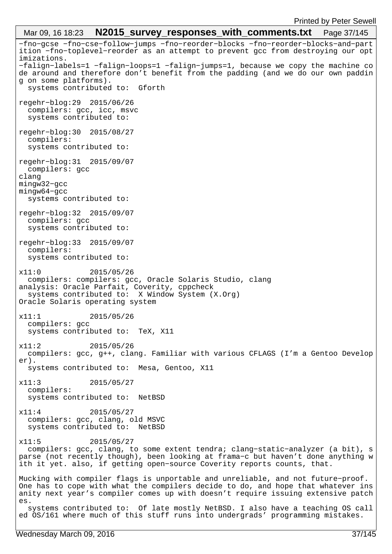−fno−gcse −fno−cse−follow−jumps −fno−reorder−blocks −fno−reorder−blocks−and−part ition −fno−toplevel−reorder as an attempt to prevent gcc from destroying our opt imizations. −falign−labels=1 −falign−loops=1 −falign−jumps=1, because we copy the machine co de around and therefore don't benefit from the padding (and we do our own paddin g on some platforms). systems contributed to: Gforth regehr−blog:29 2015/06/26 compilers: gcc, icc, msvc systems contributed to: regehr−blog:30 2015/08/27 compilers: systems contributed to: regehr−blog:31 2015/09/07 compilers: gcc clang mingw32−gcc mingw64−gcc systems contributed to: regehr−blog:32 2015/09/07 compilers: gcc systems contributed to: regehr−blog:33 2015/09/07 compilers: systems contributed to: x11:0 2015/05/26 compilers: compilers: gcc, Oracle Solaris Studio, clang analysis: Oracle Parfait, Coverity, cppcheck systems contributed to: X Window System (X.Org) Oracle Solaris operating system x11:1 2015/05/26 compilers: gcc systems contributed to: TeX, X11 x11:2 2015/05/26 compilers: gcc, g++, clang. Familiar with various CFLAGS (I'm a Gentoo Develop er). systems contributed to: Mesa, Gentoo, X11 x11:3 2015/05/27 compilers: systems contributed to: NetBSD x11:4 2015/05/27 compilers: gcc, clang, old MSVC systems contributed to: NetBSD x11:5 2015/05/27 compilers: gcc, clang, to some extent tendra; clang−static−analyzer (a bit), s parse (not recently though), been looking at frama−c but haven't done anything w ith it yet. also, if getting open−source Coverity reports counts, that. Mucking with compiler flags is unportable and unreliable, and not future−proof. One has to cope with what the compilers decide to do, and hope that whatever ins anity next year's compiler comes up with doesn't require issuing extensive patch es. systems contributed to: Of late mostly NetBSD. I also have a teaching OS call ed OS/161 where much of this stuff runs into undergrads' programming mistakes. Mar 09, 16 18:23 **N2015 survey responses with comments.txt** Page 37/145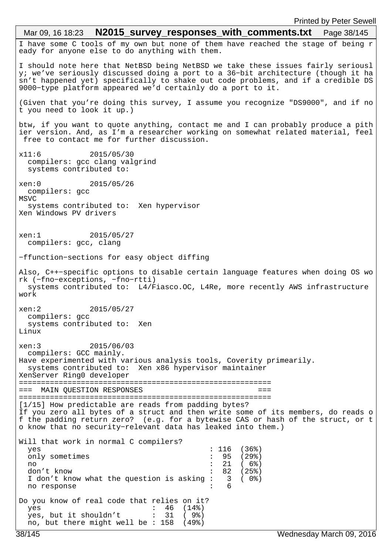I have some C tools of my own but none of them have reached the stage of being r eady for anyone else to do anything with them. I should note here that NetBSD being NetBSD we take these issues fairly seriousl y; we've seriously discussed doing a port to a 36−bit architecture (though it ha sn't happened yet) specifically to shake out code problems, and if a credible DS 9000−type platform appeared we'd certainly do a port to it. (Given that you're doing this survey, I assume you recognize "DS9000", and if no t you need to look it up.) btw, if you want to quote anything, contact me and I can probably produce a pith ier version. And, as I'm a researcher working on somewhat related material, feel free to contact me for further discussion. x11:6 2015/05/30 compilers: gcc clang valgrind systems contributed to: xen:0 2015/05/26 compilers: gcc MSVC systems contributed to: Xen hypervisor Xen Windows PV drivers xen:1 2015/05/27 compilers: gcc, clang −ffunction−sections for easy object diffing Also, C++−specific options to disable certain language features when doing OS wo rk (−fno−exceptions, −fno−rtti) systems contributed to: L4/Fiasco.OC, L4Re, more recently AWS infrastructure work xen:2 2015/05/27 compilers: gcc systems contributed to: Xen Linux xen:3 2015/06/03 compilers: GCC mainly. Have experimented with various analysis tools, Coverity primearily. systems contributed to: Xen x86 hypervisor maintainer XenServer Ring0 developer ========================================================= === MAIN QUESTION RESPONSES === ========================================================= [1/15] How predictable are reads from padding bytes? If you zero all bytes of a struct and then write some of its members, do reads o f the padding return zero? (e.g. for a bytewise CAS or hash of the struct, or t o know that no security−relevant data has leaked into them.) Will that work in normal C compilers? yes : 116 (36%)<br>
only sometimes : 95 (29%) only sometimes : 95 (29%)<br>no : 21 (6%) no : 21 ( 6%) don't know<br>I don't know what the question is asking: 3 (0%) I don't know what the question is asking : 3<br>no response : 6 no response Do you know of real code that relies on it? yes : 46 (14%) yes, but it shouldn't no, but there might well be : 158 (49%) Mar 09, 16 18:23 **N2015 survey responses with comments.txt** Page 38/145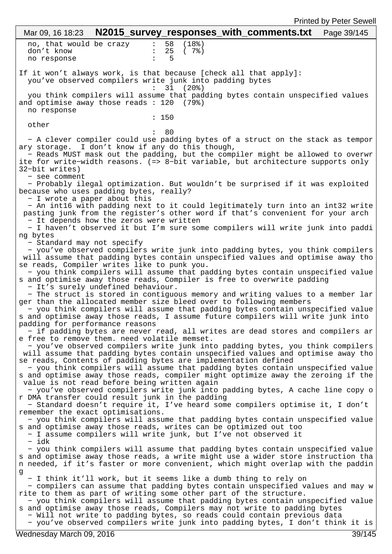|                                                                                                                                                                                                                                                                                                                           |       |                                                    |                                          | <b>Printed by Peter Sewell</b> |
|---------------------------------------------------------------------------------------------------------------------------------------------------------------------------------------------------------------------------------------------------------------------------------------------------------------------------|-------|----------------------------------------------------|------------------------------------------|--------------------------------|
| Mar 09, 16 18:23                                                                                                                                                                                                                                                                                                          |       |                                                    | N2015_survey_responses_with_comments.txt | Page 39/145                    |
| no, that would be crazy<br>don't know<br>no response                                                                                                                                                                                                                                                                      |       | 58<br>(18 <sup>8</sup> )<br>25<br>$(7)$ $(7)$<br>5 |                                          |                                |
| If it won't always work, is that because [check all that apply]:<br>you've observed compilers write junk into padding bytes                                                                                                                                                                                               |       | 31<br>(20%)                                        |                                          |                                |
| you think compilers will assume that padding bytes contain unspecified values<br>and optimise away those reads $: 120$ (79%)<br>no response                                                                                                                                                                               |       |                                                    |                                          |                                |
| other                                                                                                                                                                                                                                                                                                                     | : 150 |                                                    |                                          |                                |
| - A clever compiler could use padding bytes of a struct on the stack as tempor<br>ary storage. I don't know if any do this though,<br>- Reads MUST mask out the padding, but the compiler might be allowed to overwr<br>ite for write-width reasons. (=> 8-bit variable, but architecture supports only                   |       | 80                                                 |                                          |                                |
| 32-bit writes)<br>- see comment                                                                                                                                                                                                                                                                                           |       |                                                    |                                          |                                |
| - Probably ilegal optimization. But wouldn't be surprised if it was exploited<br>because who uses padding bytes, really?<br>- I wrote a paper about this                                                                                                                                                                  |       |                                                    |                                          |                                |
| - An int16 with padding next to it could legitimately turn into an int32 write<br>pasting junk from the register's other word if that's convenient for your arch<br>- It depends how the zeros were written                                                                                                               |       |                                                    |                                          |                                |
| - I haven't observed it but I'm sure some compilers will write junk into paddi<br>ng bytes                                                                                                                                                                                                                                |       |                                                    |                                          |                                |
| - Standard may not specify<br>- you've observed compilers write junk into padding bytes, you think compilers<br>will assume that padding bytes contain unspecified values and optimise away tho<br>se reads, Compiler writes like to punk you.                                                                            |       |                                                    |                                          |                                |
| - you think compilers will assume that padding bytes contain unspecified value<br>s and optimise away those reads, Compiler is free to overwrite padding<br>- It's surely undefined behaviour.                                                                                                                            |       |                                                    |                                          |                                |
| - The struct is stored in contiguous memory and writing values to a member lar<br>ger than the allocated member size bleed over to following members<br>- you think compilers will assume that padding bytes contain unspecified value<br>s and optimise away those reads, I assume future compilers will write junk into |       |                                                    |                                          |                                |
| padding for performance reasons<br>- if padding bytes are never read, all writes are dead stores and compilers ar<br>e free to remove them. need volatile memset.                                                                                                                                                         |       |                                                    |                                          |                                |
| - you've observed compilers write junk into padding bytes, you think compilers<br>will assume that padding bytes contain unspecified values and optimise away tho<br>se reads, Contents of padding bytes are implementation defined                                                                                       |       |                                                    |                                          |                                |
| - you think compilers will assume that padding bytes contain unspecified value<br>s and optimise away those reads, compiler might optimize away the zeroing if the<br>value is not read before being written again                                                                                                        |       |                                                    |                                          |                                |
| - you've observed compilers write junk into padding bytes, A cache line copy o<br>r DMA transfer could result junk in the padding<br>- Standard doesn't require it, I've heard some compilers optimise it, I don't                                                                                                        |       |                                                    |                                          |                                |
| remember the exact optimisations.<br>- you think compilers will assume that padding bytes contain unspecified value<br>s and optimise away those reads, writes can be optimized out too                                                                                                                                   |       |                                                    |                                          |                                |
| - I assume compilers will write junk, but I've not observed it<br>- idk<br>- you think compilers will assume that padding bytes contain unspecified value                                                                                                                                                                 |       |                                                    |                                          |                                |
| s and optimise away those reads, a write might use a wider store instruction tha<br>n needed, if it's faster or more convenient, which might overlap with the paddin<br>g                                                                                                                                                 |       |                                                    |                                          |                                |
| - I think it'll work, but it seems like a dumb thing to rely on<br>- compilers can assume that padding bytes contain unspecified values and may w<br>rite to them as part of writing some other part of the structure.                                                                                                    |       |                                                    |                                          |                                |
| - you think compilers will assume that padding bytes contain unspecified value<br>s and optimise away those reads, Compilers may not write to padding bytes<br>- Will not write to padding bytes, so reads could contain previous data<br>- you've observed compilers write junk into padding bytes, I don't think it is  |       |                                                    |                                          |                                |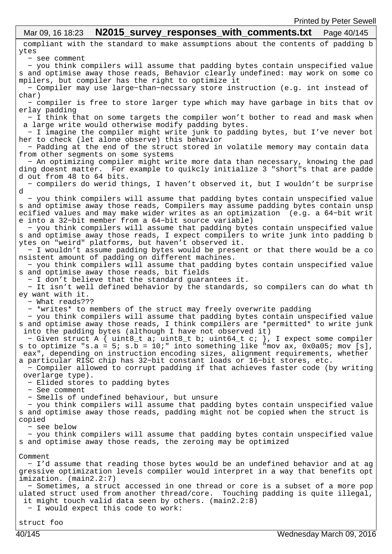#### compliant with the standard to make assumptions about the contents of padding b ytes − see comment − you think compilers will assume that padding bytes contain unspecified value s and optimise away those reads, Behavior clearly undefined: may work on some co mpilers, but compiler has the right to optimize it − Compiler may use large−than−necssary store instruction (e.g. int instead of char) − compiler is free to store larger type which may have garbage in bits that ov erlay padding − I think that on some targets the compiler won't bother to read and mask when a large write would otherwise modify padding bytes. − I imagine the compiler might write junk to padding bytes, but I've never bot her to check (let alone observe) this behavior − Padding at the end of the struct stored in volatile memory may contain data from other segments on some systems − An optimizing compiler might write more data than necessary, knowing the pad ding doesnt matter. For example to quikcly initialize 3 "short"s that are padde d out from 48 to 64 bits. − compilers do werid things, I haven't observed it, but I wouldn't be surprise d − you think compilers will assume that padding bytes contain unspecified value s and optimise away those reads, Compilers may assume padding bytes contain unsp ecified values and may make wider writes as an optimization (e.g. a 64−bit writ e into a 32−bit member from a 64−bit source variable) − you think compilers will assume that padding bytes contain unspecified value s and optimise away those reads, I expect compilers to write junk into padding b ytes on "weird" platforms, but haven't observed it. − I wouldn't assume padding bytes would be present or that there would be a co nsistent amount of padding on different machines. − you think compilers will assume that padding bytes contain unspecified value s and optimise away those reads, bit fields − I don't believe that the standard guarantees it. − It isn't well defined behavior by the standards, so compilers can do what th ey want with it. − What reads??? − \*writes\* to members of the struct may freely overwrite padding − you think compilers will assume that padding bytes contain unspecified value s and optimise away those reads, I think compilers are \*permitted\* to write junk into the padding bytes (although I have not observed it) − Given struct A { uint8\_t a; uint8\_t b; uint64\_t c; }, I expect some compiler s to optimize "s.a = 5; s.b = 10;" into something like "mov ax, 0x0a05; mov [s], eax", depending on instruction encoding sizes, alignment requirements, whether a particular RISC chip has 32−bit constant loads or 16−bit stores, etc. − Compiler allowed to corrupt padding if that achieves faster code (by writing overlarge type). − Elided stores to padding bytes − See comment − Smells of undefined behaviour, but unsure − you think compilers will assume that padding bytes contain unspecified value s and optimise away those reads, padding might not be copied when the struct is copied − see below − you think compilers will assume that padding bytes contain unspecified value s and optimise away those reads, the zeroing may be optimized Comment − I'd assume that reading those bytes would be an undefined behavior and at ag gressive optimization levels compiler would interpret in a way that benefits opt imization. (main2.2:7) − Sometimes, a struct accessed in one thread or core is a subset of a more pop ulated struct used from another thread/core. Touching padding is quite illegal, it might touch valid data seen by others. (main2.2:8) − I would expect this code to work: Mar 09, 16 18:23 **N2015 survey responses with comments.txt** Page 40/145

struct foo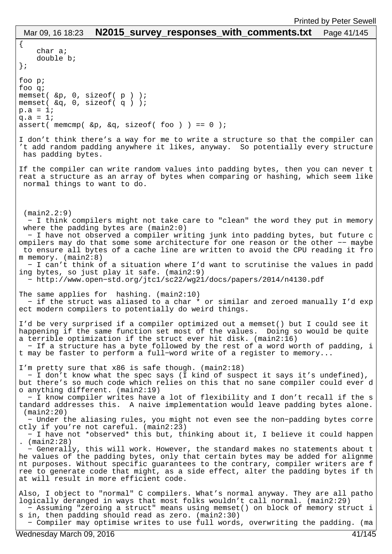{ char a; double b; }; foo p; foo q; memset( &p, 0, sizeof( p ) ); memset( &q, 0, sizeof( q ) );  $p.a = 1;$  $q.a = 1;$ assert( memcmp(  $&p, &q,$  sizeof( foo ) ) == 0 ); I don't think there's a way for me to write a structure so that the compiler can 't add random padding anywhere it likes, anyway. So potentially every structure has padding bytes. If the compiler can write random values into padding bytes, then you can never t reat a structure as an array of bytes when comparing or hashing, which seem like normal things to want to do. (main2.2:9) − I think compilers might not take care to "clean" the word they put in memory where the padding bytes are (main2:0) − I have not observed a compiler writing junk into padding bytes, but future c ompilers may do that some some architecture for one reason or the other −− maybe to ensure all bytes of a cache line are written to avoid the CPU reading it fro m memory. (main2:8) − I can't think of a situation where I'd want to scrutinise the values in padd ing bytes, so just play it safe. (main2:9) − http://www.open−std.org/jtc1/sc22/wg21/docs/papers/2014/n4130.pdf The same applies for hashing. (main2:10) − if the struct was aliased to a char \* or similar and zeroed manually I'd exp ect modern compilers to potentially do weird things. I'd be very surprised if a compiler optimized out a memset() but I could see it happening if the same function set most of the values. Doing so would be quite a terrible optimization if the struct ever hit disk. (main2:16) − If a structure has a byte followed by the rest of a word worth of padding, i t may be faster to perform a full−word write of a register to memory... I'm pretty sure that x86 is safe though. (main2:18) − I don't know what the spec says (I kind of suspect it says it's undefined), but there's so much code which relies on this that no sane compiler could ever d o anything different. (main2:19) − I know compiler writes have a lot of flexibility and I don't recall if the s tandard addresses this. A naive implementation would leave padding bytes alone. (main2:20) − Under the aliasing rules, you might not even see the non−padding bytes corre ctly if you're not careful. (main2:23) − I have not \*observed\* this but, thinking about it, I believe it could happen . (main2:28) − Generally, this will work. However, the standard makes no statements about t he values of the padding bytes, only that certain bytes may be added for alignme nt purposes. Without specific guarantees to the contrary, compiler writers are f ree to generate code that might, as a side effect, alter the padding bytes if th at will result in more efficient code. Also, I object to "normal" C compilers. What's normal anyway. They are all patho logically deranged in ways that most folks wouldn't call normal. (main2:29) − Assuming "zeroing a struct" means using memset() on block of memory struct i s in, then padding should read as zero. (main2:30) − Compiler may optimise writes to use full words, overwriting the padding. (ma Mar 09, 16 18:23 **N2015 survey responses with comments.txt** Page 41/145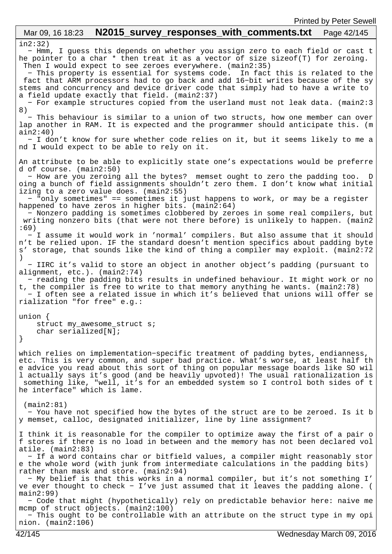```
in2:32)
 − Hmm, I guess this depends on whether you assign zero to each field or cast t
he pointer to a char * then treat it as a vector of size sizeof(T) for zeroing. 
  Then I would expect to see zeroes everywhere. (main2:35)
   − This property is essential for systems code. In fact this is related to the
  fact that ARM processors had to go back and add 16−bit writes because of the sy
stems and concurrency and device driver code that simply had to have a write to 
a field update exactly that field. (main2:37)
   − For example structures copied from the userland must not leak data. (main2:3
8)
   − This behaviour is similar to a union of two structs, how one member can over
lap another in RAM. It is expected and the programmer should anticipate this. (m
ain2:40)
  − I don't know for sure whether code relies on it, but it seems likely to me a
nd I would expect to be able to rely on it.
An attribute to be able to explicitly state one's expectations would be preferre
d of course. (main2:50)
   − How are you zeroing all the bytes? memset ought to zero the padding too. D
oing a bunch of field assignments shouldn't zero them. I don't know what initial
izing to a zero value does. (main2:55)
  − "only sometimes" == sometimes it just happens to work, or may be a register 
happened to have zeros in higher bits. (\text{main2:64}) − Nonzero padding is sometimes clobbered by zeroes in some real compilers, but
  writing nonzero bits (that were not there before) is unlikely to happen. (main2
:69)
   − I assume it would work in 'normal' compilers. But also assume that it should
n't be relied upon. IF the standard doesn't mention specifics about padding byte
s' storage, that sounds like the kind of thing a compiler may exploit. (main2:72
)
   − IIRC it's valid to store an object in another object's padding (pursuant to 
alignment, etc.). (main2:74)
   − reading the padding bits results in undefined behaviour. It might work or no
t, the compiler is free to write to that memory anything he wants. (main2:78)
   − I often see a related issue in which it's believed that unions will offer se
rialization "for free" e.g.:
union {
     struct my_awesome_struct s;
     char serialized[N];
}
which relies on implementation−specific treatment of padding bytes, endianness, 
etc. This is very common, and super bad practice. What's worse, at least half th
e advice you read about this sort of thing on popular message boards like SO wil
l actually says it's good (and be heavily upvoted)! The usual rationalization is
 something like, "well, it's for an embedded system so I control both sides of t
he interface" which is lame.
  (main2:81)
  − You have not specified how the bytes of the struct are to be zeroed. Is it b
y memset, calloc, designated initializer, line by line assignment?
I think it is reasonable for the compiler to optimize away the first of a pair o
f stores if there is no load in between and the memory has not been declared vol
atile. (main2:83)
   − If a word contains char or bitfield values, a compiler might reasonably stor
e the whole word (with junk from intermediate calculations in the padding bits) 
rather than mask and store. (main2:94)
   − My belief is that this works in a normal compiler, but it's not something I'
ve ever thought to check - I've just assumed that it leaves the padding alone. (
main2:99)
   − Code that might (hypothetically) rely on predictable behavior here: naive me
mcmp of struct objects. (main2:100)
   − This ought to be controllable with an attribute on the struct type in my opi
nion. (main2:106)
 Mar 09, 16 18:23 N2015 survey responses with comments.txt Page 42/145
```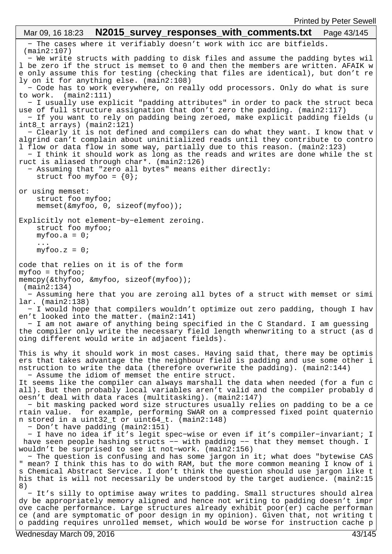− The cases where it verifiably doesn't work with icc are bitfields. (main2:107) − We write structs with padding to disk files and assume the padding bytes wil l be zero if the struct is memset to 0 and then the members are written. AFAIK w e only assume this for testing (checking that files are identical), but don't re ly on it for anything else. (main2:108) − Code has to work everywhere, on really odd processors. Only do what is sure to work. (main2:111) − I usually use explicit "padding attributes" in order to pack the struct beca use of full structure assignation that don't zero the padding. (main2:117) − If you want to rely on padding being zeroed, make explicit padding fields (u int8\_t arrays) (main2:121) − Clearly it is not defined and compilers can do what they want. I know that v algrind can't complain about uninitialized reads until they contribute to contro l flow or data flow in some way, partially due to this reason. (main2:123) − I think it should work as long as the reads and writes are done while the st ruct is aliased through char\*. (main2:126) − Assuming that "zero all bytes" means either directly: struct foo myfoo = {0}; or using memset: struct foo myfoo; memset(&myfoo, 0, sizeof(myfoo)); Explicitly not element−by−element zeroing. struct foo myfoo;  $myfoo.a = 0;$  ...  $myfoo.z = 0;$ code that relies on it is of the form myfoo = thyfoo; memcpy(&thyfoo, &myfoo, sizeof(myfoo)); (main2:134) − Assuming here that you are zeroing all bytes of a struct with memset or simi lar. (main2:138) − I would hope that compilers wouldn't optimize out zero padding, though I hav en't looked into the matter. (main2:141) − I am not aware of anything being specified in the C Standard. I am guessing the compiler only write the necessary field length whenwriting to a struct (as d oing different would write in adjacent fields). This is why it should work in most cases. Having said that, there may be optimis ers that takes advantage the the neighbour field is padding and use some other i nstruction to write the data (therefore overwrite the padding). (main2:144) − Assume the idiom of memset the entire struct. It seems like the compiler can always marshall the data when needed (for a fun c all). But then probably local variables aren't valid and the compiler probably d oesn't deal with data races (multitasking). (main2:147) − bit masking packed word size structures usually relies on padding to be a ce rtain value. for example, performing SWAR on a compressed fixed point quaternio n stored in a uint32\_t or uint64\_t. (main2:148) − Don't have padding (main2:151) − I have no idea if it's legit spec−wise or even if it's compiler−invariant; I have seen people hashing structs −− with padding −− that they memset though. I wouldn't be surprised to see it not−work. (main2:156) − The question is confusing and has some jargon in it; what does "bytewise CAS " mean? I think this has to do with RAM, but the more common meaning I know of i s Chemical Abstract Service. I don't think the question should use jargon like t his that is will not necessarily be understood by the target audience. (main2:15 8) − It's silly to optimise away writes to padding. Small structures should alrea dy be appropriately memory aligned and hence not writing to padding doesn't impr ove cache performance. Large structures already exhibit poor(er) cache performan ce (and are symptomatic of poor design in my opinion). Given that, not writing t o padding requires unrolled memset, which would be worse for instruction cache p Mar 09, 16 18:23 **N2015\_survey responses with comments.txt** Page 43/145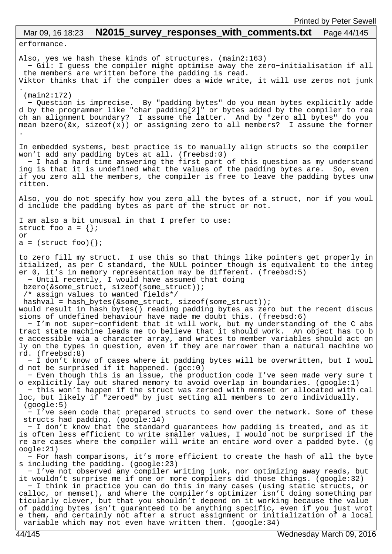erformance. Also, yes we hash these kinds of structures. (main2:163) − Gil: I guess the compiler might optimise away the zero−initialisation if all the members are written before the padding is read. Viktor thinks that if the compiler does a wide write, it will use zeros not junk . (main2:172) − Question is imprecise. By "padding bytes" do you mean bytes explicitly adde d by the programmer like "char padding[2]" or bytes added by the compiler to rea ch an alignment boundary? I assume the latter. And by "zero all bytes" do you mean bzero(&x, sizeof(x)) or assigning zero to all members? I assume the former . In embedded systems, best practice is to manually align structs so the compiler won't add any padding bytes at all. (freebsd:0) − I had a hard time answering the first part of this question as my understand ing is that it is undefined what the values of the padding bytes are. So, even if you zero all the members, the compiler is free to leave the padding bytes unw ritten. Also, you do not specify how you zero all the bytes of a struct, nor if you woul d include the padding bytes as part of the struct or not. I am also a bit unusual in that I prefer to use: struct foo  $a = \{\}$ ; or  $a = (struct~foo)\$ to zero fill my struct. I use this so that things like pointers get properly in itialized, as per C standard, the NULL pointer though is equivalent to the integ er 0, it's in memory representation may be different. (freebsd:5) − Until recently, I would have assumed that doing bzero(&some\_struct, sizeof(some\_struct)); /\* assign values to wanted fields\*/ hashval = hash\_bytes(&some\_struct, sizeof(some\_struct)); would result in hash bytes() reading padding bytes as zero but the recent discus sions of undefined behaviour have made me doubt this. (freebsd:6) − I'm not super−confident that it will work, but my understanding of the C abs tract state machine leads me to believe that it should work. An object has to b e accessible via a character array, and writes to member variables should act on ly on the types in question, even if they are narrower than a natural machine wo rd. (freebsd:8) − I don't know of cases where it padding bytes will be overwritten, but I woul d not be surprised if it happened.  $(gcc:0)$  − Even though this is an issue, the production code I've seen made very sure t o explicitly lay out shared memory to avoid overlap in boundaries. (google:1) − this won't happen if the struct was zeroed with memset or allocated with cal loc, but likely if "zeroed" by just setting all members to zero individually. (google:5) − I've seen code that prepared structs to send over the network. Some of these structs had padding. (google:14) − I don't know that the standard guarantees how padding is treated, and as it is often less efficient to write smaller values, I would not be surprised if the re are cases where the compiler will write an entire word over a padded byte. (g oogle:21) − For hash comparisons, it's more efficient to create the hash of all the byte s including the padding. (google:23) − I've not observed any compiler writing junk, nor optimizing away reads, but it wouldn't surprise me if one or more compilers did those things. (google:32) − I think in practice you can do this in many cases (using static structs, or calloc, or memset), and where the compiler's optimizer isn't doing something par ticularly clever, but that you shouldn't depend on it working because the value of padding bytes isn't guaranteed to be anything specific, even if you just wrot e them, and certainly not after a struct assignment or initialization of a local variable which may not even have written them. (google:34) Mar 09, 16 18:23 **N2015 survey responses with comments.txt** Page 44/145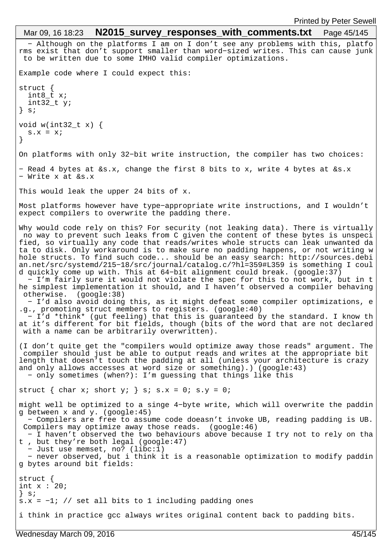```
 − Although on the platforms I am on I don't see any problems with this, platfo
rms exist that don't support smaller than word−sized writes. This can cause junk
  to be written due to some IMHO valid compiler optimizations.
Example code where I could expect this:
struct {
  int8_t x;
   int32_t y;
} s;
void w(int32_t x) {
 s.x = xi}
On platforms with only 32−bit write instruction, the compiler has two choices:
− Read 4 bytes at &s.x, change the first 8 bits to x, write 4 bytes at &s.x
− Write x at &s.x
This would leak the upper 24 bits of x.
Most platforms however have type−appropriate write instructions, and I wouldn't 
expect compilers to overwrite the padding there.
Why would code rely on this? For security (not leaking data). There is virtually
 no way to prevent such leaks from C given the content of these bytes is unspeci
fied, so virtually any code that reads/writes whole structs can leak unwanted da
ta to disk. Only workaround is to make sure no padding happens, or not writing w
hole structs. To find such code... should be an easy search: http://sources.debi
an.net/src/systemd/215−18/src/journal/catalog.c/?hl=359#L359 is something I coul
d quickly come up with. This at 64−bit alignment could break. (google:37)
   − I'm fairly sure it would not violate the spec for this to not work, but in t
he simplest implementation it should, and I haven't observed a compiler behaving
 otherwise. (google:38)
   − I'd also avoid doing this, as it might defeat some compiler optimizations, e
.g., promoting struct members to registers. (google:40)
   − I'd *think* (gut feeling) that this is guaranteed by the standard. I know th
at it's different for bit fields, though (bits of the word that are not declared
 with a name can be arbitrarily overwritten).
(I don't quite get the "compilers would optimize away those reads" argument. The
 compiler should just be able to output reads and writes at the appropriate bit 
length that doesn't touch the padding at all (unless your architecture is crazy 
and only allows accesses at word size or something).) (google:43)
   − only sometimes (when?): I'm guessing that things like this
struct { char x; short y; } s; s.x = 0; s.y = 0;
might well be optimized to a singe 4−byte write, which will overwrite the paddin
g between x and y. (google:45)
   − Compilers are free to assume code doeasn't invoke UB, reading padding is UB.
 Compilers may optimize away those reads. (google:46)
   − I haven't observed the two behaviours above because I try not to rely on tha
t , but they're both legal (google:47)
   − Just use memset, no? (libc:1)
   − never observed, but i think it is a reasonable optimization to modify paddin
g bytes around bit fields:
struct {
int x : 20;\} s;
s.x = -1; // set all bits to 1 including padding ones
i think in practice gcc always writes original content back to padding bits.
 Mar 09, 16 18:23 N2015 survey responses with comments.txt Page 45/145
```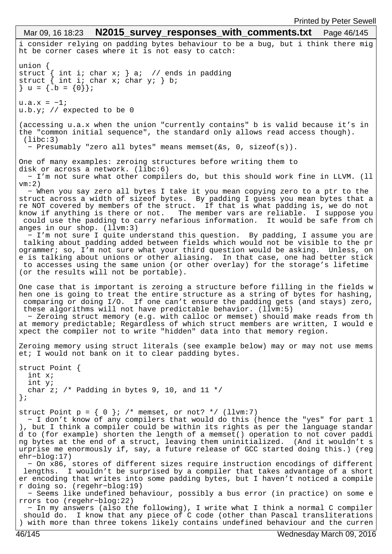```
i consider relying on padding bytes behaviour to be a bug, but i think there mig
ht be corner cases where it is not easy to catch:
union {
struct { int i; char x; } a; // ends in padding
struct { int i; char x; char y; } b;
} u = \{ .b = \{ 0 \} \};u.a.x = -1;u.b.y; // expected to be 0
(accessing u.a.x when the union "currently contains" b is valid because it's in 
the "common initial sequence", the standard only allows read access though).
  (libc:3)
   − Presumably "zero all bytes" means memset(&s, 0, sizeof(s)).
One of many examples: zeroing structures before writing them to
disk or across a network. (libc:6)
   − I'm not sure what other compilers do, but this should work fine in LLVM. (ll
vm:2)
  − When you say zero all bytes I take it you mean copying zero to a ptr to the 
struct across a width of sizeof bytes. By padding I guess you mean bytes that a
re NOT covered by members of the struct. If that is what padding is, we do not 
know if anything is there or not. The member vars are reliable. I suppose you
  could use the padding to carry nefarious information. It would be safe from ch
anges in our shop. (llvm:3)
  − I'm not sure I quite understand this question. By padding, I assume you are
  talking about padding added between fields which would not be visible to the pr
ogrammer; so, I'm not sure what your third question would be asking. Unless, on
e is talking about unions or other aliasing. In that case, one had better stick
 to accesses using the same union (or other overlay) for the storage's lifetime 
(or the results will not be portable).
One case that is important is zeroing a structure before filling in the fields w
hen one is going to treat the entire structure as a string of bytes for hashing,
  comparing or doing I/O. If one can't ensure the padding gets (and stays) zero,
  these algorithms will not have predictable behavior. (llvm:5)
   − Zeroing struct memory (e.g. with calloc or memset) should make reads from th
at memory predictable; Regardless of which struct members are written, I would e
xpect the compiler not to write "hidden" data into that memory region.
Zeroing memory using struct literals (see example below) may or may not use mems
et; I would not bank on it to clear padding bytes.
struct Point {
  int x;
   int y;
  char z; /* Padding in bytes 9, 10, and 11 */};
struct Point p = \{ 0 \}; /* memset, or not? */ (llvm:7)
  − I don't know of any compilers that would do this (hence the "yes" for part 1
), but I think a compiler could be within its rights as per the language standar
d to (for example) shorten the length of a memset() operation to not cover paddi
ng bytes at the end of a struct, leaving them uninitialized. (And it wouldn't s
urprise me enormously if, say, a future release of GCC started doing this.) (reg
ehr−blog:17)
   − On x86, stores of different sizes require instruction encodings of different
  lengths. I wouldn't be surprised by a compiler that takes advantage of a short
er encoding that writes into some padding bytes, but I haven't noticed a compile
r doing so. (regehr−blog:19)
   − Seems like undefined behaviour, possibly a bus error (in practice) on some e
rrors too (regehr−blog:22)
  − In my answers (also the following), I write what I think a normal C compiler
  should do. I know that any piece of C code (other than Pascal transliterations
) with more than three tokens likely contains undefined behaviour and the curren
 Mar 09, 16 18:23 N2015 survey responses with comments.txt Page 46/145
```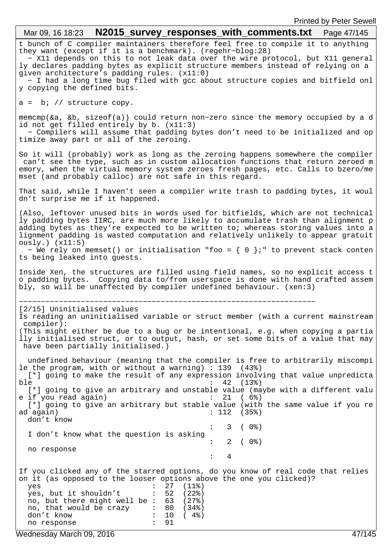| <b>THING DY LONG OCWOL</b><br>Mar 09, 16 18:23 $N2015$ _survey_responses_with_comments.txt    Page 47/145                                                                                                                                                                                                                                                                                                                                                                                                |
|----------------------------------------------------------------------------------------------------------------------------------------------------------------------------------------------------------------------------------------------------------------------------------------------------------------------------------------------------------------------------------------------------------------------------------------------------------------------------------------------------------|
| t bunch of C compiler maintainers therefore feel free to compile it to anything<br>they want (except if it is a benchmark). (regehr-blog:28)<br>- X11 depends on this to not leak data over the wire protocol, but X11 general<br>ly declares padding bytes as explicit structure members instead of relying on a<br>given architecture's padding rules. (x11:0)<br>- I had a long time bug filed with gcc about structure copies and bitfield onl                                                       |
| y copying the defined bits.                                                                                                                                                                                                                                                                                                                                                                                                                                                                              |
| $a = bi$ // structure copy.                                                                                                                                                                                                                                                                                                                                                                                                                                                                              |
| memcmp( $\&a$ , $&b$ , sizeof( $a$ )) could return non-zero since the memory occupied by a d<br>id not get filled entirely by b. (x11:3)<br>- Compilers will assume that padding bytes don't need to be initialized and op<br>timize away part or all of the zeroing.                                                                                                                                                                                                                                    |
| So it will (probably) work as long as the zeroing happens somewhere the compiler<br>can't see the type, such as in custom allocation functions that return zeroed m<br>emory, when the virtual memory system zeroes fresh pages, etc. Calls to bzero/me<br>mset (and probably calloc) are not safe in this regard.                                                                                                                                                                                       |
| That said, while I haven't seen a compiler write trash to padding bytes, it woul<br>dn't surprise me if it happened.                                                                                                                                                                                                                                                                                                                                                                                     |
| (Also, leftover unused bits in words used for bitfields, which are not technical<br>ly padding bytes IIRC, are much more likely to accumulate trash than alignment p<br>adding bytes as they're expected to be written to; whereas storing values into a<br>lignment padding is wasted computation and relatively unlikely to appear gratuit<br>ously.)(x11:5)                                                                                                                                           |
| - We rely on memset() or initialisation "foo = $\{ 0 \}$ ;" to prevent stack conten<br>ts being leaked into guests.                                                                                                                                                                                                                                                                                                                                                                                      |
| Inside Xen, the structures are filled using field names, so no explicit access t<br>o padding bytes. Copying data to/from userspace is done with hand crafted assem<br>bly, so will be unaffected by compiler undefined behaviour. (xen:3)                                                                                                                                                                                                                                                               |
| [2/15] Uninitialised values<br>Is reading an uninitialised variable or struct member (with a current mainstream<br>compiler):<br>(This might either be due to a bug or be intentional, e.g. when copying a partia<br>ily initialised struct, or to output, hash, or set some bits of a value that may<br>have been partially initialised.)                                                                                                                                                               |
| undefined behaviour (meaning that the compiler is free to arbitrarily miscompi<br>le the program, with or without a warning) : $139$ (43%)<br>[*] going to make the result of any expression involving that value unpredicta<br>42<br>ble<br>(13)<br>[*] going to give an arbitrary and unstable value (maybe with a different valu<br>e if you read again)<br>21<br>$(6\%)$<br>[*] going to give an arbitrary but stable value (with the same value if you re<br>: 112 (35%)<br>ad again)<br>don't know |
| $\mathbf{3}$<br>( 0%)<br>$\ddot{\cdot}$<br>I don't know what the question is asking                                                                                                                                                                                                                                                                                                                                                                                                                      |
| 2<br>(0.8)<br>$\ddot{\cdot}$<br>no response<br>4<br>$\ddot{\cdot}$                                                                                                                                                                                                                                                                                                                                                                                                                                       |
| If you clicked any of the starred options, do you know of real code that relies<br>on it (as opposed to the looser options above the one you clicked)?<br>27<br>$(11$ %)<br>yes<br>yes, but it shouldn't<br>52<br>(22%)<br>$\ddot{\cdot}$<br>no, but there might well be : 63<br>(27%)<br>no, that would be crazy<br>80<br>$(34$ $)$<br>$\mathcal{L}$<br>don't know<br>10<br>$(4\%)$<br>91<br>$\ddot{\phantom{a}}$<br>no response                                                                        |

Wednesday March 09, 2016 47/145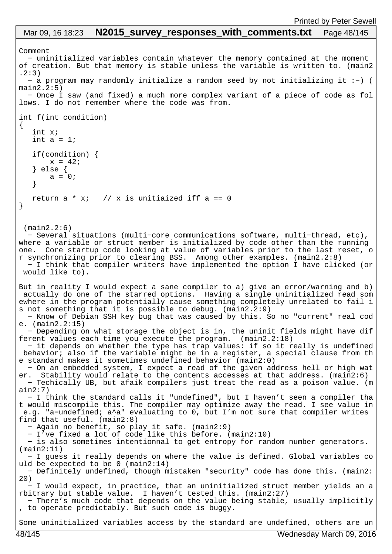# Mar 09, 16 18:23 **N2015\_survey\_responses\_with\_comments.txt** Page 48/145

```
Comment
   − uninitialized variables contain whatever the memory contained at the moment 
of creation. But that memory is stable unless the variable is written to. (main2
.2:3)
  − a program may randomly initialize a random seed by not initializing it :−) (
main2.2:5) − Once I saw (and fixed) a much more complex variant of a piece of code as fol
lows. I do not remember where the code was from.
int f(int condition)
\{ int x;
   int a = 1;
    if(condition) {
      x = 42; } else {
       a = 0; }
  return a * x; // x is unitiaized iff a == 0}
  (main2.2:6)
  − Several situations (multi−core communications software, multi−thread, etc), 
where a variable or struct member is initialized by code other than the running 
one. Core startup code looking at value of variables prior to the last reset, o
r synchronizing prior to clearing BSS. Among other examples. (main2.2:8)
   − I think that compiler writers have implemented the option I have clicked (or
 would like to).
But in reality I would expect a sane compiler to a) give an error/warning and b)
 actually do one of the starred options. Having a single uninitialized read som
ewhere in the program potentially cause something completely unrelated to fail i
s not something that it is possible to debug. (main2.2:9)
   − Know of Debian SSH key bug that was caused by this. So no "current" real cod
e. (main2.2:15)
   − Depending on what storage the object is in, the uninit fields might have dif
ferent values each time you execute the program. (main2.2:18)
   − it depends on whether the type has trap values: if so it really is undefined
 behavior; also if the variable might be in a register, a special clause from th
e standard makes it sometimes undefined behavior (main2:0)
   − On an embedded system, I expect a read of the given address hell or high wat
er. Stability would relate to the contents accesses at that address. (main2:6)
   − Techically UB, but afaik compilers just treat the read as a poison value. (m
ain2:7)
   − I think the standard calls it "undefined", but I haven't seen a compiler tha
t would miscompile this. The compiler may optimize away the read. I see value in
 e.g. "a=undefined; a^a" evaluating to 0, but I'm not sure that compiler writes 
find that useful. (main2:8)
   − Again no benefit, so play it safe. (main2:9)
   − I've fixed a lot of code like this before. (main2:10)
   − is also sometimes intentionnal to get entropy for random number generators. 
(main2:11)
   − I guess it really depends on where the value is defined. Global variables co
uld be expected to be 0 (main2:14)
  − Definitely undefined, though mistaken "security" code has done this. (main2:
20)
   − I would expect, in practice, that an uninitialized struct member yields an a
rbitrary but stable value. I haven't tested this. (main2:27)
  − There's much code that depends on the value being stable, usually implicitly
, to operate predictably. But such code is buggy.
Some uninitialized variables access by the standard are undefined, others are un
```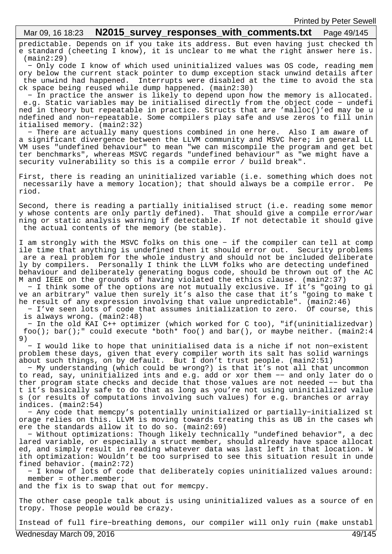# Mar 09, 16 18:23 **N2015 survey responses with comments.txt** Page 49/145

predictable. Depends on if you take its address. But even having just checked th e standard (cheeting I know), it is unclear to me what the right answer here is. (main2:29)

 − Only code I know of which used uninitialized values was OS code, reading mem ory below the current stack pointer to dump exception stack unwind details after the unwind had happened. Interrupts were disabled at the time to avoid the sta ck space being reused while dump happened. (main2:30)

 − In practice the answer is likely to depend upon how the memory is allocated. e.g. Static variables may be initialised directly from the object code − undefi ned in theory but repeatable in practice. Structs that are 'malloc()'ed may be u ndefined and non−repeatable. Some compilers play safe and use zeros to fill unin itialised memory. (main2:32)

 − There are actually many questions combined in one here. Also I am aware of a significant divergence between the LLVM community and MSVC here; in general LL VM uses "undefined behaviour" to mean "we can miscompile the program and get bet ter benchmarks", whereas MSVC regards "undefined behaviour" as "we might have a security vulnerability so this is a compile error / build break".

First, there is reading an uninitialized variable (i.e. something which does not necessarily have a memory location); that should always be a compile error. Pe riod.

Second, there is reading a partially initialised struct (i.e. reading some memor y whose contents are only partly defined). That should give a compile error/war ning or static analysis warning if detectable. If not detectable it should give the actual contents of the memory (be stable).

I am strongly with the MSVC folks on this one − if the compiler can tell at comp ile time that anything is undefined then it should error out. Security problems are a real problem for the whole industry and should not be included deliberate ly by compilers. Personally I think the LLVM folks who are detecting undefined behaviour and deliberately generating bogus code, should be thrown out of the AC M and IEEE on the grounds of having violated the ethics clause. (main2:37)

 − I think some of the options are not mutually exclusive. If it's "going to gi ve an arbitrary" value then surely it's also the case that it's "going to make t he result of any expression involving that value unpredictable". (main2:46) − I've seen lots of code that assumes initialization to zero. Of course, this

is always wrong. (main2:48)

 − In the old KAI C++ optimizer (which worked for C too), "if(uninitializedvar) foo(); bar();" could execute \*both\* foo() and bar(), or maybe neither. (main2:4 9)

 − I would like to hope that uninitialised data is a niche if not non−existent problem these days, given that every compiler worth its salt has solid warnings about such things, on by default. But I don't trust people. (main2:51)

 − My understanding (which could be wrong?) is that it's not all that uncommon to read, say, uninitialized ints and e.g. add or xor them −− and only later do o ther program state checks and decide that those values are not needed −− but tha t it's basically safe to do that as long as you're not using uninitialized value s (or results of computations involving such values) for e.g. branches or array indices. (main2:54)

 − Any code that memcpy's potentially uninitialized or partially−initialized st orage relies on this. LLVM is moving towards treating this as UB in the cases wh ere the standards allow it to do so. (main2:69)

 − Without optimizations: Though likely technically "undefined behavior", a dec lared variable, or especially a struct member, should already have space allocat ed, and simply result in reading whatever data was last left in that location. W ith optimization: Wouldn't be too surprised to see this situation result in unde fined behavior. (main2:72)

 − I know of lots of code that deliberately copies uninitialized values around: member = other.member;

and the fix is to swap that out for memcpy.

The other case people talk about is using uninitialized values as a source of en tropy. Those people would be crazy.

Instead of full fire−breathing demons, our compiler will only ruin (make unstabl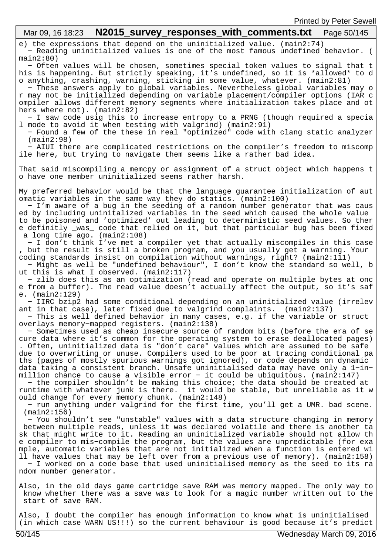| <b>Printed by Peter Sewell</b>                                                                                                                                                                                                                                                                                                                                                                                                                                                                                                                                                                                                                                                                                                                                                                                                                                                                             |
|------------------------------------------------------------------------------------------------------------------------------------------------------------------------------------------------------------------------------------------------------------------------------------------------------------------------------------------------------------------------------------------------------------------------------------------------------------------------------------------------------------------------------------------------------------------------------------------------------------------------------------------------------------------------------------------------------------------------------------------------------------------------------------------------------------------------------------------------------------------------------------------------------------|
| N2015_survey_responses_with_comments.txt    Page 50/145<br>Mar 09, 16 18:23                                                                                                                                                                                                                                                                                                                                                                                                                                                                                                                                                                                                                                                                                                                                                                                                                                |
| e) the expressions that depend on the uninitialized value. (main2:74)<br>- Reading uninitialized values is one of the most famous undefined behavior. (<br>main2:80)                                                                                                                                                                                                                                                                                                                                                                                                                                                                                                                                                                                                                                                                                                                                       |
| - Often values will be chosen, sometimes special token values to signal that t<br>his is happening. But strictly speaking, it's undefined, so it is *allowed* to d<br>o anything, crashing, warning, sticking in some value, whatever. (main2:81)<br>- These answers apply to global variables. Nevertheless global variables may o<br>r may not be initialized depending on variable placement/compiler options (IAR c<br>ompiler allows different memory segments where initialization takes place and ot<br>hers where not). (main2:82)                                                                                                                                                                                                                                                                                                                                                                 |
| - I saw code usig this to increase entropy to a PRNG (though required a specia<br>1 mode to avoid it when testing with valgrind) (main2:91)<br>- Found a few of the these in real "optimized" code with clang static analyzer<br>$(\text{main2:98})$<br>- AIUI there are complicated restrictions on the compiler's freedom to miscomp                                                                                                                                                                                                                                                                                                                                                                                                                                                                                                                                                                     |
| ile here, but trying to navigate them seems like a rather bad idea.<br>That said miscompiling a memcpy or assignment of a struct object which happens t                                                                                                                                                                                                                                                                                                                                                                                                                                                                                                                                                                                                                                                                                                                                                    |
| o have one member uninitialized seems rather harsh.                                                                                                                                                                                                                                                                                                                                                                                                                                                                                                                                                                                                                                                                                                                                                                                                                                                        |
| My preferred behavior would be that the language guarantee initialization of aut<br>omatic variables in the same way they do statics. (main2:100)<br>- I'm aware of a bug in the seeding of a random number generator that was caus<br>ed by including uninitalized variables in the seed which caused the whole value<br>to be poisoned and 'optimized' out leading to deterministic seed values. So ther<br>e definitly _was_ code that relied on it, but that particular bug has been fixed<br>a long time $ago.$ (main2:108)                                                                                                                                                                                                                                                                                                                                                                           |
| - I don't think I've met a compiler yet that actually miscompiles in this case<br>, but the result is still a broken program, and you usually get a warning. Your<br>coding standards insist on compilation without warnings, right? (main2:111)<br>- Might as well be "undefined behaviour", I don't know the standard so well, b<br>ut this is what I observed. (main2:117)<br>- zlib does this as an optimization (read and operate on multiple bytes at onc                                                                                                                                                                                                                                                                                                                                                                                                                                            |
| e from a buffer). The read value doesn't actually affect the output, so it's saf<br>e. $(\text{main2:129})$                                                                                                                                                                                                                                                                                                                                                                                                                                                                                                                                                                                                                                                                                                                                                                                                |
| - IIRC bzip2 had some conditional depending on an uninitialized value (irrelev<br>ant in that case), later fixed due to valgrind complaints. (main2:137)<br>- This is well defined behavior in many cases, e.g. if the variable or struct<br>overlays memory-mapped registers. (main2:138)                                                                                                                                                                                                                                                                                                                                                                                                                                                                                                                                                                                                                 |
| - Sometimes used as cheap insecure source of random bits (before the era of se<br>cure data where it's common for the operating system to erase deallocated pages)<br>. Often, uninitialized data is "don't care" values which are assumed to be safe<br>due to overwriting or unuse. Compilers used to be poor at tracing conditional pa<br>ths (pages of mostly spurious warnings got ignored), or code depends on dynamic<br>data taking a consistent branch. Unsafe uninitialised data may have only a 1-in-<br>million chance to cause a visible error - it could be ubiquitous. (main2:147)<br>- the compiler shouldn't be making this choice; the data should be created at<br>runtime with whatever junk is there. it would be stable, but unreliable as it w<br>ould change for every memory chunk. (main2:148)<br>- run anything under valgrind for the first time, you'll get a UMR. bad scene. |
| $(\text{main2:156})$<br>- You shouldn't see "unstable" values with a data structure changing in memory<br>between multiple reads, unless it was declared volatile and there is another ta<br>sk that might write to it. Reading an uninitialized variable should not allow th<br>e compiler to mis-compile the program, but the values are unpredictable (for exa<br>mple, automatic variables that are not initialized when a function is entered wi<br>11 have values that may be left over from a previous use of memory). (main2:158)<br>- I worked on a code base that used uninitialised memory as the seed to its ra<br>ndom number generator.                                                                                                                                                                                                                                                      |
| Also, in the old days game cartridge save RAM was memory mapped. The only way to<br>know whether there was a save was to look for a magic number written out to the<br>start of save RAM.                                                                                                                                                                                                                                                                                                                                                                                                                                                                                                                                                                                                                                                                                                                  |
| Also, I doubt the compiler has enough information to know what is uninitialised<br>(in which case WARN US!!!) so the current behaviour is good because it's predict                                                                                                                                                                                                                                                                                                                                                                                                                                                                                                                                                                                                                                                                                                                                        |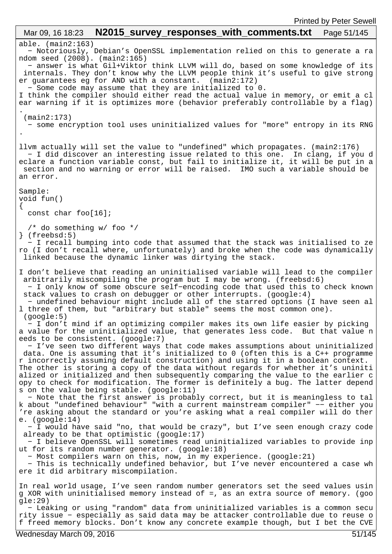able. (main2:163) − Notoriously, Debian's OpenSSL implementation relied on this to generate a ra ndom seed (2008). (main2:165) − answer is what Gil+Viktor think LLVM will do, based on some knowledge of its internals. They don't know why the LLVM people think it's useful to give strong er guarantees eg for AND with a constant. (main2:172) − Some code may assume that they are initialized to 0. I think the compiler should either read the actual value in memory, or emit a cl ear warning if it is optimizes more (behavior preferably controllable by a flag) . (main2:173) − some encryption tool uses uninitialized values for "more" entropy in its RNG . llvm actually will set the value to "undefined" which propagates. (main2:176) − I did discover an interesting issue related to this one. In clang, if you d eclare a function variable const, but fail to initialize it, it will be put in a section and no warning or error will be raised. IMO such a variable should be an error. Sample: void fun() { const char foo[16]; /\* do something w/ foo \*/ } (freebsd:5) − I recall bumping into code that assumed that the stack was initialised to ze ro (I don't recall where, unfortunately) and broke when the code was dynamically linked because the dynamic linker was dirtying the stack. I don't believe that reading an uninitialised variable will lead to the compiler arbitrarily miscompiling the program but I may be wrong. (freebsd:6) − I only know of some obscure self−encoding code that used this to check known stack values to crash on debugger or other interrupts. (google:4) − undefined behaviour might include all of the starred options (I have seen al l three of them, but "arbitrary but stable" seems the most common one). (google:5) − I don't mind if an optimizing compiler makes its own life easier by picking a value for the uninitialized value, that generates less code. But that value n eeds to be consistent. (google:7) − I've seen two different ways that code makes assumptions about uninitialized data. One is assuming that it's initialized to 0 (often this is a C++ programme r incorrectly assuming default construction) and using it in a boolean context. The other is storing a copy of the data without regards for whether it's uniniti alized or initialized and then subsequently comparing the value to the earlier c opy to check for modification. The former is definitely a bug. The latter depend s on the value being stable. (google:11) − Note that the first answer is probably correct, but it is meaningless to tal k about "undefined behaviour" "with a current mainstream compiler" −− either you 're asking about the standard or you're asking what a real compiler will do ther e. (google:14) − I would have said "no, that would be crazy", but I've seen enough crazy code already to be that optimistic (google:17) − I believe OpenSSL will sometimes read uninitialized variables to provide inp ut for its random number generator. (google:18) − Most compilers warn on this, now, in my experience. (google:21) − This is technically undefined behavior, but I've never encountered a case wh ere it did arbitrary miscompilation. In real world usage, I've seen random number generators set the seed values usin g XOR with uninitialised memory instead of =, as an extra source of memory. (goo gle:29) − Leaking or using "random" data from uninitialized variables is a common secu rity issue − especially as said data may be attacker controllable due to reuse o f freed memory blocks. Don't know any concrete example though, but I bet the CVE Mar 09, 16 18:23 **N2015 survey responses with comments.txt** Page 51/145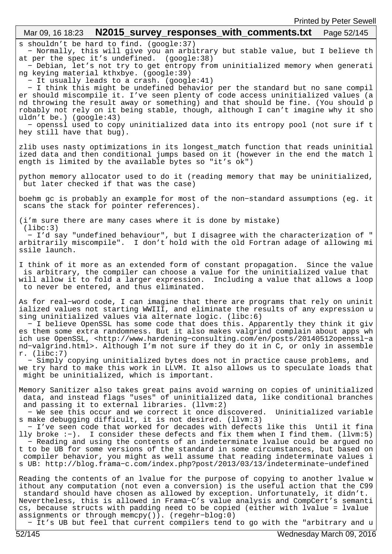# s shouldn't be hard to find. (google:37) − Normally, this will give you an arbitrary but stable value, but I believe th at per the spec it's undefined. (google:38) − Debian, let's not try to get entropy from uninitialized memory when generati ng keying material kthxbye. (google:39) − It usually leads to a crash. (google:41) − I think this might be undefined behavior per the standard but no sane compil er should miscompile it. I've seen plenty of code access uninitialized values (a nd throwing the result away or something) and that should be fine. (You should p robably not rely on it being stable, though, although I can't imagine why it sho uldn't be.) (google:43) − openssl used to copy uninitialized data into its entropy pool (not sure if t hey still have that bug). zlib uses nasty optimizations in its longest\_match function that reads uninitial ized data and then conditional jumps based on it (however in the end the match l ength is limited by the available bytes so "it's ok") python memory allocator used to do it (reading memory that may be uninitialized, but later checked if that was the case) boehm gc is probably an example for most of the non−standard assumptions (eg. it scans the stack for pointer references). (i'm sure there are many cases where it is done by mistake) (libc:3) − I'd say "undefined behaviour", but I disagree with the characterization of " arbitrarily miscompile". I don't hold with the old Fortran adage of allowing mi ssile launch. I think of it more as an extended form of constant propagation. Since the value is arbitrary, the compiler can choose a value for the uninitialized value that will allow it to fold a larger expression. Including a value that allows a loop to never be entered, and thus eliminated. As for real−word code, I can imagine that there are programs that rely on uninit ialized values not starting WWIII, and eliminate the results of any expression u sing uninitialized values via alternate logic. (libc:6) − I believe OpenSSL has some code that does this. Apparently they think it giv es them some extra randomness. But it also makes valgrind complain about apps wh ich use OpenSSL, <http://www.hardening−consulting.com/en/posts/20140512openssl−a nd−valgrind.html>. Although I'm not sure if they do it in C, or only in assemble r. (libc:7) − Simply copying uninitialized bytes does not in practice cause problems, and we try hard to make this work in LLVM. It also allows us to speculate loads that might be uninitialized, which is important. Memory Sanitizer also takes great pains avoid warning on copies of uninitialized data, and instead flags "uses" of uninitialized data, like conditional branches and passing it to external libraries. (llvm:2) − We see this occur and we correct it once discovered. Uninitialized variable s make debugging difficult, it is not desired. (llvm:3) − I've seen code that worked for decades with defects like this Until it fina lly broke :−). I consider these defects and fix them when I find them. (llvm:5) − Reading and using the contents of an indeterminate lvalue could be argued no t to be UB for some versions of the standard in some circumstances, but based on compiler behavior, you might as well assume that reading indeterminate values i s UB: http://blog.frama−c.com/index.php?post/2013/03/13/indeterminate−undefined Reading the contents of an lvalue for the purpose of copying to another lvalue w ithout any computation (not even a conversion) is the useful action that the C99 standard should have chosen as allowed by exception. Unfortunately, it didn't. Nevertheless, this is allowed in Frama−C's value analysis and CompCert's semanti cs, because structs with padding need to be copied (either with lvalue = lvalue assignments or through memcpy()). (regehr−blog:0) Mar 09, 16 18:23 **N2015 survey responses with comments.txt** Page 52/145

− It's UB but feel that current compilers tend to go with the "arbitrary and u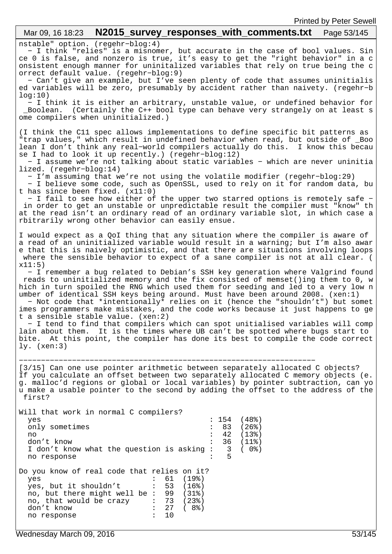### nstable" option. (regehr−blog:4) − I think "relies" is a misnomer, but accurate in the case of bool values. Sin ce 0 is false, and nonzero is true, it's easy to get the "right behavior" in a c onsistent enough manner for uninitalized variables that rely on true being the c orrect default value. (regehr−blog:9) − Can't give an example, but I've seen plenty of code that assumes uninitialis ed variables will be zero, presumably by accident rather than naivety. (regehr−b log:10) − I think it is either an arbitrary, unstable value, or undefined behavior for \_Boolean. (Certainly the C++ bool type can behave very strangely on at least s ome compilers when uninitialized.) (I think the C11 spec allows implementations to define specific bit patterns as "trap values," which result in undefined behavior when read, but outside of \_Boo lean I don't think any real−world compilers actually do this. I know this becau se I had to look it up recently.) (regehr−blog:12) − I assume we're not talking about static variables − which are never uninitia lized. (regehr−blog:14) − I'm assuming that we're not using the volatile modifier (regehr−blog:29) − I believe some code, such as OpenSSL, used to rely on it for random data, bu t has since been fixed. (x11:0) − I fail to see how either of the upper two starred options is remotely safe − in order to get an unstable or unpredictable result the compiler must "know" th at the read isn't an ordinary read of an ordinary variable slot, in which case a rbitrarily wrong other behavior can easily ensue. I would expect as a QoI thing that any situation where the compiler is aware of a read of an uninitialized variable would result in a warning; but I'm also awar e that this is naively optimistic, and that there are situations involving loops where the sensible behavior to expect of a sane compiler is not at all clear. (  $x11:5)$  − I remember a bug related to Debian's SSH key generation where Valgrind found reads to uninitialized memory and the fix consisted of memset()ing them to 0, w hich in turn spoiled the RNG which used them for seeding and led to a very low n umber of identical SSH keys being around. Must have been around 2008. (xen:1) − Not code that \*intentionally\* relies on it (hence the "shouldn't") but somet imes programmers make mistakes, and the code works because it just happens to ge t a sensible stable value. (xen:2) − I tend to find that compilers which can spot unitialised variables will comp lain about them. It is the times where UB can't be spotted where bugs start to bite. At this point, the compiler has done its best to compile the code correct ly. (xen:3) −−−−−−−−−−−−−−−−−−−−−−−−−−−−−−−−−−−−−−−−−−−−−−−−−−−−−−−−−−−−−−−−−−− [3/15] Can one use pointer arithmetic between separately allocated C objects? If you calculate an offset between two separately allocated C memory objects (e. g. malloc'd regions or global or local variables) by pointer subtraction, can yo u make a usable pointer to the second by adding the offset to the address of the first? Will that work in normal C compilers?<br>yes  $: 154 (48)$ only sometimes : 83 (26%) no : 42 (13%)<br>don't know : 36 (11%)  $\begin{array}{cc} : & 36 & (11\textdegree) \\ : & 3 & (0\textdegree) \\ : & 5 \end{array}$ I don't know what the question is asking : no response Do you know of real code that relies on it?<br>
yes : 61 (19%) yes : 61 (19%) yes, but it shouldn't : 53 (16%) no, but there might well be : 99 (31%) no, that would be crazy : 73 (23%)<br>don't know : 27 (8%) Mar 09, 16 18:23 **N2015 survey responses with comments.txt** Page 53/145

 $\begin{array}{cccc} 27 & ( & 8\% )\ 1 & 10 & \end{array}$ 

no response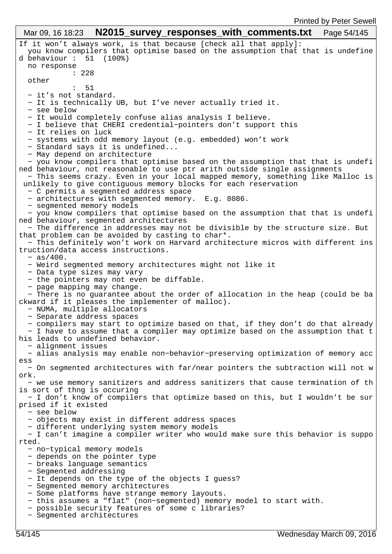```
If it won't always work, is that because [check all that apply]:
   you know compilers that optimise based on the assumption that that is undefine
d behaviour : 51 (100%)
  no response 
             : 228
   other 
 : 51
   − it's not standard.
   − It is technically UB, but I've never actually tried it.
   − see below
   − It would completely confuse alias analysis I believe.
   − I believe that CHERI credential−pointers don't support this
   − It relies on luck
   − systems with odd memory layout (e.g. embedded) won't work
   − Standard says it is undefined...
   − May depend on architecture
    − you know compilers that optimise based on the assumption that that is undefi
ned behaviour, not reasonable to use ptr arith outside single assignments
 − This seems crazy. Even in your local mapped memory, something like Malloc is
unlikely to give contiguous memory blocks for each reservation
   − C permits a segmented address space
   − architectures with segmented memory. E.g. 8086.
   − segmented memory models
   − you know compilers that optimise based on the assumption that that is undefi
ned behaviour, segmented architectures
   − The difference in addresses may not be divisible by the structure size. But 
that problem can be avoided by casting to char*.
   − This definitely won't work on Harvard architecture micros with different ins
truction/data access instructions.
   − as/400.
   − Weird segmented memory architectures might not like it
   − Data type sizes may vary
   − the pointers may not even be diffable.
   − page mapping may change.
   − There is no guarantee about the order of allocation in the heap (could be ba
ckward if it pleases the implementer of malloc).
   − NUMA, multiple allocators
   − Separate address spaces
   − compilers may start to optimize based on that, if they don't do that already
   − I have to assume that a compiler may optimize based on the assumption that t
his leads to undefined behavior.
   − alignment issues
   − alias analysis may enable non−behavior−preserving optimization of memory acc
ess
   − On segmented architectures with far/near pointers the subtraction will not w
ork.
   − we use memory sanitizers and address sanitizers that cause termination of th
is sort of thng is occuring
  − I don't know of compilers that optimize based on this, but I wouldn't be sur
prised if it existed
   − see below
   − objects may exist in different address spaces
   − different underlying system memory models
   − I can't imagine a compiler writer who would make sure this behavior is suppo
rted.
   − no−typical memory models
   − depends on the pointer type
   − breaks language semantics
   − Segmented addressing
   − It depends on the type of the objects I guess?
   − Segmented memory architectures
   − Some platforms have strange memory layouts.
   − this assumes a "flat" (non−segmented) memory model to start with.
   − possible security features of some c libraries?
   − Segmented architectures
 Mar 09, 16 18:23 N2015 survey responses with comments.txt Page 54/145
```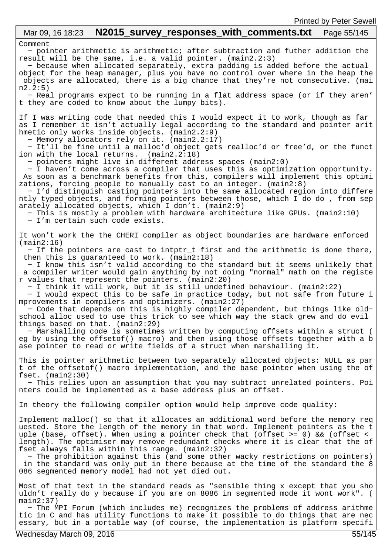## Comment − pointer arithmetic is arithmetic; after subtraction and futher addition the result will be the same, i.e. a valid pointer. (main2.2:3) − because when allocated separately, extra padding is added before the actual object for the heap manager, plus you have no control over where in the heap the objects are allocated, there is a big chance that they're not consecutive. (mai n2.2:5) − Real programs expect to be running in a flat address space (or if they aren' t they are coded to know about the lumpy bits). If I was writing code that needed this I would expect it to work, though as far as I remember it isn't actually legal according to the standard and pointer arit hmetic only works inside objects. (main2.2:9) − Memory allocators rely on it. (main2.2:17) − It'll be fine until a malloc'd object gets realloc'd or free'd, or the funct ion with the local returns. (main2.2:18) − pointers might live in different address spaces (main2:0) − I haven't come across a compiler that uses this as optimization opportunity. As soon as a benchmark benefits from this, compilers will implement this optimi zations, forcing people to manually cast to an integer. (main2:8) − I'd distinguish casting pointers into the same allocated region into differe ntly typed objects, and forming pointers between those, which I do do , from sep arately allocated objects, which I don't. (main2:9) − This is mostly a problem with hardware architecture like GPUs. (main2:10) − I'm certain such code exists. It won't work the the CHERI compiler as object boundaries are hardware enforced (main2:16) − If the pointers are cast to intptr\_t first and the arithmetic is done there, then this is guaranteed to work. (main2:18) − I know this isn't valid according to the standard but it seems unlikely that a compiler writer would gain anything by not doing "normal" math on the registe r values that represent the pointers. (main2:20) − I think it will work, but it is still undefined behaviour. (main2:22) − I would expect this to be safe in practice today, but not safe from future i mprovements in compilers and optimizers. (main2:27) − Code that depends on this is highly compiler dependent, but things like old− school alloc used to use this trick to see which way the stack grew and do evil things based on that. (main2:29) − Marshalling code is sometimes written by computing offsets within a struct ( eg by using the offsetof() macro) and then using those offsets together with a b ase pointer to read or write fields of a struct when marshalling it. This is pointer arithmetic between two separately allocated objects: NULL as par t of the offsetof() macro implementation, and the base pointer when using the of fset. (main2:30) − This relies upon an assumption that you may subtract unrelated pointers. Poi nters could be implemented as a base address plus an offset. In theory the following compiler option would help improve code quality: Implement malloc() so that it allocates an additional word before the memory req uested. Store the length of the memory in that word. Implement pointers as the t uple (base, offset). When using a pointer check that (offset  $> = 0$ ) && (offset < length). The optimiser may remove redundant checks where it is clear that the of fset always falls within this range. (main2:32) − The prohibition against this (and some other wacky restrictions on pointers) in the standard was only put in there because at the time of the standard the 8 086 segmented memory model had not yet died out. Most of that text in the standard reads as "sensible thing x except that you sho uldn't really do y because if you are on 8086 in segmented mode it wont work". ( main2:37) − The MPI Forum (which includes me) recognizes the problems of address arithme tic in C and has utility functions to make it possible to do things that are nec essary, but in a portable way (of course, the implementation is platform specifi Mar 09, 16 18:23 **N2015 survey responses with comments.txt** Page 55/145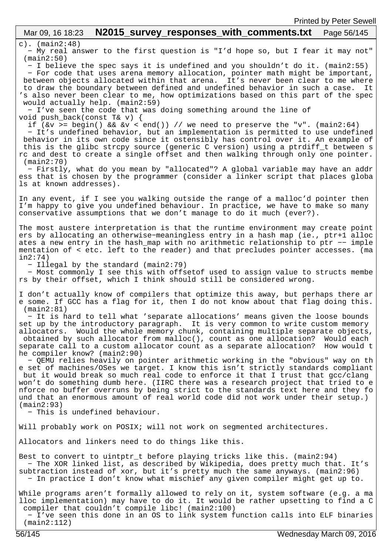## c). (main2:48) − My real answer to the first question is "I'd hope so, but I fear it may not" (main2:50) − I believe the spec says it is undefined and you shouldn't do it. (main2:55) − For code that uses arena memory allocation, pointer math might be important, between objects allocated within that arena. It's never been clear to me where to draw the boundary between defined and undefined behavior in such a case. It 's also never been clear to me, how optimizations based on this part of the spec would actually help. (main2:59) − I've seen the code that was doing something around the line of void push\_back(const T& v) { if ( $\&v \geq -\text{begin}(x, y) = \&\text{if } (x - y) = \&\text{if } (x - y) = \&\text{if } (x - y) = \&\text{if } (x - y) = \&\text{if } (x - y) = \&\text{if } (x - y) = \&\text{if } (x - y) = \&\text{if } (x - y) = \&\text{if } (x - y) = \&\text{if } (x - y) = \&\text{if } (x - y) = \&\text{if } (x - y) = \&\text{if } (x - y) = \&\text{if } (x - y) = \&\text{if } (x - y) = \&\text$  − It's undefined behavior, but an implementation is permitted to use undefined behavior in its own code since it ostensibly has control over it. An example of this is the glibc strcpy source (generic C version) using a ptrdiff\_t between s rc and dest to create a single offset and then walking through only one pointer. (main2:70) − Firstly, what do you mean by "allocated"? A global variable may have an addr ess that is chosen by the programmer (consider a linker script that places globa ls at known addresses). In any event, if I see you walking outside the range of a malloc'd pointer then I'm happy to give you undefined behaviour. In practice, we have to make so many conservative assumptions that we don't manage to do it much (ever?). The most austere interpretation is that the runtime environment may create point ers by allocating an otherwise−meaningless entry in a hash map (ie., ptr+1 alloc ates a new entry in the hash\_map with no arithmetic relationship to ptr −− imple mentation of < etc. left to the reader) and that precludes pointer accesses. (ma in2:74) − Illegal by the standard (main2:79) − Most commonly I see this with offsetof used to assign value to structs membe rs by their offset, which I think should still be considered wrong. I don't actually know of compilers that optimize this away, but perhaps there ar e some. If GCC has a flag for it, then I do not know about that flag doing this. (main2:81) − It is hard to tell what 'separate allocations' means given the loose bounds set up by the introductory paragraph. It is very common to write custom memory allocators. Would the whole memory chunk, containing multiple separate objects, obtained by such allocator from malloc(), count as one allocation? Would each separate call to a custom allocator count as a separate allocation? How would t he compiler know? (main2:90) − QEMU relies heavily on pointer arithmetic working in the "obvious" way on th e set of machines/OSes we target. I know this isn't strictly standards compliant but it would break so much real code to enforce it that I trust that gcc/clang won't do something dumb here. (IIRC there was a research project that tried to e nforce no buffer overruns by being strict to the standards text here and they fo und that an enormous amount of real world code did not work under their setup.) (main2:93) − This is undefined behaviour. Will probably work on POSIX; will not work on segmented architectures. Allocators and linkers need to do things like this. Best to convert to uintptr\_t before playing tricks like this. (main2:94) − The XOR linked list, as described by Wikipedia, does pretty much that. It's subtraction instead of xor, but it's pretty much the same anyways. (main2:96) − In practice I don't know what mischief any given compiler might get up to. While programs aren't formally allowed to rely on it, system software (e.g. a ma lloc implementation) may have to do it. It would be rather upsetting to find a C compiler that couldn't compile libc! (main2:100) − I've seen this done in an OS to link system function calls into ELF binaries (main2:112) Mar 09, 16 18:23 **N2015 survey responses with comments.txt** Page 56/145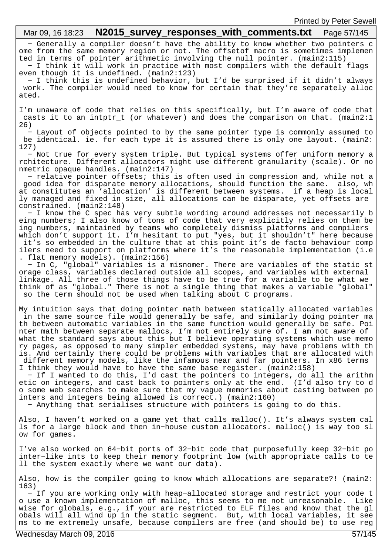#### − Generally a compiler doesn't have the ability to know whether two pointers c ome from the same memory region or not. The offsetof macro is sometimes implemen ted in terms of pointer arithmetic involving the null pointer. (main2:115) − I think it will work in practice with most compilers with the default flags even though it is undefined. (main2:123) − I think this is undefined behavior, but I'd be surprised if it didn't always work. The compiler would need to know for certain that they're separately alloc ated. I'm unaware of code that relies on this specifically, but I'm aware of code that casts it to an intptr\_t (or whatever) and does the comparison on that. (main2:1 26) − Layout of objects pointed to by the same pointer type is commonly assumed to be identical. ie. for each type it is assumed there is only one layout. (main2: 127) − Not true for every system triple. But typical systems offer uniform memory a rchitecture. Different allocators might use different granularity (scale). Or no nmetric opaque handles. (main2:147) − relative pointer offsets; this is often used in compression and, while not a good idea for disparate memory allocations, should function the same. also, wh at constitutes an 'allocation' is different between systems. if a heap is local ly managed and fixed in size, all allocations can be disparate, yet offsets are constrained. (main2:148) − I know the C spec has very subtle wording around addresses not necessarily b eing numbers; I also know of tons of code that very explicitly relies on them be ing numbers, maintained by teams who completely dismiss platforms and compilers which don't support it. I'm hesitant to put "yes, but it shouldn't" here because it's so embedded in the culture that at this point it's de facto behaviour comp ilers need to support on platforms where it's the reasonable implementation (i.e . flat memory models). (main2:156) − In C, "global" variables is a misnomer. There are variables of the static st orage class, variables declared outside all scopes, and variables with external linkage. All three of those things have to be true for a variable to be what we think of as "global." There is not a single thing that makes a variable "global" so the term should not be used when talking about C programs. My intuition says that doing pointer math between statically allocated variables in the same source file would generally be safe, and similarly doing pointer ma th between automatic variables in the same function would generally be safe. Poi nter math between separate mallocs, I'm not entirely sure of. I am not aware of what the standard says about this but I believe operating systems which use memo ry pages, as opposed to many simpler embedded systems, may have problems with th is. And certainly there could be problems with variables that are allocated with Mar 09, 16 18:23 **N2015 survey responses with comments.txt** Page 57/145

I think they would have to have the same base register. (main2:158) − If I wanted to do this, I'd cast the pointers to integers, do all the arithm etic on integers, and cast back to pointers only at the end. (I'd also try to d o some web searches to make sure that my vague memories about casting between po inters and integers being allowed is correct.) (main2:160)

different memory models, like the infamous near and far pointers. In x86 terms

− Anything that serialises structure with pointers is going to do this.

Also, I haven't worked on a game yet that calls malloc(). It's always system cal ls for a large block and then in−house custom allocators. malloc() is way too sl ow for games.

I've also worked on 64−bit ports of 32−bit code that purposefully keep 32−bit po inter−like ints to keep their memory footprint low (with appropriate calls to te ll the system exactly where we want our data).

Also, how is the compiler going to know which allocations are separate?! (main2: 163)

 − If you are working only with heap−allocated storage and restrict your code t o use a known implementation of malloc, this seems to me not unreasonable. Like wise for globals, e.g., if your are restricted to ELF files and know that the gl obals will all wind up in the static segment. But, with local variables, it see ms to me extremely unsafe, because compilers are free (and should be) to use reg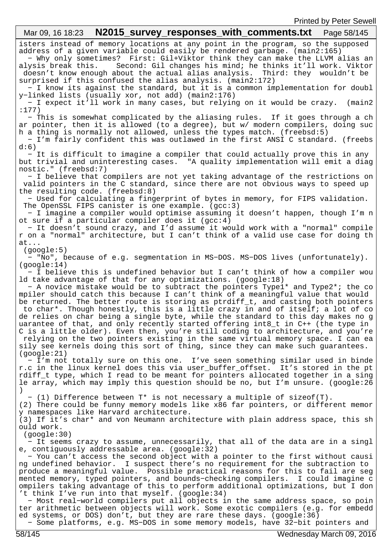| <b>I ILITICA DY L CICL OCMCII</b><br>Mar 09, 16 18:23                                                                                                                                                                                                                                                                                                                                                                                                                                                                                                                                                                                                                                                                                                                                                                                                                                                                                      |
|--------------------------------------------------------------------------------------------------------------------------------------------------------------------------------------------------------------------------------------------------------------------------------------------------------------------------------------------------------------------------------------------------------------------------------------------------------------------------------------------------------------------------------------------------------------------------------------------------------------------------------------------------------------------------------------------------------------------------------------------------------------------------------------------------------------------------------------------------------------------------------------------------------------------------------------------|
| isters instead of memory locations at any point in the program, so the supposed                                                                                                                                                                                                                                                                                                                                                                                                                                                                                                                                                                                                                                                                                                                                                                                                                                                            |
| address of a given variable could easily be rendered garbage. (main2:165)<br>- Why only sometimes? First: Gil+Viktor think they can make the LLVM alias an<br>Second: Gil changes his mind; he thinks it'll work. Viktor<br>alysis break this.<br>doesn't know enough about the actual alias analysis. Third: they wouldn't be<br>surprised if this confused the alias analysis. (main2:172)                                                                                                                                                                                                                                                                                                                                                                                                                                                                                                                                               |
| - I know its against the standard, but it is a common implementation for doubl<br>y-linked lists (usually xor, not add) (main2:176)<br>- I expect it'll work in many cases, but relying on it would be crazy.<br>(main2)                                                                                                                                                                                                                                                                                                                                                                                                                                                                                                                                                                                                                                                                                                                   |
| :177)<br>- This is somewhat complicated by the aliasing rules. If it goes through a ch                                                                                                                                                                                                                                                                                                                                                                                                                                                                                                                                                                                                                                                                                                                                                                                                                                                     |
| ar pointer, then it is allowed (to a degree), but w/ modern compilers, doing suc<br>h a thing is normally not allowed, unless the types match. (freebsd:5)<br>- I'm fairly confident this was outlawed in the first ANSI C standard. (freebs<br>d:6)                                                                                                                                                                                                                                                                                                                                                                                                                                                                                                                                                                                                                                                                                       |
| - It is difficult to imagine a compiler that could actually prove this in any<br>but trivial and uninteresting cases. "A quality implementation will emit a diag<br>nostic." (freebsd:7)                                                                                                                                                                                                                                                                                                                                                                                                                                                                                                                                                                                                                                                                                                                                                   |
| - I believe that compilers are not yet taking advantage of the restrictions on<br>valid pointers in the C standard, since there are not obvious ways to speed up<br>the resulting code. (freebsd:8)                                                                                                                                                                                                                                                                                                                                                                                                                                                                                                                                                                                                                                                                                                                                        |
| - Used for calculating a fingerprint of bytes in memory, for FIPS validation.<br>The OpenSSL FIPS canister is one example. $(gcc:3)$                                                                                                                                                                                                                                                                                                                                                                                                                                                                                                                                                                                                                                                                                                                                                                                                       |
| - I imagine a compiler would optimise assuming it doesn't happen, though I'm n<br>ot sure if a particular compiler does it $(gcc:4)$                                                                                                                                                                                                                                                                                                                                                                                                                                                                                                                                                                                                                                                                                                                                                                                                       |
| - It doesn't sound crazy, and I'd assume it would work with a "normal" compile<br>r on a "normal" architecture, but I can't think of a valid use case for doing th<br>at                                                                                                                                                                                                                                                                                                                                                                                                                                                                                                                                                                                                                                                                                                                                                                   |
| (google:5)<br>- "No", because of e.g. segmentation in MS-DOS. MS-DOS lives (unfortunately).<br>(google:14)                                                                                                                                                                                                                                                                                                                                                                                                                                                                                                                                                                                                                                                                                                                                                                                                                                 |
| - I believe this is undefined behavior but I can't think of how a compiler wou<br>ld take advantage of that for any optimizations. (google:18)<br>- A novice mistake would be to subtract the pointers Typel* and Type2*; the co<br>mpiler should catch this because I can't think of a meaningful value that would<br>be returned. The better route is storing as ptrdiff t, and casting both pointers<br>to char*. Though honestly, this is a little crazy in and of itself; a lot of co<br>de relies on char being a single byte, while the standard to this day makes no g<br>uarantee of that, and only recently started offering int8_t in C++ (the type in<br>C is a little older). Even then, you're still coding to architecture, and you're<br>relying on the two pointers existing in the same virtual memory space. I can ea<br>sily see kernels doing this sort of thing, since they can make such guarantees.<br>(google:21) |
| - I'm not totally sure on this one. I've seen something similar used in binde<br>r.c in the linux kernel does this via user_buffer_offset. It's stored in the pt<br>rdiff t type, which I read to be meant for pointers allocated together in a sing<br>le array, which may imply this question should be no, but I'm unsure. (google:26                                                                                                                                                                                                                                                                                                                                                                                                                                                                                                                                                                                                   |
| - (1) Difference between $T^*$ is not necessary a multiple of sizeof(T).<br>(2) There could be funny memory models like x86 far pointers, or different memor<br>y namespaces like Harvard architecture.<br>(3) If it's char* and von Neumann architecture with plain address space, this sh                                                                                                                                                                                                                                                                                                                                                                                                                                                                                                                                                                                                                                                |
| ould work.<br>(google:30)<br>- It seems crazy to assume, unnecessarily, that all of the data are in a singl                                                                                                                                                                                                                                                                                                                                                                                                                                                                                                                                                                                                                                                                                                                                                                                                                                |
| e, contiguously addressable area. (google:32)<br>- You can't access the second object with a pointer to the first without causi<br>ng undefined behavior. I suspect there's no requirement for the subtraction to<br>produce a meaningful value. Possible practical reasons for this to fail are seg<br>mented memory, typed pointers, and bounds-checking compilers. I could imagine c<br>ompilers taking advantage of this to perform additional optimizations, but I don<br>'t think I've run into that myself. (google:34)<br>- Most real-world compilers put all objects in the same address space, so poin<br>ter arithmetic between objects will work. Some exotic compilers (e.g. for embedd<br>ed systems, or DOS) don't, but they are rare these days. (google:36)<br>- Some platforms, e.g. MS-DOS in some memory models, have 32-bit pointers and                                                                              |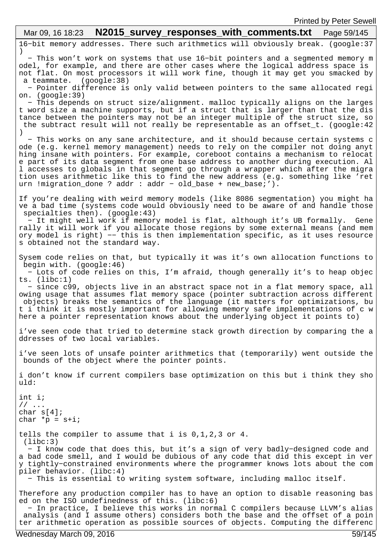16−bit memory addresses. There such arithmetics will obviously break. (google:37 ) − This won't work on systems that use 16−bit pointers and a segmented memory m odel, for example, and there are other cases where the logical address space is not flat. On most processors it will work fine, though it may get you smacked by a teammate. (google:38) − Pointer difference is only valid between pointers to the same allocated regi on. (google:39) − This depends on struct size/alignment. malloc typically aligns on the larges t word size a machine supports, but if a struct that is larger than that the dis tance between the pointers may not be an integer multiple of the struct size, so the subtract result will not really be representable as an offset\_t. (google:42 ) − This works on any sane architecture, and it should because certain systems c ode (e.g. kernel memory management) needs to rely on the compiler not doing anyt hing insane with pointers. For example, coreboot contains a mechanism to relocat e part of its data segment from one base address to another during execution. Al l accesses to globals in that segment go through a wrapper which after the migra tion uses arithmetic like this to find the new address (e.g. something like 'ret urn !migration\_done ? addr : addr − old\_base + new\_base;'). If you're dealing with weird memory models (like 8086 segmentation) you might ha ve a bad time (systems code would obviously need to be aware of and handle those specialties then). (google:43) − It might well work if memory model is flat, although it's UB formally. Gene rally it will work if you allocate those regions by some external means (and mem ory model is right) −− this is then implementation specific, as it uses resource s obtained not the standard way. Sysem code relies on that, but typically it was it's own allocation functions to begin with. (google:46) − Lots of code relies on this, I'm afraid, though generally it's to heap objec ts. (libc:1) − since c99, objects live in an abstract space not in a flat memory space, all owing usage that assumes flat memory space (pointer subtraction across different objects) breaks the semantics of the language (it matters for optimizations, bu t i think it is mostly important for allowing memory safe implementations of c w here a pointer representation knows about the underlying object it points to) i've seen code that tried to determine stack growth direction by comparing the a ddresses of two local variables. i've seen lots of unsafe pointer arithmetics that (temporarily) went outside the bounds of the object where the pointer points. i don't know if current compilers base optimization on this but i think they sho uld: int i; // ... char s[4]; char  $*_{p}$  =  $s+i$ ; tells the compiler to assume that i is 0,1,2,3 or 4. (libc:3) − I know code that does this, but it's a sign of very badly−designed code and a bad code smell, and I would be dubious of any code that did this except in ver y tightly−constrained environments where the programmer knows lots about the com piler behavior. (libc:4) − This is essential to writing system software, including malloc itself. Therefore any production compiler has to have an option to disable reasoning bas ed on the ISO undefinedness of this. (libc:6) − In practice, I believe this works in normal C compilers because LLVM's alias analysis (and I assume others) considers both the base and the offset of a poin ter arithmetic operation as possible sources of objects. Computing the differenc Mar 09, 16 18:23 **N2015\_survey responses with comments.txt** Page 59/145 Printed by Peter Sewell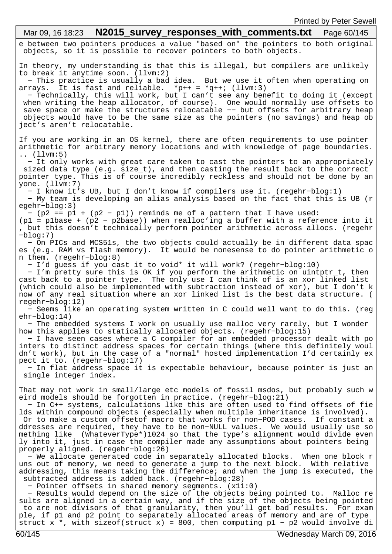e between two pointers produces a value "based on" the pointers to both original objects, so it is possible to recover pointers to both objects. In theory, my understanding is that this is illegal, but compilers are unlikely to break it anytime soon. (llvm:2) − This practice is usually a bad idea. But we use it often when operating on arrays. It is fast and reliable. \*p++ = \*q++; (llvm:3) − Technically, this will work, but I can't see any benefit to doing it (except when writing the heap allocator, of course). One would normally use offsets to save space or make the structures relocatable -- but offsets for arbitrary heap objects would have to be the same size as the pointers (no savings) and heap ob ject's aren't relocatable. If you are working in an OS kernel, there are often requirements to use pointer arithmetic for arbitrary memory locations and with knowledge of page boundaries. .. (llvm:5) − It only works with great care taken to cast the pointers to an appropriately sized data type (e.g. size\_t), and then casting the result back to the correct pointer type. This is of course incredibly reckless and should not be done by an yone. (llvm:7) − I know it's UB, but I don't know if compilers use it. (regehr−blog:1) − My team is developing an alias analysis based on the fact that this is UB (r egehr−blog:3)  $-p2 = p1 + (p2 - p1)$  reminds me of a pattern that I have used: (p1 = p1base + (p2 − p2base)) when realloc'ing a buffer with a reference into it , but this doesn't technically perform pointer arithmetic across allocs. (regehr −blog:7) − On PICs and MCS51s, the two objects could actually be in different data spac es (e.g. RAM vs flash memory). It would be nonesense to do pointer arithmetic o n them. (regehr−blog:8) − I'd guess if you cast it to void\* it will work? (regehr−blog:10) − I'm pretty sure this is OK if you perform the arithmetic on uintptr\_t, then cast back to a pointer type. The only use I can think of is an xor linked list (which could also be implemented with subtraction instead of xor), but I don't k now of any real situation where an xor linked list is the best data structure. ( regehr−blog:12) − Seems like an operating system written in C could well want to do this. (reg ehr−blog:14) − The embedded systems I work on usually use malloc very rarely, but I wonder how this applies to statically allocated objects. (regehr−blog:15) − I have seen cases where a C compiler for an embedded processor dealt with po inters to distinct address spaces for certain things (where this definitely woul dn't work), but in the case of a "normal" hosted implementation I'd certainly ex pect it to. (regehr−blog:17) − In flat address space it is expectable behaviour, because pointer is just an single integer index. That may not work in small/large etc models of fossil msdos, but probably such w eird models should be forgotten in practice. (regehr−blog:21) − In C++ systems, calculations like this are often used to find offsets of fie lds within compound objects (especially when multiple inheritance is involved). Or to make a custom offsetof macro that works for non−POD cases. If constant a ddresses are required, they have to be non−NULL values. We would usually use so mething like (WhateverType\*)1024 so that the type's alignment would divide even ly into it, just in case the compiler made any assumptions about pointers being properly aligned. (regehr−blog:26) − We allocate generated code in separately allocated blocks. When one block r uns out of memory, we need to generate a jump to the next block. With relative addressing, this means taking the difference; and when the jump is executed, the subtracted address is added back. (regehr−blog:28) − Pointer offsets in shared memory segments. (x11:0) − Results would depend on the size of the objects being pointed to. Malloc re sults are aligned in a certain way, and if the size of the objects being pointed to are not divisors of that granularity, then you'll get bad results. For exam ple, if p1 and p2 point to separately allocated areas of memory and are of type struct x \*, with sizeof(struct x) = 800, then computing p1 - p2 would involve di Mar 09, 16 18:23 **N2015\_survey\_responses\_with\_comments.txt** Page 60/145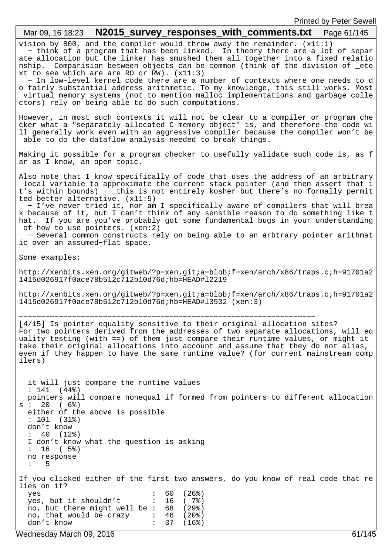| N2015_survey_responses_with_comments.txt    Page 61/145<br>Mar 09, 16 18:23                                                                                                                                                                                                                                                                                                                                                                                                                                                                                                                                                                                                                                  |
|--------------------------------------------------------------------------------------------------------------------------------------------------------------------------------------------------------------------------------------------------------------------------------------------------------------------------------------------------------------------------------------------------------------------------------------------------------------------------------------------------------------------------------------------------------------------------------------------------------------------------------------------------------------------------------------------------------------|
| vision by 800, and the compiler would throw away the remainder. $(x11:1)$<br>- think of a program that has been linked. In theory there are a lot of separ<br>ate allocation but the linker has smushed them all together into a fixed relatio<br>Comparision between objects can be common (think of the division of _ete<br>nship.<br>xt to see which are are RO or RW). $(x11:3)$<br>- In low-level kernel code there are a number of contexts where one needs to d<br>o fairly substantial address arithmetic. To my knowledge, this still works. Most<br>virtual memory systems (not to mention malloc implementations and garbage colle<br>ctors) rely on being able to do such computations.          |
| However, in most such contexts it will not be clear to a compiler or program che<br>cker what a "separately allocated C memory object" is, and therefore the code wi<br>11 generally work even with an aggressive compiler because the compiler won't be<br>able to do the dataflow analysis needed to break things.                                                                                                                                                                                                                                                                                                                                                                                         |
| Making it possible for a program checker to usefully validate such code is, as f<br>ar as I know, an open topic.                                                                                                                                                                                                                                                                                                                                                                                                                                                                                                                                                                                             |
| Also note that I know specifically of code that uses the address of an arbitrary<br>local variable to approximate the current stack pointer (and then assert that i<br>t's within bounds) -- this is not entirely kosher but there's no formally permit<br>ted better alternative. $(x11:5)$<br>- I've never tried it, nor am I specifically aware of compilers that will brea<br>k because of it, but I can't think of any sensible reason to do something like t<br>hat. If you are you've probably got some fundamental bugs in your understanding<br>of how to use pointers. (xen:2)<br>- Several common constructs rely on being able to an arbtrary pointer arithmat<br>ic over an assumed-flat space. |
| Some examples:                                                                                                                                                                                                                                                                                                                                                                                                                                                                                                                                                                                                                                                                                               |
| http://xenbits.xen.org/gitweb/?p=xen.git;a=blob;f=xen/arch/x86/traps.c;h=91701a2<br>1415d026917f0ace78b512c712b10d76d;hb=HEAD#12219                                                                                                                                                                                                                                                                                                                                                                                                                                                                                                                                                                          |
| http://xenbits.xen.org/gitweb/?p=xen.git;a=blob;f=xen/arch/x86/traps.c;h=91701a2<br>1415d026917f0ace78b512c712b10d76d;hb=HEAD#13532 (xen:3)                                                                                                                                                                                                                                                                                                                                                                                                                                                                                                                                                                  |
| [4/15] Is pointer equality sensitive to their original allocation sites?<br>For two pointers derived from the addresses of two separate allocations, will eq<br>uality testing (with ==) of them just compare their runtime values, or might it<br>take their original allocations into account and assume that they do not alias,<br>even if they happen to have the same runtime value? (for current mainstream comp<br>ilers)                                                                                                                                                                                                                                                                             |
| it will just compare the runtime values                                                                                                                                                                                                                                                                                                                                                                                                                                                                                                                                                                                                                                                                      |
| : 141<br>(44%)<br>pointers will compare nonequal if formed from pointers to different allocation<br>20<br>( 6%)<br>$s\; :$<br>either of the above is possible<br>: 101<br>(31%)<br>don't know<br>40 (12%)<br>I don't know what the question is asking<br>16 (5%)<br>$\ddot{\phantom{a}}$<br>no response<br>5<br>$\ddot{\phantom{a}}$                                                                                                                                                                                                                                                                                                                                                                         |
| If you clicked either of the first two answers, do you know of real code that re<br>lies on it?                                                                                                                                                                                                                                                                                                                                                                                                                                                                                                                                                                                                              |
| 60<br>$(26$ $)$<br>yes<br>yes, but it shouldn't<br>16<br>(7%)                                                                                                                                                                                                                                                                                                                                                                                                                                                                                                                                                                                                                                                |
| no, but there might well be :<br>68<br>(29%)<br>no, that would be crazy<br>46<br>$(20$ $)$<br>37<br>don't know<br>$(16$ $)$                                                                                                                                                                                                                                                                                                                                                                                                                                                                                                                                                                                  |
| Wednesday March 09, 2016<br>61/145                                                                                                                                                                                                                                                                                                                                                                                                                                                                                                                                                                                                                                                                           |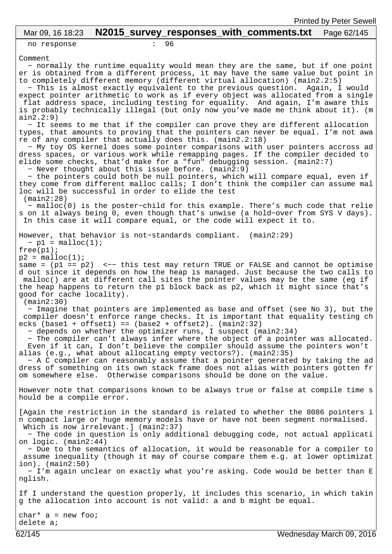# Mar 09, 16 18:23 **N2015\_survey\_responses\_with\_comments.txt** Page 62/145

no response : 96

Comment

 − normally the runtime equality would mean they are the same, but if one point er is obtained from a different process, it may have the same value but point in to completely different memory (different virtual allocation) (main2.2:5) − This is almost exactly equivalent to the previous question. Again, I would expect pointer arithmetic to work as if every object was allocated from a single flat address space, including testing for equality. And again, I'm aware this is probably technically illegal (but only now you've made me think about it). (m ain2.2:9) − It seems to me that if the compiler can prove they are different allocation types, that amounts to proving that the pointers can never be equal. I'm not awa re of any compiler that actually does this. (main2.2:18) − My toy OS kernel does some pointer comparisons with user pointers accross ad dress spaces, or various work while remapping pages. If the compiler decided to elide some checks, that'd make for a "fun" debugging session. (main2:7) − Never thought about this issue before. (main2:9) − the pointers could both be null pointers, which will compare equal, even if they come from different malloc calls; I don't think the compiler can assume mal loc will be successful in order to elide the test (main2:28) − malloc(0) is the poster−child for this example. There's much code that relie s on it always being 0, even though that's unwise (a hold−over from SYS V days). In this case it will compare equal, or the code will expect it to. However, that behavior is not−standards compliant. (main2:29)  $-p1 = \text{malloc}(1)$ ;  $free(p1);$  $p2 = \text{malloc}(1);$ same = (p1 == p2) <-- this test may return TRUE or FALSE and cannot be optimise d out since it depends on how the heap is managed. Just because the two calls to malloc() are at different call sites the pointer values may be the same (eg if the heap happens to return the p1 block back as p2, which it might since that's good for cache locality). (main2:30) − Imagine that pointers are implemented as base and offset (see No 3), but the compiler doesn't enforce range checks. It is important that equality testing ch  $ecks$  (base1 + offset1) == (base2 + offset2). (main2:32) − depends on whether the optimizer runs, I suspect (main2:34) − The compiler can't always infer where the object of a pointer was allocated. Even if it can, I don't believe the compiler should assume the pointers won't alias (e.g., what about allocating empty vectors?). (main2:35) − A C compiler can reasonably assume that a pointer generated by taking the ad dress of something on its own stack frame does not alias with pointers gotten fr om somewhere else. Otherwise comparisons should be done on the value. However note that comparisons known to be always true or false at compile time s hould be a compile error. [Again the restriction in the standard is related to whether the 8086 pointers i n compact large or huge memory models have or have not been segment normalised. Which is now irrelevant.] (main2:37) − The code in question is only additional debugging code, not actual applicati on logic. (main2:44) − Due to the semantics of allocation, it would be reasonable for a compiler to assume inequality (though it may of course compare them e.g. at lower optimizat ion). (main2:50) − I'm again unclear on exactly what you're asking. Code would be better than E nglish. If I understand the question properly, it includes this scenario, in which takin g the allocation into account is not valid: a and b might be equal.  $char* a = new foo;$ 

delete a;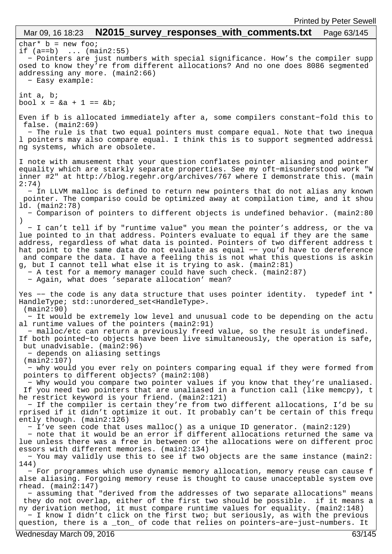#### $char*$  b = new foo; if  $(a == b)$  ...  $(main2:55)$  − Pointers are just numbers with special significance. How's the compiler supp osed to know they're from different allocations? And no one does 8086 segmented addressing any more. (main2:66) − Easy example: int a, b; bool  $x = 6a + 1 = 6b$ ; Even if b is allocated immediately after a, some compilers constant−fold this to false. (main2:69) − The rule is that two equal pointers must compare equal. Note that two inequa l pointers may also compare equal. I think this is to support segmented addressi ng systems, which are obsolete. I note with amusement that your question conflates pointer aliasing and pointer equality which are starkly separate properties. See my oft−misunderstood work "W inner #2" at http://blog.regehr.org/archives/767 where I demonstrate this. (main 2:74) − In LLVM malloc is defined to return new pointers that do not alias any known pointer. The compariso could be optimized away at compilation time, and it shou ld. (main2:78) − Comparison of pointers to different objects is undefined behavior. (main2:80 ) − I can't tell if by "runtime value" you mean the pointer's address, or the va lue pointed to in that address. Pointers evaluate to equal if they are the same address, regardless of what data is pointed. Pointers of two different address t hat point to the same data do not evaluate as equal −− you'd have to dereference and compare the data. I have a feeling this is not what this questions is askin g, but I cannot tell what else it is trying to ask. (main2:81) − A test for a memory manager could have such check. (main2:87) − Again, what does 'separate allocation' mean? Yes -- the code is any data structure that uses pointer identity. typedef int \* HandleType; std::unordered\_set<HandleType>. (main2:90) − It would be extremely low level and unusual code to be depending on the actu al runtime values of the pointers (main2:91) − malloc/etc can return a previously freed value, so the result is undefined. If both pointed−to objects have been live simultaneously, the operation is safe, but unadvisable. (main2:96) − depends on aliasing settings (main2:107) − why would you ever rely on pointers comparing equal if they were formed from pointers to different objects? (main2:108) − Why would you compare two pointer values if you know that they're unaliased. If you need two pointers that are unaliased in a function call (like memcpy), t he restrict keyword is your friend. (main2:121) − If the compiler is certain they're from two different allocations, I'd be su rprised if it didn't optimize it out. It probably can't be certain of this frequ ently though. (main2:126) − I've seen code that uses malloc() as a unique ID generator. (main2:129) − note that it would be an error if different allocations returned the same va lue unless there was a free in between or the allocations were on different proc essors with different memories. (main2:134) − You may validly use this to see if two objects are the same instance (main2: 144) − For programmes which use dynamic memory allocation, memory reuse can cause f alse aliasing. Forgoing memory reuse is thought to cause unacceptable system ove rhead. (main2:147) − assuming that "derived from the addresses of two separate allocations" means they do not overlap, either of the first two should be possible. if it means a ny derivation method, it must compare runtime values for equality. (main2:148) − I know I didn't click on the first two; but seriously, as with the previous question, there is a \_ton\_ of code that relies on pointers−are−just−numbers. It Mar 09, 16 18:23 **N2015\_survey\_responses\_with\_comments.txt** Page 63/145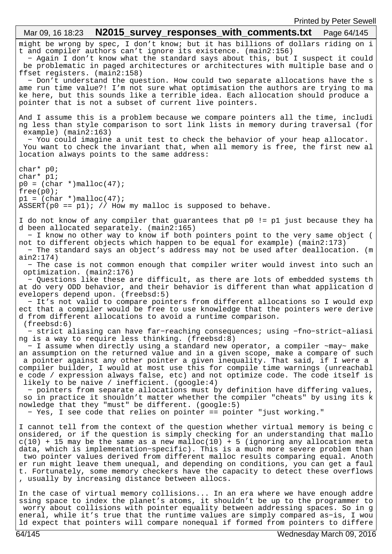might be wrong by spec, I don't know; but it has billions of dollars riding on i t and compiler authors can't ignore its existence. (main2:156) − Again I don't know what the standard says about this, but I suspect it could be problematic in paged architectures or architectures with multiple base and o ffset registers. (main2:158) − Don't understand the question. How could two separate allocations have the s ame run time value?! I'm not sure what optimisation the authors are trying to ma ke here, but this sounds like a terrible idea. Each allocation should produce a pointer that is not a subset of current live pointers. And I assume this is a problem because we compare pointers all the time, includi ng less than style comparison to sort link lists in memory during traversal (for example) (main2:163) − You could imagine a unit test to check the behavior of your heap allocator. You want to check the invariant that, when all memory is free, the first new al location always points to the same address: char\* p0; char\* p1;  $p0 = (char *)*mathb>mathb>*$  $free(p0);$  $p1 = (char *'){malloc}(47);$  $ASSERT(p0 == p1); // How my malloc is supposed to behave.$ I do not know of any compiler that guarantees that p0 != p1 just because they ha d been allocated separately. (main2:165) − I know no other way to know if both pointers point to the very same object ( not to different objects which happen to be equal for example) (main2:173) − The standard says an object's address may not be used after deallocation. (m ain2:174) − The case is not common enough that compiler writer would invest into such an optimization. (main2:176) − Questions like these are difficult, as there are lots of embedded systems th at do very ODD behavior, and their behavior is different than what application d evelopers depend upon. (freebsd:5) − It's not valid to compare pointers from different allocations so I would exp ect that a compiler would be free to use knowledge that the pointers were derive d from different allocations to avoid a runtime comparison. (freebsd:6) − strict aliasing can have far−reaching consequences; using −fno−strict−aliasi ng is a way to require less thinking. (freebsd:8) − I assume when directly using a standard new operator, a compiler ~may~ make an assumption on the returned value and in a given scope, make a compare of such a pointer against any other pointer a given inequality. That said, if I were a compiler builder, I would at most use this for compile time warnings (unreachabl e code / expression always false, etc) and not optimize code. The code itself is likely to be naive / inefficient. (google:4) − pointers from separate allocations must by definition have differing values, so in practice it shouldn't matter whether the compiler "cheats" by using its k nowledge that they "must" be different. (google:5) − Yes, I see code that relies on pointer == pointer "just working." I cannot tell from the context of the question whether virtual memory is being c onsidered, or if the question is simply checking for an understanding that mallo  $c(10)$  + 15 may be the same as a new malloc(10) + 5 (ignoring any allocation meta data, which is implementation−specific). This is a much more severe problem than two pointer values derived from different malloc results comparing equal. Anoth er run might leave them unequal, and depending on conditions, you can get a faul t. Fortunately, some memory checkers have the capacity to detect these overflows , usually by increasing distance between allocs. In the case of virtual memory collisions... In an era where we have enough addre ssing space to index the planet's atoms, it shouldn't be up to the programmer to worry about collisions with pointer equality between addressing spaces. So in g eneral, while it's true that the runtime values are simply compared as−is, I wou ld expect that pointers will compare nonequal if formed from pointers to differe Mar 09, 16 18:23 **N2015 survey responses with comments.txt** Page 64/145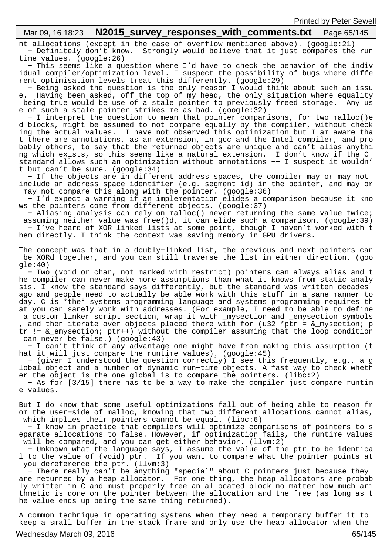# Mar 09, 16 18:23 **N2015 survey responses with comments.txt** Page 65/145

nt allocations (except in the case of overflow mentioned above). (google:21) − Definitely don't know. Strongly would believe that it just compares the run time values. (google:26)

 − This seems like a question where I'd have to check the behavior of the indiv idual compiler/optimization level. I suspect the possibility of bugs where diffe rent optimisation levels treat this differently. (google:29)

 − Being asked the question is the only reason I would think about such an issu e. Having been asked, off the top of my head, the only situation where equality being true would be use of a stale pointer to previously freed storage. Any us e of such a stale pointer strikes me as bad. (google:32)

 − I interpret the question to mean that pointer comparisons, for two malloc()e d blocks, might be assumed to not compare equally by the compiler, without check ing the actual values. I have not observed this optimization but I am aware tha t there are annotations, as an extension, in gcc and the Intel compiler, and pro bably others, to say that the returned objects are unique and can't alias anythi ng which exists, so this seems like a natural extension. I don't know if the C standard allows such an optimization without annotations −− I suspect it wouldn' t but can't be sure. (google:34)

 − If the objects are in different address spaces, the compiler may or may not include an address space identifier (e.g. segment id) in the pointer, and may or may not compare this along with the pointer. (google:36)

 − I'd expect a warning if an implementation elides a comparison because it kno ws the pointers come from different objects. (google:37)

 − Aliasing analysis can rely on malloc() never returning the same value twice; assuming neither value was free()d, it can elide such a comparison. (google:39) − I've heard of XOR linked lists at some point, though I haven't worked with t hem directly. I think the context was saving memory in GPU drivers.

The concept was that in a doubly−linked list, the previous and next pointers can be XORd together, and you can still traverse the list in either direction. (goo gle:40)

 − Two (void or char, not marked with restrict) pointers can always alias and t he compiler can never make more assumptions than what it knows from static analy sis. I know the standard says differently, but the standard was written decades ago and people need to actually be able work with this stuff in a sane manner to day. C is \*the\* systems programming language and systems programming requires th at you can sanely work with addresses. (For example, I need to be able to define a custom linker script section, wrap it with mysection and emysection symbols , and then iterate over objects placed there with for (u32 \*ptr =  $\&$  mysection; p tr != &\_emysection; ptr++) without the compiler assuming that the loop condition can never be false.) (google:43)

 − I can't think of any advantage one might have from making this assumption (t hat it will just compare the runtime values). (google:45)

 − (given I understood the question correctly) I see this frequently, e.g., a g lobal object and a number of dynamic run−time objects. A fast way to check wheth er the object is the one global is to compare the pointers. (libc:2)

 − As for [3/15] there has to be a way to make the compiler just compare runtim e values.

But I do know that some useful optimizations fall out of being able to reason fr om the user−side of malloc, knowing that two different allocations cannot alias, which implies their pointers cannot be equal. (libc:6)

 − I know in practice that compilers will optimize comparisons of pointers to s eparate allocations to false. However, if optimization fails, the runtime values will be compared, and you can get either behavior. (llvm:2)

 − Unknown what the language says, I assume the value of the ptr to be identica l to the value of (void) ptr. If you want to compare what the pointer points at you dereference the ptr. (llvm:3)

 − There really can't be anything "special" about C pointers just because they are returned by a heap allocator. For one thing, the heap allocators are probab ly written in C and must properly free an allocated block no matter how much ari thmetic is done on the pointer between the allocation and the free (as long as t he value ends up being the same thing returned).

A common technique in operating systems when they need a temporary buffer it to keep a small buffer in the stack frame and only use the heap allocator when the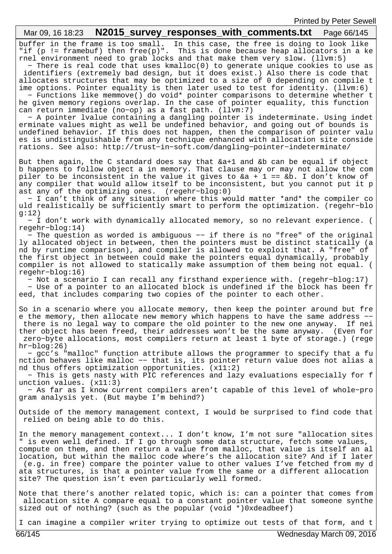#### buffer in the frame is too small. In this case, the free is doing to look like "if (p != framebuf) then free(p)". This is done because heap allocators in a ke rnel environment need to grab locks and that make them very slow. (llvm:5) − There is real code that uses kmalloc(0) to generate unique cookies to use as identifiers (extremely bad design, but it does exist.) Also there is code that allocates structures that may be optimized to a size of 0 depending on compile t ime options. Pointer equality is then later used to test for identity. (llvm:6) − Functions like memmove() do void\* pointer comparisons to determine whether t he given memory regions overlap. In the case of pointer equality, this function can return immediate (no−op) as a fast path. (llvm:7) − A pointer lvalue containing a dangling pointer is indeterminate. Using indet erminate values might as well be undefined behavior, and going out of bounds is undefined behavior. If this does not happen, then the comparison of pointer valu es is undistinguishable from any technique enhanced with allocation site conside rations. See also: http://trust−in−soft.com/dangling−pointer−indeterminate/ But then again, the C standard does say that &a+1 and &b can be equal if object b happens to follow object a in memory. That clause may or may not allow the com piler to be inconsistent in the value it gives to &a + 1 == &b. I don't know of any compiler that would allow itself to be inconsistent, but you cannot put it p ast any of the optimizing ones. (regehr−blog:0) − I can't think of any situation where this would matter \*and\* the compiler co uld realistically be sufficiently smart to perform the optimization. (regehr−blo  $q:12)$  − I don't work with dynamically allocated memory, so no relevant experience. ( regehr−blog:14) − The question as worded is ambiguous −− if there is no "free" of the original ly allocated object in between, then the pointers must be distinct statically (a nd by runtime comparison), and compiler is allowed to exploit that. A "free" of the first object in between could make the pointers equal dynamically, probably compiler is not allowed to statically make assumption of them being not equal. ( regehr−blog:16) − Not a scenario I can recall any firsthand experience with. (regehr−blog:17) − Use of a pointer to an allocated block is undefined if the block has been fr eed, that includes comparing two copies of the pointer to each other. So in a scenario where you allocate memory, then keep the pointer around but fre e the memory, then allocate new memory which happens to have the same address −− there is no legal way to compare the old pointer to the new one anyway. If nei ther object has been freed, their addresses won't be the same anyway. (Even for zero−byte allocations, most compilers return at least 1 byte of storage.) (rege hr−blog:26) − gcc's "malloc" function attribute allows the programmer to specify that a fu nction behaves like malloc −− that is, its pointer return value does not alias a nd thus offers optimization opportunities. (x11:2) − This is gets nasty with PIC references and lazy evaluations especially for f unction values. (x11:3) − As far as I know current compilers aren't capable of this level of whole−pro gram analysis yet. (But maybe I'm behind?) Outside of the memory management context, I would be surprised to find code that relied on being able to do this. In the memory management context... I don't know, I'm not sure "allocation sites " is even well defined. If I go through some data structure, fetch some values, compute on them, and then return a value from malloc, that value is itself an al location, but within the malloc code where's the allocation site? And if I later (e.g. in free) compare the pointer value to other values I've fetched from my d ata structures, is that a pointer value from the same or a different allocation site? The question isn't even particularly well formed. Note that there's another related topic, which is: can a pointer that comes from allocation site A compare equal to a constant pointer value that someone synthe sized out of nothing? (such as the popular (void \*)0xdeadbeef) Mar 09, 16 18:23 **N2015\_survey\_responses\_with\_comments.txt** Page 66/145

I can imagine a compiler writer trying to optimize out tests of that form, and t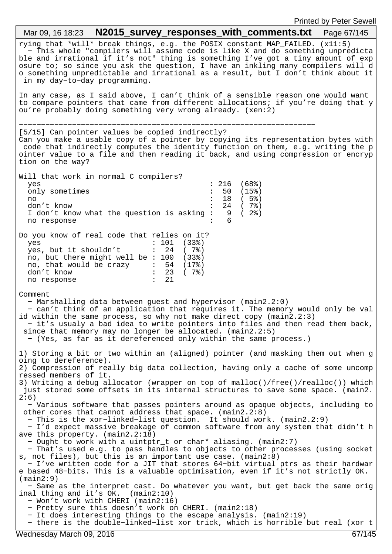rying that \*will\* break things, e.g. the POSIX constant MAP\_FAILED. (x11:5) − This whole "compilers will assume code is like X and do something unpredicta ble and irrational if it's not" thing is something I've got a tiny amount of exp osure to; so since you ask the question, I have an inkling many compilers will d o something unpredictable and irrational as a result, but I don't think about it in my day−to−day programming. In any case, as I said above, I can't think of a sensible reason one would want to compare pointers that came from different allocations; if you're doing that y ou're probably doing something very wrong already. (xen:2) −−−−−−−−−−−−−−−−−−−−−−−−−−−−−−−−−−−−−−−−−−−−−−−−−−−−−−−−−−−−−−−−−−− [5/15] Can pointer values be copied indirectly? Can you make a usable copy of a pointer by copying its representation bytes with code that indirectly computes the identity function on them, e.g. writing the p ointer value to a file and then reading it back, and using compression or encryp tion on the way? Will that work in normal C compilers? yes : 216 (68%) only sometimes : 50 (15%) no  $\frac{18}{18}$  (5%)<br>don't know : 24 (7%) don't know<br>I don't know what the question is asking : 9 ( 2%)<br>no response<br> $\cdot$ I don't know what the question is asking  $:$ no response Do you know of real code that relies on it? yes : 101 (33%)<br>yes, but it shouldn't : 24 (7%) yes, but it shouldn't no, but there might well be : 100 (33%) no, that would be crazy : 54 (17%) don't know  $\begin{array}{ccc} 1 & 23 & (78) \\ n0 & 1 & 21 \end{array}$ no response Comment − Marshalling data between guest and hypervisor (main2.2:0) − can't think of an application that requires it. The memory would only be val id within the same process, so why not make direct copy (main2.2:3) − it's usualy a bad idea to write pointers into files and then read them back, since that memory may no longer be allocated. (main2.2:5) − (Yes, as far as it dereferenced only within the same process.) 1) Storing a bit or two within an (aligned) pointer (and masking them out when g oing to dereference). 2) Compression of really big data collection, having only a cache of some uncomp ressed members of it. 3) Writing a debug allocator (wrapper on top of malloc()/free()/realloc()) which just stored some offsets in its internal structures to save some space. (main2.  $2:6)$  − Various software that passes pointers around as opaque objects, including to other cores that cannot address that space.  $(\text{main2.2:8})$  − This is the xor−linked−list question. It should work. (main2.2:9) − I'd expect massive breakage of common software from any system that didn't h ave this property. (main2.2:18) − Ought to work with a uintptr\_t or char\* aliasing. (main2:7) − That's used e.g. to pass handles to objects to other processes (using socket s, not files), but this is an important use case. (main2:8) − I've written code for a JIT that stores 64−bit virtual ptrs as their hardwar e based 48−bits. This is a valuable optimisation, even if it's not strictly OK. (main2:9) − Same as the interpret cast. Do whatever you want, but get back the same orig inal thing and it's OK. (main2:10) − Won't work with CHERI (main2:16) − Pretty sure this doesn't work on CHERI. (main2:18) − It does interesting things to the escape analysis. (main2:19) − there is the double−linked−list xor trick, which is horrible but real (xor t Mar 09, 16 18:23 **N2015\_survey\_responses\_with\_comments.txt** Page 67/145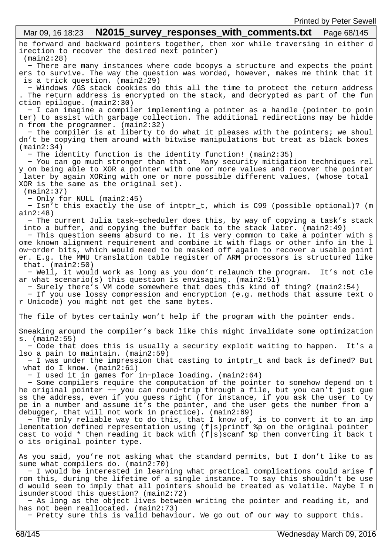he forward and backward pointers together, then xor while traversing in either d irection to recover the desired next pointer) (main2:28) − There are many instances where code bcopys a structure and expects the point ers to survive. The way the question was worded, however, makes me think that it is a trick question. (main2:29) − Windows /GS stack cookies do this all the time to protect the return address . The return address is encrypted on the stack, and decrypted as part of the fun ction epilogue. (main2:30) − I can imagine a compiler implementing a pointer as a handle (pointer to poin ter) to assist with garbage collection. The additional redirections may be hidde n from the programmer. (main2:32) − the compiler is at liberty to do what it pleases with the pointers; we shoul dn't be copying them around with bitwise manipulations but treat as black boxes (main2:34) − The identity function is the identity function! (main2:35) − You can go much stronger than that. Many security mitigation techniques rel y on being able to XOR a pointer with one or more values and recover the pointer later by again XORing with one or more possible different values, (whose total XOR is the same as the original set). (main2:37) − Only for NULL (main2:45) − Isn't this exactly the use of intptr\_t, which is C99 (possible optional)? (m ain2:48) − The current Julia task−scheduler does this, by way of copying a task's stack into a buffer, and copying the buffer back to the stack later. (main2:49) − This question seems absurd to me. It is very common to take a pointer with s ome known alignment requirement and combine it with flags or other info in the l ow−order bits, which would need to be masked off again to recover a usable point er. E.g. the MMU translation table register of ARM processors is structured like that. (main2:50) − Well, it would work as long as you don't relaunch the program. It's not cle ar what scenario(s) this question is envisaging. (main2:51) − Surely there's VM code somewhere that does this kind of thing? (main2:54) − If you use lossy compression and encryption (e.g. methods that assume text o r Unicode) you might not get the same bytes. The file of bytes certainly won't help if the program with the pointer ends. Sneaking around the compiler's back like this might invalidate some optimization s. (main2:55) − Code that does this is usually a security exploit waiting to happen. It's a lso a pain to maintain. (main2:59) − I was under the impression that casting to intptr\_t and back is defined? But what do I know. (main2:61) − I used it in games for in−place loading. (main2:64) − Some compilers require the computation of the pointer to somehow depend on t he original pointer −− you can round−trip through a file, but you can't just gue ss the address, even if you guess right (for instance, if you ask the user to ty pe in a number and assume it's the pointer, and the user gets the number from a debugger, that will not work in practice). (main2:69) − The only reliable way to do this, that I know of, is to convert it to an imp lementation defined representation using  $(f|s)$ printf  $s$ p on the original pointer cast to void \* then reading it back with  $(f|s)$  scanf  $sp$  then converting it back t o its original pointer type. As you said, you're not asking what the standard permits, but I don't like to as sume what compilers do. (main2:70) − I would be interested in learning what practical complications could arise f rom this, during the lifetime of a single instance. To say this shouldn't be use d would seem to imply that all pointers should be treated as volatile. Maybe I m isunderstood this question? (main2:72) − As long as the object lives between writing the pointer and reading it, and has not been reallocated. (main2:73) − Pretty sure this is valid behaviour. We go out of our way to support this. Mar 09, 16 18:23 **N2015\_survey\_responses\_with\_comments.txt** Page 68/145 68/145 Wednesday March 09, 2016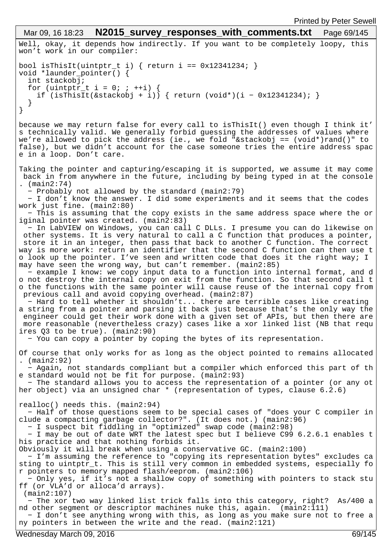```
Well, okay, it depends how indirectly. If you want to be completely loopy, this
won't work in our compiler:
bool isThisIt(uintptr_t i) { return i == 0x12341234; }
void *launder_pointer() {
   int stackobj;
for (uintptr_t i = 0; ; ++i) {
 if (isThisIt(&stackobj + i)) { return (void*)(i − 0x12341234); }
   }
}
because we may return false for every call to isThisIt() even though I think it'
s technically valid. We generally forbid guessing the addresses of values where 
we're allowed to pick the address (ie., we fold "&stackobj == (void*)rand()" to 
false), but we didn't account for the case someone tries the entire address spac
e in a loop. Don't care.
Taking the pointer and capturing/escaping it is supported, we assume it may come
 back in from anywhere in the future, including by being typed in at the console
 . (main2:74)
   − Probably not allowed by the standard (main2:79)
   − I don't know the answer. I did some experiments and it seems that the codes 
work just fine. (main2:80)
   − This is assuming that the copy exists in the same address space where the or
iginal pointer was created. (main2:83)
   − In LabVIEW on Windows, you can call C DLLs. I presume you can do likewise on
  other systems. It is very natural to call a C function that produces a pointer,
 store it in an integer, then pass that back to another C function. The correct
way is more work: return an identifier that the second C function can then use t
o look up the pointer. I've seen and written code that does it the right way; I 
may have seen the wrong way, but can't remember. (main2:85)
 − example I know: we copy input data to a function into internal format, and d
o not destroy the internal copy on exit from the function. So that second call t
o the functions with the same pointer will cause reuse of the internal copy from
 previous call and avoid copying overhead. (main2:87)
   − Hard to tell whether it shouldn't... there are terrible cases like creating 
a string from a pointer and parsing it back just because that's the only way the
 engineer could get their work done with a given set of APIs, but then there are
 more reasonable (nevertheless crazy) cases like a xor linked list (NB that requ
ires Q3 to be true). (main2:90)
   − You can copy a pointer by coping the bytes of its representation.
Of course that only works for as long as the object pointed to remains allocated
. (main2:92)
   − Again, not standards compliant but a compiler which enforced this part of th
e standard would not be fit for purpose. (main2:93)
   − The standard allows you to access the representation of a pointer (or any ot
her object) via an unsigned char * (representation of types, clause 6.2.6)
realloc() needs this. (main2:94)
   − Half of those questions seem to be special cases of "does your C compiler in
clude a compacting garbage collector?". (It does not.) (main2:96)
   − I suspect bit fiddling in "optimized" swap code (main2:98)
   − I may be out of date WRT the latest spec but I believe C99 6.2.6.1 enables t
his practice and that nothing forbids it.
Obviously it will break when using a conservative GC. (main2:100)
   − I'm assuming the reference to "copying its representation bytes" excludes ca
sting to uintptr_t. This is still very common in embedded systems, especially fo
r pointers to memory mapped flash/eeprom. (main2:106)
   − Only yes, if it's not a shallow copy of something with pointers to stack stu
ff (or VLA'd or alloca'd arrays).
  (main2:107)
   − The xor two way linked list trick falls into this category, right? As/400 a
nd other segment or descriptor machines nuke this, again. (main2:111)
  − I don't see anything wrong with this, as long as you make sure not to free a
ny pointers in between the write and the read. (main2:121)
 Mar 09, 16 18:23 N2015_survey responses with comments.txt Page 69/145
```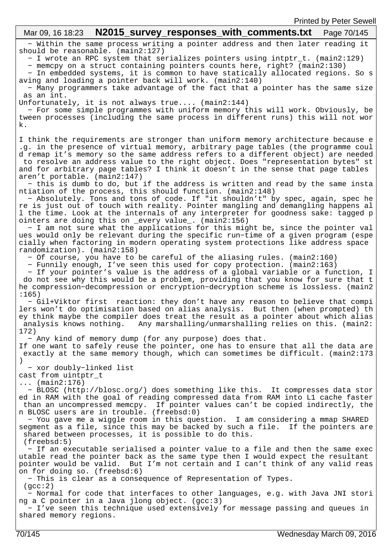| Printed by Peter Sewell                                                                                                                                                                                                                                                                                                                                                                                                                                        |  |
|----------------------------------------------------------------------------------------------------------------------------------------------------------------------------------------------------------------------------------------------------------------------------------------------------------------------------------------------------------------------------------------------------------------------------------------------------------------|--|
| Mar 09, 16 18:23                                                                                                                                                                                                                                                                                                                                                                                                                                               |  |
| - Within the same process writing a pointer address and then later reading it<br>should be reasonable. (main2:127)<br>- I wrote an RPC system that serializes pointers using intptr_t. (main2:129)                                                                                                                                                                                                                                                             |  |
| - memcpy on a struct containing pointers counts here, right? (main2:130)<br>- In embedded systems, it is common to have statically allocated regions. So s<br>aving and loading a pointer back will work. (main2:140)                                                                                                                                                                                                                                          |  |
| - Many programmers take advantage of the fact that a pointer has the same size<br>as an int.<br>Unfortunately, it is not always true (main2:144)                                                                                                                                                                                                                                                                                                               |  |
| - For some simple programmes with uniform memory this will work. Obviously, be<br>tween processes (including the same process in different runs) this will not wor<br>k.                                                                                                                                                                                                                                                                                       |  |
| I think the requirements are stronger than uniform memory architecture because e<br>.g. in the presence of virtual memory, arbitrary page tables (the programme coul<br>d remap it's memory so the same address refers to a different object) are needed<br>to resolve an address value to the right object. Does "representation bytes" st<br>and for arbitrary page tables? I think it doesn't in the sense that page tables<br>aren't portable. (main2:147) |  |
| - this is dumb to do, but if the address is written and read by the same insta<br>ntiation of the process, this should function. (main2:148)<br>- Absolutely. Tons and tons of code. If "it shouldn't" by spec, again, spec he<br>re is just out of touch with reality. Pointer mangling and demangling happens al<br>1 the time. Look at the internals of any interpreter for goodness sake: tagged p                                                         |  |
| ointers are doing this on _every value_. (main2:156)<br>- I am not sure what the applications for this might be, since the pointer val<br>ues would only be relevant during the specific run-time of a given program (espe<br>cially when factoring in modern operating system protections like address space<br>randomization). (main2:158)                                                                                                                   |  |
| - Of course, you have to be careful of the aliasing rules. (main2:160)<br>- Funnily enough, I've seen this used for copy protection. (main2:163)<br>- If your pointer's value is the address of a global variable or a function, I<br>do not see why this would be a problem, providing that you know for sure that t<br>he compression-decompression or encryption-decryption scheme is lossless. (main2<br>:165)                                             |  |
| - Gil+Viktor first reaction: they don't have any reason to believe that compi<br>lers won't do optimisation based on alias analysis. But then (when prompted) th<br>ey think maybe the compiler does treat the result as a pointer about which alias<br>analysis knows nothing. Any marshalling/unmarshalling relies on this. (main2:<br>172)                                                                                                                  |  |
| - Any kind of memory dump (for any purpose) does that.<br>If one want to safely reuse the pointer, one has to ensure that all the data are<br>exactly at the same memory though, which can sometimes be difficult. (main2:173                                                                                                                                                                                                                                  |  |
| - xor doubly-linked list<br>cast from uintptr_t<br>$(main2:176)$                                                                                                                                                                                                                                                                                                                                                                                               |  |
| - BLOSC (http://blosc.org/) does something like this. It compresses data stor<br>ed in RAM with the goal of reading compressed data from RAM into L1 cache faster<br>than an uncompressed memcpy. If pointer values can't be copied indirectly, the<br>n BLOSC users are in trouble. (freebsd:0)                                                                                                                                                               |  |
| - You gave me a wiggle room in this question. I am considering a mmap SHARED<br>segment as a file, since this may be backed by such a file. If the pointers are<br>shared between processes, it is possible to do this.<br>(freebsd:5)                                                                                                                                                                                                                         |  |
| - If an executable serialised a pointer value to a file and then the same exec<br>utable read the pointer back as the same type then I would expect the resultant<br>pointer would be valid. But I'm not certain and I can't think of any valid reas<br>on for doing so. (freebsd:6)                                                                                                                                                                           |  |
| - This is clear as a consequence of Representation of Types.<br>(gcc:2)<br>- Normal for code that interfaces to other languages, e.g. with Java JNI stori                                                                                                                                                                                                                                                                                                      |  |
| ng a C pointer in a Java jlong object. (gcc:3)<br>- I've seen this technique used extensively for message passing and queues in<br>shared memory regions.                                                                                                                                                                                                                                                                                                      |  |
|                                                                                                                                                                                                                                                                                                                                                                                                                                                                |  |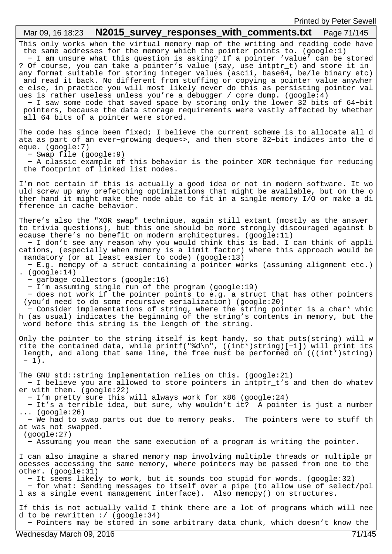## This only works when the virtual memory map of the writing and reading code have the same addresses for the memory which the pointer points to. (google:1) − I am unsure what this question is asking? If a pointer 'value' can be stored ? Of course, you can take a pointer's value (say, use intptr\_t) and store it in any format suitable for storing integer values (ascii, base64, be/le binary etc) and read it back. No different from stuffing or copying a pointer value anywher e else, in practice you will most likely never do this as persisting pointer val ues is rather useless unless you're a debugger / core dump. (google:4) − I saw some code that saved space by storing only the lower 32 bits of 64−bit pointers, because the data storage requirements were vastly affected by whether all 64 bits of a pointer were stored. The code has since been fixed; I believe the current scheme is to allocate all d ata as part of an ever−growing deque<>, and then store 32−bit indices into the d eque. (google:7) − Swap file (google:9) − A classic example of this behavior is the pointer XOR technique for reducing the footprint of linked list nodes. I'm not certain if this is actually a good idea or not in modern software. It wo uld screw up any prefetching optimizations that might be available, but on the o ther hand it might make the node able to fit in a single memory I/O or make a di fference in cache behavior. There's also the "XOR swap" technique, again still extant (mostly as the answer to trivia questions), but this one should be more strongly discouraged against b ecause there's no benefit on modern architectures. (google:11) − I don't see any reason why you would think this is bad. I can think of appli cations, (especially when memory is a limit factor) where this approach would be mandatory (or at least easier to code) (google:13) − E.g. memcpy of a struct containing a pointer works (assuming alignment etc.) . (google:14) − garbage collectors (google:16) − I'm assuming single run of the program (google:19) − does not work if the pointer points to e.g. a struct that has other pointers (you'd need to do some recursive serialization) (google:20) − Consider implementations of string, where the string pointer is a char\* whic h (as usual) indicates the beginning of the string's contents in memory, but the word before this string is the length of the string. Only the pointer to the string itself is kept handy, so that puts(string) will w rite the contained data, while printf("%d\n", ((int\*)string)[−1]) will print its length, and along that same line, the free must be performed on (((int\*)string) − 1). The GNU std::string implementation relies on this. (google:21) − I believe you are allowed to store pointers in intptr\_t's and then do whatev er with them. (google:22) − I'm pretty sure this will always work for x86 (google:24) − It's a terrible idea, but sure, why wouldn't it? A pointer is just a number ... (google:26) − We had to swap parts out due to memory peaks. The pointers were to stuff th at was not swapped. (google:27) − Assuming you mean the same execution of a program is writing the pointer. I can also imagine a shared memory map involving multiple threads or multiple pr ocesses accessing the same memory, where pointers may be passed from one to the other. (google:31) − It seems likely to work, but it sounds too stupid for words. (google:32) − for what: Sending messages to itself over a pipe (to allow use of select/pol l as a single event management interface). Also memcpy() on structures. If this is not actually valid I think there are a lot of programs which will nee d to be rewritten :/ (google:34) − Pointers may be stored in some arbitrary data chunk, which doesn't know the Mar 09, 16 18:23 **N2015 survey responses with comments.txt** Page 71/145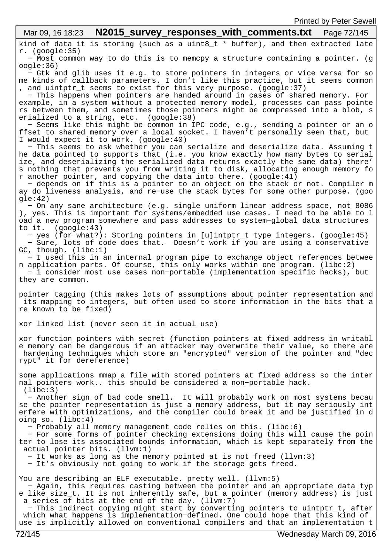kind of data it is storing (such as a uint8\_t \* buffer), and then extracted late r. (google:35) − Most common way to do this is to memcpy a structure containing a pointer. (g oogle:36) − Gtk and glib uses it e.g. to store pointers in integers or vice versa for so me kinds of callback parameters. I don't like this practice, but it seems common , and uintptr\_t seems to exist for this very purpose. (google:37) − This happens when pointers are handed around in cases of shared memory. For example, in a system without a protected memory model, processes can pass pointe rs between them, and sometimes those pointers might be compressed into a blob, s erialized to a string, etc. (google:38) − Seems like this might be common in IPC code, e.g., sending a pointer or an o ffset to shared memory over a local socket. I haven't personally seen that, but I would expect it to work. (google:40) − This seems to ask whether you can serialize and deserialize data. Assuming t he data pointed to supports that (i.e. you know exactly how many bytes to serial ize, and deserializing the serialized data returns exactly the same data) there' s nothing that prevents you from writing it to disk, allocating enough memory fo r another pointer, and copying the data into there. (google:41) − depends on if this is a pointer to an object on the stack or not. Compiler m ay do liveness analysis, and re−use the stack bytes for some other purpose. (goo  $qle:42)$  − On any sane architecture (e.g. single uniform linear address space, not 8086 ), yes. This is important for systems/embedded use cases. I need to be able to l oad a new program somewhere and pass addresses to system−global data structures to it. (google:43) − yes (for what?): Storing pointers in [u]intptr\_t type integers. (google:45) − Sure, lots of code does that. Doesn't work if you are using a conservative GC, though. (libc:1) − I used this in an internal program pipe to exchange object references betwee n application parts. Of course, this only works within one program. (libc:2) − i consider most use cases non−portable (implementation specific hacks), but they are common. pointer tagging (this makes lots of assumptions about pointer representation and its mapping to integers, but often used to store information in the bits that a re known to be fixed) xor linked list (never seen it in actual use) xor function pointers with secret (function pointers at fixed address in writabl e memory can be dangerous if an attacker may overwrite their value, so there are hardening techniques which store an "encrypted" version of the pointer and "dec rypt" it for dereference) some applications mmap a file with stored pointers at fixed address so the inter nal pointers work.. this should be considered a non−portable hack. (libc:3) − Another sign of bad code smell. It will probably work on most systems becau se the pointer representation is just a memory address, but it may seriously int erfere with optimizations, and the compiler could break it and be justified in d oing so. (libc:4) − Probably all memory management code relies on this. (libc:6) − For some forms of pointer checking extensions doing this will cause the poin ter to lose its associated bounds information, which is kept separately from the actual pointer bits. (llvm:1) − It works as long as the memory pointed at is not freed (llvm:3) − It's obviously not going to work if the storage gets freed. You are describing an ELF executable. pretty well. (llvm:5) − Again, this requires casting between the pointer and an appropriate data typ e like size\_t. It is not inherently safe, but a pointer (memory address) is just a series of bits at the end of the day. (llvm:7) − This indirect copying might start by converting pointers to uintptr\_t, after which what happens is implementation−defined. One could hope that this kind of use is implicitly allowed on conventional compilers and that an implementation t Mar 09, 16 18:23 **N2015 survey responses with comments.txt** Page 72/145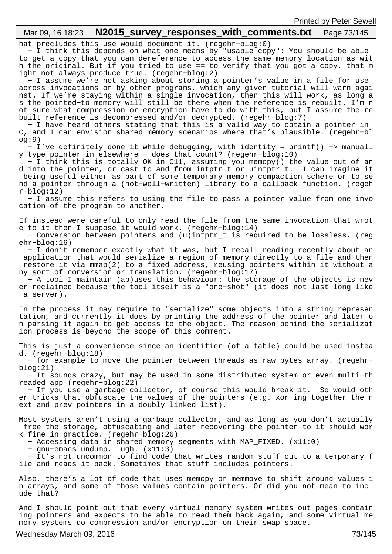| N2015_survey_responses_with_comments.txt<br>Mar 09, 16 18:23<br>Page 73/145                                                                                                                                                                                                                                                                                                                                                                                                                                                                                                                                                                                                                                                                                                                                                                                                                                                                                                                                                                             |
|---------------------------------------------------------------------------------------------------------------------------------------------------------------------------------------------------------------------------------------------------------------------------------------------------------------------------------------------------------------------------------------------------------------------------------------------------------------------------------------------------------------------------------------------------------------------------------------------------------------------------------------------------------------------------------------------------------------------------------------------------------------------------------------------------------------------------------------------------------------------------------------------------------------------------------------------------------------------------------------------------------------------------------------------------------|
| hat precludes this use would document it. (regehr-blog:0)<br>- I think this depends on what one means by "usable copy": You should be able<br>to get a copy that you can dereference to access the same memory location as wit<br>h the original. But if you tried to use == to verify that you got a copy, that m<br>ight not always produce true. (regehr-blog:2)<br>- I assume we're not asking about storing a pointer's value in a file for use<br>across invocations or by other programs, which any given tutorial will warn agai<br>nst. If we're staying within a single invocation, then this will work, as long a<br>s the pointed-to memory will still be there when the reference is rebuilt. I'm n<br>ot sure what compression or encryption have to do with this, but I assume the re<br>built reference is decompressed and/or decrypted. (regehr-blog:7)<br>- I have heard others stating that this is a valid way to obtain a pointer in<br>C, and I can envision shared memory scenarios where that's plausible. (regehr-bl<br>og:9) |
| - I've definitely done it while debugging, with identity = printf() -> manuall<br>y type pointer in elsewhere - does that count? (regehr-blog:10)<br>- I think this is totally OK in Cll, assuming you memcpy() the value out of an<br>d into the pointer, or cast to and from intptr_t or uintptr_t. I can imagine it<br>being useful either as part of some temporary memory compaction scheme or to se<br>nd a pointer through a (not-well-written) library to a callback function. (regeh<br>$r$ -blog:12)<br>- I assume this refers to using the file to pass a pointer value from one invo<br>cation of the program to another.                                                                                                                                                                                                                                                                                                                                                                                                                   |
| If instead were careful to only read the file from the same invocation that wrot<br>e to it then I suppose it would work. (regehr-blog:14)<br>- Conversion between pointers and (u)intptr_t is required to be lossless. (reg<br>$ehr-blog:16)$<br>- I don't remember exactly what it was, but I recall reading recently about an<br>application that would serialize a region of memory directly to a file and then<br>restore it via mmap(2) to a fixed address, reusing pointers within it without a<br>ny sort of conversion or translation. (regehr-blog:17)<br>- A tool I maintain (ab)uses this behaviour: the storage of the objects is nev<br>er reclaimed because the tool itself is a "one-shot" (it does not last long like<br>a server).                                                                                                                                                                                                                                                                                                    |
| In the process it may require to "serialize" some objects into a string represen<br>tation, and currently it does by printing the address of the pointer and later o<br>n parsing it again to get access to the object. The reason behind the serializat<br>ion process is beyond the scope of this comment.                                                                                                                                                                                                                                                                                                                                                                                                                                                                                                                                                                                                                                                                                                                                            |
| This is just a convenience since an identifier (of a table) could be used instea<br>d. $(regehr-blog:18)$<br>- for example to move the pointer between threads as raw bytes array. (regehr-<br>blog:21)<br>- It sounds crazy, but may be used in some distributed system or even multi-th<br>readed app (regehr-blog:22)<br>- If you use a garbage collector, of course this would break it. So would oth<br>er tricks that obfuscate the values of the pointers (e.g. xor-ing together the n<br>ext and prev pointers in a doubly linked list).                                                                                                                                                                                                                                                                                                                                                                                                                                                                                                        |
| Most systems aren't using a garbage collector, and as long as you don't actually<br>free the storage, obfuscating and later recovering the pointer to it should wor<br>k fine in practice. (regehr-blog:26)<br>- Accessing data in shared memory segments with MAP_FIXED. (x11:0)<br>- gnu-emacs undump. ugh. $(x11:3)$<br>- It's not uncommon to find code that writes random stuff out to a temporary f<br>ile and reads it back. Sometimes that stuff includes pointers.                                                                                                                                                                                                                                                                                                                                                                                                                                                                                                                                                                             |
| Also, there's a lot of code that uses memcpy or memmove to shift around values i<br>n arrays, and some of those values contain pointers. Or did you not mean to incl<br>ude that?                                                                                                                                                                                                                                                                                                                                                                                                                                                                                                                                                                                                                                                                                                                                                                                                                                                                       |
| And I should point out that every virtual memory system writes out pages contain<br>ing pointers and expects to be able to read them back again, and some virtual me<br>mory systems do compression and/or encryption on their swap space.                                                                                                                                                                                                                                                                                                                                                                                                                                                                                                                                                                                                                                                                                                                                                                                                              |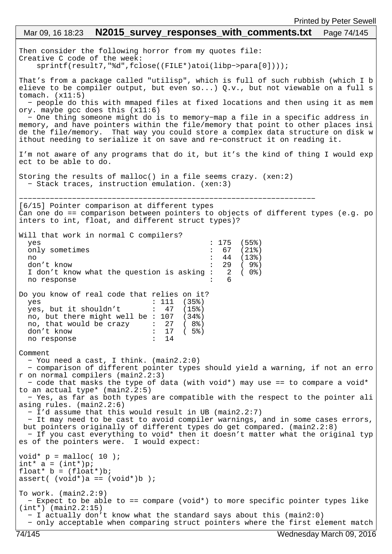## Then consider the following horror from my quotes file: Creative C code of the week: sprintf(result7,"%d",fclose((FILE\*)atoi(libp−>para[0]))); That's from a package called "utilisp", which is full of such rubbish (which I b elieve to be compiler output, but even so...) Q.v., but not viewable on a full s tomach.  $(x11:5)$  − people do this with mmaped files at fixed locations and then using it as mem ory. maybe gcc does this (x11:6) − One thing someone might do is to memory−map a file in a specific address in memory, and have pointers within the file/memory that point to other places insi de the file/memory. That way you could store a complex data structure on disk w ithout needing to serialize it on save and re−construct it on reading it. I'm not aware of any programs that do it, but it's the kind of thing I would exp ect to be able to do. Storing the results of malloc() in a file seems crazy. (xen:2) − Stack traces, instruction emulation. (xen:3) −−−−−−−−−−−−−−−−−−−−−−−−−−−−−−−−−−−−−−−−−−−−−−−−−−−−−−−−−−−−−−−−−−− [6/15] Pointer comparison at different types Can one do == comparison between pointers to objects of different types (e.g. po inters to int, float, and different struct types)? Will that work in normal C compilers? yes : 175 (55%) only sometimes : 67 (21%)<br>no : 44 (13%) no : 44 (13%) don't know<br>I don't know what the question is asking: 2 ( 0%) I don't know what the question is asking : 2<br>no response : 6 no response Do you know of real code that relies on it? yes : 111 (35%)<br>ves, but it shouldn't : 47 (15%) yes, but it shouldn't :  $47$  (15%) no, but there might well be : 107 (34%) no, that would be crazy : 27 ( 8%) don't know : 17 ( 5%)<br>no response : 14 no response Comment − You need a cast, I think. (main2.2:0) − comparison of different pointer types should yield a warning, if not an erro r on normal compilers (main2.2:3) − code that masks the type of data (with void\*) may use == to compare a void\* to an actual type\* (main2.2:5) − Yes, as far as both types are compatible with the respect to the pointer ali asing rules. (main2.2:6) − I'd assume that this would result in UB (main2.2:7) − It may need to be cast to avoid compiler warnings, and in some cases errors, but pointers originally of different types do get compared. (main2.2:8) − If you cast everything to void\* then it doesn't matter what the original typ es of the pointers were. I would expect: void\*  $p = \text{malloc}(10)$ ; int\*  $a = (int*)p;$ float\*  $b = (float*)b$ ; assert(  $(void*)a == (void*)b$  ); To work. (main2.2:9) − Expect to be able to == compare (void\*) to more specific pointer types like (int\*) (main2.2:15) − I actually don't know what the standard says about this (main2:0) − only acceptable when comparing struct pointers where the first element match Mar 09, 16 18:23 **N2015 survey responses with comments.txt** Page 74/145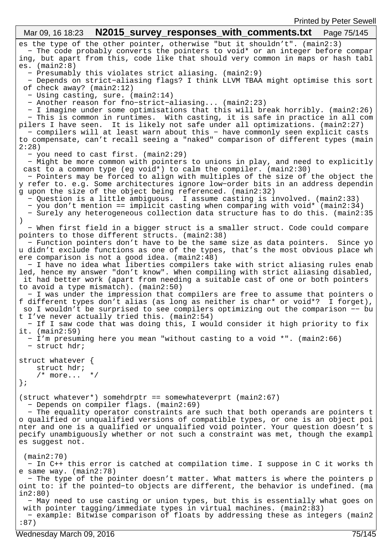```
es the type of the other pointer, otherwise "but it shouldn't". (main2:3)
 − The code probably converts the pointers to void* or an integer before compar
ing, but apart from this, code like that should very common in maps or hash tabl
es. (main2:8) − Presumably this violates strict aliasing. (main2:9)
   − Depends on strict−aliasing flags? I think LLVM TBAA might optimise this sort
 of check away? (main2:12)
   − Using casting, sure. (main2:14)
   − Another reason for fno−strict−aliasing... (main2:23)
   − I imagine under some optimisations that this will break horribly. (main2:26)
   − This is common in runtimes. With casting, it is safe in practice in all com
pilers I have seen. It is likely not safe under all optimizations. (main2:27)
   − compilers will at least warn about this − have commonly seen explicit casts 
to compensate, can't recall seeing a "naked" comparison of different types (main
2:28)
   − you need to cast first. (main2:29)
   − Might be more common with pointers to unions in play, and need to explicitly
 cast to a common type (eg void*) to calm the compiler. (main2:30)
 − Pointers may be forced to align with multiples of the size of the object the
y refer to. e.g. Some architectures ignore low−order bits in an address dependin
g upon the size of the object being referenced. (main2:32)
   − Question is a little ambiguous. I assume casting is involved. (main2:33)
   − you don't mention == implicit casting when comparing with void* (main2:34)
   − Surely any heterogeneous collection data structure has to do this. (main2:35
)
   − When first field in a bigger struct is a smaller struct. Code could compare 
pointers to those different structs. (main2:38)
  − Function pointers don't have to be the same size as data pointers. Since yo
u didn't exclude functions as one of the types, that's the most obvious place wh
ere comparison is not a good idea. (main2:48)
   − I have no idea what liberties compilers take with strict aliasing rules enab
led, hence my answer "don't know". When compiling with strict aliasing disabled,
 it had better work (apart from needing a suitable cast of one or both pointers 
to avoid a type mismatch). (main2:50)
   − I was under the impression that compilers are free to assume that pointers o
f different types don't alias (as long as neither is char* or void*? I forget),
 so I wouldn't be surprised to see compilers optimizing out the comparison −− bu
t I've never actually tried this. (main2:54)
   − If I saw code that was doing this, I would consider it high priority to fix 
it. (main2:59)
   − I'm presuming here you mean "without casting to a void *". (main2:66)
   − struct hdr;
struct whatever {
     struct hdr;
    \frac{*}{*} more... \frac{*}{*}};
(struct whatever*) somehdrptr == somewhateverprt (main2:67)
   − Depends on compiler flags. (main2:69)
   − The equality operator constraints are such that both operands are pointers t
o qualified or unqualified versions of compatible types, or one is an object poi
nter and one is a qualified or unqualified void pointer. Your question doesn't s
pecify unambiguously whether or not such a constraint was met, though the exampl
es suggest not.
  (main2:70)
  − In C++ this error is catched at compilation time. I suppose in C it works th
e same way. (main2:78)
   − The type of the pointer doesn't matter. What matters is where the pointers p
oint to: if the pointed−to objects are different, the behavior is undefined. (ma
in2:80)
   − May need to use casting or union types, but this is essentially what goes on
 with pointer tagging/immediate types in virtual machines. (main2:83)
  − example: Bitwise comparison of floats by addressing these as integers (main2
:87)
 Mar 09, 16 18:23 N2015_survey_responses_with_comments.txt Page 75/145
```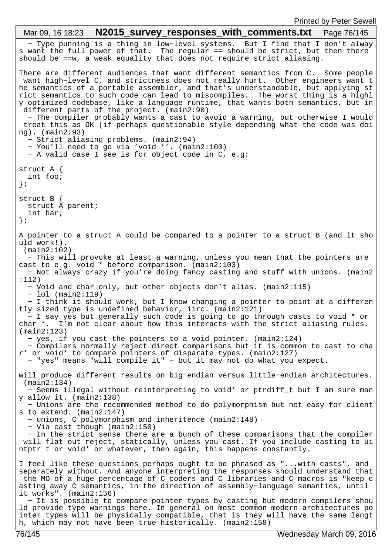− Type punning is a thing in low−level systems. But I find that I don't alway s want the full power of that. The regular == should be strict, but then there should be ==w, a weak equality that does not require strict aliasing. There are different audiences that want different semantics from C. Some people want high−level C, and strictness does not really hurt. Other engineers want t he semantics of a portable assembler, and that's understandable, but applying st rict semantics to such code can lead to miscompiles. The worst thing is a highl y optimized codebase, like a language runtime, that wants both semantics, but in different parts of the project. (main2:90) − The compiler probably wants a cast to avoid a warning, but otherwise I would treat this as OK (if perhaps questionable style depending what the code was doi ng). (main2:93) − Strict aliasing problems. (main2:94) − You'll need to go via 'void \*'. (main2:100) − A valid case I see is for object code in C, e.g: struct A { int foo; }; struct B { struct À parent; int bar; }; A pointer to a struct A could be compared to a pointer to a struct B (and it sho uld work!). (main2:102) − This will provoke at least a warning, unless you mean that the pointers are cast to e.g. void \* before comparison. (main2:103) − Not always crazy if you're doing fancy casting and stuff with unions. (main2 :112) − Void and char only, but other objects don't alias. (main2:115) − lol (main2:119) − I think it should work, but I know changing a pointer to point at a differen tly sized type is undefined behavior, iirc. (main2:121) − I say yes but generally such code is going to go through casts to void \* or char \*. I'm not clear about how this interacts with the strict aliasing rules. (main2:123) − yes, if you cast the pointers to a void pointer. (main2:124) − Compilers normally reject direct comparisons but it is common to cast to cha r\* or void\* to compare pointers of disparate types. (main2:127) − "yes" means "will compile it" − but it may not do what you expect. will produce different results on big−endian versus little−endian architectures. (main2:134) − Seems illegal without reinterpreting to void\* or ptrdiff\_t but I am sure man y allow it. (main2:138) − Unions are the recommended method to do polymorphism but not easy for client s to extend. (main2:147) − unions, C polymorphism and inheritence (main2:148) − Via cast though (main2:150) − In the strict sense there are a bunch of these comparisons that the compiler will flat out reject, statically, unless you cast. If you include casting to ui ntptr\_t or void\* or whatever, then again, this happens constantly. I feel like these questions perhaps ought to be phrased as "...with casts", and separately without. And anyone interpreting the responses should understand that the MO of a huge percentage of C coders and C libraries and C macros is "keep c asting away C semantics, in the direction of assembly−language semantics, until it works". (main2:156) − It is possible to compare pointer types by casting but modern compilers shou ld provide type warnings here. In general on most common modern architectures po inter types will be physically compatible, that is they will have the same lengt h, which may not have been true historically. (main2:158) Mar 09, 16 18:23 **N2015 survey responses with comments.txt** Page 76/145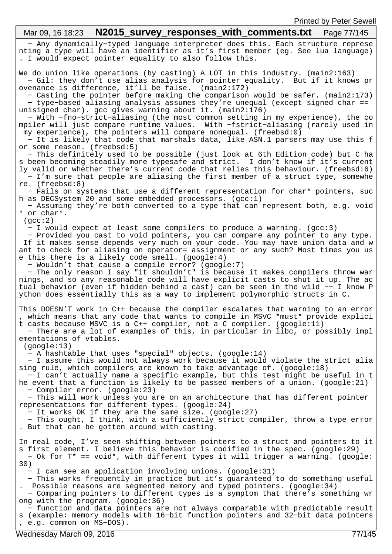#### − Any dynamically−typed language interpreter does this. Each structure represe nting a type will have an identifier as it's first member (eg. See lua language) . I would expect pointer equality to also follow this. We do union like operations (by casting) A LOT in this industry. (main2:163) − Gil: they don't use alias analysis for pointer equality. But if it knows pr ovenance is difference, it'll be false. (main2:172) − Casting the pointer before making the comparison would be safer. (main2:173) − type−based aliasing analysis assumes they're unequal (except signed char == unisigned char). gcc gives warning about it. (main2:176) − With −fno−strict−aliasing (the most common setting in my experience), the co mpiler will just compare runtime values. With −fstrict−aliasing (rarely used in my experience), the pointers will compare nonequal. (freebsd:0) − It is likely that code that marshals data, like ASN.1 parsers may use this f or some reason. (freebsd:5) − This definitely used to be possible (just look at 6th Edition code) but C ha s been becoming steadily more typesafe and strict. I don't know if it's current ly valid or whether there's current code that relies this behaviour. (freebsd:6) − I'm sure that people are aliasing the first member of a struct type, somewhe re. (freebsd:8) − Fails on systems that use a different representation for char\* pointers, suc h as DECSystem 20 and some embedded processors.  $(qcc:1)$  − Assuming they're both converted to a type that can represent both, e.g. void \* or char\*. (gcc:2) − I would expect at least some compilers to produce a warning. (gcc:3) − Provided you cast to void pointers, you can compare any pointer to any type. If it makes sense depends very much on your code. You may have union data and w ant to check for aliasing on operator= assignment or any such? Most times you us e this there is a likely code smell. (google:4) − Wouldn't that cause a compile error? (google:7) − The only reason I say "it shouldn't" is because it makes compilers throw war nings, and so any reasonable code will have explicit casts to shut it up. The ac tual behavior (even if hidden behind a cast) can be seen in the wild −− I know P ython does essentially this as a way to implement polymorphic structs in C. This DOESN'T work in C++ because the compiler escalates that warning to an error , which means that any code that wants to compile in MSVC \*must\* provide explici t casts because MSVC is a C++ compiler, not a C compiler. (google:11) − There are a lot of examples of this, in particular in libc, or possibly impl ementations of vtables. (google:13) − A hashtable that uses "special" objects. (google:14) − I assume this would not always work because it would violate the strict alia sing rule, which compilers are known to take advantage of. (google:18) − I can't actually name a specific example, but this test might be useful in t he event that a function is likely to be passed members of a union. (google:21) − Compiler error. (google:23) − This will work unless you are on an architecture that has different pointer representations for different types. (google:24) − It works OK if they are the same size. (google:27) − This ought, I think, with a sufficiently strict compiler, throw a type error . But that can be gotten around with casting. In real code, I've seen shifting between pointers to a struct and pointers to it s first element. I believe this behavior is codified in the spec. (google:29) − Ok for T\* == void\*, with different types it will trigger a warning. (google: 30) − I can see an application involving unions. (google:31) − This works frequently in practice but it's guaranteed to do something useful Possible reasons are segmented memory and typed pointers. (google:34) − Comparing pointers to different types is a symptom that there's something wr ong with the program. (google:36) − function and data pointers are not always comparable with predictable result s (example: memory models with 16−bit function pointers and 32−bit data pointers , e.g. common on MS−DOS). Mar 09, 16 18:23 **N2015 survey responses with comments.txt** Page 77/145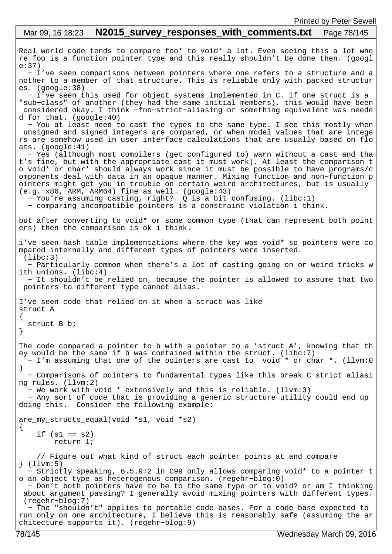```
Real world code tends to compare foo* to void* a lot. Even seeing this a lot whe
re foo is a function pointer type and this really shouldn't be done then. (googl
e:37)
   − I've seen comparisons between pointers where one refers to a structure and a
nother to a member of that structure. This is reliable only with packed structur
es. (google:38)
   − I've seen this used for object systems implemented in C. If one struct is a 
"sub−class" of another (they had the same initial members), this would have been
 considered okay. I think −fno−strict−aliasing or something equivalent was neede
d for that. (google:40)
   − You at least need to cast the types to the same type. I see this mostly when
 unsigned and signed integers are compared, or when model values that are intege
rs are somehow used in user interface calculations that are usually based on flo
ats. (google:41)
   − Yes (although most compilers (get configured to) warn without a cast and tha
t's fine, but with the appropriate cast it must work). At least the comparison t
o void* or char* should always work since it must be possible to have programs/c
omponents deal with data in an opaque manner. Mixing function and non−function p
ointers might get you in trouble on certain weird architectures, but is usually 
(e.g. x86, ARM, ARM64) fine as well. (google:43) − You're assuming casting, right? Q is a bit confusing. (libc:1)
   − comparing incompatible pointers is a constraint violation i think.
but after converting to void* or some common type (that can represent both point
ers) then the comparison is ok i think.
i've seen hash table implementations where the key was void* so pointers were co
mpared internally and different types of pointers were inserted.
  (libc:3)
   − Particularly common when there's a lot of casting going on or weird tricks w
ith unions. (libc:4)
   − It shouldn't be relied on, because the pointer is allowed to assume that two
 pointers to different type cannot alias.
I've seen code that relied on it when a struct was like
struct A
\{ struct B b;
}
The code compared a pointer to b with a pointer to a 'struct A', knowing that th
ey would be the same if b was contained within the struct. (libc:7)
   − I'm assuming that one of the pointers are cast to void * or char *. (llvm:0
)
   − Comparisons of pointers to fundamental types like this break C strict aliasi
ng rules. (llvm:2)
   − We work with void * extensively and this is reliable. (llvm:3)
   − Any sort of code that is providing a generic structure utility could end up 
doing this. Consider the following example:
are_my_structs_equal(void *s1, void *s2)
\{if (s1 == s2) return 1;
     // Figure out what kind of struct each pointer points at and compare
} (llvm:5)
   − Strictly speaking, 6.5.9:2 in C99 only allows comparing void* to a pointer t
o an object type as heterogenous comparison. (regehr−blog:0)
   − Don't both pointers have to be to the same type or to void? or am I thinking
 about argument passing? I generally avoid mixing pointers with different types.
  (regehr−blog:7)
   − The "shouldn't" applies to portable code bases. For a code base expected to 
run only on one architecture, I believe this is reasonably safe (assuming the ar
chitecture supports it). (regehr−blog:9)
 Mar 09, 16 18:23 N2015 survey responses with comments.txt Page 78/145
```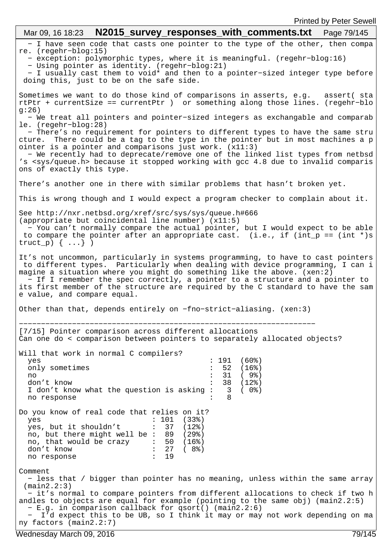| Mar 09, 16 18:23 $N2015$ _survey_responses_with_comments.txt    Page 79/145                                                                                                                                                                                                                                                                                                                                                                               |
|-----------------------------------------------------------------------------------------------------------------------------------------------------------------------------------------------------------------------------------------------------------------------------------------------------------------------------------------------------------------------------------------------------------------------------------------------------------|
| - I have seen code that casts one pointer to the type of the other, then compa<br>$re.$ (regehr-blog:15)<br>- exception: polymorphic types, where it is meaningful. (regehr-blog:16)<br>- Using pointer as identity. (regehr-blog:21)                                                                                                                                                                                                                     |
| - I usually cast them to void* and then to a pointer-sized integer type before<br>doing this, just to be on the safe side.                                                                                                                                                                                                                                                                                                                                |
| Sometimes we want to do those kind of comparisons in asserts, e.g. assert( sta<br>rtPtr + currentSize == currentPtr ) or something along those lines. (regehr-blo<br>g:26)                                                                                                                                                                                                                                                                                |
| - We treat all pointers and pointer-sized integers as exchangable and comparab<br>$le.$ (regehr-blog: 28)                                                                                                                                                                                                                                                                                                                                                 |
| - There's no requirement for pointers to different types to have the same stru<br>There could be a tag to the type in the pointer but in most machines a p<br>cture.<br>ointer is a pointer and comparisons just work. $(x11:3)$<br>- We recently had to deprecate/remove one of the linked list types from netbsd<br>'s <sys queue.h=""> because it stopped working with gcc 4.8 due to invalid comparis</sys>                                           |
| ons of exactly this type.                                                                                                                                                                                                                                                                                                                                                                                                                                 |
| There's another one in there with similar problems that hasn't broken yet.                                                                                                                                                                                                                                                                                                                                                                                |
| This is wrong though and I would expect a program checker to complain about it.                                                                                                                                                                                                                                                                                                                                                                           |
| See http://nxr.netbsd.org/xref/src/sys/sys/queue.h#666<br>(appropriate but coincidental line number) (x11:5)<br>- You can't normally compare the actual pointer, but I would expect to be able<br>to compare the pointer after an appropriate cast. (i.e., if (int_p == (int *)s<br>truct_p) $\{ \ldots \}$ )                                                                                                                                             |
| It's not uncommon, particularly in systems programming, to have to cast pointers<br>to different types. Particularly when dealing with device programming, I can i<br>magine a situation where you might do something like the above. (xen:2)<br>- If I remember the spec correctly, a pointer to a structure and a pointer to<br>its first member of the structure are required by the C standard to have the sam<br>e value, and compare equal.         |
| Other than that, depends entirely on -fno-strict-aliasing. (xen:3)                                                                                                                                                                                                                                                                                                                                                                                        |
| [7/15] Pointer comparison across different allocations<br>Can one do < comparison between pointers to separately allocated objects?                                                                                                                                                                                                                                                                                                                       |
| Will that work in normal C compilers?<br>: 191<br>(60%)<br>yes<br>only sometimes<br>: 52 (16%)<br>: 31<br>( 9%)<br>no<br>38 (12%)<br>don't know<br>( 0%)<br>I don't know what the question is asking: 3<br>8<br>no response                                                                                                                                                                                                                               |
| Do you know of real code that relies on it?<br>: 101<br>(33%)<br>yes<br>yes, but it shouldn't : 37<br>(12%)<br>no, but there might well be : $89$ (29%)<br>no, that would be crazy : $50$ (16%)<br>$\cdot$ 27<br>don't know<br>(8%)<br>19<br>$\mathbf{L}$<br>no response                                                                                                                                                                                  |
| Comment<br>- less that / bigger than pointer has no meaning, unless within the same array<br>$(\text{main2.2:3})$<br>- it's normal to compare pointers from different allocations to check if two h<br>andles to objects are equal for example (pointing to the same obj) (main2.2:5)<br>- E.g. in comparison callback for qsort() (main2.2:6)<br>- I'd expect this to be UB, so I think it may or may not work depending on ma<br>ny factors (main2.2:7) |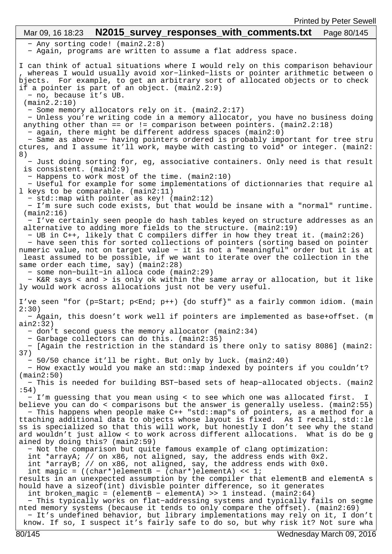− Any sorting code! (main2.2:8) − Again, programs are written to assume a flat address space. I can think of actual situations where I would rely on this comparison behaviour , whereas I would usually avoid xor−linked−lists or pointer arithmetic between o bjects. For example, to get an arbitrary sort of allocated objects or to check if a pointer is part of an object. (main2.2:9) − no, because it's UB. (main2.2:10) − Some memory allocators rely on it. (main2.2:17) − Unless you're writing code in a memory allocator, you have no business doing anything other than == or  $!=$  comparison between pointers. (main2.2:18) − again, there might be different address spaces (main2:0) − Same as above −− having pointers ordered is probably important for tree stru ctures, and I assume it'll work, maybe with casting to void\* or integer. (main2: 8) − Just doing sorting for, eg, associative containers. Only need is that result is consistent. (main2:9) − Happens to work most of the time. (main2:10) − Useful for example for some implementations of dictionnaries that require al l keys to be comparable. (main2:11) − std::map with pointer as key! (main2:12) − I'm sure such code exists, but that would be insane with a "normal" runtime. (main2:16) − I've certainly seen people do hash tables keyed on structure addresses as an alternative to adding more fields to the structure. (main2:19) − UB in C++, likely that C compilers differ in how they treat it. (main2:26) − have seen this for sorted collections of pointers (sorting based on pointer numeric value, not on target value − it is not a "meaningful" order but it is at least assumed to be possible, if we want to iterate over the collection in the same order each time, say) (main2:28) − some non−built−in alloca code (main2:29) − K&R says < and > is only ok within the same array or allocation, but it like ly would work across allocations just not be very useful. I've seen "for (p=Start; p<End; p++) {do stuff}" as a fairly common idiom. (main 2:30) − Again, this doesn't work well if pointers are implemented as base+offset. (m ain2:32) − don't second guess the memory allocator (main2:34) − Garbage collectors can do this. (main2:35) − [Again the restriction in the standard is there only to satisy 8086] (main2: 37) − 50/50 chance it'll be right. But only by luck. (main2:40) − How exactly would you make an std::map indexed by pointers if you couldn't? (main2:50) − This is needed for building BST−based sets of heap−allocated objects. (main2 :54) − I'm guessing that you mean using < to see which one was allocated first. I believe you can do < comparisons but the answer is generally useless. (main2:55) − This happens when people make C++ "std::map"s of pointers, as a method for a ttaching additional data to objects whose layout is fixed. As I recall, std::le ss is specialized so that this will work, but honestly I don't see why the stand ard wouldn't just allow < to work across different allocations. What is do be g ained by doing this? (main2:59) − Not the comparison but quite famous example of clang optimization: int \*arrayA; // on x86, not aligned, say, the address ends with 0x2. int \*arrayB; // on x86, not aligned, say, the address ends with 0x0. int magic =  $((char*)$ elementB -  $(char*)$ elementA) << 1; results in an unexpected assumption by the compiler that elementB and elementA s hould have a sizeof(int) divisble pointer difference, so it generates int broken\_magic = (elementB − elementA) >> 1 instead. (main2:64) − This typically works on flat−addressing systems and typically fails on segme nted memory systems (because it tends to only compare the offset). (main2:69) − It's undefined behavior, but library implementations may rely on it, I don't know. If so, I suspect it's fairly safe to do so, but why risk it? Not sure wha Mar 09, 16 18:23 **N2015 survey responses with comments.txt** Page 80/145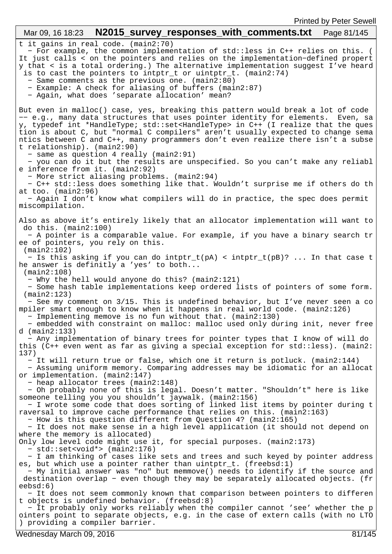t it gains in real code. (main2:70) − For example, the common implementation of std::less in C++ relies on this. ( It just calls < on the pointers and relies on the implementation−defined propert y that < is a total ordering.) The alternative implementation suggest I've heard is to cast the pointers to intptr\_t or uintptr\_t. (main2:74) − Same comments as the previous one. (main2:80) − Example: A check for aliasing of buffers (main2:87) − Again, what does 'separate allocation' mean? But even in malloc() case, yes, breaking this pattern would break a lot of code −− e.g., many data structures that uses pointer identity for elements. Even, sa y, typedef int \*HandleType; std::set<HandleType> in C++ (I realize that the ques tion is about C, but "normal C compilers" aren't usually expected to change sema ntics between C and C++, many programmers don't even realize there isn't a subse t relationship). (main2:90) − same as question 4 really (main2:91) − you can do it but the results are unspecified. So you can't make any reliabl e inference from it. (main2:92) − More strict aliasing problems. (main2:94) − C++ std::less does something like that. Wouldn't surprise me if others do th at too. (main2:96) − Again I don't know what compilers will do in practice, the spec does permit miscompilation. Also as above it's entirely likely that an allocator implementation will want to do this. (main2:100) − A pointer is a comparable value. For example, if you have a binary search tr ee of pointers, you rely on this. (main2:102) − Is this asking if you can do intptr\_t(pA) < intptr\_t(pB)? ... In that case t he answer is definitly a 'yes' to both... (main2:108) − Why the hell would anyone do this? (main2:121) − Some hash table implementations keep ordered lists of pointers of some form. (main2:123) − See my comment on 3/15. This is undefined behavior, but I've never seen a co mpiler smart enough to know when it happens in real world code. (main2:126) − Implementing memove is no fun without that. (main2:130) − embedded with constraint on malloc: malloc used only during init, never free d (main2:133) − Any implementation of binary trees for pointer types that I know of will do this (C++ even went as far as giving a special exception for std::less). (main2: 137) − It will return true or false, which one it return is potluck. (main2:144) − Assuming uniform memory. Comparing addresses may be idiomatic for an allocat or implementation. (main2:147) − heap allocator trees (main2:148) − Oh probably none of this is legal. Doesn't matter. "Shouldn't" here is like someone telling you you shouldn't jaywalk. (main2:156) − I wrote some code that does sorting of linked list items by pointer during t raversal to improve cache performance that relies on this. (main2:163) − How is this question different from Question 4? (main2:165) − It does not make sense in a high level application (it should not depend on where the memory is allocated) Only low level code might use it, for special purposes. (main2:173) − std::set<void\*> (main2:176) − I am thinking of cases like sets and trees and such keyed by pointer address es, but which use a pointer rather than uintptr\_t. (freebsd:1) − My initial answer was "no" but memmove() needs to identify if the source and destination overlap − even though they may be separately allocated objects. (fr eebsd:6) − It does not seem commonly known that comparison between pointers to differen t objects is undefined behavior. (freebsd:8) − It probably only works reliably when the compiler cannot 'see' whether the p ointers point to separate objects, e.g. in the case of extern calls (with no LTO ) providing a compiler barrier. Mar 09, 16 18:23 **N2015 survey responses with comments.txt** Page 81/145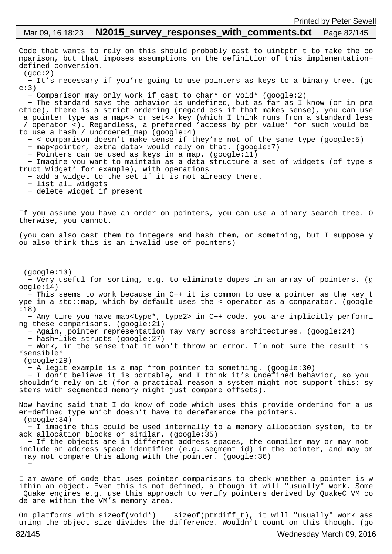## Code that wants to rely on this should probably cast to uintptr\_t to make the co mparison, but that imposes assumptions on the definition of this implementation− defined conversion.  $(\text{acc:2})$  − It's necessary if you're going to use pointers as keys to a binary tree. (gc  $c:3)$  − Comparison may only work if cast to char\* or void\* (google:2) − The standard says the behavior is undefined, but as far as I know (or in pra ctice), there is a strict ordering (regardless if that makes sense), you can use a pointer type as a map<> or set<> key (which I think runs from a standard less / operator <). Regardless, a preferred 'access by ptr value' for such would be to use a hash / unordered\_map (google:4) − < comparison doesn't make sense if they're not of the same type (google:5) − map<pointer, extra data> would rely on that. (google:7) − Pointers can be used as keys in a map. (google:11) − Imagine you want to maintain as a data structure a set of widgets (of type s truct Widget\* for example), with operations − add a widget to the set if it is not already there. − list all widgets − delete widget if present If you assume you have an order on pointers, you can use a binary search tree. O therwise, you cannot. (you can also cast them to integers and hash them, or something, but I suppose y ou also think this is an invalid use of pointers) (google:13) − Very useful for sorting, e.g. to eliminate dupes in an array of pointers. (g oogle:14) − This seems to work because in C++ it is common to use a pointer as the key t ype in a std::map, which by default uses the < operator as a comparator. (google :18) − Any time you have map<type\*, type2> in C++ code, you are implicitly performi ng these comparisons. (google:21) − Again, pointer representation may vary across architectures. (google:24) − hash−like structs (google:27) − Work, in the sense that it won't throw an error. I'm not sure the result is \*sensible\* (google:29) − A legit example is a map from pointer to something. (google:30) − I don't believe it is portable, and I think it's undefined behavior, so you shouldn't rely on it (for a practical reason a system might not support this: sy stems with segmented memory might just compare offsets). Now having said that I do know of code which uses this provide ordering for a us er−defined type which doesn't have to dereference the pointers. (google:34) − I imagine this could be used internally to a memory allocation system, to tr ack allocation blocks or similar. (google:35) − If the objects are in different address spaces, the compiler may or may not include an address space identifier (e.g. segment id) in the pointer, and may or may not compare this along with the pointer. (google:36) − I am aware of code that uses pointer comparisons to check whether a pointer is w ithin an object. Even this is not defined, although it will "usually" work. Some Quake engines e.g. use this approach to verify pointers derived by QuakeC VM co de are within the VM's memory area. Mar 09, 16 18:23 **N2015\_survey\_responses\_with\_comments.txt** Page 82/145

On platforms with sizeof(void\*) == sizeof(ptrdiff\_t), it will "usually" work ass uming the object size divides the difference. Wouldn't count on this though. (go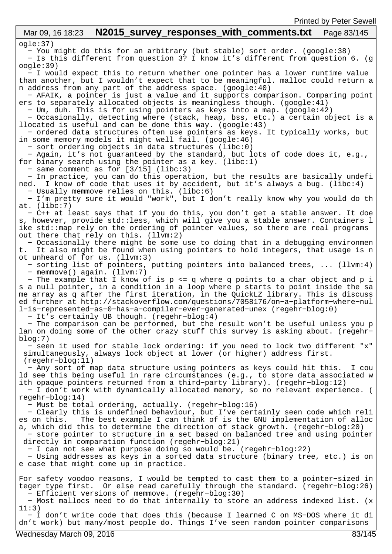#### ogle:37) − You might do this for an arbitrary (but stable) sort order. (google:38) − Is this different from question 3? I know it's different from question 6. (g oogle:39) − I would expect this to return whether one pointer has a lower runtime value than another, but I wouldn't expect that to be meaningful. malloc could return a n address from any part of the address space. (google:40) − AFAIK, a pointer is just a value and it supports comparison. Comparing point ers to separately allocated objects is meaningless though. (google:41) − Um, duh. This is for using pointers as keys into a map. (google:42) − Occasionally, detecting where (stack, heap, bss, etc.) a certain object is a llocated is useful and can be done this way. (google:43) − ordered data structures often use pointers as keys. It typically works, but in some memory models it might well fail. (google:46) − sort ordering objects in data structures (libc:0) − Again, it's not guaranteed by the standard, but lots of code does it, e.g., for binary search using the pointer as a key. (libc:1) − same comment as for [3/15] (libc:3) − In practice, you can do this operation, but the results are basically undefi ned. I know of code that uses it by accident, but it's always a bug. (libc:4) − Usually memmove relies on this. (libc:6) − I'm pretty sure it would "work", but I don't really know why you would do th at. (libc:7) − C++ at least says that if you do this, you don't get a stable answer. It doe s, however, provide std::less, which will give you a stable answer. Containers l ike std::map rely on the ordering of pointer values, so there are real programs out there that rely on this. (llvm:2) − Occasionally there might be some use to doing that in a debugging environmen t. It also might be found when using pointers to hold integers, that usage is n ot unheard of for us. (llvm:3) − sorting list of pointers, putting pointers into balanced trees, ... (llvm:4) − memmove() again. (llvm:7) − The example that I know of is p <= q where q points to a char object and p i s a null pointer, in a condition in a loop where p starts to point inside the sa me array as q after the first iteration, in the QuickLZ library. This is discuss ed further at http://stackoverflow.com/questions/7058176/on−a−platform−where−nul l−is−represented−as−0−has−a−compiler−ever−generated−unex (regehr−blog:0) − It's certainly UB though. (regehr−blog:4) − The comparison can be performed, but the result won't be useful unless you p lan on doing some of the other crazy stuff this survey is asking about. (regehr− blog:7) − seen it used for stable lock ordering: if you need to lock two different "x" simultaneously, always lock object at lower (or higher) address first. (regehr−blog:11) − Any sort of map data structure using pointers as keys could hit this. I cou ld see this being useful in rare circumstances (e.g., to store data associated w ith opaque pointers returned from a third−party library). (regehr−blog:12) − I don't work with dynamically allocated memory, so no relevant experience. ( regehr−blog:14) − Must be total ordering, actually. (regehr−blog:16) − Clearly this is undefined behaviour, but I've certainly seen code which reli es on this. The best example I can think of is the GNU implementation of alloc a, which did this to determine the direction of stack growth. (regehr−blog:20) − store pointer to structure in a set based on balanced tree and using pointer directly in comparation function (regehr−blog:21) − I can not see what purpose doing so would be. (regehr−blog:22) − Using addresses as keys in a sorted data structure (binary tree, etc.) is on e case that might come up in practice. For safety voodoo reasons, I would be tempted to cast them to a pointer−sized in teger type first. Or else read carefully through the standard. (regehr−blog:26) − Efficient versions of memmove. (regehr−blog:30) − Most mallocs need to do that internally to store an address indexed list. (x 11:3) − I don't write code that does this (because I learned C on MS−DOS where it di dn't work) but many/most people do. Things I've seen random pointer comparisons Mar 09, 16 18:23 **N2015 survey responses with comments.txt** Page 83/145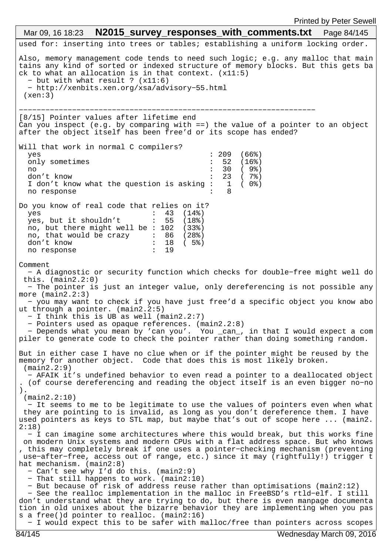used for: inserting into trees or tables; establishing a uniform locking order. Also, memory management code tends to need such logic; e.g. any malloc that main tains any kind of sorted or indexed structure of memory blocks. But this gets ba ck to what an allocation is in that context. (x11:5) − but with what result ? (x11:6) − http://xenbits.xen.org/xsa/advisory−55.html  $(xen:3)$ −−−−−−−−−−−−−−−−−−−−−−−−−−−−−− [8/15] Pointer values after lifetime end Can you inspect (e.g. by comparing with ==) the value of a pointer to an object after the object itself has been free'd or its scope has ended? Will that work in normal C compilers? yes : 209 (66%) only sometimes : 52 (16%)<br>no : 30 (9%) no : 30 ( 9%) don't know<br>I don't know what the question is asking :  $23$  ( 7%)<br>no response<br>:  $8$ I don't know what the question is asking  $:$ no response Do you know of real code that relies on it? yes : 43 (14%)<br>ves. but it shouldn't : 55 (18%) yes, but it shouldn't : 55 (18%) no, but there might well be : 102 (33%) no, that would be crazy : 86 (28%) don't know  $\frac{1}{3}$  : 18 ( 5%)<br>no response : 19 no response Comment − A diagnostic or security function which checks for double−free might well do this. (main2.2:0) − The pointer is just an integer value, only dereferencing is not possible any more (main2.2:3) − you may want to check if you have just free'd a specific object you know abo ut through a pointer. (main2.2:5) − I think this is UB as well (main2.2:7) − Pointers used as opaque references. (main2.2:8) − Depends what you mean by 'can you'. You \_can\_, in that I would expect a com piler to generate code to check the pointer rather than doing something random. But in either case I have no clue when or if the pointer might be reused by the memory for another object. Code that does this is most likely broken. (main2.2:9) − AFAIK it's undefined behavior to even read a pointer to a deallocated object . (of course dereferencing and reading the object itself is an even bigger no−no ). (main2.2:10) − It seems to me to be legitimate to use the values of pointers even when what they are pointing to is invalid, as long as you don't dereference them. I have used pointers as keys to STL map, but maybe that's out of scope here ... (main2. 2:18) − I can imagine some architectures where this would break, but this works fine on modern Unix systems and modern CPUs with a flat address space. But who knows , this may completely break if one uses a pointer−checking mechanism (preventing use−after−free, access out of range, etc.) since it may (rightfully!) trigger t hat mechanism. (main2:8) − Can't see why I'd do this. (main2:9) − That still happens to work. (main2:10) − But because of risk of address reuse rather than optimisations (main2:12) − See the realloc implementation in the malloc in FreeBSD's rtld−elf. I still don't understand what they are trying to do, but there is even manpage documenta tion in old unixes about the bizarre behavior they are implementing when you pas s a free()d pointer to realloc. (main2:16) Mar 09, 16 18:23 **N2015\_survey responses with comments.txt** Page 84/145

− I would expect this to be safer with malloc/free than pointers across scopes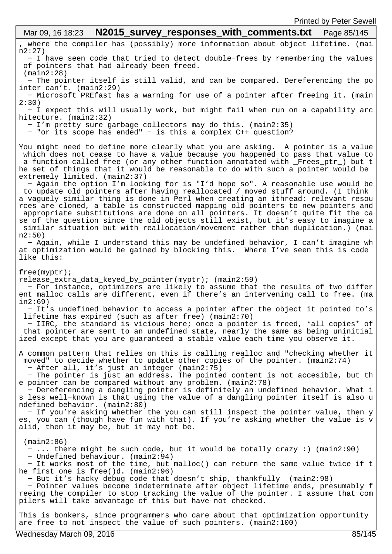, where the compiler has (possibly) more information about object lifetime. (mai n2:27) − I have seen code that tried to detect double−frees by remembering the values of pointers that had already been freed. (main2:28) − The pointer itself is still valid, and can be compared. Dereferencing the po inter can't. (main2:29) − Microsoft PREfast has a warning for use of a pointer after freeing it. (main 2:30) − I expect this will usually work, but might fail when run on a capability arc hitecture. (main2:32) − I'm pretty sure garbage collectors may do this. (main2:35) − "or its scope has ended" − is this a complex C++ question? You might need to define more clearly what you are asking. A pointer is a value which does not cease to have a value because you happened to pass that value to a function called free (or any other function annotated with \_Frees\_ptr\_) but t he set of things that it would be reasonable to do with such a pointer would be extremely limited. (main2:37) − Again the option I'm looking for is "I'd hope so". A reasonable use would be to update old pointers after having reallocated / moved stuff around. (I think a vaguely similar thing is done in Perl when creating an ithread: relevant resou rces are cloned, a table is constructed mapping old pointers to new pointers and appropriate substitutions are done on all pointers. It doesn't quite fit the ca se of the question since the old objects still exist, but it's easy to imagine a similar situation but with reallocation/movement rather than duplication.) (mai n2:50) − Again, while I understand this may be undefined behavior, I can't imagine wh at optimization would be gained by blocking this. Where I've seen this is code like this: free(myptr); release\_extra\_data\_keyed\_by\_pointer(myptr); (main2:59) − For instance, optimizers are likely to assume that the results of two differ ent malloc calls are different, even if there's an intervening call to free. (ma in2:69) − It's undefined behavior to access a pointer after the object it pointed to's lifetime has expired (such as after free) (main2:70) − IIRC, the standard is vicious here; once a pointer is freed, \*all copies\* of that pointer are sent to an undefined state, nearly the same as being uninitial ized except that you are guaranteed a stable value each time you observe it. A common pattern that relies on this is calling realloc and "checking whether it moved" to decide whether to update other copies of the pointer. (main2:74) − After all, it's just an integer (main2:75) − The pointer is just an address. The pointed content is not accesible, but th e pointer can be compared without any problem. (main2:78) − Dereferencing a dangling pointer is definitely an undefined behavior. What i s less well−known is that using the value of a dangling pointer itself is also u ndefined behavior. (main2:80) − If you're asking whether the you can still inspect the pointer value, then y es, you can (though have fun with that). If you're asking whether the value is v alid, then it may be, but it may not be. (main2:86) − ... there might be such code, but it would be totally crazy :) (main2:90) − Undefined behaviour. (main2:94) − It works most of the time, but malloc() can return the same value twice if t he first one is free()d. (main2:96) − But it's hacky debug code that doesn't ship, thankfully (main2:98) − Pointer values become indeterminate after object lifetime ends, presumably f reeing the compiler to stop tracking the value of the pointer. I assume that com pilers will take advantage of this but have not checked. This is bonkers, since programmers who care about that optimization opportunity Mar 09, 16 18:23 **N2015\_survey\_responses\_with\_comments.txt** Page 85/145

are free to not inspect the value of such pointers. (main2:100)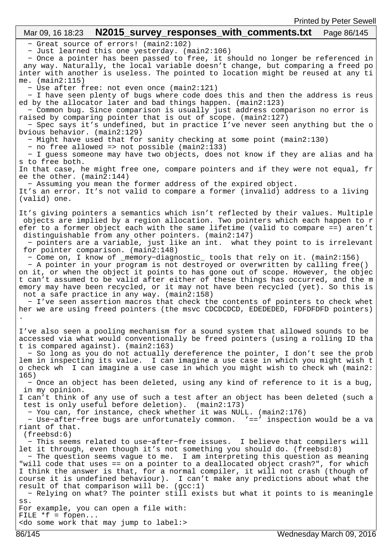## Mar 09, 16 18:23 **N2015 survey responses with comments.txt** Page 86/145

− Great source of errors! (main2:102)

− Just learned this one yesterday. (main2:106)

 − Once a pointer has been passed to free, it should no longer be referenced in any way. Naturally, the local variable doesn't change, but comparing a freed po inter with another is useless. The pointed to location might be reused at any ti me. (main2:115)

− Use after free: not even once (main2:121)

 − I have seen plenty of bugs where code does this and then the address is reus ed by the allocator later and bad things happen. (main2:123)

 − Common bug. Since comparison is usually just address comparison no error is raised by comparing pointer that is out of scope. (main2:127)

 − Spec says it's undefined, but in practice I've never seen anything but the o bvious behavior. (main2:129)

− Might have used that for sanity checking at some point (main2:130)

− no free allowed => not possible (main2:133)

 − I guess someone may have two objects, does not know if they are alias and ha s to free both.

In that case, he might free one, compare pointers and if they were not equal, fr ee the other. (main2:144)

− Assuming you mean the former address of the expired object.

It's an error. It's not valid to compare a former (invalid) address to a living (valid) one.

It's giving pointers a semantics which isn't reflected by their values. Multiple objects are implied by a region allocation. Two pointers which each happen to r efer to a former object each with the same lifetime (valid to compare ==) aren't distinguishable from any other pointers. (main2:147)

 − pointers are a variable, just like an int. what they point to is irrelevant for pointer comparison. (main2:148)

− Come on, I know of \_memory−diagnostic\_ tools that rely on it. (main2:156)

 − A pointer in your program is not destroyed or overwritten by calling free() on it, or when the object it points to has gone out of scope. However, the objec t can't assumed to be valid after either of these things has occurred, and the m emory may have been recycled, or it may not have been recycled (yet). So this is not a safe practice in any way. (main2:158)

 − I've seen assertion macros that check the contents of pointers to check whet her we are using freed pointers (the msvc CDCDCDCD, EDEDEDED, FDFDFDFD pointers) .

I've also seen a pooling mechanism for a sound system that allowed sounds to be accessed via what would conventionally be freed pointers (using a rolling ID tha t is compared against). (main2:163)

 − So long as you do not actually dereference the pointer, I don't see the prob lem in inspecting its value. I can imagine a use case in which you might wish t o check wh I can imagine a use case in which you might wish to check wh (main2: 165)

 − Once an object has been deleted, using any kind of reference to it is a bug, in my opinion.

I can't think of any use of such a test after an object has been deleted (such a test is only useful before deletion). (main2:173)

− You can, for instance, check whether it was NULL. (main2:176)

 − Use−after−free bugs are unfortunately common. '==' inspection would be a va riant of that.

(freebsd:6)

 − This seems related to use−after−free issues. I believe that compilers will let it through, even though it's not something you should do. (freebsd:8)

 − The question seems vague to me. I am interpreting this question as meaning "will code that uses == on a pointer to a deallocated object crash?", for which I think the answer is that, for a normal compiler, it will not crash (though of course it is undefined behaviour). I can't make any predictions about what the result of that comparison will be.  $(gcc:1)$ 

 − Relying on what? The pointer still exists but what it points to is meaningle ss.

For example, you can open a file with:

FILE  $*f = fopen...$ 

<do some work that may jump to label:>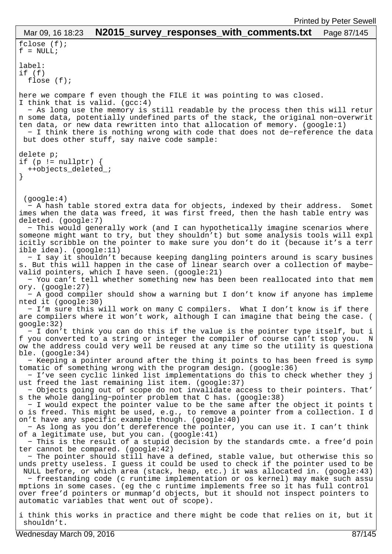fclose (f);  $f = NULL;$ label: if (f) flose (f); here we compare f even though the FILE it was pointing to was closed. I think that is valid.  $(gcc:4)$  − As long use the memory is still readable by the process then this will retur n some data, potentially undefined parts of the stack, the original non−overwrit ten data, or new data rewritten into that allocation of memory. (google:1) − I think there is nothing wrong with code that does not de−reference the data but does other stuff, say naive code sample: delete p; if  $(p := nullptr)$  { ++objects\_deleted\_; } (google:4) − A hash table stored extra data for objects, indexed by their address. Somet imes when the data was freed, it was first freed, then the hash table entry was deleted. (google:7) − This would generally work (and I can hypothetically imagine scenarios where someone might want to try, but they shouldn't) but some analysis tools will expl icitly scribble on the pointer to make sure you don't do it (because it's a terr ible idea). (google:11) − I say it shouldn't because keeping dangling pointers around is scary busines s. But this will happen in the case of linear search over a collection of maybe− valid pointers, which I have seen. (google:21) − You can't tell whether something new has been been reallocated into that mem ory. (google:27) − A good compiler should show a warning but I don't know if anyone has impleme nted it (google:30) − I'm sure this will work on many C compilers. What I don't know is if there are compilers where it won't work, although I can imagine that being the case. ( google:32) − I don't think you can do this if the value is the pointer type itself, but i f you converted to a string or integer the compiler of course can't stop you. N ow the address could very well be reused at any time so the utility is questiona ble. (google:34) − Keeping a pointer around after the thing it points to has been freed is symp tomatic of something wrong with the program design. (google:36) − I've seen cyclic linked list implementations do this to check whether they j ust freed the last remaining list item. (google:37) − Objects going out of scope do not invalidate access to their pointers. That' s the whole dangling−pointer problem that C has. (google:38) − I would expect the pointer value to be the same after the object it points t o is freed. This might be used, e.g., to remove a pointer from a collection. I d on't have any specific example though. (google:40) − As long as you don't dereference the pointer, you can use it. I can't think of a legitimate use, but you can. (google:41) − This is the result of a stupid decision by the standards cmte. a free'd poin ter cannot be compared. (google:42) − The pointer should still have a defined, stable value, but otherwise this so unds pretty useless. I guess it could be used to check if the pointer used to be NULL before, or which area (stack, heap, etc.) it was allocated in. (google:43) − freestanding code (c runtime implementation or os kernel) may make such assu mptions in some cases. (eg the c runtime implements free so it has full control over free'd pointers or munmap'd objects, but it should not inspect pointers to automatic variables that went out of scope). i think this works in practice and there might be code that relies on it, but it Mar 09, 16 18:23 **N2015 survey responses with comments.txt** Page 87/145

Wednesday March 09, 2016 87/145

shouldn't.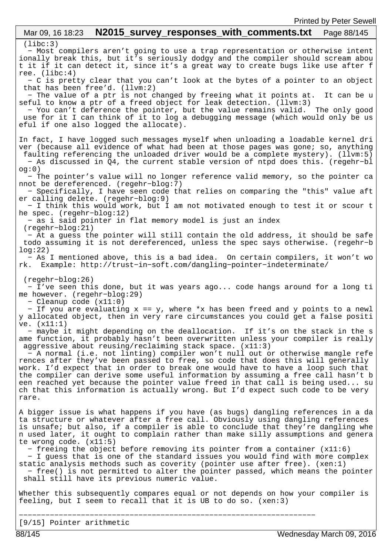## (libc:3) − Most compilers aren't going to use a trap representation or otherwise intent ionally break this, but it's seriously dodgy and the compiler should scream abou t it if it can detect it, since it's a great way to create bugs like use after f ree. (libc:4) − C is pretty clear that you can't look at the bytes of a pointer to an object that has been free'd. (llvm:2) − The value of a ptr is not changed by freeing what it points at. It can be u seful to know a ptr of a freed object for leak detection. (llvm:3) − You can't deference the pointer, but the value remains valid. The only good use for it I can think of it to log a debugging message (which would only be us eful if one also logged the allocate). In fact, I have logged such messages myself when unloading a loadable kernel dri ver (because all evidence of what had been at those pages was gone; so, anything faulting referencing the unloaded driver would be a complete mystery). (llvm:5) − As discussed in Q4, the current stable version of ntpd does this. (regehr−bl og:0) − The pointer's value will no longer reference valid memory, so the pointer ca nnot be dereferenced. (regehr−blog:7) − Specifically, I have seen code that relies on comparing the "this" value aft er calling delete. (regehr−blog:9) − I think this would work, but I am not motivated enough to test it or scour t he spec. (regehr−blog:12) − as i said pointer in flat memory model is just an index (regehr−blog:21) − At a guess the pointer will still contain the old address, it should be safe todo assuming it is not dereferenced, unless the spec says otherwise. (regehr−b log:22) − As I mentioned above, this is a bad idea. On certain compilers, it won't wo rk. Example: http://trust−in−soft.com/dangling−pointer−indeterminate/ (regehr−blog:26) − I've seen this done, but it was years ago... code hangs around for a long ti me however. (regehr−blog:29) − Cleanup code (x11:0) − If you are evaluating x == y, where \*x has been freed and y points to a newl y allocated object, then in very rare circumstances you could get a false positi ve. (x11:1) − maybe it might depending on the deallocation. If it's on the stack in the s ame function, it probably hasn't been overwritten unless your compiler is really aggressive about reusing/reclaiming stack space. (x11:3) − A normal (i.e. not linting) compiler won't null out or otherwise mangle refe rences after they've been passed to free, so code that does this will generally work. I'd expect that in order to break one would have to have a loop such that the compiler can derive some useful information by assuming a free call hasn't b een reached yet because the pointer value freed in that call is being used... su ch that this information is actually wrong. But I'd expect such code to be very rare. A bigger issue is what happens if you have (as bugs) dangling references in a da ta structure or whatever after a free call. Obviously using dangling references is unsafe; but also, if a compiler is able to conclude that they're dangling whe n used later, it ought to complain rather than make silly assumptions and genera te wrong code. (x11:5) − freeing the object before removing its pointer from a container (x11:6) − I guess that is one of the standard issues you would find with more complex static analysis methods such as coverity (pointer use after free). (xen:1) − free() is not permitted to alter the pointer passed, which means the pointer shall still have its previous numeric value. Whether this subsequently compares equal or not depends on how your compiler is feeling, but I seem to recall that it is UB to do so. (xen:3) −−−−−−−−−−−−−−−−−−−−−−−−−−−−−−−−−− [9/15] Pointer arithmetic Mar 09, 16 18:23 **N2015 survey responses with comments.txt** Page 88/145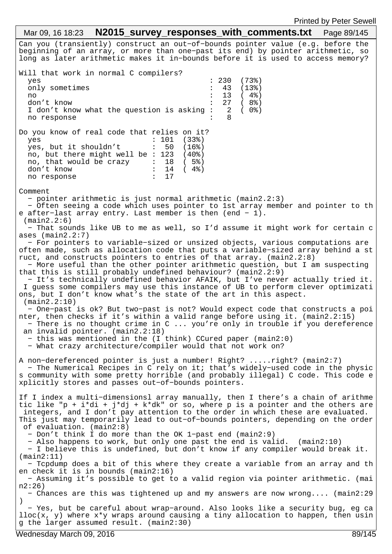Can you (transiently) construct an out−of−bounds pointer value (e.g. before the beginning of an array, or more than one−past its end) by pointer arithmetic, so long as later arithmetic makes it in−bounds before it is used to access memory? Will that work in normal C compilers? yes : 230 (73%) only sometimes : 43 (13%) no : 13 ( 4%) don't know<br>I don't know what the question is asking : 2 ( 0%) I don't know what the question is asking : no response : 8 Do you know of real code that relies on it? yes : 101 (33%) yes, but it shouldn't : 50 (16%) no, but there might well be : 123 (40%)<br>no, that would be crazy : 18 (5%) no, that would be crazy :  $18$  (  $5\frac{8}{9}$ )<br>don't know :  $14$  (  $4\frac{8}{9}$ ) don't know : 14<br>no response : 17 no response Comment − pointer arithmetic is just normal arithmetic (main2.2:3) − Often seeing a code which uses pointer to 1st array member and pointer to th e after−last array entry. Last member is then (end − 1). (main2.2:6) − That sounds like UB to me as well, so I'd assume it might work for certain c ases (main2.2:7) − For pointers to variable−sized or unsized objects, various computations are often made, such as allocation code that puts a variable−sized array behind a st ruct, and constructs pointers to entries of that array. (main2.2:8) − More useful than the other pointer arithmetic question, but I am suspecting that this is still probably undefined behaviour? (main2.2:9) − It's technically undefined behavior AFAIK, but I've never actually tried it. I guess some compilers may use this instance of UB to perform clever optimizati ons, but I don't know what's the state of the art in this aspect. (main2.2:10) − One−past is ok? But two−past is not? Would expect code that constructs a poi nter, then checks if it's within a valid range before using it. (main2.2:15) − There is no thought crime in C ... you're only in trouble if you dereference an invalid pointer. (main2.2:18) − this was mentioned in the (I think) CCured paper (main2:0) − What crazy architecture/compiler would that not work on? A non−dereferenced pointer is just a number! Right? .....right? (main2:7) − The Numerical Recipes in C rely on it; that's widely−used code in the physic s community with some pretty horrible (and probably illegal) C code. This code e xplicitly stores and passes out−of−bounds pointers. If I index a multi−dimensionsl array manually, then I there's a chain of arithme tic like "p + i\*di + j\*dj + k\*dk" or so, where p is a pointer and the others are integers, and I don't pay attention to the order in which these are evaluated. This just may temporarily lead to out−of−bounds pointers, depending on the order of evaluation. (main2:8) − Don't think I do more than the OK 1−past end (main2:9) − Also happens to work, but only one past the end is valid. (main2:10) − I believe this is undefined, but don't know if any compiler would break it. (main2:11) − Tcpdump does a bit of this where they create a variable from an array and th en check it is in bounds (main2:16) − Assuming it's possible to get to a valid region via pointer arithmetic. (mai n2:26) − Chances are this was tightened up and my answers are now wrong.... (main2:29 ) − Yes, but be careful about wrap−around. Also looks like a security bug, eg ca  $lloc(x, y)$  where  $x*y$  wraps around causing a tiny allocation to happen, then usin g the larger assumed result. (main2:30) Mar 09, 16 18:23 **N2015 survey responses with comments.txt** Page 89/145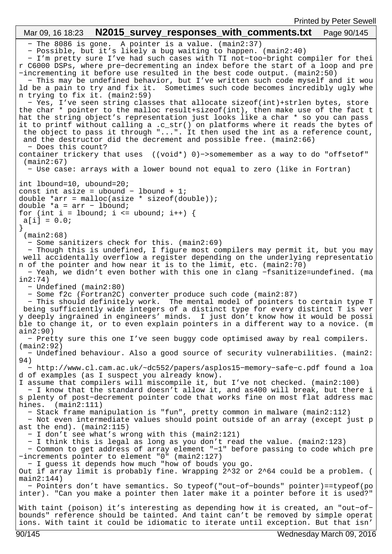− The 8086 is gone. A pointer is a value. (main2:37) − Possible, but it's likely a bug waiting to happen. (main2:40) − I'm pretty sure I've had such cases with TI not−too−bright compiler for thei r C6000 DSPs, where pre−decrementing an index before the start of a loop and pre −incrementing it before use resulted in the best code output. (main2:50) − This may be undefined behavior, but I've written such code myself and it wou ld be a pain to try and fix it. Sometimes such code becomes incredibly ugly whe n trying to fix it. (main2:59) − Yes, I've seen string classes that allocate sizeof(int)+strlen bytes, store the char \* pointer to the malloc result+sizeof(int), then make use of the fact t hat the string object's representation just looks like a char \* so you can pass it to printf without calling a .c\_str() on platforms where it reads the bytes of the object to pass it through "...". It then used the int as a reference count, and the destructor did the decrement and possible free. (main2:66) − Does this count? container trickery that uses ((void\*) 0)−>somemember as a way to do "offsetof" (main2:67) − Use case: arrays with a lower bound not equal to zero (like in Fortran) int lbound=10, ubound=20; const int asize = ubound - lbound + 1; double \*arr =  $m$ alloc(asize \* sizeof(double)); double \*a = arr − lbound; for (int i = lbound; i <= ubound; i++) {  $a[i] = 0.0;$ } (main2:68) − Some sanitizers check for this. (main2:69) − Though this is undefined, I figure most compilers may permit it, but you may well accidentally overflow a register depending on the underlying representatio n of the pointer and how near it is to the limit, etc. (main2:70) − Yeah, we didn't even bother with this one in clang −fsanitize=undefined. (ma in2:74) − Undefined (main2:80) − Some f2c (Fortran2C) converter produce such code (main2:87) − This should definitely work. The mental model of pointers to certain type T being sufficiently wide integers of a distinct type for every distinct T is ver y deeply ingrained in engineers' minds. I just don't know how it would be possi ble to change it, or to even explain pointers in a different way to a novice. (m ain2:90) − Pretty sure this one I've seen buggy code optimised away by real compilers. (main2:92) − Undefined behaviour. Also a good source of security vulnerabilities. (main2: 94) − http://www.cl.cam.ac.uk/~dc552/papers/asplos15−memory−safe−c.pdf found a loa d of examples (as I suspect you already know). I assume that compilers will miscompile it, but I've not checked. (main2:100) − I know that the standard doesn't allow it, and as400 will break, but there i s plenty of post−decrement pointer code that works fine on most flat address mac hines. (main2:111) − Stack frame manipulation is "fun", pretty common in malware (main2:112) − Not even intermediate values should point outside of an array (except just p ast the end). (main2:115) − I don't see what's wrong with this (main2:121) − I think this is legal as long as you don't read the value. (main2:123) − Common to get address of array element "−1" before passing to code which pre −increments pointer to element "0" (main2:127) − I guess it depends how much "how of bouds you go. Out if array limit is probably fine. Wrapping 2^32 or 2^64 could be a problem. (  $main2:144)$  − Pointers don't have semantics. So typeof("out−of−bounds" pointer)==typeof(po inter). "Can you make a pointer then later make it a pointer before it is used?" With taint (poison) it's interesting as depending how it is created, an "out−of− bounds" reference should be tainted. And taint can't be removed by simple operat ions. With taint it could be idiomatic to iterate until exception. But that isn' Mar 09, 16 18:23 **N2015 survey responses with comments.txt** Page 90/145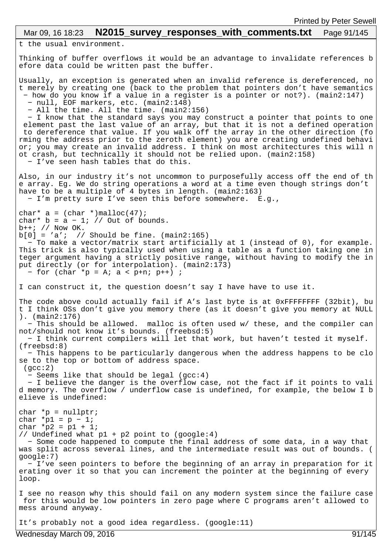## Mar 09, 16 18:23 **N2015 survey responses with comments.txt** Page 91/145

t the usual environment.

Thinking of buffer overflows it would be an advantage to invalidate references b efore data could be written past the buffer.

Usually, an exception is generated when an invalid reference is dereferenced, no t merely by creating one (back to the problem that pointers don't have semantics − how do you know if a value in a register is a pointer or not?). (main2:147) − null, EOF markers, etc. (main2:148)

− All the time. All the time. (main2:156)

 − I know that the standard says you may construct a pointer that points to one element past the last value of an array, but that it is not a defined operation to dereference that value. If you walk off the array in the other direction (fo rming the address prior to the zeroth element) you are creating undefined behavi or; you may create an invalid address. I think on most architectures this will n ot crash, but technically it should not be relied upon. (main2:158) − I've seen hash tables that do this.

Also, in our industry it's not uncommon to purposefully access off the end of th e array. Eg. We do string operations a word at a time even though strings don't have to be a multiple of  $\frac{1}{4}$  bytes in length. (main2:163)

− I'm pretty sure I've seen this before somewhere. E.g.,

char\*  $a = (char * )$ malloc(47); char\* b =  $a - 1$ ; // Out of bounds.

 $b++$ ; // Now OK.

 $b[0] = 'a'$ ; // Should be fine. (main2:165) − To make a vector/matrix start artificially at 1 (instead of 0), for example. This trick is also typically used when using a table as a function taking one in teger argument having a strictly positive range, without having to modify the in put directly (or for interpolation). (main2:173)

```
 − for (char *p = A; a < p+n; p++) ;
```
I can construct it, the question doesn't say I have have to use it.

The code above could actually fail if A's last byte is at 0xFFFFFFFFF (32bit), bu t I think OSs don't give you memory there (as it doesn't give you memory at NULL ). (main2:176) − This should be allowed. malloc is often used w/ these, and the compiler can

not/should not know it's bounds. (freebsd:5)

 − I think current compilers will let that work, but haven't tested it myself. (freebsd:8)

 − This happens to be particularly dangerous when the address happens to be clo se to the top or bottom of address space.  $(gcc:2)$ 

− Seems like that should be legal (gcc:4)

 − I believe the danger is the overflow case, not the fact if it points to vali d memory. The overflow / underflow case is undefined, for example, the below I b elieve is undefined:

char  $*_{p}$  = nullptr; char  $*p1 = p - 1$ ; char  $*p2 = p1 + 1$ ; // Undefined what p1 + p2 point to (google:4) − Some code happened to compute the final address of some data, in a way that was split across several lines, and the intermediate result was out of bounds. ( google:7) − I've seen pointers to before the beginning of an array in preparation for it erating over it so that you can increment the pointer at the beginning of every loop. I see no reason why this should fail on any modern system since the failure case for this would be low pointers in zero page where C programs aren't allowed to mess around anyway.

It's probably not a good idea regardless. (google:11)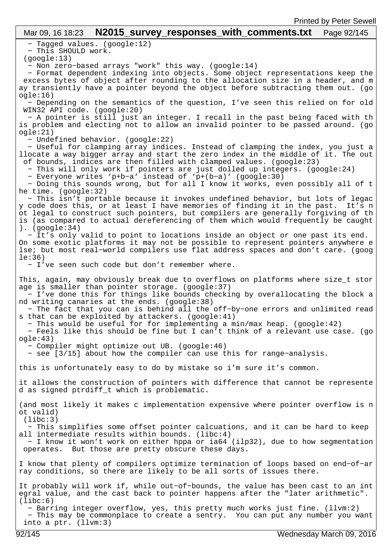## Mar 09, 16 18:23 **N2015\_survey\_responses\_with\_comments.txt** Page 92/145

− Tagged values. (google:12)

− This SHOULD work.

(google:13)

− Non zero−based arrays "work" this way. (google:14)

 − Format dependent indexing into objects. Some object representations keep the excess bytes of object after rounding to the allocation size in a header, and m ay transiently have a pointer beyond the object before subtracting them out. (go ogle:16)

 − Depending on the semantics of the question, I've seen this relied on for old WIN32 API code. (google:20)

 − A pointer is still just an integer. I recall in the past being faced with th is problem and electing not to allow an invalid pointer to be passed around. (go ogle:21)

− Undefined behavior. (google:22)

 − Useful for clamping array indices. Instead of clamping the index, you just a llocate a way bigger array and start the zero index in the middle of it. The out of bounds, indices are then filled with clamped values. (google:23)

− This will only work if pointers are just dolled up integers. (google:24)

− Everyone writes 'p+b−a' instead of 'p+(b−a)' (google:30)

 − Doing this sounds wrong, but for all I know it works, even possibly all of t he time. (google:32)

 − This isn't portable because it invokes undefined behavior, but lots of legac y code does this, or at least I have memories of finding it in the past. It's n ot legal to construct such pointers, but compilers are generally forgiving of th is (as compared to actual dereferencing of them which would frequently be caught ). (google:34)

 − It's only valid to point to locations inside an object or one past its end. On some exotic platforms it may not be possible to represent pointers anywhere e lse; but most real−world compilers use flat address spaces and don't care. (goog le:36)

− I've seen such code but don't remember where.

This, again, may obviously break due to overflows on platforms where size\_t stor age is smaller than pointer storage. (google:37)

 − I've done this for things like bounds checking by overallocating the block a nd writing canaries at the ends. (google:38)

 − The fact that you can is behind all the off−by−one errors and unlimited read s that can be exploited by attackers. (google:41)

− This would be useful for for implementing a min/max heap. (google:42)

 − Feels like this should be fine but I can't think of a relevant use case. (go ogle:43)

− Compiler might optimize out UB. (google:46)

− see [3/15] about how the compiler can use this for range−analysis.

this is unfortunately easy to do by mistake so i'm sure it's common.

it allows the construction of pointers with difference that cannot be represente d as signed ptrdiff\_t which is problematic.

(and most likely it makes c implementation expensive where pointer overflow is n ot valid)  $(libe:3)$ 

 − This simplifies some offset pointer calcuations, and it can be hard to keep all intermediate results within bounds. (libc:4)

 − I know it won't work on either hppa or ia64 (ilp32), due to how segmentation operates. But those are pretty obscure these days.

I know that plenty of compilers optimize termination of loops based on end−of−ar ray conditions, so there are likely to be all sorts of issues there.

It probably will work if, while out−of−bounds, the value has been cast to an int egral value, and the cast back to pointer happens after the "later arithmetic".  $(libe:6)$ 

 − Barring integer overflow, yes, this pretty much works just fine. (llvm:2) − This may be commonplace to create a sentry. You can put any number you want into a ptr. (llvm:3)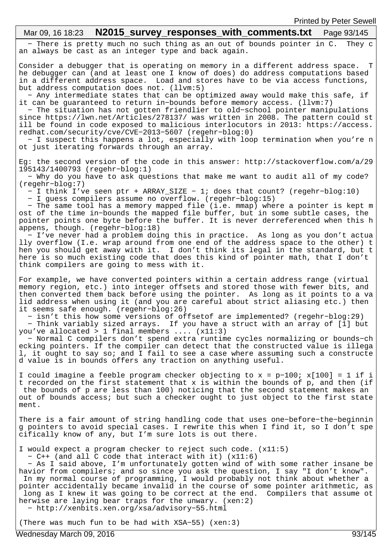# Mar 09, 16 18:23 **N2015\_survey\_responses\_with\_comments.txt** Page 93/145

 − There is pretty much no such thing as an out of bounds pointer in C. They c an always be cast as an integer type and back again.

Consider a debugger that is operating on memory in a different address space. T he debugger can (and at least one I know of does) do address computations based in a different address space. Load and stores have to be via access functions, but address computation does not. (llvm:5)

 − Any intermediate states that can be optimized away would make this safe, if it can be guaranteed to return in−bounds before memory access. (llvm:7)

 − The situation has not gotten friendlier to old−school pointer manipulations since https://lwn.net/Articles/278137/ was written in 2008. The pattern could st ill be found in code exposed to malicious interlocutors in 2013: https://access. redhat.com/security/cve/CVE−2013−5607 (regehr−blog:0)

 − I suspect this happens a lot, especially with loop termination when you're n ot just iterating forwards through an array.

Eg: the second version of the code in this answer: http://stackoverflow.com/a/29 195143/1400793 (regehr−blog:1)

 − Why do you have to ask questions that make me want to audit all of my code? (regehr−blog:7)

− I think I've seen ptr + ARRAY\_SIZE − 1; does that count? (regehr−blog:10)

− I guess compilers assume no overflow. (regehr−blog:15)

 − The same tool has a memory mapped file (i.e. mmap) where a pointer is kept m ost of the time in−bounds the mapped file buffer, but in some subtle cases, the pointer points one byte before the buffer. It is never derreferenced when this h appens, though. (regehr−blog:18)

 − I've never had a problem doing this in practice. As long as you don't actua lly overflow (I.e. wrap around from one end of the address space to the other) t hen you should get away with it. I don't think its legal in the standard, but t here is so much existing code that does this kind of pointer math, that I don't think compilers are going to mess with it.

For example, we have converted pointers within a certain address range (virtual memory region, etc.) into integer offsets and stored those with fewer bits, and then converted them back before using the pointer. As long as it points to a va lid address when using it (and you are careful about strict aliasing etc.) then it seems safe enough. (regehr−blog:26)

 − isn't this how some versions of offsetof are implemented? (regehr−blog:29) − Think variably sized arrays. If you have a struct with an array of [1] but

you've allocated > 1 final members .... (x11:3) − Normal C compilers don't spend extra runtime cycles normalizing or bounds−ch ecking pointers. If the compiler can detect that the constructed value is illega l, it ought to say so; and I fail to see a case where assuming such a constructe d value is in bounds offers any traction on anything useful.

I could imagine a feeble program checker objecting to x = p−100; x[100] = 1 if i t recorded on the first statement that x is within the bounds of p, and then (if the bounds of p are less than 100) noticing that the second statement makes an out of bounds access; but such a checker ought to just object to the first state ment.

There is a fair amount of string handling code that uses one−before−the−beginnin g pointers to avoid special cases. I rewrite this when I find it, so I don't spe cifically know of any, but I'm sure lots is out there.

I would expect a program checker to reject such code. (x11:5)

− C++ (and all C code that interact with it) (x11:6)

 − As I said above, I'm unfortunately gotten wind of with some rather insane be havior from compilers; and so since you ask the question, I say "I don't know". In my normal course of programming, I would probably not think about whether a pointer accidentally became invalid in the course of some pointer arithmetic, as long as I knew it was going to be correct at the end. Compilers that assume ot herwise are laying bear traps for the unwary. (xen:2) − http://xenbits.xen.org/xsa/advisory−55.html

(There was much fun to be had with XSA−55) (xen:3)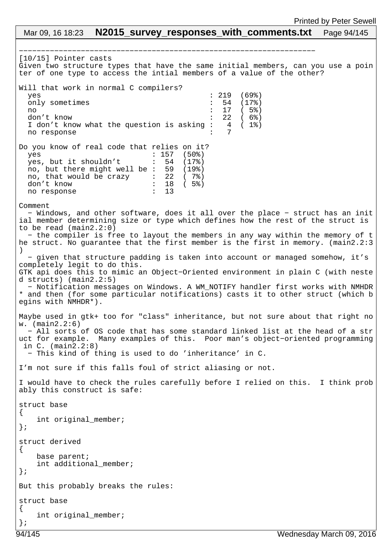## −−−−−−−−−−−−−−−−−−−−−−−−−−−−−−−−−−−−−−−−−−−−−−−−−−−−−−−−−−−−−−−−−−− [10/15] Pointer casts Given two structure types that have the same initial members, can you use a poin ter of one type to access the intial members of a value of the other? Will that work in normal C compilers? yes : 219 (69%) only sometimes : 54 (17%) no : 17 ( 5%) don't know<br>I don't know what the question is asking : 4 (1%) I don't know what the question is asking  $\cdot$  4 ( 1%) no response Do you know of real code that relies on it? yes : 157 (50%) yes, but it shouldn't : 54 (17%)<br>no, but there might well be : 59 (19%) no, but there might well be : 59  $(19\%)$ <br>no, that would be crazy : 22 (7%) no, that would be crazy don't know  $\frac{1}{18}$  : 18 (5%)<br>no response : 13 no response Comment − Windows, and other software, does it all over the place − struct has an init ial member determining size or type which defines how the rest of the struct is to be read (main2.2:0) − the compiler is free to layout the members in any way within the memory of t he struct. No guarantee that the first member is the first in memory. (main2.2:3 ) − given that structure padding is taken into account or managed somehow, it's completely legit to do this. GTK api does this to mimic an Object−Oriented environment in plain C (with neste d structs) (main2.2:5) − Notification messages on Windows. A WM\_NOTIFY handler first works with NMHDR \* and then (for some particular notifications) casts it to other struct (which b egins with NMHDR\*). Maybe used in gtk+ too for "class" inheritance, but not sure about that right no w. (main2.2:6) − All sorts of OS code that has some standard linked list at the head of a str uct for example. Many examples of this. Poor man's object−oriented programming in C. (main2.2:8) − This kind of thing is used to do 'inheritance' in C. I'm not sure if this falls foul of strict aliasing or not. I would have to check the rules carefully before I relied on this. I think prob ably this construct is safe: struct base { int original member; }; struct derived { base parent; int additional\_member; }; But this probably breaks the rules: struct base { int original\_member; }; Mar 09, 16 18:23 **N2015 survey responses with comments.txt** Page 94/145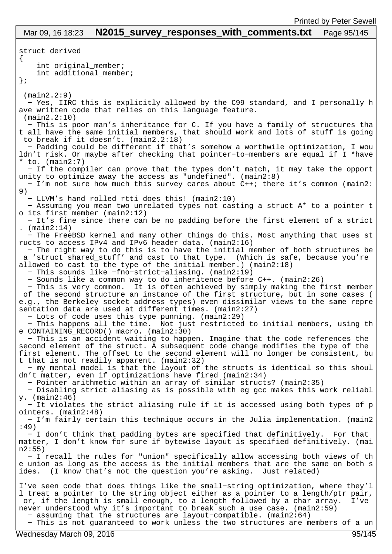struct derived { int original member; int additional\_member; }; (main2.2:9) − Yes, IIRC this is explicitly allowed by the C99 standard, and I personally h ave written code that relies on this language feature. (main2.2:10) − This is poor man's inheritance for C. If you have a family of structures tha t all have the same initial members, that should work and lots of stuff is going to break if it doesn't. (main2.2:18) − Padding could be different if that's somehow a worthwile optimization, I wou ldn't risk. Or maybe after checking that pointer−to−members are equal if I \*have \* to. (main2:7) − If the compiler can prove that the types don't match, it may take the opport unity to optimize away the access as "undefined". (main2:8) − I'm not sure how much this survey cares about C++; there it's common (main2: 9) − LLVM's hand rolled rtti does this! (main2:10) − Assuming you mean two unrelated types not casting a struct A\* to a pointer t o its first member (main2:12) − It's fine since there can be no padding before the first element of a strict .  $(main2:14)$  − The FreeBSD kernel and many other things do this. Most anything that uses st ructs to access IPv4 and IPv6 header data. (main2:16) − The right way to do this is to have the initial member of both structures be a 'struct shared\_stuff' and cast to that type. (Which is safe, because you're allowed to cast to the type of the initial member.) (main2:18) − This sounds like −fno−strict−aliasing. (main2:19) − Sounds like a common way to do inheritence before C++. (main2:26) − This is very common. It is often achieved by simply making the first member of the second structure an instance of the first structure, but in some cases ( e.g., the Berkeley socket address types) even dissimilar views to the same repre sentation data are used at different times. (main2:27) − Lots of code uses this type punning. (main2:29) − This happens all the time. Not just restricted to initial members, using th e CONTAINING\_RECORD() macro. (main2:30) − This is an accident waiting to happen. Imagine that the code references the second element of the struct. A subsequent code change modifies the type of the first element. The offset to the second element will no longer be consistent, bu t that is not readily apparent. (main2:32) − my mental model is that the layout of the structs is identical so this shoul dn't matter, even if optimizations have fired (main2:34) − Pointer arithmetic within an array of similar structs? (main2:35) − Disabling strict aliasing as is possible with eg gcc makes this work reliabl y. (main2:46) − It violates the strict aliasing rule if it is accessed using both types of p ointers. (main2:48) − I'm fairly certain this technique occurs in the Julia implementation. (main2 :49) − I don't think that padding bytes are specified that definitively. For that matter, I don't know for sure if bytewise layout is specified definitively. (mai n2:55) − I recall the rules for "union" specifically allow accessing both views of th e union as long as the access is the initial members that are the same on both s ides. (I know that's not the question you're asking. Just related) I've seen code that does things like the small−string optimization, where they'l l treat a pointer to the string object either as a pointer to a length/ptr pair, or, if the length is small enough, to a length followed by a char array. I've never understood why it's important to break such a use case. (main2:59) − assuming that the structures are layout−compatible. (main2:64) Mar 09, 16 18:23 **N2015\_survey\_responses\_with\_comments.txt** Page 95/145

− This is not guaranteed to work unless the two structures are members of a un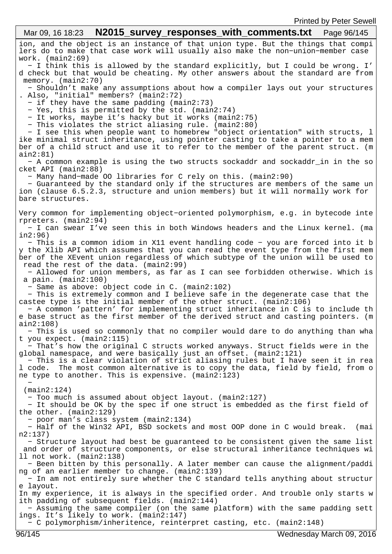ion, and the object is an instance of that union type. But the things that compi lers do to make that case work will usually also make the non−union−member case work. (main2:69) − I think this is allowed by the standard explicitly, but I could be wrong. I' d check but that would be cheating. My other answers about the standard are from memory. (main2:70) − Shouldn't make any assumptions about how a compiler lays out your structures . Also, "initial" members? (main2:72) − if they have the same padding (main2:73) − Yes, this is permitted by the std. (main2:74) − It works, maybe it's hacky but it works (main2:75) − This violates the strict aliasing rule. (main2:80) − I see this when people want to homebrew "object orientation" with structs, l ike minimal struct inheritance, using pointer casting to take a pointer to a mem ber of a child struct and use it to refer to the member of the parent struct. (m ain2:81) − A common example is using the two structs sockaddr and sockaddr\_in in the so cket API (main2:88) − Many hand−made OO libraries for C rely on this. (main2:90) − Guaranteed by the standard only if the structures are members of the same un ion (clause 6.5.2.3, structure and union members) but it will normally work for bare structures. Very common for implementing object−oriented polymorphism, e.g. in bytecode inte rpreters. (main2:94) − I can swear I've seen this in both Windows headers and the Linux kernel. (ma in2:96) − This is a common idiom in X11 event handling code − you are forced into it b y the Xlib API which assumes that you can read the event type from the first mem ber of the XEvent union regardless of which subtype of the union will be used to read the rest of the data. (main2:99) − Allowed for union members, as far as I can see forbidden otherwise. Which is a pain. (main2:100) − Same as above: object code in C. (main2:102) − This is extremely common and I believe safe in the degenerate case that the castee type is the initial member of the other struct. (main2:106) − A common 'pattern' for implementing struct inheritance in C is to include th e base struct as the first member of the derived struct and casting pointers. (m ain2:108) − This is used so commonly that no compiler would dare to do anything than wha t you expect. (main2:115) − That's how the original C structs worked anyways. Struct fields were in the global namespace, and were basically just an offset. (main2:121) − This is a clear violation of strict aliasing rules but I have seen it in rea l code. The most common alternative is to copy the data, field by field, from o ne type to another. This is expensive. (main2:123) − (main2:124) − Too much is assumed about object layout. (main2:127) − It should be OK by the spec if one struct is embedded as the first field of the other. (main2:129) − poor man's class system (main2:134) − Half of the Win32 API, BSD sockets and most OOP done in C would break. (mai n2:137) − Structure layout had best be guaranteed to be consistent given the same list and order of structure components, or else structural inheritance techniques wi ll not work. (main2:138) − Been bitten by this personally. A later member can cause the alignment/paddi ng of an earlier member to change. (main2:139) − In am not entirely sure whether the C standard tells anything about structur e layout. In my experience, it is always in the specified order. And trouble only starts w ith padding of subsequent fields. (main2:144) − Assuming the same compiler (on the same platform) with the same padding sett ings. It's likely to work. (main2:147) − C polymorphism/inheritence, reinterpret casting, etc. (main2:148) Mar 09, 16 18:23 **N2015 survey responses with comments.txt** Page 96/145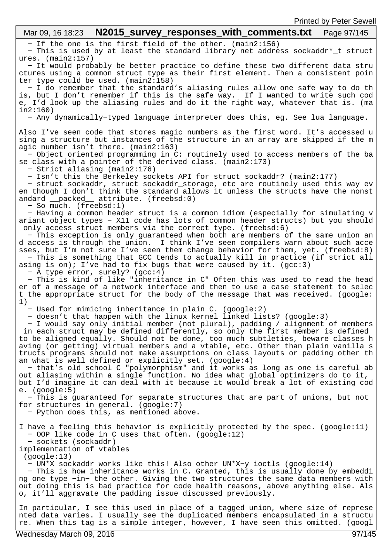#### − If the one is the first field of the other. (main2:156) − This is used by at least the standard library net address sockaddr\*\_t struct ures. (main2:157) − It would probably be better practice to define these two different data stru ctures using a common struct type as their first element. Then a consistent poin ter type could be used. (main2:158) − I do remember that the standard's aliasing rules allow one safe way to do th is, but I don't remember if this is the safe way. If I wanted to write such cod e, I'd look up the aliasing rules and do it the right way, whatever that is. (ma in2:160) − Any dynamically−typed language interpreter does this, eg. See lua language. Also I've seen code that stores magic numbers as the first word. It's accessed u sing a structure but instances of the structure in an array are skipped if the m agic number isn't there. (main2:163) − Object oriented programming in C: routinely used to access members of the ba se class with a pointer of the derived class. (main2:173) − Strict aliasing (main2:176) − Isn't this the Berkeley sockets API for struct sockaddr? (main2:177) − struct sockaddr, struct sockaddr\_storage, etc are routinely used this way ev en though I don't think the standard allows it unless the structs have the nonst andard packed\_ attribute. (freebsd:0) − So much. (freebsd:1) − Having a common header struct is a common idiom (especially for simulating v ariant object types − X11 code has lots of common header structs) but you should only access struct members via the correct type. (freebsd:6) − This exception is only guaranteed when both are members of the same union an d access is through the union. I think I've seen compilers warn about such acce sses, but I'm not sure I've seen them change behavior for them, yet. (freebsd:8) − This is something that GCC tends to actually kill in practice (if strict ali asing is on); I've had to fix bugs that were caused by it.  $(gcc:3)$  − A type error, surely? (gcc:4) − This is kind of like "inheritance in C" Often this was used to read the head er of a message of a network interface and then to use a case statement to selec t the appropriate struct for the body of the message that was received. (google: 1) − Used for mimicing inheritance in plain C. (google:2) − doesn't that happen with the linux kernel linked lists? (google:3) − I would say only initial member (not plural), padding / alignment of members in each struct may be defined differently, so only the first member is defined to be aligned equally. Should not be done, too much subtleties, beware classes h aving (or getting) virtual members and a vtable, etc. Other than plain vanilla s tructs programs should not make assumptions on class layouts or padding other th an what is well defined or explicitly set. (google:4) − that's old school C "polymorphism" and it works as long as one is careful ab out aliasing within a single function. No idea what global optimizers do to it, but I'd imagine it can deal with it because it would break a lot of existing cod e. (google:5) − This is guaranteed for separate structures that are part of unions, but not for structures in general. (google:7) − Python does this, as mentioned above. I have a feeling this behavior is explicitly protected by the spec. (google:11) − OOP like code in C uses that often. (google:12) − sockets (sockaddr) implementation of vtables (google:13) − UN\*X sockaddr works like this! Also other UN\*X−y ioctls (google:14) − This is how inheritance works in C. Granted, this is usually done by embeddi ng one type −in− the other. Giving the two structures the same data members with out doing this is bad practice for code health reasons, above anything else. Als o, it'll aggravate the padding issue discussed previously. In particular, I see this used in place of a tagged union, where size of represe nted data varies. I usually see the duplicated members encapsulated in a structu Mar 09, 16 18:23 **N2015 survey responses with comments.txt** Page 97/145

re. When this tag is a simple integer, however, I have seen this omitted. (googl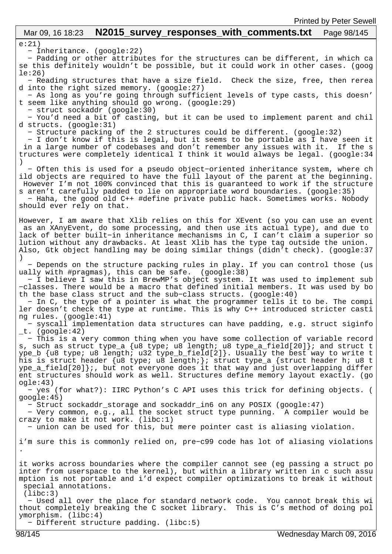# Mar 09, 16 18:23 **N2015 survey responses with comments.txt** Page 98/145

e:21)

− Inheritance. (google:22)

 − Padding or other attributes for the structures can be different, in which ca se this definitely wouldn't be possible, but it could work in other cases. (goog le:26)

 − Reading structures that have a size field. Check the size, free, then rerea d into the right sized memory. (google:27)

 − As long as you're going through sufficient levels of type casts, this doesn' t seem like anything should go wrong. (google:29)

− struct sockaddr (google:30)

 − You'd need a bit of casting, but it can be used to implement parent and chil d structs. (google:31)

− Structure packing of the 2 structures could be different. (google:32)

 − I don't know if this is legal, but it seems to be portable as I have seen it in a large number of codebases and don't remember any issues with it. If the s tructures were completely identical I think it would always be legal. (google:34 )

 − Often this is used for a pseudo object−oriented inheritance system, where ch ild objects are required to have the full layout of the parent at the beginning. However I'm not 100% convinced that this is quaranteed to work if the structure s aren't carefully padded to lie on appropriate word boundaries. (google:35)

 − Haha, the good old C++ #define private public hack. Sometimes works. Nobody should ever rely on that.

However, I am aware that Xlib relies on this for XEvent (so you can use an event as an XAnyEvent, do some processing, and then use its actual type), and due to lack of better built−in inheritance mechanisms in C, I can't claim a superior so lution without any drawbacks. At least Xlib has the type tag outside the union. Also, Gtk object handling may be doing similar things (didn't check). (google:37 )

 − Depends on the structure packing rules in play. If you can control those (us ually with #pragmas), this can be safe. (google:38)

 − I believe I saw this in BrewMP's object system. It was used to implement sub −classes. There would be a macro that defined initial members. It was used by bo th the base class struct and the sub−class structs. (google:40)

 − In C, the type of a pointer is what the programmer tells it to be. The compi ler doesn't check the type at runtime. This is why C++ introduced stricter casti ng rules. (google:41)

 − syscall implementation data structures can have padding, e.g. struct siginfo  $_t$ . (google:42)

 − This is a very common thing when you have some collection of variable record s, such as struct type\_a {u8 type; u8 length; u8 type\_a\_field[20]}; and struct t ype\_b {u8 type; u8 length; u32 type\_b\_field[2]}. Usually the best way to write t his is struct header {u8 type; u8 length;}; struct type\_a {struct header h; u8 t  $ype_a_field[20]$ ;, but not everyone does it that way and just overlapping differ ent structures should work as well. Structures define memory layout exactly. (go ogle:43)

 − yes (for what?): IIRC Python's C API uses this trick for defining objects. ( google:45)

− Struct sockaddr\_storage and sockaddr\_in6 on any POSIX (google:47)

 − Very common, e.g., all the socket struct type punning. A compiler would be crazy to make it not work. (libc:1)

− union can be used for this, but mere pointer cast is aliasing violation.

i'm sure this is commonly relied on, pre−c99 code has lot of aliasing violations .

it works across boundaries where the compiler cannot see (eg passing a struct po inter from userspace to the kernel), but within a library written in c such assu mption is not portable and i'd expect compiler optimizations to break it without special annotations.

(libc:3)

 − Used all over the place for standard network code. You cannot break this wi thout completely breaking the C socket library. This is C's method of doing pol ymorphism. (libc:4)

− Different structure padding. (libc:5)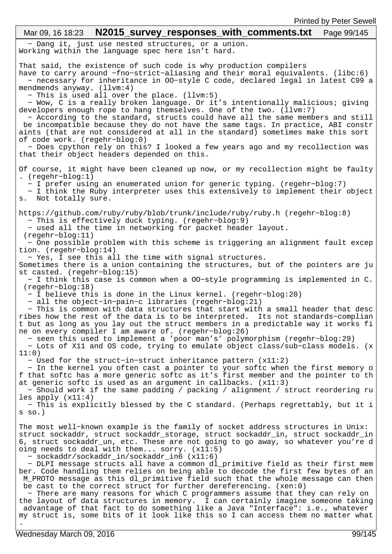### − Dang it, just use nested structures, or a union. Working within the language spec here isn't hard. That said, the existence of such code is why production compilers have to carry around −fno−strict−aliasing and their moral equivalents. (libc:6) − necessary for inheritance in OO−style C code, declared legal in latest C99 a mendmends anyway. (llvm:4) − This is used all over the place. (llvm:5) − Wow, C is a really broken language. Or it's intentionally malicious; giving developers enough rope to hang themselves. One of the two. (llvm:7) − According to the standard, structs could have all the same members and still be incompatible because they do not have the same tags. In practice, ABI constr aints (that are not considered at all in the standard) sometimes make this sort of code work. (regehr−blog:0) − Does cpython rely on this? I looked a few years ago and my recollection was that their object headers depended on this. Of course, it might have been cleaned up now, or my recollection might be faulty . (regehr−blog:1) − I prefer using an enumerated union for generic typing. (regehr−blog:7) − I think the Ruby interpreter uses this extensively to implement their object s. Not totally sure. https://github.com/ruby/ruby/blob/trunk/include/ruby/ruby.h (regehr−blog:8) − This is effectively duck typing. (regehr−blog:9) − used all the time in networking for packet header layout. (regehr−blog:11) − One possible problem with this scheme is triggering an alignment fault excep tion. (regehr−blog:14) − Yes, I see this all the time with signal structures. Sometimes there is a union containing the structures, but of the pointers are ju st casted. (regehr−blog:15) − I think this case is common when a OO−style programming is implemented in C. (regehr−blog:18) − I believe this is done in the Linux kernel. (regehr−blog:20) − all the object−in−pain−c libraries (regehr−blog:21) − This is common with data structures that start with a small header that desc ribes how the rest of the data is to be interpreted. Its not standards−complian t but as long as you lay out the struct members in a predictable way it works fi ne on every compiler I am aware of. (regehr−blog:26) − seen this used to implement a 'poor man's' polymorphism (regehr−blog:29) − Lots of X11 and OS code, trying to emulate object class/sub−class models. (x 11:0) − Used for the struct−in−struct inheritance pattern (x11:2) − In the kernel you often cast a pointer to your softc when the first memory o f that softc has a more generic softc as it's first member and the pointer to th at generic softc is used as an argument in callbacks. (x11:3) − Should work if the same padding / packing / alignment / struct reordering ru les apply (x11:4) − This is explicitly blessed by the C standard. (Perhaps regrettably, but it i s so.) The most well−known example is the family of socket address structures in Unix: struct sockaddr, struct sockaddr\_storage, struct sockaddr\_in, struct sockaddr\_in 6, struct sockaddr\_un, etc. These are not going to go away, so whatever you're d oing needs to deal with them... sorry. (x11:5) − sockaddr/sockaddr\_in/sockaddr\_in6 (x11:6) − DLPI message structs all have a common dl\_primitive field as their first mem ber. Code handling them relies on being able to decode the first few bytes of an M\_PROTO message as this dl\_primitive field such that the whole message can then be cast to the correct struct for further dereferencing. (xen:0) − There are many reasons for which C programmers assume that they can rely on the layout of data structures in memory. I can certainly imagine someone taking advantage of that fact to do something like a Java "Interface": i.e., whatever my struct is, some bits of it look like this so I can access them no matter what . Mar 09, 16 18:23 **N2015 survey responses with comments.txt** Page 99/145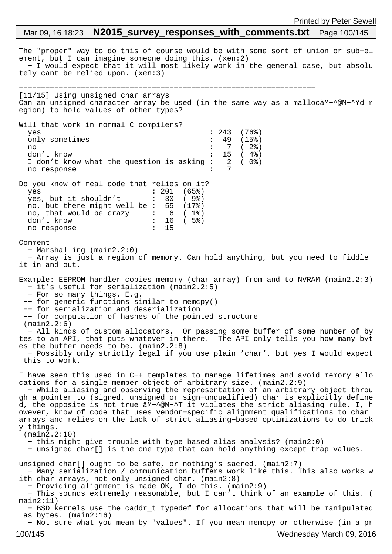## The "proper" way to do this of course would be with some sort of union or sub−el ement, but I can imagine someone doing this. (xen:2) − I would expect that it will most likely work in the general case, but absolu tely cant be relied upon. (xen:3) −−−−−−−−−−−−−−−−−−−−−−−−−−−−−−−−−−−−−−−−−−−−−−−−−−−−−−−−−−−−−−−−−−− [11/15] Using unsigned char arrays Can an unsigned character array be used (in the same way as a mallocâM−^@M−^Yd r egion) to hold values of other types? Will that work in normal C compilers? yes : 243 (76%) only sometimes : 49 (15%) no : 7 ( 2%) don't know : 15 (4%)<br>I don't know what the question is asking : 2 (0%)<br>no response : 7 I don't know what the question is asking : no response Do you know of real code that relies on it? yes : 201 (65%) yes, but it shouldn't : 30 ( 9%) no, but there might well be : 55 (17%) no, that would be crazy : 6 ( 1%) don't know : 16 ( 5%) no response : 15 Comment − Marshalling (main2.2:0) − Array is just a region of memory. Can hold anything, but you need to fiddle it in and out. Example: EEPROM handler copies memory (char array) from and to NVRAM (main2.2:3) − it's useful for serialization (main2.2:5) − For so many things. E.g. −− for generic functions similar to memcpy() −− for serialization and deserialization −− for computation of hashes of the pointed structure (main2.2:6) − All kinds of custom allocators. Or passing some buffer of some number of by tes to an API, that puts whatever in there. The API only tells you how many byt es the buffer needs to be. (main2.2:8) − Possibly only strictly legal if you use plain 'char', but yes I would expect this to work. I have seen this used in C++ templates to manage lifetimes and avoid memory allo cations for a single member object of arbitrary size. (main2.2:9) − While aliasing and observing the representation of an arbitrary object throu gh a pointer to (signed, unsigned or sign−unqualified) char is explicitly define d, the opposite is not true âM−^@M−^T it violates the strict aliasing rule. I, h owever, know of code that uses vendor−specific alignment qualifications to char arrays and relies on the lack of strict aliasing−based optimizations to do trick y things. (main2.2:10) − this might give trouble with type based alias analysis? (main2:0) − unsigned char[] is the one type that can hold anything except trap values. unsigned char[] ought to be safe, or nothing's sacred. (main2:7) − Many serialization / communication buffers work like this. This also works w ith char arrays, not only unsigned char. (main2:8) − Providing alignment is made OK, I do this. (main2:9) − This sounds extremely reasonable, but I can't think of an example of this. ( main2:11) − BSD kernels use the caddr\_t typedef for allocations that will be manipulated as bytes. (main2:16) − Not sure what you mean by "values". If you mean memcpy or otherwise (in a pr Mar 09, 16 18:23 **N2015 survey responses with comments.txt** Page 100/145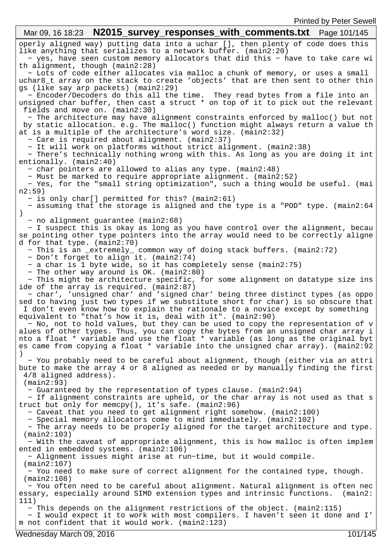operly aligned way) putting data into a uchar [], then plenty of code does this like anything that serializes to a network buffer. (main2:20) − yes, have seen custom memory allocators that did this − have to take care wi th alignment, though (main2:28) − Lots of code either allocates via malloc a chunk of memory, or uses a small uchar8\_t array on the stack to create 'objects' that are then sent to other thin gs (like say arp packets) (main2:29) − Encoder/Decoders do this all the time. They read bytes from a file into an unsigned char buffer, then cast a struct \* on top of it to pick out the relevant fields and move on. (main2:30) − The architecture may have alignment constraints enforced by malloc() but not by static allocation. e.g. The malloc() function might always return a value th at is a multiple of the architecture's word size. (main2:32) − Care is required about alignment. (main2:37) − It will work on platforms without strict alignment. (main2:38) − There's technically nothing wrong with this. As long as you are doing it int entionally. (main2:40) − char pointers are allowed to alias any type. (main2:48) − Must be marked to require appropriate alignment. (main2:52) − Yes, for the "small string optimization", such a thing would be useful. (mai n2:59) − is only char[] permitted for this? (main2:61) − assuming that the storage is aligned and the type is a "POD" type. (main2:64 ) − no alignment guarantee (main2:68) − I suspect this is okay as long as you have control over the alignment, becau se pointing other type pointers into the array would need to be correctly aligne d for that type. (main2:70) − This is an \_extremely\_ common way of doing stack buffers. (main2:72) − Don't forget to align it. (main2:74) − a char is 1 byte wide, so it has completely sense (main2:75) − The other way around is OK. (main2:80) − This might be architecture specific, for some alignment on datatype size ins ide of the array is required. (main2:87) − char', 'unsigned char' and 'signed char' being three distinct types (as oppo sed to having just two types if we substitute short for char) is so obscure that I don't even know how to explain the rationale to a novice except by something equivalent to "that's how it is, deal with it". (main2:90) − No, not to hold values, but they can be used to copy the representation of v alues of other types. Thus, you can copy the bytes from an unsigned char array i nto a float \* variable and use the float \* variable (as long as the original byt es came from copying a float \* variable into the unsigned char array). (main2:92 ) − You probably need to be careful about alignment, though (either via an attri bute to make the array 4 or 8 aligned as needed or by manually finding the first 4/8 aligned address). (main2:93) − Guaranteed by the representation of types clause. (main2:94) − If alignment constraints are upheld, or the char array is not used as that s truct but only for memcpy(), it's safe. (main2:96) − Caveat that you need to get alignment right somehow. (main2:100) − Special memory allocators come to mind immediately. (main2:102) − The array needs to be properly aligned for the target architecture and type. (main2:103) − With the caveat of appropriate alignment, this is how malloc is often implem ented in embedded systems. (main2:106) − Alignment issues might arise at run−time, but it would compile. (main2:107) − You need to make sure of correct alignment for the contained type, though. (main2:108) − You often need to be careful about alignment. Natural alignment is often nec essary, especially around SIMD extension types and intrinsic functions. (main2: 111) − This depends on the alignment restrictions of the object. (main2:115) − I would expect it to work with most compilers. I haven't seen it done and I' m not confident that it would work. (main2:123) Mar 09, 16 18:23 **N2015 survey responses with comments.txt** Page 101/145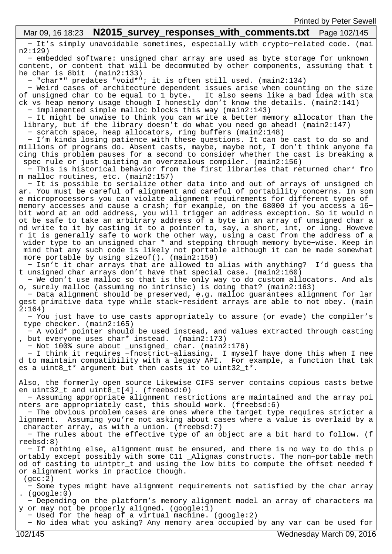# Mar 09, 16 18:23 **N2015 survey responses with comments.txt** Page 102/145

 − It's simply unavoidable sometimes, especially with crypto−related code. (mai n2:129)

 − embedded software: unsigned char array are used as byte storage for unknown content, or content that will be decommuted by other components, assuming that t he char is 8bit (main2:133)

− "char\*" predates "void\*"; it is often still used. (main2:134)

 − Weird cases of architecture dependent issues arise when counting on the size of unsigned char to be equal to 1 byte. It also seems like a bad idea with sta ck vs heap memory usage though I honestly don't know the details. (main2:141)

 − implemented simple malloc blocks this way (main2:143) − It might be unwise to think you can write a better memory allocator than the library, but if the library doesn't do what you need go ahead! (main2:147)

− scratch space, heap allocators, ring buffers (main2:148)

 − I'm kinda losing patience with these questions. It can be cast to do so and millions of programs do. Absent casts, maybe, maybe not, I don't think anyone fa cing this problem pauses for a second to consider whether the cast is breaking a spec rule or just quieting an overzealous compiler. (main2:156)

 − This is historical behavior from the first libraries that returned char\* fro m malloc routines, etc. (main2:157)

 − It is possible to serialize other data into and out of arrays of unsigned ch ar. You must be careful of alignment and careful of portability concerns. In som e microprocessors you can violate alignment requirements for different types of memory accesses and cause a crash; for example, on the 68000 if you access a 16− bit word at an odd address, you will trigger an address exception. So it would n ot be safe to take an arbitrary address of a byte in an array of unsigned char a nd write to it by casting it to a pointer to, say, a short, int, or long. Howeve r it is generally safe to work the other way, using a cast from the address of a wider type to an unsigned char \* and stepping through memory byte−wise. Keep in mind that any such code is likely not portable although it can be made somewhat more portable by using sizeof(). (main2:158)

 − Isn't it char arrays that are allowed to alias with anything? I'd guess tha t unsigned char arrays don't have that special case. (main2:160)

 − We don't use malloc so that is the only way to do custom allocators. And als o, surely malloc (assuming no intrinsic) is doing that? (main2:163)

 − Data alignment should be preserved, e.g. malloc guarantees alignment for lar gest primitive data type while stack−resident arrays are able to not obey. (main  $2:164)$ 

 − You just have to use casts appropriately to assure (or evade) the compiler's type checker. (main2:165)

 − A void\* pointer should be used instead, and values extracted through casting , but everyone uses char\* instead. (main2:173)

− Not 100% sure about \_unsigned\_ char. (main2:176)

 − I think it requires −fnostrict−aliasing. I myself have done this when I nee d to maintain compatibility with a legacy API. For example, a function that tak es a uint8\_t\* argument but then casts it to uint32\_t\*.

Also, the formerly open source Likewise CIFS server contains copious casts betwe en uint32\_t and uint8\_t[4]. (freebsd:0)

 − Assuming appropriate alignment restrictions are maintained and the array poi nters are appropriately cast, this should work. (freebsd:6)

 − The obvious problem cases are ones where the target type requires stricter a lignment. Assuming you're not asking about cases where a value is overlaid by a character array, as with a union. (freebsd:7)

 − The rules about the effective type of an object are a bit hard to follow. (f reebsd:8)

 − If nothing else, alignment must be ensured, and there is no way to do this p ortably except possibly with some C11 \_Alignas constructs. The non−portable meth od of casting to uintptr\_t and using the low bits to compute the offset needed f or alignment works in practice though.

(gcc:2)

 − Some types might have alignment requirements not satisfied by the char array . (google:0)

 − Depending on the platform's memory alignment model an array of characters ma y or may not be properly aligned. (google:1)

− Used for the heap of a virtual machine. (google:2)

− No idea what you asking? Any memory area occupied by any var can be used for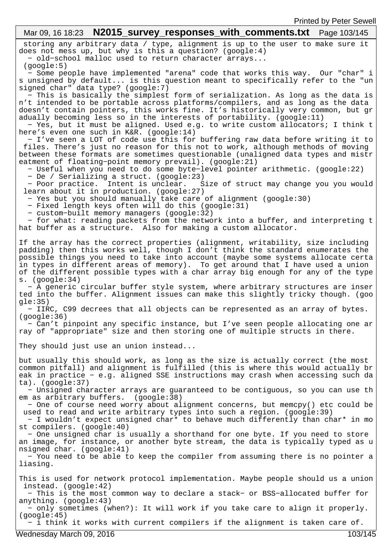#### storing any arbitrary data / type, alignment is up to the user to make sure it does not mess up, but why is this a question? (google:4) − old−school malloc used to return character arrays... (google:5) − Some people have implemented "arena" code that works this way. Our "char" i s unsigned by default... is this question meant to specifically refer to the "un signed char" data type? (google:7) − This is basically the simplest form of serialization. As long as the data is n't intended to be portable across platforms/compilers, and as long as the data doesn't contain pointers, this works fine. It's historically very common, but gr adually becoming less so in the interests of portability. (google:11) − Yes, but it must be aligned. Used e.g. to write custom allocators; I think t here's even one such in K&R. (google:14) − I've seen a LOT of code use this for buffering raw data before writing it to files. There's just no reason for this not to work, although methods of moving between these formats are sometimes questionable (unaligned data types and mistr eatment of floating−point memory prevail). (google:21) − Useful when you need to do some byte−level pointer arithmetic. (google:22) − De / Serializing a struct. (google:23) − Poor practice. Intent is unclear. Size of struct may change you you would learn about it in production. (google:27) − Yes but you should manually take care of alignment (google:30) − Fixed length keys often will do this (google:31) − custom−built memory managers (google:32) − for what: reading packets from the network into a buffer, and interpreting t hat buffer as a structure. Also for making a custom allocator. If the array has the correct properties (alignment, writability, size including padding) then this works well, though I don't think the standard enumerates the possible things you need to take into account (maybe some systems allocate certa in types in different areas of memory). To get around that I have used a union of the different possible types with a char array big enough for any of the type s. (google:34) − A generic circular buffer style system, where arbitrary structures are inser ted into the buffer. Alignment issues can make this slightly tricky though. (goo  $qle:35)$  − IIRC, C99 decrees that all objects can be represented as an array of bytes. (google:36) − Can't pinpoint any specific instance, but I've seen people allocating one ar ray of "appropriate" size and then storing one of multiple structs in there. They should just use an union instead... but usually this should work, as long as the size is actually correct (the most common pitfall) and alignment is fulfilled (this is where this would actually br eak in practice − e.g. aligned SSE instructions may crash when accessing such da ta). (google:37) − Unsigned character arrays are guaranteed to be contiguous, so you can use th em as arbitrary buffers. (google:38) − One of course need worry about alignment concerns, but memcpy() etc could be used to read and write arbitrary types into such a region. (google:39) − I wouldn't expect unsigned char\* to behave much differently than char\* in mo st compilers. (google:40) − One unsigned char is usually a shorthand for one byte. If you need to store an image, for instance, or another byte stream, the data is typically typed as u nsigned char. (google:41) − You need to be able to keep the compiler from assuming there is no pointer a liasing. This is used for network protocol implementation. Maybe people should us a union instead. (google:42) − This is the most common way to declare a stack− or BSS−allocated buffer for anything. (google:43) − only sometimes (when?): It will work if you take care to align it properly. (google:45) − i think it works with current compilers if the alignment is taken care of. Mar 09, 16 18:23 **N2015 survey responses with comments.txt** Page 103/145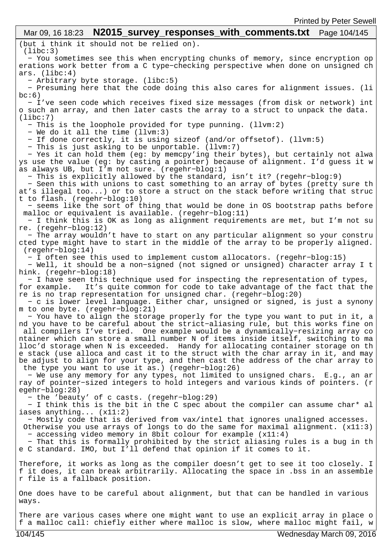#### (but i think it should not be relied on). (libc:3) − You sometimes see this when encrypting chunks of memory, since encryption op erations work better from a C type−checking perspective when done on unsigned ch ars. (libc:4) − Arbitrary byte storage. (libc:5) − Presuming here that the code doing this also cares for alignment issues. (li  $bc:6)$  − I've seen code which receives fixed size messages (from disk or network) int o such an array, and then later casts the array to a struct to unpack the data. (libc:7) − This is the loophole provided for type punning. (llvm:2) − We do it all the time (llvm:3) − If done correctly, it is using sizeof (and/or offsetof). (llvm:5) − This is just asking to be unportable. (llvm:7) − Yes it can hold them (eg: by memcpy'ing their bytes), but certainly not alwa ys use the value (eg: by casting a pointer) because of alignment. I'd guess it w as always UB, but I'm not sure. (regehr−blog:1) − This is explicitly allowed by the standard, isn't it? (regehr−blog:9) − Seen this with unions to cast something to an array of bytes (pretty sure th at's illegal too...) or to store a struct on the stack before writing that struc t to flash. (regehr−blog:10) − seems like the sort of thing that would be done in OS bootstrap paths before malloc or equivalent is available. (regehr−blog:11) − I think this is OK as long as alignment requirements are met, but I'm not su re. (regehr−blog:12) − The array wouldn't have to start on any particular alignment so your constru cted type might have to start in the middle of the array to be properly aligned. (regehr−blog:14) − I often see this used to implement custom allocators. (regehr−blog:15) − Well, it should be a non−signed (not signed or unsigned) character array I t hink. (regehr−blog:18) − I have seen this technique used for inspecting the representation of types, for example. It's quite common for code to take advantage of the fact that the re is no trap representation for unsigned char. (regehr−blog:20) − c is lower level language. Either char, unsigned or signed, is just a synony m to one byte. (regehr−blog:21) − You have to align the storage properly for the type you want to put in it, a nd you have to be careful about the strict−aliasing rule, but this works fine on all compilers I've tried. One example would be a dynamically−resizing array co ntainer which can store a small number N of items inside itself, switching to ma lloc'd storage when N is exceeded. Handy for allocating container storage on th e stack (use alloca and cast it to the struct with the char array in it, and may be adjust to align for your type, and then cast the address of the char array to the type you want to use it as.) (regehr−blog:26) − We use any memory for any types, not limited to unsigned chars. E.g., an ar ray of pointer−sized integers to hold integers and various kinds of pointers. (r egehr−blog:28) − the 'beauty' of c casts. (regehr−blog:29) − I think this is the bit in the C spec about the compiler can assume char\* al iases anything... (x11:2) − Mostly code that is derived from vax/intel that ignores unaligned accesses. Otherwise you use arrays of longs to do the same for maximal alignment. (x11:3) − accessing video memory in 8bit colour for example (x11:4) − That this is formally prohibited by the strict aliasing rules is a bug in th e C standard. IMO, but I'll defend that opinion if it comes to it. Therefore, it works as long as the compiler doesn't get to see it too closely. I f it does, it can break arbitrarily. Allocating the space in .bss in an assemble r file is a fallback position. One does have to be careful about alignment, but that can be handled in various ways. Mar 09, 16 18:23 **N2015\_survey\_responses\_with\_comments.txt** Page 104/145 Printed by Peter Sewell

There are various cases where one might want to use an explicit array in place o f a malloc call: chiefly either where malloc is slow, where malloc might fail, w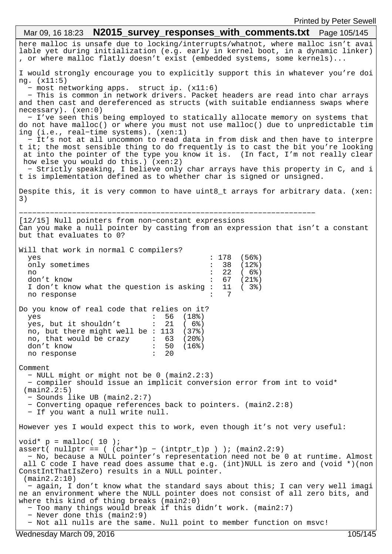here malloc is unsafe due to locking/interrupts/whatnot, where malloc isn't avai lable yet during initialization (e.g. early in kernel boot, in a dynamic linker) , or where malloc flatly doesn't exist (embedded systems, some kernels)... I would strongly encourage you to explicitly support this in whatever you're doi ng. (x11:5) − most networking apps. struct ip. (x11:6) − This is common in network drivers. Packet headers are read into char arrays and then cast and dereferenced as structs (with suitable endianness swaps where necessary). (xen:0) − I've seen this being employed to statically allocate memory on systems that do not have malloc() or where you must not use malloc() due to unpredictable tim ing (i.e., real−time systems). (xen:1) − It's not at all uncommon to read data in from disk and then have to interpre t it; the most sensible thing to do frequently is to cast the bit you're looking at into the pointer of the type you know it is. (In fact, I'm not really clear how else you would do this.) (xen:2) − Strictly speaking, I believe only char arrays have this property in C, and i t is implementation defined as to whether char is signed or unsigned. Despite this, it is very common to have uint8\_t arrays for arbitrary data. (xen: 3) −−−−−−−−−−−−−−−−−−−−−−−−−−−−−−−−−−−−−−−−−−−−−−−−−−−−−−−−−−−−−−−−−−− [12/15] Null pointers from non−constant expressions Can you make a null pointer by casting from an expression that isn't a constant but that evaluates to 0? Will that work in normal C compilers? yes : 178 (56%) only sometimes : 38 (12%) no : 22 ( 6%) don't know<br>I don't know what the question is asking : 11 (3%) I don't know what the question is asking  $:$ no response Do you know of real code that relies on it? yes : 56 (18%)<br>ves, but it shouldn't : 21 (6%) yes, but it shouldn't no, but there might well be : 113 (37%) no, that would be crazy : 63 (20%) don't know : 50 (16%)<br>no response : 20 no response Comment − NULL might or might not be 0 (main2.2:3) − compiler should issue an implicit conversion error from int to void\* (main2.2:5) − Sounds like UB (main2.2:7) − Converting opaque references back to pointers. (main2.2:8) − If you want a null write null. However yes I would expect this to work, even though it's not very useful: void\*  $p = \text{malloc}(10)$ ; assert(  $nullptr ==$  (  $(char*)p - (intr_tr)p )$  ) ;  $(main2.2:9)$  − No, because a NULL pointer's representation need not be 0 at runtime. Almost all C code I have read does assume that e.g. (int)NULL is zero and (void \*)(non ConstIntThatIsZero) results in a NULL pointer. (main2.2:10) − again, I don't know what the standard says about this; I can very well imagi ne an environment where the NULL pointer does not consist of all zero bits, and where this kind of thing breaks (main2:0) − Too many things would break if this didn't work. (main2:7) − Never done this (main2:9) − Not all nulls are the same. Null point to member function on msvc! Mar 09, 16 18:23 **N2015 survey responses with comments.txt** Page 105/145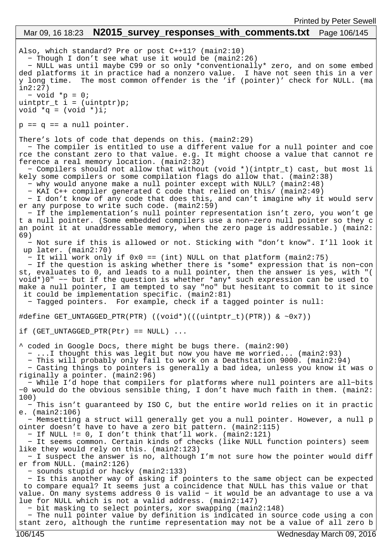## Also, which standard? Pre or post C++11? (main2:10) − Though I don't see what use it would be (main2:26) − NULL was until maybe C99 or so only \*conventionally\* zero, and on some embed ded platforms it in practice had a nonzero value. I have not seen this in a ver y long time. The most common offender is the 'if (pointer)' check for NULL. (ma in2:27) − void \*p = 0; uintptr\_t i = (uintptr)p; void  $*q = (void *)i;$  $p == q == a null pointer.$ There's lots of code that depends on this. (main2:29) − The compiler is entitled to use a different value for a null pointer and coe rce the constant zero to that value. e.g. It might choose a value that cannot re ference a real memory location. (main2:32) Mar 09, 16 18:23 **N2015 survey responses with comments.txt** Page 106/145 Printed by Peter Sewell

 − Compilers should not allow that without (void \*)(intptr\_t) cast, but most li kely some compilers or some compilation flags do allow that. (main2:38)

− why would anyone make a null pointer except with NULL? (main2:48)

 − KAI C++ compiler generated C code that relied on this/ (main2:49) − I don't know of any code that does this, and can't imagine why it would serv er any purpose to write such code. (main2:59)

 − If the implementation's null pointer representation isn't zero, you won't ge t a null pointer. (Some embedded compilers use a non−zero null pointer so they c an point it at unaddressable memory, when the zero page is addressable.) (main2: 69)

 − Not sure if this is allowed or not. Sticking with "don't know". I'll look it up later. (main2:70)

− It will work only if 0x0 == (int) NULL on that platform (main2:75)

 − If the question is asking whether there is \*some\* expression that is non−con st, evaluates to 0, and leads to a null pointer, then the answer is yes, with "( void\*)0" −− but if the question is whether \*any\* such expression can be used to make a null pointer, I am tempted to say "no" but hesitant to commit to it since it could be implementation specific. (main2:81)

− Tagged pointers. For example, check if a tagged pointer is null:

#define GET UNTAGGED PTR(PTR) ((void\*)(((uintptr\_t)(PTR)) & ~0x7))

if  $(GET_UNTAGGED_PTR(Ptr) == NULL)$ ...

^ coded in Google Docs, there might be bugs there. (main2:90)

− ...I thought this was legit but now you have me worried... (main2:93)

− This will probably only fail to work on a Deathstation 9000. (main2:94)

 − Casting things to pointers is generally a bad idea, unless you know it was o riginally a pointer. (main2:96)

 − While I'd hope that compilers for platforms where null pointers are all−bits −0 would do the obvious sensible thing, I don't have much faith in them. (main2: 100)

 − This isn't guaranteed by ISO C, but the entire world relies on it in practic e. (main2:106)

 − Memsetting a struct will generally get you a null pointer. However, a null p ointer doesn't have to have a zero bit pattern. (main2:115)

− If NULL != 0, I don't think that'll work. (main2:121)

 − It seems common. Certain kinds of checks (like NULL function pointers) seem like they would rely on this. (main2:123)

 − I suspect the answer is no, although I'm not sure how the pointer would diff er from NULL. (main2:126)

− sounds stupid or hacky (main2:133)

 − Is this another way of asking if pointers to the same object can be expected to compare equal? It seems just a coincidence that NULL has this value or that value. On many systems address 0 is valid − it would be an advantage to use a va lue for NULL which is not a valid address. (main2:147)

− bit masking to select pointers, xor swapping (main2:148)

 − The null pointer value by definition is indicated in source code using a con stant zero, although the runtime representation may not be a value of all zero b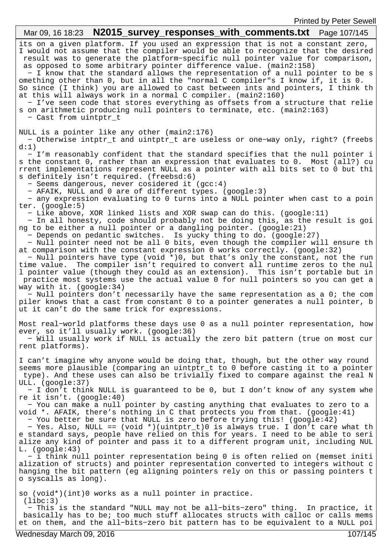| Mar 09, 16 18:23 <b>N2015_survey_responses_with_comments.txt</b> Page 107/145                                                                                                                                                                                                                                                                                                                                                                                                                                                                                                                                                                                                                                                                                                                                                                                                                                                                                                                                                                                                                                                                                                                         |
|-------------------------------------------------------------------------------------------------------------------------------------------------------------------------------------------------------------------------------------------------------------------------------------------------------------------------------------------------------------------------------------------------------------------------------------------------------------------------------------------------------------------------------------------------------------------------------------------------------------------------------------------------------------------------------------------------------------------------------------------------------------------------------------------------------------------------------------------------------------------------------------------------------------------------------------------------------------------------------------------------------------------------------------------------------------------------------------------------------------------------------------------------------------------------------------------------------|
| its on a given platform. If you used an expression that is not a constant zero,<br>I would not assume that the compiler would be able to recognize that the desired<br>result was to generate the platform-specific null pointer value for comparison,<br>as opposed to some arbitrary pointer difference value. (main2:158)<br>- I know that the standard allows the representation of a null pointer to be s<br>omething other than 0, but in all the "normal C compiler"s I know if, it is 0.<br>So since (I think) you are allowed to cast between ints and pointers, I think th<br>at this will always work in a normal C compiler. (main2:160)<br>- I've seen code that stores everything as offsets from a structure that relie<br>s on arithmetic producing null pointers to terminate, etc. (main2:163)<br>- Cast from uintptr_t                                                                                                                                                                                                                                                                                                                                                             |
| NULL is a pointer like any other (main2:176)<br>- Otherwise intptr_t and uintptr_t are useless or one-way only, right? (freebs                                                                                                                                                                                                                                                                                                                                                                                                                                                                                                                                                                                                                                                                                                                                                                                                                                                                                                                                                                                                                                                                        |
| d:1)<br>- I'm reasonably confident that the standard specifies that the null pointer i<br>s the constant 0, rather than an expression that evaluates to 0. Most (all?) cu<br>rrent implementations represent NULL as a pointer with all bits set to 0 but thi<br>s definitely isn't required. (freebsd:6)<br>- Seems dangerous, never cosidered it (gcc:4)<br>- AFAIK, NULL and 0 are of different types. (google:3)<br>- any expression evaluating to 0 turns into a NULL pointer when cast to a poin                                                                                                                                                                                                                                                                                                                                                                                                                                                                                                                                                                                                                                                                                                |
| ter. $(google:5)$<br>- Like above, XOR linked lists and XOR swap can do this. (google:11)<br>- In all honesty, code should probably not be doing this, as the result is goi<br>ng to be either a null pointer or a dangling pointer. (google:21)<br>- Depends on pedantic switches. Is yucky thing to do. (google:27)<br>- Null pointer need not be all 0 bits, even though the compiler will ensure th<br>at comparison with the constant expression 0 works correctly. (google:32)<br>- Null pointers have type (void *)0, but that's only the constant, not the run<br>time value. The compiler isn't required to convert all runtime zeros to the nul<br>1 pointer value (though they could as an extension). This isn't portable but in<br>practice most systems use the actual value 0 for null pointers so you can get a<br>way with it. (google:34)<br>- Null pointers don't necessarily have the same representation as a 0; the com<br>piler knows that a cast from constant 0 to a pointer generates a null pointer, b<br>ut it can't do the same trick for expressions.                                                                                                                   |
| Most real-world platforms these days use 0 as a null pointer representation, how<br>ever, so it'll usually work. (google:36)<br>- Will usually work if NULL is actually the zero bit pattern (true on most cur<br>rent platforms).                                                                                                                                                                                                                                                                                                                                                                                                                                                                                                                                                                                                                                                                                                                                                                                                                                                                                                                                                                    |
| I can't imagine why anyone would be doing that, though, but the other way round<br>seems more plausible (comparing an uintptr_t to 0 before casting it to a pointer<br>type). And these uses can also be trivially fixed to compare against the real N<br>ULL. (google:37)<br>- I don't think NULL is guaranteed to be 0, but I don't know of any system whe<br>re it isn't. $(google:40)$<br>- You can make a null pointer by casting anything that evaluates to zero to a<br>void *. AFAIK, there's nothing in C that protects you from that. (google:41)<br>- You better be sure that NULL is zero before trying this! (google:42)<br>- Yes. Also, NULL == (void *)(uintptr_t)0 is always true. I don't care what th<br>e standard says, people have relied on this for years. I need to be able to seri<br>alize any kind of pointer and pass it to a different program unit, including NUL<br>$L.$ (google:43)<br>- i think null pointer representation being 0 is often relied on (memset initi<br>alization of structs) and pointer representation converted to integers without c<br>hanging the bit pattern (eg aligning pointers rely on this or passing pointers t<br>o syscalls as long). |
| so (void*)(int)0 works as a null pointer in practice.<br>(libe:3)<br>- This is the standard "NULL may not be all-bits-zero" thing. In practice, it<br>basically has to be; too much stuff allocates structs with calloc or calls mems<br>et on them, and the all-bits-zero bit pattern has to be equivalent to a NULL poi                                                                                                                                                                                                                                                                                                                                                                                                                                                                                                                                                                                                                                                                                                                                                                                                                                                                             |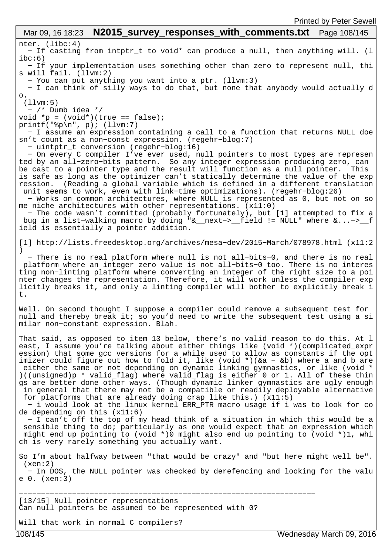nter. (libc:4) − If casting from intptr\_t to void\* can produce a null, then anything will. (l  $ibc:6)$  − If your implementation uses something other than zero to represent null, thi s will fail. (llvm:2) − You can put anything you want into a ptr. (llvm:3) − I can think of silly ways to do that, but none that anybody would actually d o. (llvm:5) − /\* Dumb idea \*/ void  $*_{p} = (void*) (true == false)$ ; printf("%p\n", p); (llvm:7) − I assume an expression containing a call to a function that returns NULL doe sn't count as a non−const expression. (regehr−blog:7) − uintptr\_t conversion (regehr−blog:16) − On every C compiler I've ever used, null pointers to most types are represen ted by an all−zero−bits pattern. So any integer expression producing zero, can be cast to a pointer type and the result will function as a null pointer. This is safe as long as the optimizer can't statically determine the value of the exp ression. (Reading a global variable which is defined in a different translation unit seems to work, even with link−time optimizations). (regehr−blog:26) − Works on common architectures, where NULL is represented as 0, but not on so me niche architectures with other representations. (x11:0) − The code wasn't committed (probably fortunately), but [1] attempted to fix a bug in a list−walking macro by doing "&\_\_next−>\_\_field != NULL" where &...−>\_\_f ield is essentially a pointer addition. [1] http://lists.freedesktop.org/archives/mesa−dev/2015−March/078978.html (x11:2 ) − There is no real platform where null is not all−bits−0, and there is no real platform where an integer zero value is not all−bits−0 too. There is no interes ting non−linting platform where converting an integer of the right size to a poi nter changes the representation. Therefore, it will work unless the compiler exp licitly breaks it, and only a linting compiler will bother to explicitly break i t. Well. On second thought I suppose a compiler could remove a subsequent test for null and thereby break it; so you'd need to write the subsequent test using a si milar non−constant expression. Blah. That said, as opposed to item 13 below, there's no valid reason to do this. At l east, I assume you're talking about either things like (void \*)(complicated\_expr ession) that some gcc versions for a while used to allow as constants if the opt imizer could figure out how to fold it, like (void \*)(&a − &b) where a and b are either the same or not depending on dynamic linking gymnastics, or like (void \* )((unsigned)p \* valid\_flag) where valid\_flag is either 0 or 1. All of these thin gs are better done other ways. (Though dynamic linker gymnastics are ugly enough in general that there may not be a compatible or readily deployable alternative for platforms that are already doing crap like this.) (x11:5) − i would look at the linux kernel ERR\_PTR macro usage if i was to look for co de depending on this (x11:6) − I can't off the top of my head think of a situation in which this would be a sensible thing to do; particularly as one would expect that an expression which might end up pointing to (void \*)0 might also end up pointing to (void \*)1, whi ch is very rarely something you actually want. So I'm about halfway between "that would be crazy" and "but here might well be". (xen:2) − In DOS, the NULL pointer was checked by derefencing and looking for the valu e 0. (xen:3) −−−−−−−−−−−−−−−−−−−−−−−−−−−−−−−−−−−−−−−−−−−−−−−−−−−−−−−−−−−−−−−−−−− [13/15] Null pointer representations Can null pointers be assumed to be represented with 0? Will that work in normal C compilers? Mar 09, 16 18:23 **N2015\_survey responses with comments.txt** Page 108/145

108/145 Wednesday March 09, 2016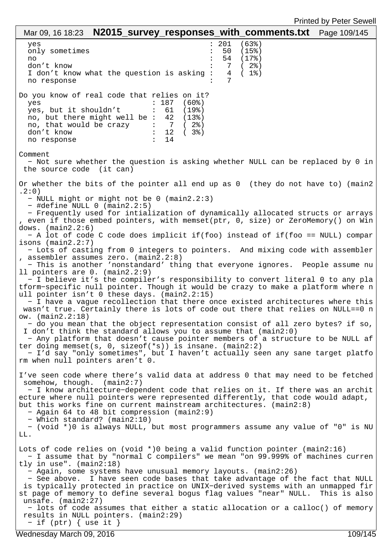| <b>I ITILGA DY L GIGL OGWGII</b><br>Mar 09, 16 18:23 $N2015$ _survey_responses_with_comments.txt    Page 109/145                                                                                                                                                                                                                                                                                                                                                                                                                                                                                                                                                                                                                                                                                                                                                                                                                                                                                                                                                                                                                                                                                                                                                                                                                                                                                                                                                                                                                                                           |
|----------------------------------------------------------------------------------------------------------------------------------------------------------------------------------------------------------------------------------------------------------------------------------------------------------------------------------------------------------------------------------------------------------------------------------------------------------------------------------------------------------------------------------------------------------------------------------------------------------------------------------------------------------------------------------------------------------------------------------------------------------------------------------------------------------------------------------------------------------------------------------------------------------------------------------------------------------------------------------------------------------------------------------------------------------------------------------------------------------------------------------------------------------------------------------------------------------------------------------------------------------------------------------------------------------------------------------------------------------------------------------------------------------------------------------------------------------------------------------------------------------------------------------------------------------------------------|
| 201<br>$(63$ <sup>8</sup> )<br>$\ddot{\cdot}$<br>yes<br>50<br>only sometimes<br>(15%)<br>54<br>(17%)<br>no<br>(2)<br>don't know<br>7<br>I don't know what the question is asking:<br>4<br>$(1$ $8)$<br>7<br>no response                                                                                                                                                                                                                                                                                                                                                                                                                                                                                                                                                                                                                                                                                                                                                                                                                                                                                                                                                                                                                                                                                                                                                                                                                                                                                                                                                    |
| Do you know of real code that relies on it?<br>(60%)<br>: 187<br>yes<br>yes, but it shouldn't<br>61<br>(19%)<br>and the first products of<br>no, but there might well be : 42<br>(13%)<br>no, that would be crazy $\cdot$ 7<br>(2)<br>: 12<br>don't know<br>( 3%)<br>14<br>no response                                                                                                                                                                                                                                                                                                                                                                                                                                                                                                                                                                                                                                                                                                                                                                                                                                                                                                                                                                                                                                                                                                                                                                                                                                                                                     |
| Comment<br>- Not sure whether the question is asking whether NULL can be replaced by 0 in<br>the source code (it can)                                                                                                                                                                                                                                                                                                                                                                                                                                                                                                                                                                                                                                                                                                                                                                                                                                                                                                                                                                                                                                                                                                                                                                                                                                                                                                                                                                                                                                                      |
| Or whether the bits of the pointer all end up as 0 (they do not have to) (main2<br>.2:0)<br>- NULL might or might not be 0 (main2.2:3)<br>$-$ #define NULL 0 (main2.2:5)<br>- Frequently used for intialization of dynamically allocated structs or arrays<br>, even if those embed pointers, with memset(ptr, 0, size) or ZeroMemory() on Win<br>dows. $(main2.2:6)$<br>- A lot of code C code does implicit if(foo) instead of if(foo == NULL) compar<br>isons $(\text{main2.2:7})$<br>- Lots of casting from 0 integers to pointers. And mixing code with assembler<br>, assembler assumes zero. (main2.2:8)<br>- This is another 'nonstandard' thing that everyone ignores. People assume nu<br>11 pointers are 0. (main2.2:9)<br>- I believe it's the compiler's responsibility to convert literal 0 to any pla<br>tform-specific null pointer. Though it would be crazy to make a platform where n<br>ull pointer isn't 0 these days. (main2.2:15)<br>- I have a vague recollection that there once existed architectures where this<br>wasn't true. Certainly there is lots of code out there that relies on NULL==0 n<br>ow. (main2.2:18)<br>- do you mean that the object representation consist of all zero bytes? if so,<br>I don't think the standard allows you to assume that (main2:0)<br>- Any platform that doesn't cause pointer members of a structure to be NULL af<br>ter doing memset(s, $0$ , sizeof(*s)) is insane. (main2:2)<br>- I'd say "only sometimes", but I haven't actually seen any sane target platfo<br>rm when null pointers aren't 0. |
| I've seen code where there's valid data at address 0 that may need to be fetched<br>somehow, though. $(\text{main2:7})$<br>- I know architecture-dependent code that relies on it. If there was an archit<br>ecture where null pointers were represented differently, that code would adapt,<br>but this works fine on current mainstream architectures. (main2:8)<br>- Again 64 to 48 bit compression (main2:9)<br>- Which standard? (main2:10)<br>- (void *)0 is always NULL, but most programmers assume any value of "0" is NU<br>LL.                                                                                                                                                                                                                                                                                                                                                                                                                                                                                                                                                                                                                                                                                                                                                                                                                                                                                                                                                                                                                                  |
| Lots of code relies on (void $\star$ ) being a valid function pointer (main2:16)<br>- I assume that by "normal C compilers" we mean "on 99.999% of machines curren<br>tly in use". $(main2:18)$<br>- Again, some systems have unusual memory layouts. (main2:26)<br>- See above. I have seen code bases that take advantage of the fact that NULL<br>is typically protected in practice on UNIX-derived systems with an unmapped fir<br>st page of memory to define several bogus flag values "near" NULL. This is also<br>unsafe. $(main2:27)$<br>- lots of code assumes that either a static allocation or a calloc() of memory<br>results in NULL pointers. (main2:29)<br>$-$ if (ptr) { use it }                                                                                                                                                                                                                                                                                                                                                                                                                                                                                                                                                                                                                                                                                                                                                                                                                                                                       |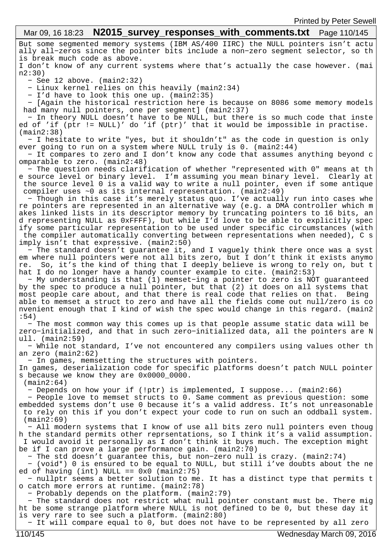#### But some segmented memory systems (IBM AS/400 IIRC) the NULL pointers isn't actu ally all−zeros since the pointer bits include a non−zero segment selector, so th is break much code as above. I don't know of any current systems where that's actually the case however. (mai n2:30) − See 12 above. (main2:32) − Linux kernel relies on this heavily (main2:34) − I'd have to look this one up. (main2:35) − [Again the historical restriction here is because on 8086 some memory models had many null pointers, one per segment] (main2:37) − In theory NULL doesn't have to be NULL, but there is so much code that inste ed of 'if (ptr != NULL)' do 'if (ptr)' that it would be impossible in practise. (main2:38) − I hesitate to write "yes, but it shouldn't" as the code in question is only ever going to run on a system where NULL truly is 0. (main2:44) − It compares to zero and I don't know any code that assumes anything beyond c omparable to zero. (main2:48) − The question needs clarification of whether "represented with 0" means at th e source level or binary level. I'm assuming you mean binary level. Clearly at the source level 0 is a valid way to write a null pointer, even if some antique compiler uses ~0 as its internal representation. (main2:49) − Though in this case it's merely status quo. I've actually run into cases whe re pointers are represented in an alternative way (e.g. a DMA controller which m akes linked lists in its descriptor memory by truncating pointers to 16 bits, an d representing NULL as 0xFFFF), but while I'd love to be able to explicitly spec ify some particular representation to be used under specific circumstances (with the compiler automatically converting between representations when needed), C s imply isn't that expressive. (main2:50) − The standard doesn't guarantee it, and I vaguely think there once was a syst em where null pointers were not all bits zero, but I don't think it exists anymo re. So, it's the kind of thing that I deeply believe is wrong to rely on, but t hat I do no longer have a handy counter example to cite. (main2:53) − My understanding is that (1) memset−ing a pointer to zero is NOT guaranteed by the spec to produce a null pointer, but that (2) it does on all systems that most people care about, and that there is real code that relies on that. Being able to memset a struct to zero and have all the fields come out null/zero is co nvenient enough that I kind of wish the spec would change in this regard. (main2 :54) − The most common way this comes up is that people assume static data will be zero−initialized, and that in such zero−initialized data, all the pointers are N ull. (main2:59) − While not standard, I've not encountered any compilers using values other th an zero (main2:62) − In games, memsetting the structures with pointers. In games, deserialization code for specific platforms doesn't patch NULL pointer s because we know they are 0x0000\_0000. (main2:64) − Depends on how your if (!ptr) is implemented, I suppose... (main2:66) − People love to memset structs to 0. Same comment as previous question: some embedded systems don't use 0 because it's a valid address. It's not unreasonable to rely on this if you don't expect your code to run on such an oddball system. (main2:69) − All modern systems that I know of use all bits zero null pointers even thoug h the standard permits other reprsentations, so I think it's a valid assumption. I would avoid it personally as I don't think it buys much. The exception might be if I can prove a large performance gain. (main2:70) − The std doesn't guarantee this, but non−zero null is crazy. (main2:74) − (void\*) 0 is ensured to be equal to NULL, but still i've doubts about the ne ed of having (int) NULL ==  $0 \times 0$  (main2:75) − nullptr seems a better solution to me. It has a distinct type that permits t o catch more errors at runtime. (main2:78) − Probably depends on the platform. (main2:79) − The standard does not restrict what null pointer constant must be. There mig ht be some strange platform where NULL is not defined to be 0, but these day it is very rare to see such a platform. (main2:80) Mar 09, 16 18:23 **N2015\_survey\_responses\_with\_comments.txt** Page 110/145

− It will compare equal to 0, but does not have to be represented by all zero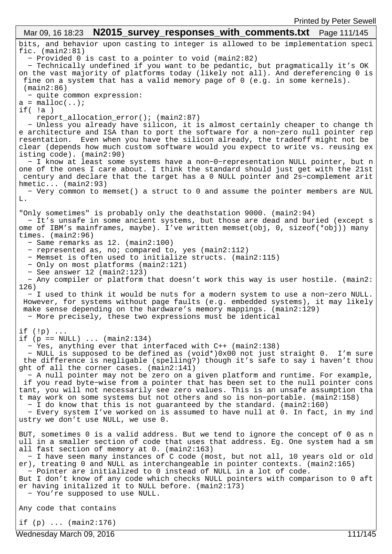| Mar 09, 16 18:23 <b>N2015_survey_responses_with_comments.txt</b> Page 111/145                                                                                                                                                                                                                                                                                                                                                                                                                                                                       |
|-----------------------------------------------------------------------------------------------------------------------------------------------------------------------------------------------------------------------------------------------------------------------------------------------------------------------------------------------------------------------------------------------------------------------------------------------------------------------------------------------------------------------------------------------------|
| bits, and behavior upon casting to integer is allowed to be implementation speci<br>fic. $(main2:81)$<br>- Provided 0 is cast to a pointer to void (main2:82)<br>- Technically undefined if you want to be pedantic, but pragmatically it's OK<br>on the vast majority of platforms today (likely not all). And dereferencing 0 is                                                                                                                                                                                                                  |
| fine on a system that has a valid memory page of 0 (e.g. in some kernels).<br>$(\text{main2:86})$<br>- quite common expression:<br>$a = \text{malloc}(\ldots);$                                                                                                                                                                                                                                                                                                                                                                                     |
| $if($ !a)<br>report_allocation_error(); (main2:87)                                                                                                                                                                                                                                                                                                                                                                                                                                                                                                  |
| - Unless you already have silicon, it is almost certainly cheaper to change th<br>e architecture and ISA than to port the software for a non-zero null pointer rep<br>resentation. Even when you have the silicon already, the tradeoff might not be<br>clear (depends how much custom software would you expect to write vs. reusing ex<br>isting $code)$ . $(main2:90)$                                                                                                                                                                           |
| - I know at least some systems have a non-0-representation NULL pointer, but n<br>one of the ones I care about. I think the standard should just get with the 21st<br>century and declare that the target has a 0 NULL pointer and 2s-complement arit<br>$hmetic$ (main2:93)                                                                                                                                                                                                                                                                        |
| - Very common to memset() a struct to 0 and assume the pointer members are NUL<br>L.                                                                                                                                                                                                                                                                                                                                                                                                                                                                |
| "Only sometimes" is probably only the deathstation 9000. (main2:94)<br>- It's unsafe in some ancient systems, but those are dead and buried (except s<br>ome of IBM's mainframes, maybe). I've written memset(obj, 0, sizeof(*obj)) many<br>times. $(main2:96)$                                                                                                                                                                                                                                                                                     |
| - Same remarks as 12. (main2:100)<br>- represented as, no; compared to, yes (main2:112)<br>- Memset is often used to initialize structs. (main2:115)<br>- Only on most platforms (main2:121)<br>- See answer $12$ (main2:123)<br>- Any compiler or platform that doesn't work this way is user hostile. (main2:                                                                                                                                                                                                                                     |
| 126)<br>- I used to think it would be nuts for a modern system to use a non-zero NULL.<br>However, for systems without page faults (e.g. embedded systems), it may likely<br>make sense depending on the hardware's memory mappings. (main2:129)<br>- More precisely, these two expressions must be identical                                                                                                                                                                                                                                       |
| if $(\cdot   p)$<br>if $(p == NULL)$ $(\text{main2:134})$                                                                                                                                                                                                                                                                                                                                                                                                                                                                                           |
| - Yes, anything ever that interfaced with C++ (main2:138)<br>- NULL is supposed to be defined as (void*)0x00 not just straight 0. I'm sure<br>the difference is negligable (spelling?) though it's safe to say i haven't thou<br>ght of all the corner cases. (main2:141)                                                                                                                                                                                                                                                                           |
| - A null pointer may not be zero on a given platform and runtime. For example,<br>if you read byte-wise from a pointer that has been set to the null pointer cons<br>tant, you will not necessarily see zero values. This is an unsafe assumption tha<br>t may work on some systems but not others and so is non-portable. (main2:158)<br>- I do know that this is not guaranteed by the standard. (main2:160)<br>- Every system I've worked on is assumed to have null at 0. In fact, in my ind<br>ustry we don't use NULL, we use 0.              |
| BUT, sometimes 0 is a valid address. But we tend to ignore the concept of 0 as n                                                                                                                                                                                                                                                                                                                                                                                                                                                                    |
| ull in a smaller section of code that uses that address. Eg. One system had a sm<br>all fast section of memory at 0. (main2:163)<br>- I have seen many instances of C code (most, but not all, 10 years old or old<br>er), treating 0 and NULL as interchangeable in pointer contexts. (main2:165)<br>- Pointer are initialized to 0 instead of NULL in a lot of code.<br>But I don't know of any code which checks NULL pointers with comparison to 0 aft<br>er having initalized it to NULL before. (main2:173)<br>- You're supposed to use NULL. |
| Any code that contains                                                                                                                                                                                                                                                                                                                                                                                                                                                                                                                              |
| if $(p)$ $(main2:176)$                                                                                                                                                                                                                                                                                                                                                                                                                                                                                                                              |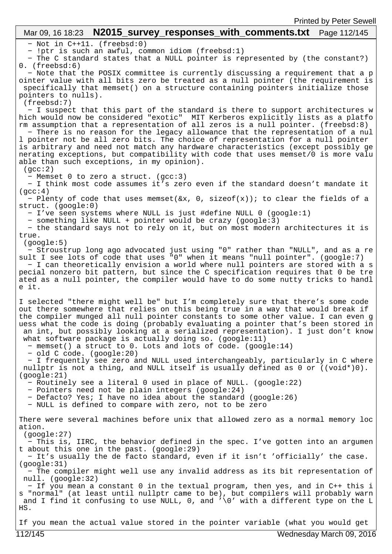## Mar 09, 16 18:23 **N2015 survey responses with comments.txt** Page 112/145

− Not in C++11. (freebsd:0)

− !ptr is such an awful, common idiom (freebsd:1)

 − The C standard states that a NULL pointer is represented by (the constant?) 0. (freebsd:6)

 − Note that the POSIX committee is currently discussing a requirement that a p ointer value with all bits zero be treated as a null pointer (the requirement is specifically that memset() on a structure containing pointers initialize those pointers to nulls).

(freebsd:7)

 − I suspect that this part of the standard is there to support architectures w hich would now be considered "exotic" MIT Kerberos explicitly lists as a platfo rm assumption that a representation of all zeros is a null pointer. (freebsd:8)

 − There is no reason for the legacy allowance that the representation of a nul l pointer not be all zero bits. The choice of representation for a null pointer is arbitrary and need not match any hardware characteristics (except possibly ge nerating exceptions, but compatibility with code that uses memset/0 is more valu able than such exceptions, in my opinion).

 $(qcc:2)$ 

− Memset 0 to zero a struct. (gcc:3)

 − I think most code assumes it's zero even if the standard doesn't mandate it  $(\text{acc:4})$ 

 − Plenty of code that uses memset(&x, 0, sizeof(x)); to clear the fields of a struct. (google:0)

− I've seen systems where NULL is just #define NULL 0 (google:1)

− something like NULL + pointer would be crazy (google:3)

 − the standard says not to rely on it, but on most modern architectures it is true.

(google:5)

 − Stroustrup long ago advocated just using "0" rather than "NULL", and as a re sult I see lots of code that uses "0" when it means "null pointer". (google:7) − I can theoretically envision a world where null pointers are stored with a s pecial nonzero bit pattern, but since the C specification requires that 0 be tre ated as a null pointer, the compiler would have to do some nutty tricks to handl e it.

I selected "there might well be" but I'm completely sure that there's some code out there somewhere that relies on this being true in a way that would break if the compiler munged all null pointer constants to some other value. I can even g uess what the code is doing (probably evaluating a pointer that's been stored in an int, but possibly looking at a serialized representation). I just don't know what software package is actually doing so. (google:11)

− memset() a struct to 0. Lots and lots of code. (google:14)

− old C code. (google:20)

 − I frequently see zero and NULL used interchangeably, particularly in C where nullptr is not a thing, and NULL itself is usually defined as 0 or ((void\*)0). (google:21)

− Routinely see a literal 0 used in place of NULL. (google:22)

− Pointers need not be plain integers (google:24)

− Defacto? Yes; I have no idea about the standard (google:26)

− NULL is defined to compare with zero, not to be zero

There were several machines before unix that allowed zero as a normal memory loc ation.

(google:27)

 − This is, IIRC, the behavior defined in the spec. I've gotten into an argumen t about this one in the past. (google:29)

 − It's usually the de facto standard, even if it isn't 'officially' the case. (google:31)

 − The compiler might well use any invalid address as its bit representation of null. (google:32)

 − If you mean a constant 0 in the textual program, then yes, and in C++ this i s "normal" (at least until nullptr came to be), but compilers will probably warn and I find it confusing to use NULL, 0, and '\0' with a different type on the L HS.

If you mean the actual value stored in the pointer variable (what you would get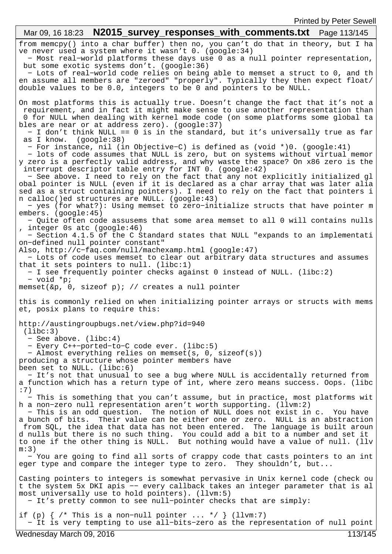from memcpy() into a char buffer) then no, you can't do that in theory, but I ha ve never used a system where it wasn't 0. (google:34) − Most real−world platforms these days use 0 as a null pointer representation, but some exotic systems don't. (google:36) − Lots of real−world code relies on being able to memset a struct to 0, and th en assume all members are "zeroed" "properly". Typically they then expect float/ double values to be 0.0, integers to be 0 and pointers to be NULL. On most platforms this is actually true. Doesn't change the fact that it's not a requirement, and in fact it might make sense to use another representation than 0 for NULL when dealing with kernel mode code (on some platforms some global ta bles are near or at address zero). (google:37) − I don't think NULL == 0 is in the standard, but it's universally true as far as I know. (google:38) − For instance, nil (in Objective−C) is defined as (void \*)0. (google:41) − lots of code assumes that NULL is zero, but on systems without virtual memor y zero is a perfectly valid address, and why waste the space? On x86 zero is the interrupt descriptor table entry for INT 0. (google:42) − See above. I need to rely on the fact that any not explicitly initialized gl obal pointer is NULL (even if it is declared as a char array that was later alia sed as a struct containing pointers). I need to rely on the fact that pointers i n calloc()ed structures are NULL. (google:43) − yes (for what?): Using memset to zero−initialize structs that have pointer m embers. (google:45) − Quite often code assusems that some area memset to all 0 will contains nulls , integer 0s atc (google:46) − Section 4.1.5 of the C Standard states that NULL "expands to an implementati on−defined null pointer constant" Also, http://c−faq.com/null/machexamp.html (google:47) − Lots of code uses memset to clear out arbitrary data structures and assumes that it sets pointers to null. (libc:1) − I see frequently pointer checks against 0 instead of NULL. (libc:2) − void \*p; memset(&p, 0, sizeof p); // creates a null pointer this is commonly relied on when initializing pointer arrays or structs with mems et, posix plans to require this: http://austingroupbugs.net/view.php?id=940 (libc:3) − See above. (libc:4) − Every C++−ported−to−C code ever. (libc:5) − Almost everything relies on memset(s, 0, sizeof(s)) producing a structure whose pointer members have been set to NULL. (libc:6) − It's not that unusual to see a bug where NULL is accidentally returned from a function which has a return type of int, where zero means success. Oops. (libc :7) − This is something that you can't assume, but in practice, most platforms wit h a non−zero null representation aren't worth supporting. (llvm:2) − This is an odd question. The notion of NULL does not exist in c. You have a bunch of bits. Their value can be either one or zero. NULL is an abstraction from SQL, the idea that data has not been entered. The language is built aroun d nulls but there is no such thing. You could add a bit to a number and set it to one if the other thing is NULL. But nothing would have a value of null. (llv m:3) − You are going to find all sorts of crappy code that casts pointers to an int eger type and compare the integer type to zero. They shouldn't, but... Casting pointers to integers is somewhat pervasive in Unix kernel code (check ou t the system 5x DKI apis −− every callback takes an integer parameter that is al most universally use to hold pointers). (llvm:5) − It's pretty common to see null−pointer checks that are simply: if (p)  $\{$  /\* This is a non-null pointer ... \*/  $\}$  (llvm:7) − It is very tempting to use all−bits−zero as the representation of null point Mar 09, 16 18:23 **N2015 survey responses with comments.txt** Page 113/145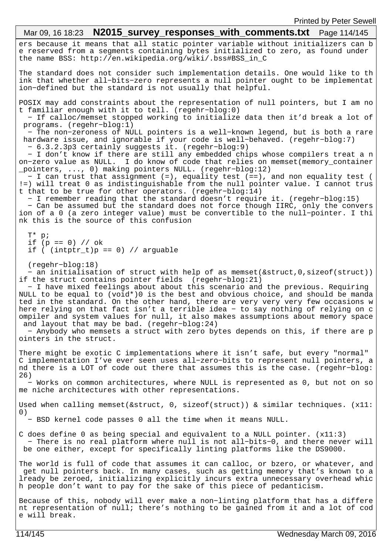# Mar 09, 16 18:23 **N2015 survey responses with comments.txt** Page 114/145

ers because it means that all static pointer variable without initializers can b e reserved from a segments containing bytes initialized to zero, as found under the name BSS: http://en.wikipedia.org/wiki/.bss#BSS\_in\_C

The standard does not consider such implementation details. One would like to th ink that whether all−bits−zero represents a null pointer ought to be implementat ion−defined but the standard is not usually that helpful.

POSIX may add constraints about the representation of null pointers, but I am no t familiar enough with it to tell. (regehr−blog:0)

 − If calloc/memset stopped working to initialize data then it'd break a lot of programs. (regehr−blog:1)

 − The non−zeroness of NULL pointers is a well−known legend, but is both a rare hardware issue, and ignorable if your code is well−behaved. (regehr−blog:7) − 6.3.2.3p3 certainly suggests it. (regehr−blog:9)

 − I don't know if there are still any embedded chips whose compilers treat a n on−zero value as NULL. I do know of code that relies on memset(memory\_container \_pointers, ..., 0) making pointers NULL. (regehr−blog:12)

 − I can trust that assignment (=), equality test (==), and non equality test ( !=) will treat 0 as indistinguishable from the null pointer value. I cannot trus t that to be true for other operators. (regehr−blog:14)

− I remember reading that the standard doesn't require it. (regehr−blog:15)

 − Can be assumed but the standard does not force though IIRC, only the convers ion of a 0 (a zero integer value) must be convertible to the null−pointer. I thi nk this is the source of this confusion

 T\* p; if (p == 0) // ok if  $($  (intptr\_t)p == 0) // arguable

(regehr−blog:18)

 − an initialisation of struct with help of as memset(&struct,0,sizeof(struct)) if the struct contains pointer fields (regehr−blog:21)

 − I have mixed feelings about about this scenario and the previous. Requiring NULL to be equal to (void\*)0 is the best and obvious choice, and should be manda ted in the standard. On the other hand, there are very very very few occasions w here relying on that fact isn't a terrible idea − to say nothing of relying on c ompiler and system values for null, it also makes assumptions about memory space and layout that may be bad. (regehr−blog:24)

 − Anybody who memsets a struct with zero bytes depends on this, if there are p ointers in the struct.

There might be exotic C implementations where it isn't safe, but every "normal" C implementation I've ever seen uses all−zero−bits to represent null pointers, a nd there is a LOT of code out there that assumes this is the case. (regehr−blog: 26)

 − Works on common architectures, where NULL is represented as 0, but not on so me niche architectures with other representations.

Used when calling memset(&struct, 0, sizeof(struct)) & similar techniques. (x11: 0)

− BSD kernel code passes 0 all the time when it means NULL.

C does define 0 as being special and equivalent to a NULL pointer. (x11:3) − There is no real platform where null is not all−bits−0, and there never will be one either, except for specifically linting platforms like the DS9000.

The world is full of code that assumes it can calloc, or bzero, or whatever, and get null pointers back. In many cases, such as getting memory that's known to a lready be zeroed, initializing explicitly incurs extra unnecessary overhead whic h people don't want to pay for the sake of this piece of pedanticism.

Because of this, nobody will ever make a non−linting platform that has a differe nt representation of null; there's nothing to be gained from it and a lot of cod e will break.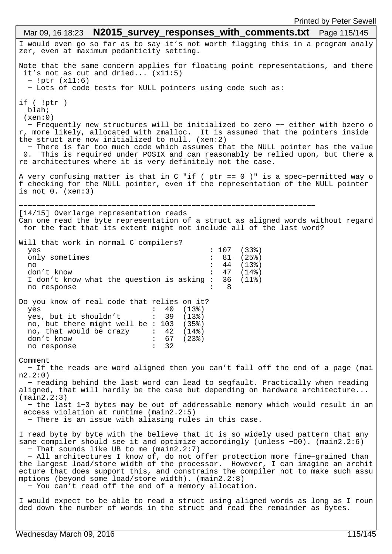I would even go so far as to say it's not worth flagging this in a program analy zer, even at maximum pedanticity setting. Note that the same concern applies for floating point representations, and there it's not as cut and dried... (x11:5) − !ptr (x11:6) − Lots of code tests for NULL pointers using code such as: if ( !ptr ) blah;  $(xen:0)$  − Frequently new structures will be initialized to zero −− either with bzero o r, more likely, allocated with zmalloc. It is assumed that the pointers inside the struct are now initialized to null. (xen:2) − There is far too much code which assumes that the NULL pointer has the value 0. This is required under POSIX and can reasonably be relied upon, but there a re architectures where it is very definitely not the case. A very confusing matter is that in C "if ( ptr == 0 )" is a spec−permitted way o f checking for the NULL pointer, even if the representation of the NULL pointer is not 0. (xen:3) −−−−−−−−−−−−−−−−−−−−−−−−−−−−−−−−−−−−−−−−−−−−−−−−−−−−−−−−−−−−−−−−−−− [14/15] Overlarge representation reads Can one read the byte representation of a struct as aligned words without regard for the fact that its extent might not include all of the last word? Will that work in normal C compilers? yes : 107 (33%)<br>
only sometimes : 81 (25%) only sometimes : 81 (25%)<br>no : 44 (13%) no : 44 (13%) don't know<br>I don't know what the question is asking : 36 (11%) I don't know what the question is asking  $:$  no response : 8 Do you know of real code that relies on it? yes : 40 (13%) yes, but it shouldn't : 39 (13%) no, but there might well be : 103 (35%) no, that would be crazy : 42 (14%) don't know : 67 (23%)<br>no response : 32 no response Comment − If the reads are word aligned then you can't fall off the end of a page (mai n2.2:0) − reading behind the last word can lead to segfault. Practically when reading aligned, that will hardly be the case but depending on hardware architecture... (main2.2:3) − the last 1−3 bytes may be out of addressable memory which would result in an access violation at runtime (main2.2:5) − There is an issue with aliasing rules in this case. I read byte by byte with the believe that it is so widely used pattern that any sane compiler should see it and optimize accordingly (unless -O0). (main2.2:6) − That sounds like UB to me (main2.2:7) − All architectures I know of, do not offer protection more fine−grained than the largest load/store width of the processor. However, I can imagine an archit ecture that does support this, and constrains the compiler not to make such assu mptions (beyond some load/store width). (main2.2:8) − You can't read off the end of a memory allocation. I would expect to be able to read a struct using aligned words as long as I roun ded down the number of words in the struct and read the remainder as bytes. Mar 09, 16 18:23 **N2015\_survey\_responses\_with\_comments.txt** Page 115/145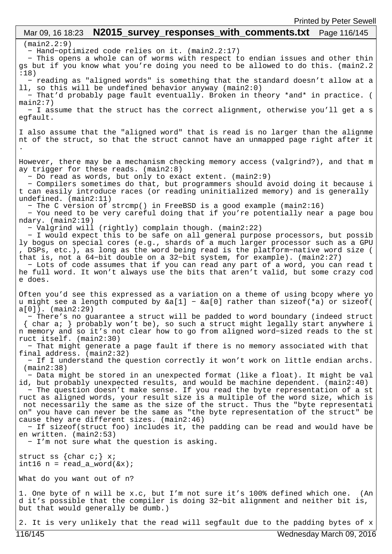## (main2.2:9) − Hand−optimized code relies on it. (main2.2:17) − This opens a whole can of worms with respect to endian issues and other thin gs but if you know what you're doing you need to be allowed to do this. (main2.2 :18) − reading as "aligned words" is something that the standard doesn't allow at a ll, so this will be undefined behavior anyway (main2:0) − That'd probably page fault eventually. Broken in theory \*and\* in practice. ( main2:7) − I assume that the struct has the correct alignment, otherwise you'll get a s egfault. I also assume that the "aligned word" that is read is no larger than the alignme nt of the struct, so that the struct cannot have an unmapped page right after it . However, there may be a mechanism checking memory access (valgrind?), and that m ay trigger for these reads. (main2:8) − Do read as words, but only to exact extent. (main2:9) − Compilers sometimes do that, but programmers should avoid doing it because i t can easily introduce races (or reading uninitialized memory) and is generally undefined. (main2:11) − The C version of strcmp() in FreeBSD is a good example (main2:16) − You need to be very careful doing that if you're potentially near a page bou ndary. (main2:19) − Valgrind will (rightly) complain though. (main2:22) − I would expect this to be safe on all general purpose processors, but possib ly bogus on special cores (e.g., shards of a much larger processor such as a GPU , DSPs, etc.), as long as the word being read is the platform−native word size ( that is, not a 64−bit double on a 32−bit system, for example). (main2:27) − Lots of code assumes that if you can read any part of a word, you can read t he full word. It won't always use the bits that aren't valid, but some crazy cod e does. Often you'd see this expressed as a variation on a theme of using bcopy where yo u might see a length computed by &a[1] − &a[0] rather than sizeof(\*a) or sizeof( a[0]). (main2:29) − There's no guarantee a struct will be padded to word boundary (indeed struct { char a; } probably won't be), so such a struct might legally start anywhere i n memory and so it's not clear how to go from aligned word−sized reads to the st ruct itself. (main2:30) − That might generate a page fault if there is no memory associated with that final address. (main2:32) − If I understand the question correctly it won't work on little endian archs. (main2:38) − Data might be stored in an unexpected format (like a float). It might be val id, but probably unexpected results, and would be machine dependent. (main2:40) − The question doesn't make sense. If you read the byte representation of a st ruct as aligned words, your result size is a multiple of the word size, which is not necessarily the same as the size of the struct. Thus the "byte representati on" you have can never be the same as "the byte representation of the struct" be cause they are different sizes. (main2:46) − If sizeof(struct foo) includes it, the padding can be read and would have be en written. (main2:53) − I'm not sure what the question is asking. struct ss {char c;} x; int16  $n = read_a_words( $&x$ )$ ; What do you want out of n? 1. One byte of n will be x.c, but I'm not sure it's 100% defined which one. (An d it's possible that the compiler is doing 32−bit alignment and neither bit is, but that would generally be dumb.) Mar 09, 16 18:23 **N2015\_survey\_responses\_with\_comments.txt** Page 116/145

2. It is very unlikely that the read will segfault due to the padding bytes of x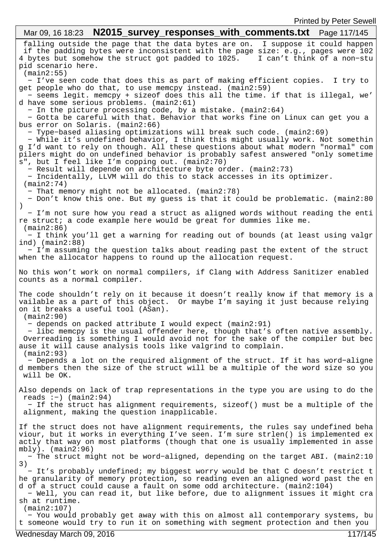falling outside the page that the data bytes are on. I suppose it could happen if the padding bytes were inconsistent with the page size: e.g., pages were 102 4 bytes but somehow the struct got padded to 1025. pid scenario here. (main2:55) − I've seen code that does this as part of making efficient copies. I try to get people who do that, to use memcpy instead. (main2:59) − seems legit. memcpy + sizeof does this all the time. if that is illegal, we' d have some serious problems. (main2:61) − In the picture processing code, by a mistake. (main2:64) − Gotta be careful with that. Behavior that works fine on Linux can get you a bus error on Solaris. (main2:66) − Type−based aliasing optimizations will break such code. (main2:69) − While it's undefined behavior, I think this might usually work. Not somethin g I'd want to rely on though. All these questions about what modern "normal" com pilers might do on undefined behavior is probably safest answered "only sometime s", but I feel like I'm copping out. (main2:70) − Result will depende on architecture byte order. (main2:73) − Incidentally, LLVM will do this to stack accesses in its optimizer. (main2:74) − That memory might not be allocated. (main2:78) − Don't know this one. But my guess is that it could be problematic. (main2:80 ) − I'm not sure how you read a struct as aligned words without reading the enti re struct; a code example here would be great for dummies like me. (main2:86) − I think you'll get a warning for reading out of bounds (at least using valgr ind) (main2:88) − I'm assuming the question talks about reading past the extent of the struct when the allocator happens to round up the allocation request. No this won't work on normal compilers, if Clang with Address Sanitizer enabled counts as a normal compiler. The code shouldn't rely on it because it doesn't really know if that memory is a vailable as a part of this object. Or maybe I'm saying it just because relying on it breaks a useful tool (ASan). (main2:90) − depends on packed attribute I would expect (main2:91) − libc memcpy is the usual offender here, though that's often native assembly. Overreading is something I would avoid not for the sake of the compiler but bec ause it will cause analysis tools like valgrind to complain. (main2:93) − Depends a lot on the required alignment of the struct. If it has word−aligne d members then the size of the struct will be a multiple of the word size so you will be OK. Also depends on lack of trap representations in the type you are using to do the reads :−) (main2:94) − If the struct has alignment requirements, sizeof() must be a multiple of the alignment, making the question inapplicable. If the struct does not have alignment requirements, the rules say undefined beha viour, but it works in everything I've seen. I'm sure strlen() is implemented ex actly that way on most platforms (though that one is usually implemented in asse mbly). (main2:96) − The struct might not be word−aligned, depending on the target ABI. (main2:10 3) − It's probably undefined; my biggest worry would be that C doesn't restrict t he granularity of memory protection, so reading even an aligned word past the en d of a struct could cause a fault on some odd architecture. (main2:104) − Well, you can read it, but like before, due to alignment issues it might cra sh at runtime. (main2:107) − You would probably get away with this on almost all contemporary systems, bu t someone would try to run it on something with segment protection and then you Mar 09, 16 18:23 **N2015 survey responses with comments.txt** Page 117/145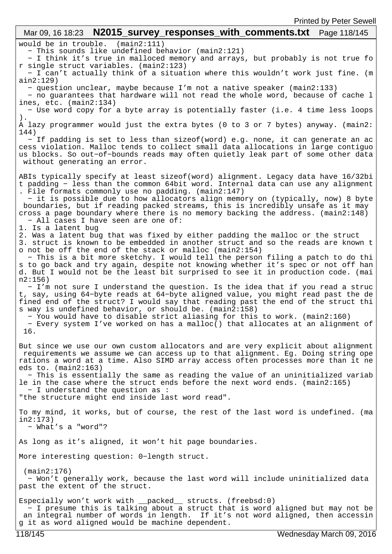would be in trouble. (main2:111) − This sounds like undefined behavior (main2:121) − I think it's true in malloced memory and arrays, but probably is not true fo r single struct variables. (main2:123) − I can't actually think of a situation where this wouldn't work just fine. (m ain2:129) − question unclear, maybe because I'm not a native speaker (main2:133) − no guarantees that hardware will not read the whole word, because of cache l ines, etc. (main2:134) − Use word copy for a byte array is potentially faster (i.e. 4 time less loops ). A lazy programmer would just the extra bytes (0 to 3 or 7 bytes) anyway. (main2: 144) − If padding is set to less than sizeof(word) e.g. none, it can generate an ac cess violation. Malloc tends to collect small data allocations in large contiguo us blocks. So out−of−bounds reads may often quietly leak part of some other data without generating an error. ABIs typically specify at least sizeof(word) alignment. Legacy data have 16/32bi t padding − less than the common 64bit word. Internal data can use any alignment . File formats commonly use no padding. (main2:147) − it is possible due to how allocators align memory on (typically, now) 8 byte boundaries, but if reading packed streams, this is incredibly unsafe as it may cross a page boundary where there is no memory backing the address. (main2:148) − All cases I have seen are one of: 1. Is a latent bug 2. Was a latent bug that was fixed by either padding the malloc or the struct 3. struct is known to be embedded in another struct and so the reads are known t o not be off the end of the stack or malloc (main2:154) − This is a bit more sketchy. I would tell the person filing a patch to do thi s to go back and try again, despite not knowing whether it's spec or not off han d. But I would not be the least bit surprised to see it in production code. (mai n2:156) − I'm not sure I understand the question. Is the idea that if you read a struc t, say, using 64−byte reads at 64−byte aligned value, you might read past the de fined end of the struct? I would say that reading past the end of the struct thi s way is undefined behavior, or should be. (main2:158) − You would have to disable strict aliasing for this to work. (main2:160) − Every system I've worked on has a malloc() that allocates at an alignment of 16. But since we use our own custom allocators and are very explicit about alignment requirements we assume we can access up to that alignment. Eg. Doing string ope rations a word at a time. Also SIMD array access often processes more than it ne eds to. (main2:163) − This is essentially the same as reading the value of an uninitialized variab le in the case where the struct ends before the next word ends. (main2:165) − I understand the question as : "the structure might end inside last word read". To my mind, it works, but of course, the rest of the last word is undefined. (ma in2:173) − What's a "word"? As long as it's aligned, it won't hit page boundaries. More interesting question: 0−length struct. (main2:176) − Won't generally work, because the last word will include uninitialized data past the extent of the struct. Especially won't work with \_\_packed\_\_ structs. (freebsd:0) − I presume this is talking about a struct that is word aligned but may not be an integral number of words in length. If it's not word aligned, then accessin g it as word aligned would be machine dependent. Mar 09, 16 18:23 **N2015 survey responses with comments.txt** Page 118/145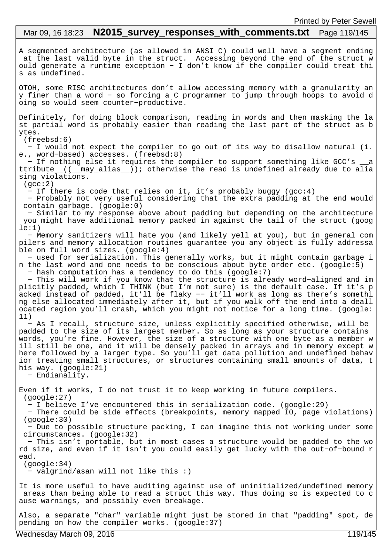# Mar 09, 16 18:23 **N2015 survey responses with comments.txt** Page 119/145

A segmented architecture (as allowed in ANSI C) could well have a segment ending at the last valid byte in the struct. Accessing beyond the end of the struct w ould generate a runtime exception − I don't know if the compiler could treat thi s as undefined.

OTOH, some RISC architectures don't allow accessing memory with a granularity an y finer than a word − so forcing a C programmer to jump through hoops to avoid d oing so would seem counter−productive.

Definitely, for doing block comparison, reading in words and then masking the la st partial word is probably easier than reading the last part of the struct as b ytes.

(freebsd:6)

 − I would not expect the compiler to go out of its way to disallow natural (i. e., word−based) accesses. (freebsd:8)

 − If nothing else it requires the compiler to support something like GCC's \_\_a ttribute\_\_((\_\_may\_alias\_\_)); otherwise the read is undefined already due to alia sing violations.

 $(qcc:2)$ 

− If there is code that relies on it, it's probably buggy (gcc:4)

 − Probably not very useful considering that the extra padding at the end would contain garbage. (google:0)

 − Similar to my response above about padding but depending on the architecture you might have additional memory packed in against the tail of the struct (goog  $le:1)$ 

 − Memory sanitizers will hate you (and likely yell at you), but in general com pilers and memory allocation routines guarantee you any object is fully addressa ble on full word sizes. (google:4)

 − used for serialization. This generally works, but it might contain garbage i n the last word and one needs to be conscious about byte order etc. (google:5) − hash computation has a tendency to do this (google:7)

 − This will work if you know that the structure is already word−aligned and im plicitly padded, which I THINK (but I'm not sure) is the default case. If it's p acked instead of padded, it'll be flaky −− it'll work as long as there's somethi ng else allocated immediately after it, but if you walk off the end into a deall ocated region you'll crash, which you might not notice for a long time. (google: 11)

 − As I recall, structure size, unless explicitly specified otherwise, will be padded to the size of its largest member. So as long as your structure contains words, you're fine. However, the size of a structure with one byte as a member w ill still be one, and it will be densely packed in arrays and in memory except w here followed by a larger type. So you'll get data pollution and undefined behav ior treating small structures, or structures containing small amounts of data, t his way. (google:21)

− Endianality.

Even if it works, I do not trust it to keep working in future compilers. (google:27)

− I believe I've encountered this in serialization code. (google:29)

 − There could be side effects (breakpoints, memory mapped IO, page violations) (google:30)

 − Due to possible structure packing, I can imagine this not working under some circumstances. (google:32)

 − This isn't portable, but in most cases a structure would be padded to the wo rd size, and even if it isn't you could easily get lucky with the out−of−bound r ead.

 (google:34) − valgrind/asan will not like this :)

It is more useful to have auditing against use of uninitialized/undefined memory areas than being able to read a struct this way. Thus doing so is expected to c ause warnings, and possibly even breakage.

Also, a separate "char" variable might just be stored in that "padding" spot, de pending on how the compiler works. (google:37)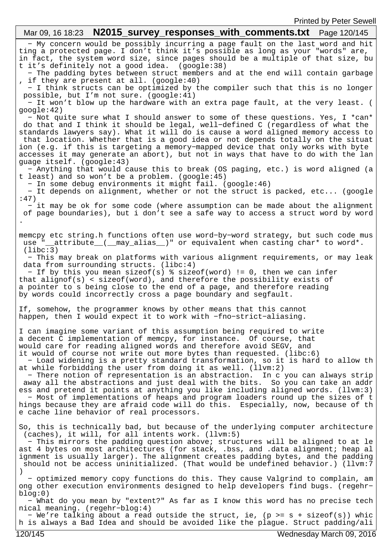− My concern would be possibly incurring a page fault on the last word and hit ting a protected page. I don't think it's possible as long as your "words" are, in fact, the system word size, since pages should be a multiple of that size, bu t it's definitely not a good idea. (google:38) − The padding bytes between struct members and at the end will contain garbage , if they are present at all. (google:40) − I think structs can be optimized by the compiler such that this is no longer possible, but I'm not sure. (google:41) − It won't blow up the hardware with an extra page fault, at the very least. ( google:42) − Not quite sure what I should answer to some of these questions. Yes, I \*can\* do that and I think it should be legal, well−defined C (regardless of what the standards lawyers say). What it will do is cause a word aligned memory access to that location. Whether that is a good idea or not depends totally on the situat ion (e.g. if this is targeting a memory−mapped device that only works with byte accesses it may generate an abort), but not in ways that have to do with the lan guage itself. (google:43) − Anything that would cause this to break (OS paging, etc.) is word aligned (a t least) and so won't be a problem. (google:45) − In some debug environments it might fail. (google:46) − It depends on alignment, whether or not the struct is packed, etc... (google :47) − it may be ok for some code (where assumption can be made about the alignment of page boundaries), but i don't see a safe way to access a struct word by word . memcpy etc string.h functions often use word−by−word strategy, but such code mus use "\_attribute\_(\_may\_alias\_)" or equivalent when casting char\* to word\*. (libc:3) − This may break on platforms with various alignment requirements, or may leak data from surrounding structs. (libc:4) − If by this you mean sizeof(s) % sizeof(word) != 0, then we can infer that alignof(s) < sizeof(word), and therefore the possibility exists of a pointer to s being close to the end of a page, and therefore reading by words could incorrectly cross a page boundary and segfault. If, somehow, the programmer knows by other means that this cannot happen, then I would expect it to work with −fno−strict−aliasing. I can imagine some variant of this assumption being required to write a decent C implementation of memcpy, for instance. Of course, that would care for reading aligned words and therefore avoid SEGV, and it would of course not write out more bytes than requested. (libc:6) − Load widening is a pretty standard transformation, so it is hard to allow th at while forbidding the user from doing it as well. (llvm:2) − There notion of representation is an abstraction. In c you can always strip away all the abstractions and just deal with the bits. So you can take an addr ess and pretend it points at anything you like including aligned words. (llvm:3) − Most of implementations of heaps and program loaders round up the sizes of t hings because they are afraid code will do this. Especially, now, because of th e cache line behavior of real processors. So, this is technically bad, but because of the underlying computer architecture (caches), it will, for all intents work. (llvm:5) − This mirrors the padding question above; structures will be aligned to at le ast 4 bytes on most architectures (for stack, .bss, and .data alignment; heap al ignment is usually larger). The alignment creates padding bytes, and the padding should not be access uninitialized. (That would be undefined behavior.) (llvm:7 ) − optimized memory copy functions do this. They cause Valgrind to complain, am ong other execution environments designed to help developers find bugs. (regehr− blog:0) − What do you mean by "extent?" As far as I know this word has no precise tech nical meaning. (regehr−blog:4) − We're talking about a read outside the struct, ie, (p >= s + sizeof(s)) whic h is always a Bad Idea and should be avoided like the plague. Struct padding/ali Mar 09, 16 18:23 **N2015 survey responses with comments.txt** Page 120/145 120/145 Wednesday March 09, 2016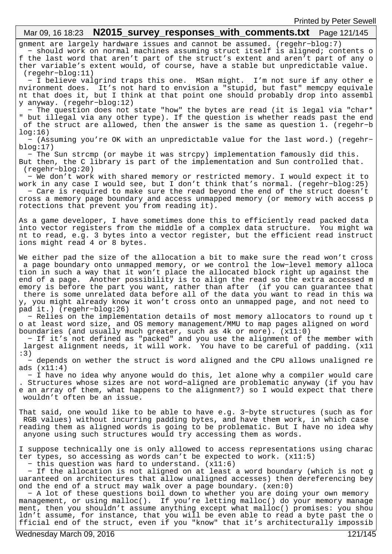#### gnment are largely hardware issues and cannot be assumed. (regehr−blog:7) − should work on normal machines assuming struct itself is aligned; contents o f the last word that aren't part of the struct's extent and aren't part of any o ther variable's extent would, of course, have a stable but unpredictable value. (regehr−blog:11) − I believe valgrind traps this one. MSan might. I'm not sure if any other e nvironment does. It's not hard to envision a "stupid, but fast" memcpy equivale nt that does it, but I think at that point one should probably drop into assembl y anyway. (regehr−blog:12) − The question does not state "how" the bytes are read (it is legal via "char\* " but illegal via any other type). If the question is whether reads past the end of the struct are allowed, then the answer is the same as question 1. (regehr−b  $log:16)$  − (Assuming you're OK with an unpredictable value for the last word.) (regehr− blog:17) − The Sun strcmp (or maybe it was strcpy) implementation famously did this. But then, the C library is part of the implementation and Sun controlled that. (regehr−blog:20) − We don't work with shared memory or restricted memory. I would expect it to work in any case I would see, but I don't think that's normal. (regehr−blog:25) − Care is required to make sure the read beyond the end of the struct doesn't cross a memory page boundary and access unmapped memory (or memory with access p rotections that prevent you from reading it). As a game developer, I have sometimes done this to efficiently read packed data into vector registers from the middle of a complex data structure. You might wa nt to read, e.g. 3 bytes into a vector register, but the efficient read instruct ions might read 4 or 8 bytes. We either pad the size of the allocation a bit to make sure the read won't cross a page boundary onto unmapped memory, or we control the low−level memory alloca tion in such a way that it won't place the allocated block right up against the end of a page. Another possibility is to align the read so the extra accessed m emory is before the part you want, rather than after (if you can guarantee that there is some unrelated data before all of the data you want to read in this wa y, you might already know it won't cross onto an unmapped page, and not need to pad it.) (regehr−blog:26) − Relies on the implementation details of most memory allocators to round up t o at least word size, and OS memory management/MMU to map pages aligned on word boundaries (and usually much greater, such as 4k or more). (x11:0) − If it's not defined as "packed" and you use the alignment of the member with largest alignment needs, it will work. You have to be careful of padding. (x11 :3) − depends on wether the struct is word aligned and the CPU allows unaligned re ads (x11:4) − I have no idea why anyone would do this, let alone why a compiler would care . Structures whose sizes are not word−aligned are problematic anyway (if you hav e an array of them, what happens to the alignment?) so I would expect that there wouldn't often be an issue. That said, one would like to be able to have e.g. 3−byte structures (such as for RGB values) without incurring padding bytes, and have them work, in which case reading them as aligned words is going to be problematic. But I have no idea why anyone using such structures would try accessing them as words. I suppose technically one is only allowed to access representations using charac ter types, so accessing as words can't be expected to work. (x11:5) − this question was hard to understand. (x11:6) − If the allocation is not aligned on at least a word boundary (which is not g uaranteed on architectures that allow unaligned accesses) then dereferencing bey ond the end of a struct may walk over a page boundary. (xen:0) − A lot of these questions boil down to whether you are doing your own memory management, or using malloc(). If you're letting malloc() do your memory manage ment, then you shouldn't assume anything except what malloc() promises: you shou ldn't assume, for instance, that you will be even able to read a byte past the o fficial end of the struct, even if you "know" that it's architecturally impossib Mar 09, 16 18:23 **N2015\_survey\_responses\_with\_comments.txt** Page 121/145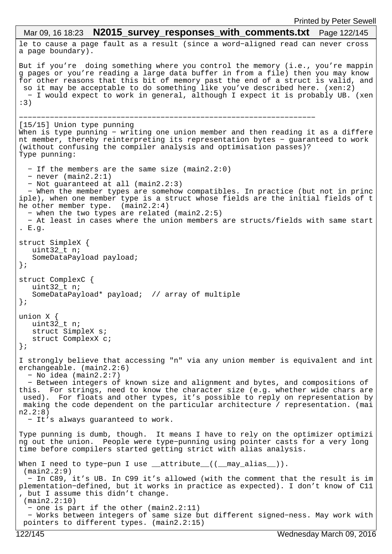```
le to cause a page fault as a result (since a word−aligned read can never cross 
a page boundary).
But if you're doing something where you control the memory (i.e., you're mappin
g pages or you're reading a large data buffer in from a file) then you may know 
for other reasons that this bit of memory past the end of a struct is valid, and
 so it may be acceptable to do something like you've described here. (xen:2)
  − I would expect to work in general, although I expect it is probably UB. (xen
:3)
    −−−−−−−−−−−−−−−−−−−−−−−−−−−−−−−−−−−−−−−−−−−−−−−−−−−−−−−−−−−−−−−−−−−
[15/15] Union type punning
When is type punning − writing one union member and then reading it as a differe
nt member, thereby reinterpreting its representation bytes − guaranteed to work 
(without confusing the compiler analysis and optimisation passes)?
Type punning:
   − If the members are the same size (main2.2:0)
   − never (main2.2:1)
   − Not guaranteed at all (main2.2:3)
   − When the member types are somehow compatibles. In practice (but not in princ
iple), when one member type is a struct whose fields are the initial fields of t
he other member type. (main2.2:4)
   − when the two types are related (main2.2:5)
   − At least in cases where the union members are structs/fields with same start
. E.g.
struct SimpleX {
  uint32 t n;
    SomeDataPayload payload;
};
struct ComplexC {
  uint32 t n;
    SomeDataPayload* payload; // array of multiple
};
union X {
   uint32_t n;
    struct SimpleX s;
   struct ComplexX c;
};
I strongly believe that accessing "n" via any union member is equivalent and int
erchangeable. (main2.2:6)
   − No idea (main2.2:7)
   − Between integers of known size and alignment and bytes, and compositions of 
this. For strings, need to know the character size (e.g. whether wide chars are
 used). For floats and other types, it's possible to reply on representation by
 making the code dependent on the particular architecture / representation. (mai
n2.2:8)
  − It's always guaranteed to work.
Type punning is dumb, though. It means I have to rely on the optimizer optimizi
ng out the union. People were type−punning using pointer casts for a very long 
time before compilers started getting strict with alias analysis.
When I need to type-pun I use __attribute_((__may_alias__)).
  (main2.2:9)
   − In C89, it's UB. In C99 it's allowed (with the comment that the result is im
plementation−defined, but it works in practice as expected). I don't know of C11
, but I assume this didn't change.
  (main2.2:10)
   − one is part if the other (main2.2:11)
   − Works between integers of same size but different signed−ness. May work with
  pointers to different types. (main2.2:15)
 Mar 09, 16 18:23 N2015_survey_responses_with_comments.txt Page 122/145
```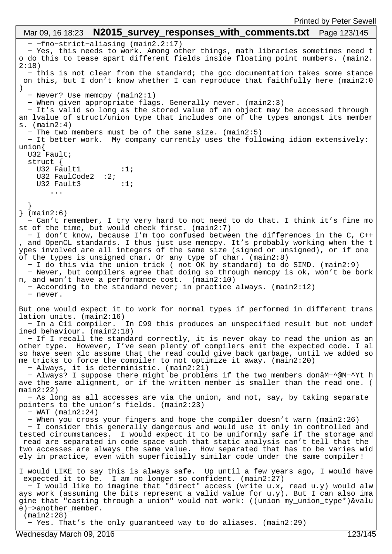− −fno−strict−aliasing (main2.2:17) − Yes, this needs to work. Among other things, math libraries sometimes need t o do this to tease apart different fields inside floating point numbers. (main2. 2:18) − this is not clear from the standard; the gcc documentation takes some stance on this, but I don't know whether I can reproduce that faithfully here (main2:0 ) − Never? Use memcpy (main2:1) − When given appropriate flags. Generally never. (main2:3) − It's valid so long as the stored value of an object may be accessed through an lvalue of struct/union type that includes one of the types amongst its member s. (main2:4) − The two members must be of the same size. (main2:5) − It better work. My company currently uses the following idiom extensively: union{ U32 Fault; struct { U32 Fault1  $:1;$ U32 FaulCode2 :2; U32 Fault3  $:1;$  ... } } (main2:6) − Can't remember, I try very hard to not need to do that. I think it's fine mo st of the time, but would check first. (main2:7) − I don't know, because I'm too confused between the differences in the C, C++ , and OpenCL standards. I thus just use memcpy. It's probably working when the t ypes involved are all integers of the same size (signed or unsigned), or if one of the types is unsigned char. Or any type of char. (main2:8) − I do this via the union trick ( not OK by standard) to do SIMD. (main2:9) − Never, but compilers agree that doing so through memcpy is ok, won't be bork n, and won't have a performance cost. (main2:10) − According to the standard never; in practice always. (main2:12) − never. But one would expect it to work for normal types if performed in different trans lation units. (main2:16) − In a C11 compiler. In C99 this produces an unspecified result but not undef ined behaviour. (main2:18) − If I recall the standard correctly, it is never okay to read the union as an other type. However, I've seen plenty of compilers emit the expected code. I al so have seen xlc assume that the read could give back garbage, until we added so me tricks to force the compiler to not optimize it away. (main2:20) − Always, it is deterministic. (main2:21) − Always? I suppose there might be problems if the two members donâM−^@M−^Yt h ave the same alignment, or if the written member is smaller than the read one. ( main2:22) − As long as all accesses are via the union, and not, say, by taking separate pointers to the union's fields. (main2:23) − WAT (main2:24) − When you cross your fingers and hope the compiler doesn't warn (main2:26) − I consider this generally dangerous and would use it only in controlled and tested circumstances. I would expect it to be uniformly safe if the storage and read are separated in code space such that static analysis can't tell that the two accesses are always the same value. How separated that has to be varies wid ely in practice, even with superficially similar code under the same compiler! I would LIKE to say this is always safe. Up until a few years ago, I would have expected it to be. I am no longer so confident. (main2:27) − I would like to imagine that "direct" access (write u.x, read u.y) would alw ays work (assuming the bits represent a valid value for u.y). But I can also ima gine that "casting through a union" would not work: ((union my\_union\_type\*)&valu e)−>another\_member. (main2:28) − Yes. That's the only guaranteed way to do aliases. (main2:29) Mar 09, 16 18:23 **N2015\_survey\_responses\_with\_comments.txt** Page 123/145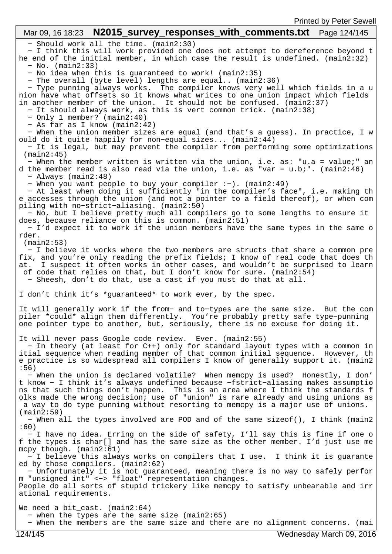#### − Should work all the time. (main2:30) − I think this will work provided one does not attempt to dereference beyond t he end of the initial member, in which case the result is undefined. (main2:32) − No. (main2:33) − No idea when this is guaranteed to work! (main2:35) − The overall (byte level) lengths are equal.. (main2:36) − Type punning always works. The compiler knows very well which fields in a u nion have what offsets so it knows what writes to one union impact which fields in another member of the union. It should not be confused. (main2:37) − It should always work, as this is vert common trick. (main2:38) − Only 1 member? (main2:40) − As far as I know (main2:42) − When the union member sizes are equal (and that's a guess). In practice, I w ould do it quite happily for non−equal sizes... (main2:44) − It is legal, but may prevent the compiler from performing some optimizations (main2:45) − When the member written is written via the union, i.e. as: "u.a = value;" an d the member read is also read via the union, i.e. as "var = u.b;". (main2:46) − Always (main2:48) − When you want people to buy your compiler :−). (main2:49) − At least when doing it sufficiently "in the compiler's face", i.e. making th e accesses through the union (and not a pointer to a field thereof), or when com piling with no−strict−aliasing. (main2:50) − No, but I believe pretty much all compilers go to some lengths to ensure it does, because reliance on this is common. (main2:51) − I'd expect it to work if the union members have the same types in the same o rder. (main2:53) − I believe it works where the two members are structs that share a common pre fix, and you're only reading the prefix fields; I know of real code that does th at. I suspect it often works in other cases, and wouldn't be surprised to learn of code that relies on that, but I don't know for sure. (main2:54) − Sheesh, don't do that, use a cast if you must do that at all. I don't think it's \*guaranteed\* to work ever, by the spec. It will generally work if the from− and to−types are the same size. But the com piler \*could\* align them differently. You're probably pretty safe type−punning one pointer type to another, but, seriously, there is no excuse for doing it. It will never pass Google code review. Ever. (main2:55) − In theory (at least for C++) only for standard layout types with a common in itial sequence when reading member of that common initial sequence. However, th e practice is so widespread all compilers I know of generally support it. (main2 :56) − When the union is declared volatile? When memcpy is used? Honestly, I don' t know − I think it's always undefined because −fstrict−aliasing makes assumptio ns that such things don't happen. This is an area where I think the standards f olks made the wrong decision; use of "union" is rare already and using unions as a way to do type punning without resorting to memcpy is a major use of unions. (main2:59) − When all the types involved are POD and of the same sizeof(), I think (main2 :60) − I have no idea. Erring on the side of safety, I'll say this is fine if one o f the types is char[] and has the same size as the other member. I'd just use me mcpy though. (main2:61) − I believe this always works on compilers that I use. I think it is guarante ed by those compilers. (main2:62) − Unfortunately it is not guaranteed, meaning there is no way to safely perfor m "unsigned int" <−> "float" representation changes. People do all sorts of stupid trickery like memcpy to satisfy unbearable and irr ational requirements. We need a bit\_cast. (main2:64) − when the types are the same size (main2:65) − When the members are the same size and there are no alignment concerns. (mai Mar 09, 16 18:23 **N2015\_survey\_responses\_with\_comments.txt** Page 124/145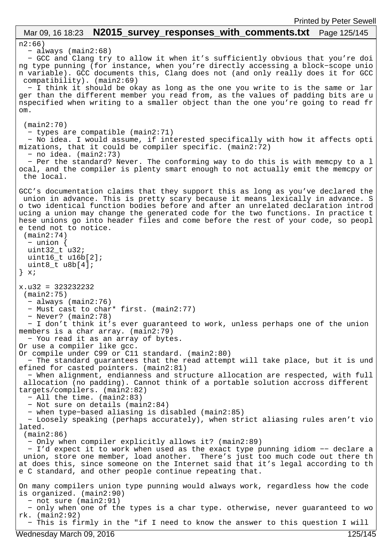#### n2:66) − always (main2:68) − GCC and Clang try to allow it when it's sufficiently obvious that you're doi ng type punning (for instance, when you're directly accessing a block−scope unio n variable). GCC documents this, Clang does not (and only really does it for GCC compatibility). (main2:69) − I think it should be okay as long as the one you write to is the same or lar ger than the different member you read from, as the values of padding bits are u nspecified when writing to a smaller object than the one you're going to read fr om. (main2:70) − types are compatible (main2:71) − No idea. I would assume, if interested specifically with how it affects opti mizations, that it could be compiler specific. (main2:72) − no idea. (main2:73) − Per the standard? Never. The conforming way to do this is with memcpy to a l ocal, and the compiler is plenty smart enough to not actually emit the memcpy or the local. GCC's documentation claims that they support this as long as you've declared the union in advance. This is pretty scary because it means lexically in advance. S o two identical function bodies before and after an unrelated declaration introd ucing a union may change the generated code for the two functions. In practice t hese unions go into header files and come before the rest of your code, so peopl e tend not to notice. (main2:74) − union { uint $32_t$  u32; uint16\_t u16b[2]; uint8\_t u8b[4]; } x; x.u32 = 323232232 (main2:75) − always (main2:76) − Must cast to char\* first. (main2:77) − Never? (main2:78) − I don't think it's ever guaranteed to work, unless perhaps one of the union members is a char array. (main2:79) − You read it as an array of bytes. Or use a compiler like gcc. Or compile under C99 or C11 standard. (main2:80) − The standard guarantees that the read attempt will take place, but it is und efined for casted pointers. (main2:81) − When alignment, endianness and structure allocation are respected, with full allocation (no padding). Cannot think of a portable solution accross different targets/compilers. (main2:82) − All the time. (main2:83) − Not sure on details (main2:84) − when type−based aliasing is disabled (main2:85) − Loosely speaking (perhaps accurately), when strict aliasing rules aren't vio lated. (main2:86) − Only when compiler explicitly allows it? (main2:89) − I'd expect it to work when used as the exact type punning idiom −− declare a union, store one member, load another. There's just too much code out there th at does this, since someone on the Internet said that it's legal according to th e C standard, and other people continue repeating that. On many compilers union type punning would always work, regardless how the code is organized. (main2:90) − not sure (main2:91) − only when one of the types is a char type. otherwise, never guaranteed to wo rk. (main2:92) − This is firmly in the "if I need to know the answer to this question I will Mar 09, 16 18:23 **N2015\_survey\_responses\_with\_comments.txt** Page 125/145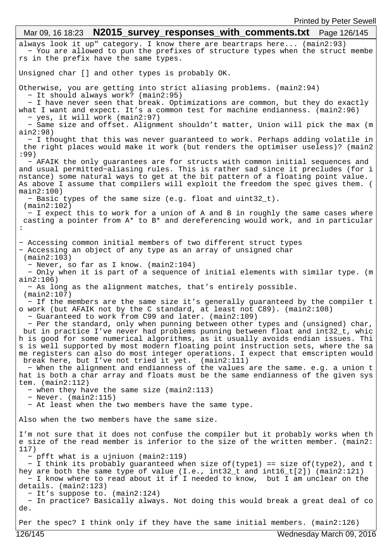always look it up" category. I know there are beartraps here... (main2:93) − You are allowed to pun the prefixes of structure types when the struct membe rs in the prefix have the same types. Unsigned char [] and other types is probably OK. Otherwise, you are getting into strict aliasing problems. (main2:94) − It should always work? (main2:95) − I have never seen that break. Optimizations are common, but they do exactly what I want and expect. It's a common test for machine endianness. (main2:96) − yes, it will work (main2:97) − Same size and offset. Alignment shouldn't matter, Union will pick the max (m ain2:98) − I thought that this was never guaranteed to work. Perhaps adding volatile in the right places would make it work (but renders the optimiser useless)? (main2 :99) − AFAIK the only guarantees are for structs with common initial sequences and and usual permitted−aliasing rules. This is rather sad since it precludes (for i nstance) some natural ways to get at the bit pattern of a floating point value. As above I assume that compilers will exploit the freedom the spec gives them. (  $main2:100)$  − Basic types of the same size (e.g. float and uint32\_t). (main2:102) − I expect this to work for a union of A and B in roughly the same cases where casting a pointer from A\* to B\* and dereferencing would work, and in particular : − Accessing common initial members of two different struct types − Accessing an object of any type as an array of unsigned char (main2:103) − Never, so far as I know. (main2:104) − Only when it is part of a sequence of initial elements with similar type. (m ain2:106) − As long as the alignment matches, that's entirely possible. (main2:107) − If the members are the same size it's generally guaranteed by the compiler t o work (but AFAIK not by the C standard, at least not C89). (main2:108) − Guaranteed to work from C99 and later. (main2:109) − Per the standard, only when punning between other types and (unsigned) char, but in practice I've never had problems punning between float and int32\_t, whic h is good for some numerical algorithms, as it usually avoids endian issues. Thi s is well supported by most modern floating point instruction sets, where the sa me registers can also do most integer operations. I expect that emscripten would break here, but I've not tried it yet. (main2:111) − When the alignment and endianness of the values are the same. e.g. a union t hat is both a char array and floats must be the same endianness of the given sys tem. (main2:112) − when they have the same size (main2:113) − Never. (main2:115) − At least when the two members have the same type. Also when the two members have the same size. I'm not sure that it does not confuse the compiler but it probably works when th e size of the read member is inferior to the size of the written member. (main2: 117) − pfft what is a ujniuon (main2:119) − I think its probably guaranteed when size of(type1) == size of(type2), and t hey are both the same type of value (I.e., int32\_t and int16\_t[2]) (main2:121) − I know where to read about it if I needed to know, but I am unclear on the details. (main2:123) − It's suppose to. (main2:124) − In practice? Basically always. Not doing this would break a great deal of co de. Per the spec? I think only if they have the same initial members. (main2:126) Mar 09, 16 18:23 **N2015\_survey\_responses\_with\_comments.txt** Page 126/145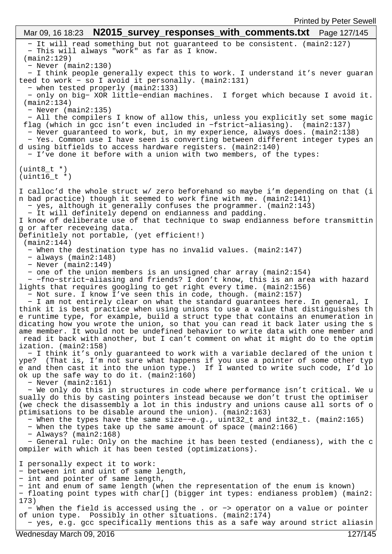− It will read something but not guaranteed to be consistent. (main2:127) − This will always "work" as far as I know. (main2:129) − Never (main2:130) − I think people generally expect this to work. I understand it's never guaran teed to work - so I avoid it personally. (main2:131) − when tested properly (main2:133) − only on big− XOR little−endian machines. I forget which because I avoid it. (main2:134) − Never (main2:135) − All the compilers I know of allow this, unless you explicitly set some magic flag (which in gcc isn't even included in −fstrict−aliasing). (main2:137) − Never guaranteed to work, but, in my experience, always does. (main2:138) − Yes. Common use I have seen is converting between different integer types an d using bitfields to access hardware registers. (main2:140) − I've done it before with a union with two members, of the types: (uint8\_t \*)  $(uint16 t * )$ I calloc'd the whole struct w/ zero beforehand so maybe i'm depending on that (i n bad practice) though it seemed to work fine with me. (main2:141) − yes, although it generally confuses the programmer. (main2:143) − It will definitely depend on endianness and padding. I know of deliberate use of that technique to swap endianness before transmittin g or after receveing data. Definitlely not portable, (yet efficient!) (main2:144) − When the destination type has no invalid values. (main2:147) − always (main2:148) − Never (main2:149) − one of the union members is an unsigned char array (main2:154) − −fno−strict−aliasing and friends? I don't know, this is an area with hazard lights that requires googling to get right every time. (main2:156) − Not sure. I know I've seen this in code, though. (main2:157) − I am not entirely clear on what the standard guarantees here. In general, I think it is best practice when using unions to use a value that distinguishes th e runtime type, for example, build a struct type that contains an enumeration in dicating how you wrote the union, so that you can read it back later using the s ame member. It would not be undefined behavior to write data with one member and read it back with another, but I can't comment on what it might do to the optim ization. (main2:158) − I think it's only guaranteed to work with a variable declared of the union t ype? (That is, I'm not sure what happens if you use a pointer of some other typ e and then cast it into the union type.) If I wanted to write such code, I'd lo ok up the safe way to do it. (main2:160) − Never (main2:161) − We only do this in structures in code where performance isn't critical. We u sually do this by casting pointers instead because we don't trust the optimiser (we check the disassembly a lot in this industry and unions cause all sorts of o ptimisations to be disable around the union). (main2:163) − When the types have the same size−−e.g., uint32\_t and int32\_t. (main2:165) − When the types take up the same amount of space (main2:166) − Always? (main2:168) − General rule: Only on the machine it has been tested (endianess), with the c ompiler with which it has been tested (optimizations). I personally expect it to work: − between int and uint of same length, − int and pointer of same length, − int and enum of same length (when the representation of the enum is known) − floating point types with char[] (bigger int types: endianess problem) (main2: 173) − When the field is accessed using the . or −> operator on a value or pointer of union type. Possibly in other situations. (main2:174) − yes, e.g. gcc specifically mentions this as a safe way around strict aliasin Mar 09, 16 18:23 **N2015 survey responses with comments.txt** Page 127/145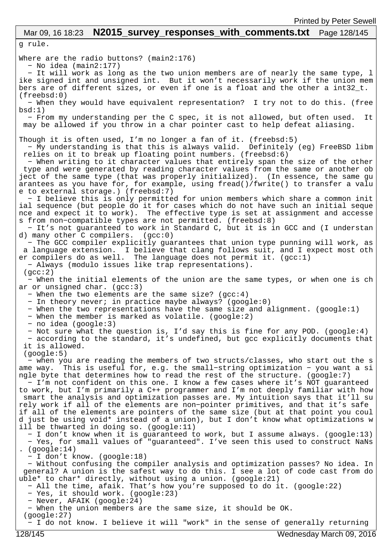# Mar 09, 16 18:23 **N2015\_survey\_responses\_with\_comments.txt** Page 128/145

g rule.

Where are the radio buttons? (main2:176) − No idea (main2:177)

 − It will work as long as the two union members are of nearly the same type, l ike signed int and unsigned int. But it won't necessarily work if the union mem bers are of different sizes, or even if one is a float and the other a  $int32_t$ . (freebsd:0)

 − When they would have equivalent representation? I try not to do this. (free  $bsd:1)$ 

 − From my understanding per the C spec, it is not allowed, but often used. It may be allowed if you throw in a char pointer cast to help defeat aliasing.

Though it is often used, I'm no longer a fan of it. (freebsd:5)

 − My understanding is that this is always valid. Definitely (eg) FreeBSD libm relies on it to break up floating point numbers. (freebsd:6)

 − When writing to it character values that entirely span the size of the other type and were generated by reading character values from the same or another ob ject of the same type (that was properly initialized). (In essence, the same gu arantees as you have for, for example, using fread()/fwrite() to transfer a valu e to external storage.) (freebsd:7)

 − I believe this is only permitted for union members which share a common init ial sequence (but people do it for cases which do not have such an initial seque nce and expect it to work). The effective type is set at assignment and accesse s from non−compatible types are not permitted. (freebsd:8)

 − It's not guaranteed to work in Standard C, but it is in GCC and (I understan d) many other  $C$  compilers.  $(gcc:0)$ 

 − The GCC compiler explicitly guarantees that union type punning will work, as a language extension. I believe that clang follows suit, and I expect most oth er compilers do as well. The language does not permit it. (gcc:1)

− Always (modulo issues like trap representations).

 (gcc:2) − When the initial elements of the union are the same types, or when one is ch ar or unsigned char.  $(qcc:3)$ 

− When the two elements are the same size? (gcc:4)

− In theory never; in practice maybe always? (google:0)

− When the two representations have the same size and alignment. (google:1)

− When the member is marked as volatile. (google:2)

− no idea (google:3)

− Not sure what the question is, I'd say this is fine for any POD. (google:4)

 − according to the standard, it's undefined, but gcc explicitly documents that it is allowed.

(google:5)

 − when you are reading the members of two structs/classes, who start out the s ame way. This is useful for, e.g. the small−string optimization − you want a si ngle byte that determines how to read the rest of the structure. (google:7)

 − I'm not confident on this one. I know a few cases where it's NOT guaranteed to work, but I'm primarily a C++ programmer and I'm not deeply familiar with how smart the analysis and optimization passes are. My intuition says that it'll su rely work if all of the elements are non−pointer primitives, and that it's safe if all of the elements are pointers of the same size (but at that point you coul d just be using void\* instead of a union), but I don't know what optimizations w ill be thwarted in doing so. (google:11)

 − I don't know when it is guaranteed to work, but I assume always. (google:13) − Yes, for small values of "guaranteed". I've seen this used to construct NaNs . (google:14)

− I don't know. (google:18)

 − Without confusing the compiler analysis and optimization passes? No idea. In general? A union is the safest way to do this. I see a lot of code cast from do uble\* to char\* directly, without using a union. (google:21)

− All the time, afaik. That's how you're supposed to do it. (google:22)

- − Yes, it should work. (google:23)
- − Never, AFAIK (google:24)

− When the union members are the same size, it should be OK.

(google:27)

− I do not know. I believe it will "work" in the sense of generally returning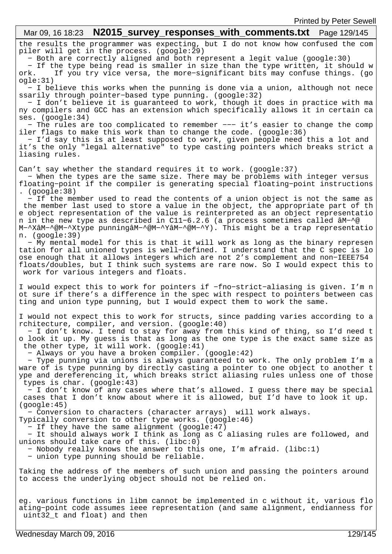## the results the programmer was expecting, but I do not know how confused the com piler will get in the process. (google:29) − Both are correctly aligned and both represent a legit value (google:30) − If the type being read is smaller in size than the type written, it should w ork. If you try vice versa, the more−significant bits may confuse things. (go ogle:31) − I believe this works when the punning is done via a union, although not nece ssarily through pointer−based type punning. (google:32) − I don't believe it is guaranteed to work, though it does in practice with ma ny compilers and GCC has an extension which specifically allows it in certain ca ses. (google:34) − The rules are too complicated to remember −−− it's easier to change the comp iler flags to make this work than to change the code. (google:36) − I'd say this is at least supposed to work, given people need this a lot and it's the only "legal alternative" to type casting pointers which breaks strict a liasing rules. Can't say whether the standard requires it to work. (google:37) − When the types are the same size. There may be problems with integer versus floating−point if the compiler is generating special floating−point instructions . (google:38) − If the member used to read the contents of a union object is not the same as the member last used to store a value in the object, the appropriate part of th e object representation of the value is reinterpreted as an object representatio n in the new type as described in C11−6.2.6 (a process sometimes called âM−^@ M−^XâM−^@M−^Xtype punningâM−^@M−^YâM−^@M−^Y). This might be a trap representatio n. (google:39) − My mental model for this is that it will work as long as the binary represen tation for all unioned types is well−defined. I understand that the C spec is lo ose enough that it allows integers which are not 2's complement and non−IEEE754 floats/doubles, but I think such systems are rare now. So I would expect this to work for various integers and floats. I would expect this to work for pointers if −fno−strict−aliasing is given. I'm n ot sure if there's a difference in the spec with respect to pointers between cas ting and union type punning, but I would expect them to work the same. I would not expect this to work for structs, since padding varies according to a rchitecture, compiler, and version. (google:40) − I don't know. I tend to stay for away from this kind of thing, so I'd need t o look it up. My guess is that as long as the one type is the exact same size as the other type, it will work. (google:41) − Always or you have a broken compiler. (google:42) − Type punning via unions is always guaranteed to work. The only problem I'm a ware of is type punning by directly casting a pointer to one object to another t ype and dereferencing it, which breaks strict aliasing rules unless one of those types is char. (google:43) − I don't know of any cases where that's allowed. I guess there may be special cases that I don't know about where it is allowed, but I'd have to look it up. (google:45) − Conversion to characters (character arrays) will work always. Typically conversion to other type works. (google:46) − If they have the same alignment (google:47) − It should always work I think as long as C aliasing rules are followed, and unions should take care of this. (libc:0) − Nobody really knows the answer to this one, I'm afraid. (libc:1) − union type punning should be reliable. Taking the address of the members of such union and passing the pointers around to access the underlying object should not be relied on. eg. various functions in libm cannot be implemented in c without it, various flo ating−point code assumes ieee representation (and same alignment, endianness for uint32\_t and float) and then Mar 09, 16 18:23 **N2015 survey responses with comments.txt** Page 129/145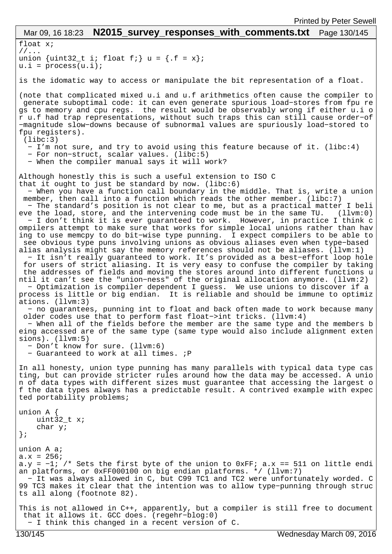```
float x;
//...
union \{uint32_t i; float f; \} u = \{ .f = x \};
u.i = process(u.i);is the idomatic way to access or manipulate the bit representation of a float.
(note that complicated mixed u.i and u.f arithmetics often cause the compiler to
 generate suboptimal code: it can even generate spurious load−stores from fpu re
gs to memory and cpu regs. the result would be observably wrong if either u.i o
r u.f had trap representations, without such traps this can still cause order−of
−magnitude slow−downs because of subnormal values are spuriously load−stored to 
fpu registers).
  (libc:3)
   − I'm not sure, and try to avoid using this feature because of it. (libc:4)
   − For non−struct, scalar values. (libc:5)
   − When the compiler manual says it will work?
Although honestly this is such a useful extension to ISO C
that it ought to just be standard by now. (libc:6)
   − When you have a function call boundary in the middle. That is, write a union
 member, then call into a function which reads the other member. (libc:7)
   − The standard's position is not clear to me, but as a practical matter I beli
eve the load, store, and the intervening code must be in the same TU. (llvm:0)
   − I don't think it is ever guaranteed to work. However, in practice I think c
ompilers attempt to make sure that works for simple local unions rather than hav
ing to use memcpy to do bit−wise type punning. I expect compilers to be able to
 see obvious type puns involving unions as obvious aliases even when type−based 
alias analysis might say the memory references should not be aliases. (llvm:1)
   − It isn't really guaranteed to work. It's provided as a best−effort loop hole
 for users of strict aliasing. It is very easy to confuse the compiler by taking
  the addresses of fields and moving the stores around into different functions u
ntil it can't see the "union−ness" of the original allocation anymore. (llvm:2)
   − Optimization is compiler dependent I guess. We use unions to discover if a 
process is little or big endian. It is reliable and should be immune to optimiz
ations. (llvm:3)
   − no guarantees, punning int to float and back often made to work because many
  older codes use that to perform fast float−>int tricks. (llvm:4)
   − When all of the fields before the member are the same type and the members b
eing accessed are of the same type (same type would also include alignment exten
sions). (llvm:5)
   − Don't know for sure. (llvm:6)
   − Guaranteed to work at all times. ;P
In all honesty, union type punning has many parallels with typical data type cas
ting, but can provide stricter rules around how the data may be accessed. A unio
n of data types with different sizes must guarantee that accessing the largest o
f the data types always has a predictable result. A contrived example with expec
ted portability problems;
union A {
    uint32_t x;
    char y;
};
union A a;
a.x = 256;a.y = −1; /* Sets the first byte of the union to 0xFF; a.x == 511 on little endi
an platforms, or 0xFF000100 on big endian platforms. */ (llvm:7)
  − It was always allowed in C, but C99 TC1 and TC2 were unfortunately worded. C
99 TC3 makes it clear that the intention was to allow type−punning through struc
ts all along (footnote 82).
This is not allowed in C++, apparently, but a compiler is still free to document
 that it allows it. GCC does. (regehr−blog:0)
  − I think this changed in a recent version of C.
 Mar 09, 16 18:23 N2015 survey responses with comments.txt Page 130/145
```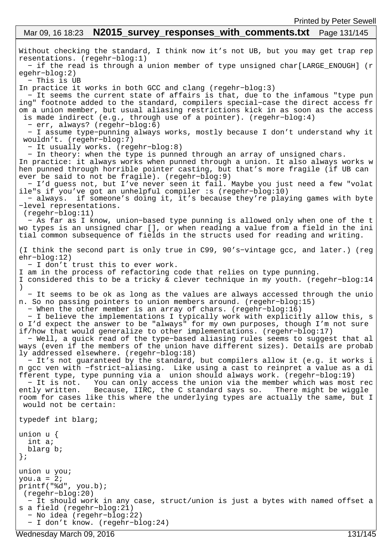#### Without checking the standard, I think now it's not UB, but you may get trap rep resentations. (regehr−blog:1) − if the read is through a union member of type unsigned char[LARGE\_ENOUGH] (r egehr−blog:2) − This is UB In practice it works in both GCC and clang (regehr−blog:3) − It seems the current state of affairs is that, due to the infamous "type pun ing" footnote added to the standard, compilers special−case the direct access fr om a union member, but usual aliasing restrictions kick in as soon as the access is made indirect (e.g., through use of a pointer). (regehr−blog:4) − err, always? (regehr−blog:6) − I assume type−punning always works, mostly because I don't understand why it wouldn't. (regehr−blog:7) − It usually works. (regehr−blog:8) − In theory: when the type is punned through an array of unsigned chars. In practice: it always works when punned through a union. It also always works w hen punned through horrible pointer casting, but that's more fragile (if UB can ever be said to not be fragile). (regehr−blog:9) − I'd guess not, but I've never seen it fail. Maybe you just need a few "volat ile"s if you've got an unhelpful compiler :s (regehr−blog:10) − always. if someone's doing it, it's because they're playing games with byte −level representations. (regehr−blog:11) − As far as I know, union−based type punning is allowed only when one of the t wo types is an unsigned char [], or when reading a value from a field in the ini tial common subsequence of fields in the structs used for reading and writing. (I think the second part is only true in C99, 90's−vintage gcc, and later.) (reg ehr−blog:12) − I don't trust this to ever work. I am in the process of refactoring code that relies on type punning. I considered this to be a tricky & clever technique in my youth. (regehr−blog:14 ) − It seems to be ok as long as the values are always accessed through the unio n. So no passing pointers to union members around. (regehr−blog:15) − When the other member is an array of chars. (regehr−blog:16) − I believe the implementations I typically work with explicitly allow this, s o I'd expect the answer to be "always" for my own purposes, though I'm not sure if/how that would generalize to other implementations. (regehr−blog:17) − Well, a quick read of the type−based aliasing rules seems to suggest that al ways (even if the members of the union have different sizes). Details are probab ly addressed elsewhere. (regehr−blog:18) − It's not guaranteed by the standard, but compilers allow it (e.g. it works i n gcc ven with −fstrict−aliasing. Like using a cast to reinpret a value as a di fferent type, type punning via a union should always work. (regehr−blog:19) − It is not. You can only access the union via the member which was most rec ently written. Because, IIRC, the C standard says so. There might be wiggle room for cases like this where the underlying types are actually the same, but I would not be certain: typedef int blarg; union u { int a; blarg b; }; union u you; you.a =  $2i$ printf("%d", you.b); (regehr−blog:20) − It should work in any case, struct/union is just a bytes with named offset a s a field (regehr−blog:21) − No idea (regehr−blog:22) Mar 09, 16 18:23 **N2015 survey responses with comments.txt** Page 131/145

− I don't know. (regehr−blog:24)

Wednesday March 09, 2016 131/145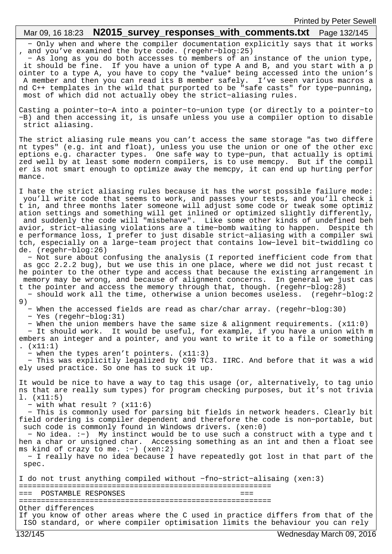# Mar 09, 16 18:23 **N2015 survey responses with comments.txt** Page 132/145

 − Only when and where the compiler documentation explicitly says that it works , and you've examined the byte code. (regehr−blog:25)

 − As long as you do both accesses to members of an instance of the union type, it should be fine. If you have a union of type A and B, and you start with a p ointer to a type A, you have to copy the \*value\* being accessed into the union's A member and then you can read its B member safely. I've seen various macros a nd C++ templates in the wild that purported to be "safe casts" for type−punning, most of which did not actually obey the strict−aliasing rules.

Casting a pointer−to−A into a pointer−to−union type (or directly to a pointer−to −B) and then accessing it, is unsafe unless you use a compiler option to disable strict aliasing.

The strict aliasing rule means you can't access the same storage "as two differe nt types" (e.g. int and float), unless you use the union or one of the other exc eptions e.g. character types. One safe way to type−pun, that actually is optimi zed well by at least some modern compilers, is to use memcpy. But if the compil er is not smart enough to optimize away the memcpy, it can end up hurting perfor mance.

I hate the strict aliasing rules because it has the worst possible failure mode: you'll write code that seems to work, and passes your tests, and you'll check i t in, and three months later someone will adjust some code or tweak some optimiz ation settings and something will get inlined or optimized slightly differently, and suddenly the code will "misbehave". Like some other kinds of undefined beh avior, strict−aliasing violations are a time−bomb waiting to happen. Despite th e performance loss, I prefer to just disable strict−aliasing with a compiler swi tch, especially on a large−team project that contains low−level bit−twiddling co de. (regehr−blog:26)

 − Not sure about confusing the analysis (I reported inefficient code from that as gcc 2.2.2 bug), but we use this in one place, where we did not just recast t he pointer to the other type and access that because the existing arrangement in memory may be wrong, and because of alignment concerns. In general we just cas t the pointer and access the memory through that, though. (regehr−blog:28)

 − should work all the time, otherwise a union becomes useless. (regehr−blog:2 9)

− When the accessed fields are read as char/char array. (regehr−blog:30)

− Yes (regehr−blog:31)

− When the union members have the same size & alignment requirements. (x11:0)

 − It should work. It would be useful, for example, if you have a union with m embers an integer and a pointer, and you want to write it to a file or something .  $(x11:1)$ 

− when the types aren't pointers. (x11:3)

 − This was explicitly legalized by C99 TC3. IIRC. And before that it was a wid ely used practice. So one has to suck it up.

It would be nice to have a way to tag this usage (or, alternatively, to tag unio ns that are really sum types) for program checking purposes, but it's not trivia l. (x11:5)

− with what result ? (x11:6)

 − This is commonly used for parsing bit fields in network headers. Clearly bit field ordering is compiler dependent and therefore the code is non−portable, but such code is commonly found in Windows drivers. (xen:0)

 − No idea. :−) My instinct would be to use such a construct with a type and t hen a char or unsigned char. Accessing something as an int and then a float see ms kind of crazy to me. :−) (xen:2)

 − I really have no idea because I have repeatedly got lost in that part of the spec.

I do not trust anything compiled without −fno−strict−alisaing (xen:3) ========================================================= === POSTAMBLE RESPONSES === ========================================================= Other differences If you know of other areas where the C used in practice differs from that of the ISO standard, or where compiler optimisation limits the behaviour you can rely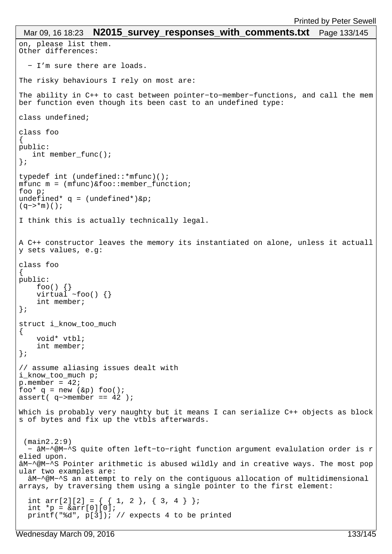```
on, please list them.
Other differences:
   − I'm sure there are loads.
The risky behaviours I rely on most are:
The ability in C++ to cast between pointer−to−member−functions, and call the mem
ber function even though its been cast to an undefined type:
class undefined;
class foo
{
public:
    int member_func();
};
typedef int (undefined::*mfunc)();
mfunc m = (mfunc) & foo:: member function;
foo p;
undefined* q = (undefined*)\π(q−>*m)();
I think this is actually technically legal.
A C++ constructor leaves the memory its instantiated on alone, unless it actuall
y sets values, e.g:
class foo
{
public:
 foo() {}
 virtual ~foo() {}
     int member;
};
struct i_know_too_much
{
     void* vtbl;
     int member;
};
// assume aliasing issues dealt with
i_know_too_much p;
p. member = 42ifoo* q = new (kp) foo();
assert( q−>member == 42 );
Which is probably very naughty but it means I can serialize C++ objects as block
s of bytes and fix up the vtbls afterwards.
  (main2.2:9)
  − âM−^@M−^S quite often left−to−right function argument evalulation order is r
elied upon.
âM−^@M−^S Pointer arithmetic is abused wildly and in creative ways. The most pop
ular two examples are:
   âM−^@M−^S an attempt to rely on the contiguous allocation of multidimensional 
arrays, by traversing them using a single pointer to the first element:
  int arr[2][2] = \{ \{ 1, 2 \}, \{ 3, 4 \};
  int *_{p} = \alpha \arr[0][0]; printf("%d", p[3]); // expects 4 to be printed
 Mar 09, 16 18:23 N2015 survey responses with comments.txt Page 133/145
```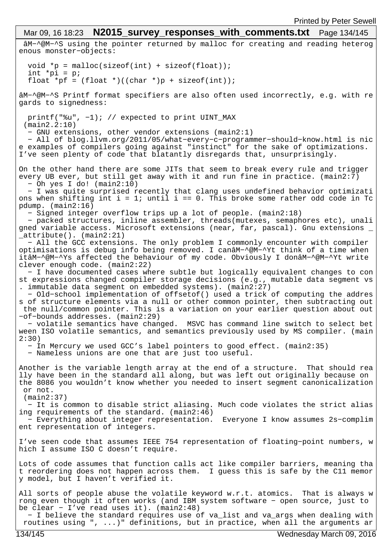âM−^@M−^S using the pointer returned by malloc for creating and reading heterog enous monster−objects: void \*p =  $malloc(sizeof(int) + sizeof(float));$ int  $*_{p1} = p$ ; float \*pf =  $(f$ loat \* $)((char * )p + sizeof(int));$ âM−^@M−^S Printf format specifiers are also often used incorrectly, e.g. with re gards to signedness: printf("%u", −1); // expected to print UINT\_MAX (main2.2:10) − GNU extensions, other vendor extensions (main2:1) − All of blog.llvm.org/2011/05/what−every−c−programmer−should−know.html is nic e examples of compilers going against "instinct" for the sake of optimizations. I've seen plenty of code that blatantly disregards that, unsurprisingly. On the other hand there are some JITs that seem to break every rule and trigger every UB ever, but still get away with it and run fine in practice. (main2:7) − Oh yes I do! (main2:10) − I was quite surprised recently that clang uses undefined behavior optimizati ons when shifting int  $i = 1$ ; until  $i == 0$ . This broke some rather odd code in Tc pdump. (main2:16) − Signed integer overflow trips up a lot of people. (main2:18) − packed structures, inline assembler, threads(mutexes, semaphores etc), unali gned variable access. Microsoft extensions (near, far, pascal). Gnu extensions \_ \_attribute(). (main2:21) − All the GCC extensions. The only problem I commonly encounter with compiler optimisations is debug info being removed. I canâM−^@M−^Yt think of a time when itâM−^@M−^Ys affected the behaviour of my code. Obviously I donâM−^@M−^Yt write clever enough code. (main2:22) − I have documented cases where subtle but logically equivalent changes to con st expressions changed compiler storage decisions (e.g., mutable data segment vs . immutable data segment on embedded systems). (main2:27) − Old−school implementation of offsetof() used a trick of computing the addres s of structure elements via a null or other common pointer, then subtracting out the null/common pointer. This is a variation on your earlier question about out −of−bounds addresses. (main2:29) − volatile semantics have changed. MSVC has command line switch to select bet ween ISO volatile semantics, and semantics previously used by MS compiler. (main 2:30) − In Mercury we used GCC's label pointers to good effect. (main2:35) − Nameless unions are one that are just too useful. Another is the variable length array at the end of a structure. That should rea lly have been in the standard all along, but was left out originally because on the 8086 you wouldn't know whether you needed to insert segment canonicalization or not. (main2:37) − It is common to disable strict aliasing. Much code violates the strict alias ing requirements of the standard. (main2:46) − Everything about integer representation. Everyone I know assumes 2s−complim ent representation of integers. I've seen code that assumes IEEE 754 representation of floating−point numbers, w hich I assume ISO C doesn't require. Lots of code assumes that function calls act like compiler barriers, meaning tha t reordering does not happen across them. I guess this is safe by the C11 memor y model, but I haven't verified it. All sorts of people abuse the volatile keyword w.r.t. atomics. That is always w rong even though it often works (and IBM system software − open source, just to be clear − I've read uses it). (main2:48) − I believe the standard requires use of va\_list and va\_args when dealing with routines using ", ...)" definitions, but in practice, when all the arguments ar Mar 09, 16 18:23 **N2015\_survey\_responses\_with\_comments.txt** Page 134/145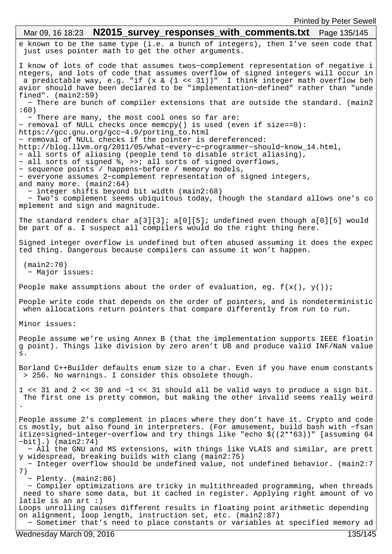e known to be the same type (i.e. a bunch of integers), then I've seen code that just uses pointer math to get the other arguments. I know of lots of code that assumes twos−complement representation of negative i ntegers, and lots of code that assumes overflow of signed integers will occur in a predictable way, e.g. "if  $(x \& (1 \le 31))$ " I think integer math overflow beh avior should have been declared to be "implementation−defined" rather than "unde fined". (main2:59) − There are bunch of compiler extensions that are outside the standard. (main2 :60) − There are many, the most cool ones so far are: − removal of NULL checks once memcpy() is used (even if size==0): https://gcc.gnu.org/gcc−4.9/porting\_to.html − removal of NULL checks if the pointer is dereferenced: http://blog.llvm.org/2011/05/what−every−c−programmer−should−know\_14.html, − all sorts of aliasing (people tend to disable strict aliasing), − all sorts of signed %, >>; all sorts of signed overflows, − sequence points / happens−before / memory models, − everyone assumes 2−complement representation of signed integers, and many more. (main2:64) − integer shifts beyond bit width (main2:68) − Two's complement seems ubiquitous today, though the standard allows one's co mplement and sign and magnitude. The standard renders char a[3][3]; a[0][5]; undefined even though a[0][5] would be part of a. I suspect all compilers would do the right thing here. Signed integer overflow is undefined but often abused assuming it does the expec ted thing. Dangerous because compilers can assume it won't happen. (main2:70) − Major issues: People make assumptions about the order of evaluation, eg.  $f(x(), y())$ ; People write code that depends on the order of pointers, and is nondeterministic when allocations return pointers that compare differently from run to run. Minor issues: People assume we're using Annex B (that the implementation supports IEEE floatin g point). Things like division by zero aren't UB and produce valid INF/NaN value s. Borland C++Builder defaults enum size to a char. Even if you have enum constants > 256. No warnings. I consider this obsolete though. 1 << 31 and 2 << 30 and −1 << 31 should all be valid ways to produce a sign bit. The first one is pretty common, but making the other invalid seems really weird . People assume 2's complement in places where they don't have it. Crypto and code cs mostly, but also found in interpreters. (For amusement, build bash with −fsan itize=signed−integer−overflow and try things like "echo \$((2\*\*63))" [assuming 64 −bit].) (main2:74) − All the GNU and MS extensions, with things like VLAIS and similar, are prett y widespread, breaking builds with clang (main2:75) − Integer overflow should be undefined value, not undefined behavior. (main2:7 7) − Plenty. (main2:86) − Compiler optimizations are tricky in multithreaded programming, when threads need to share some data, but it cached in register. Applying right amount of vo latile is an art :) Loops unrolling causes different results in floating point arithmetic depending on alignment, loop length, instruction set, etc. (main2:87) − Sometimer that's need to place constants or variables at specified memory ad Mar 09, 16 18:23 **N2015\_survey\_responses\_with\_comments.txt** Page 135/145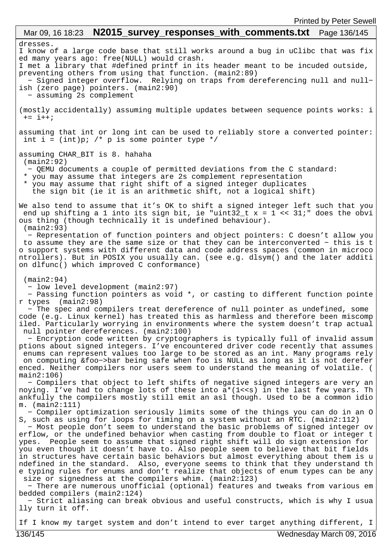## dresses. I know of a large code base that still works around a bug in uClibc that was fix ed many years ago: free(NULL) would crash. I met a library that #defined printf in its header meant to be incuded outside, preventing others from using that function. (main2:89) − Signed integer overflow. Relying on traps from dereferencing null and null− ish (zero page) pointers. (main2:90) − assuming 2s complement (mostly accidentally) assuming multiple updates between sequence points works: i  $+= i++;$ assuming that int or long int can be used to reliably store a converted pointer: int i =  $(int)p$ ; /\* p is some pointer type \*/ assuming CHAR\_BIT is 8. hahaha (main2:92) − QEMU documents a couple of permitted deviations from the C standard: \* you may assume that integers are 2s complement representation \* you may assume that right shift of a signed integer duplicates the sign bit (ie it is an arithmetic shift, not a logical shift) We also tend to assume that it's OK to shift a signed integer left such that you end up shifting a 1 into its sign bit, ie "uint32\_t x = 1 << 31;" does the obvi ous thing (though technically it is undefined behaviour). (main2:93) − Representation of function pointers and object pointers: C doesn't allow you to assume they are the same size or that they can be interconverted − this is t o support systems with different data and code address spaces (common in microco ntrollers). But in POSIX you usually can. (see e.g. dlsym() and the later additi on dlfunc() which improved C conformance) (main2:94) − low level development (main2:97) − Passing function pointers as void \*, or casting to different function pointe r types (main2:98) − The spec and compilers treat dereference of null pointer as undefined, some code (e.g. Linux kernel) has treated this as harmless and therefore been miscomp iled. Particularly worrying in environments where the system doesn't trap actual null pointer dereferences. (main2:100) − Encryption code written by cryptographers is typically full of invalid assum ptions about signed integers. I've encountered driver code recently that assumes enums can represent values too large to be stored as an int. Many programs rely on computing &foo−>bar being safe when foo is NULL as long as it is not derefer enced. Neither compilers nor users seem to understand the meaning of volatile. ( main2:106) − Compilers that object to left shifts of negative signed integers are very an noying. I've had to change lots of these into  $a^*(1< in the last few years. Th$ ankfully the compilers mostly still emit an asl though. Used to be a common idio m. (main2:111) − Compiler optimization seriously limits some of the things you can do in an O S, such as using for loops for timing on a system without an RTC. (main2:112) − Most people don't seem to understand the basic problems of signed integer ov erflow, or the undefined behavior when casting from double to float or integer t ypes. People seem to assume that signed right shift will do sign extension for you even though it doesn't have to. Also people seem to believe that bit fields in structures have certain basic behaviors but almost everything about them is u ndefined in the standard. Also, everyone seems to think that they understand th e typing rules for enums and don't realize that objects of enum types can be any size or signedness at the compilers whim. (main2:123) − There are numerous unofficial (optional) features and tweaks from various em bedded compilers (main2:124) − Strict aliasing can break obvious and useful constructs, which is why I usua lly turn it off. Mar 09, 16 18:23 **N2015\_survey\_responses\_with\_comments.txt** Page 136/145

If I know my target system and don't intend to ever target anything different, I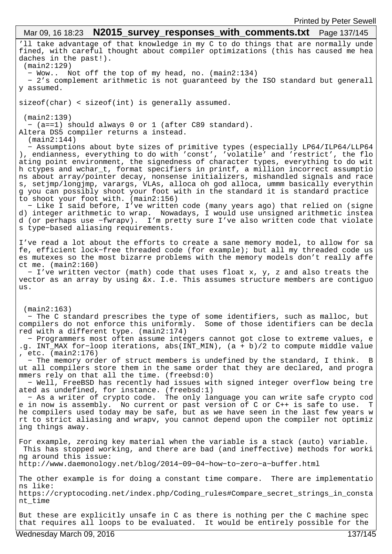'll take advantage of that knowledge in my C to do things that are normally unde fined, with careful thought about compiler optimizations (this has caused me hea daches in the past!). (main2:129) − Wow.. Not off the top of my head, no. (main2:134) − 2's complement arithmetic is not guaranteed by the ISO standard but generall y assumed. sizeof(char) < sizeof(int) is generally assumed. (main2:139) − (a==1) should always 0 or 1 (after C89 standard). Altera DS5 compiler returns a instead. (main2:144) − Assumptions about byte sizes of primitive types (especially LP64/ILP64/LLP64 ), endianness, everything to do with 'const', 'volatile' and 'restrict', the flo ating point environment, the signedness of character types, everything to do wit h ctypes and wchar\_t, format specifiers in printf, a million incorrect assumptio ns about array/pointer decay, nonsense initializers, mishandled signals and race s, setjmp/longjmp, varargs, VLAs, alloca oh god alloca, ummm basically everythin g you can possibly shoot your foot with in the standard it is standard practice to shoot your foot with. (main2:156) − Like I said before, I've written code (many years ago) that relied on (signe d) integer arithmetic to wrap. Nowadays, I would use unsigned arithmetic instea d (or perhaps use −fwrapv). I'm pretty sure I've also written code that violate s type−based aliasing requirements. I've read a lot about the efforts to create a sane memory model, to allow for sa fe, efficient lock−free threaded code (for example); but all my threaded code us es mutexes so the most bizarre problems with the memory models don't really affe ct me. (main2:160) − I've written vector (math) code that uses float x, y, z and also treats the vector as an array by using &x. I.e. This assumes structure members are contiguo us. (main2:163) − The C standard prescribes the type of some identifiers, such as malloc, but compilers do not enforce this uniformly. Some of those identifiers can be decla red with a different type. (main2:174) − Programmers most often assume integers cannot got close to extreme values, e .g. INT\_MAX for−loop iterations, abs(INT\_MIN), (a + b)/2 to compute middle value , etc. (main2:176) − The memory order of struct members is undefined by the standard, I think. B ut all compilers store them in the same order that they are declared, and progra mmers rely on that all the time. (freebsd:0) − Well, FreeBSD has recently had issues with signed integer overflow being tre ated as undefined, for instance. (freebsd:1) − As a writer of crypto code. The only language you can write safe crypto cod e in now is assembly. No current or past version of C or C++ is safe to use. T he compilers used today may be safe, but as we have seen in the last few years w rt to strict aliasing and wrapv, you cannot depend upon the compiler not optimiz ing things away. For example, zeroing key material when the variable is a stack (auto) variable. This has stopped working, and there are bad (and ineffective) methods for worki ng around this issue: http://www.daemonology.net/blog/2014−09−04−how−to−zero−a−buffer.html The other example is for doing a constant time compare. There are implementatio ns like: https://cryptocoding.net/index.php/Coding\_rules#Compare\_secret\_strings\_in\_consta nt\_time But these are explicitly unsafe in C as there is nothing per the C machine spec that requires all loops to be evaluated. It would be entirely possible for the Mar 09, 16 18:23 **N2015\_survey\_responses\_with\_comments.txt** Page 137/145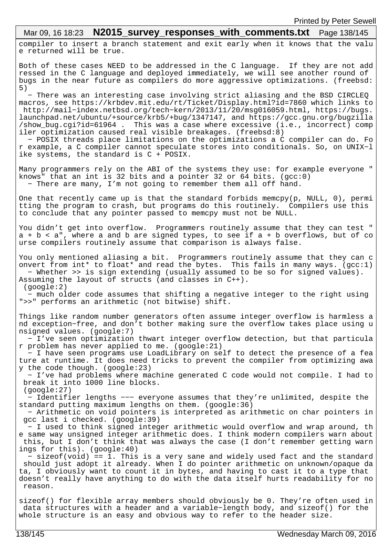# Mar 09, 16 18:23 **N2015\_survey\_responses\_with\_comments.txt** Page 138/145

compiler to insert a branch statement and exit early when it knows that the valu e returned will be true.

Both of these cases NEED to be addressed in the C language. If they are not add ressed in the C language and deployed immediately, we will see another round of bugs in the near future as compilers do more aggressive optimizations. (freebsd: 5)

 − There was an interesting case involving strict aliasing and the BSD CIRCLEQ macros, see https://krbdev.mit.edu/rt/Ticket/Display.html?id=7860 which links to http://mail−index.netbsd.org/tech−kern/2013/11/20/msg016059.html, https://bugs. launchpad.net/ubuntu/+source/krb5/+bug/1347147, and https://gcc.gnu.org/bugzilla /show\_bug.cgi?id=61964 . This was a case where excessive (i.e., incorrect) comp iler optimization caused real visible breakages. (freebsd:8)

 − POSIX threads place limitations on the optimizations a C compiler can do. Fo r example, a C compiler cannot speculate stores into conditionals. So, on UNIX−l ike systems, the standard is C + POSIX.

Many programmers rely on the ABI of the systems they use: for example everyone " knows" that an int is 32 bits and a pointer 32 or 64 bits. (gcc:0) − There are many, I'm not going to remember them all off hand.

One that recently came up is that the standard forbids memcpy(p, NULL, 0), permi tting the program to crash, but programs do this routinely. Compilers use this to conclude that any pointer passed to memcpy must not be NULL.

You didn't get into overflow. Programmers routinely assume that they can test "  $a + b < a$ ", where a and b are signed types, to see if  $a + b$  overflows, but of co urse compilers routinely assume that comparison is always false.

You only mentioned aliasing a bit. Programmers routinely assume that they can c onvert from int\* to float\* and read the bytes. This fails in many ways. (gcc:1) − Whether >> is sign extending (usually assumed to be so for signed values). Assuming the layout of structs (and classes in C++).

 − much older code assumes that shifting a negative integer to the right using ">>" performs an arithmetic (not bitwise) shift.

Things like random number generators often assume integer overflow is harmless a nd exception−free, and don't bother making sure the overflow takes place using u nsigned values. (google:7)

 − I've seen optimization thwart integer overflow detection, but that particula r problem has never applied to me. (google:21)

 − I have seen programs use LoadLibrary on self to detect the presence of a fea ture at runtime. It does need tricks to prevent the compiler from optimizing awa y the code though. (google:23)

 − I've had problems where machine generated C code would not compile. I had to break it into 1000 line blocks. (google:27)

 − Identifier lengths −−− everyone assumes that they're unlimited, despite the standard putting maximum lengths on them. (google:36)

 − Arithmetic on void pointers is interpreted as arithmetic on char pointers in gcc last i checked. (google:39)

 − I used to think signed integer arithmetic would overflow and wrap around, th e same way unsigned integer arithmetic does. I think modern compilers warn about this, but I don't think that was always the case (I don't remember getting warn ings for this). (google:40)

 − sizeof(void) == 1. This is a very sane and widely used fact and the standard should just adopt it already. When I do pointer arithmetic on unknown/opaque da ta, I obviously want to count it in bytes, and having to cast it to a type that doesn't really have anything to do with the data itself hurts readability for no reason.

sizeof() for flexible array members should obviously be 0. They're often used in data structures with a header and a variable−length body, and sizeof() for the whole structure is an easy and obvious way to refer to the header size.

(google:2)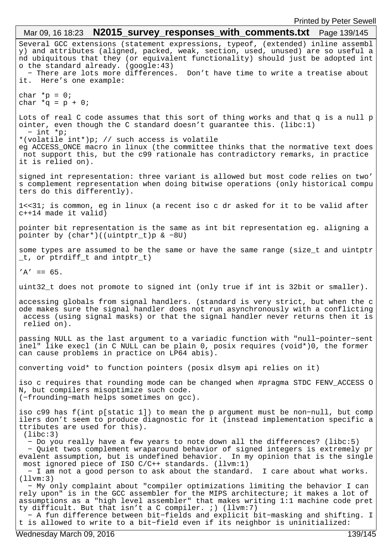Several GCC extensions (statement expressions, typeof, (extended) inline assembl y) and attributes (aligned, packed, weak, section, used, unused) are so useful a nd ubiquitous that they (or equivalent functionality) should just be adopted int o the standard already. (google:43) − There are lots more differences. Don't have time to write a treatise about it. Here's one example: char  $*_{p} = 0;$ char  $*q = p + 0$ ; Lots of real C code assumes that this sort of thing works and that q is a null p ointer, even though the C standard doesn't guarantee this. (libc:1) − int \*p; \*(volatile int\*)p; // such access is volatile eg ACCESS\_ONCE macro in linux (the committee thinks that the normative text does not support this, but the c99 rationale has contradictory remarks, in practice it is relied on). signed int representation: three variant is allowed but most code relies on two' s complement representation when doing bitwise operations (only historical compu ters do this differently). 1<<31; is common, eg in linux (a recent iso c dr asked for it to be valid after c++14 made it valid) pointer bit representation is the same as int bit representation eg. aligning a pointer by (char\*)((uintptr\_t)p & −8U) some types are assumed to be the same or have the same range (size\_t and uintptr \_t, or ptrdiff\_t and intptr\_t)  $'A' == 65$ . uint32\_t does not promote to signed int (only true if int is 32bit or smaller). accessing globals from signal handlers. (standard is very strict, but when the c ode makes sure the signal handler does not run asynchronously with a conflicting access (using signal masks) or that the signal handler never returns then it is relied on). passing NULL as the last argument to a variadic function with "null−pointer−sent inel" like execl (in C NULL can be plain 0, posix requires (void\*)0, the former can cause problems in practice on LP64 abis). converting void\* to function pointers (posix dlsym api relies on it) iso c requires that rounding mode can be changed when #pragma STDC FENV\_ACCESS O N, but compilers misoptimize such code. (−frounding−math helps sometimes on gcc). iso c99 has f(int p[static 1]) to mean the p argument must be non−null, but comp ilers don't seem to produce diagnostic for it (instead implementation specific a ttributes are used for this). (libc:3) − Do you really have a few years to note down all the differences? (libc:5) − Quiet twos complement wraparound behavior of signed integers is extremely pr evalent assumption, but is undefined behavior. In my opinion that is the single most ignored piece of ISO C/C++ standards. (llvm:1) − I am not a good person to ask about the standard. I care about what works. (llvm:3) − My only complaint about "compiler optimizations limiting the behavior I can rely upon" is in the GCC assembler for the MIPS architecture; it makes a lot of assumptions as a "high level assembler" that makes writing 1:1 machine code pret ty difficult. But that isn't a C compiler. ;) (llvm:7) − A fun difference between bit−fields and explicit bit−masking and shifting. I t is allowed to write to a bit−field even if its neighbor is uninitialized: Mar 09, 16 18:23 **N2015\_survey\_responses\_with\_comments.txt** Page 139/145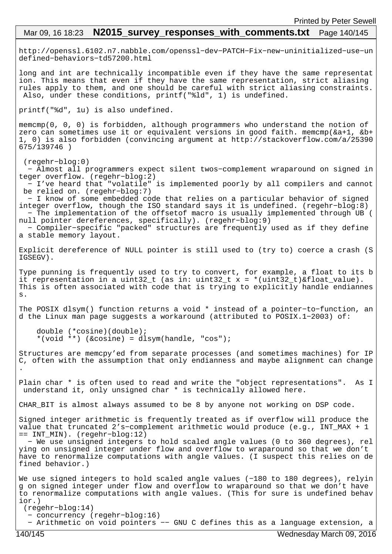# Mar 09, 16 18:23 **N2015 survey responses with comments.txt** Page 140/145

http://openssl.6102.n7.nabble.com/openssl−dev−PATCH−Fix−new−uninitialized−use−un defined−behaviors−td57200.html

long and int are technically incompatible even if they have the same representat ion. This means that even if they have the same representation, strict aliasing rules apply to them, and one should be careful with strict aliasing constraints. Also, under these conditions, printf("%ld", 1) is undefined.

printf("%d", 1u) is also undefined.

memcmp(0, 0, 0) is forbidden, although programmers who understand the notion of zero can sometimes use it or equivalent versions in good faith. memcmp(&a+1, &b+ 1, 0) is also forbidden (convincing argument at http://stackoverflow.com/a/25390 675/139746 )

 (regehr−blog:0) − Almost all programmers expect silent twos−complement wraparound on signed in teger overflow. (regehr−blog:2) − I've heard that "volatile" is implemented poorly by all compilers and cannot be relied on. (regehr−blog:7)

 − I know of some embedded code that relies on a particular behavior of signed integer overflow, though the ISO standard says it is undefined. (regehr−blog:8) − The implementation of the offsetof macro is usually implemented through UB ( null pointer dereferences, specifically). (regehr−blog:9)

 − Compiler−specific "packed" structures are frequently used as if they define a stable memory layout.

Explicit dereference of NULL pointer is still used to (try to) coerce a crash (S IGSEGV).

Type punning is frequently used to try to convert, for example, a float to its b it representation in a uint32\_t (as in: uint32\_t x = \*(uint32\_t)&float\_value). This is often associated with code that is trying to explicitly handle endiannes s.

The POSIX dlsym() function returns a void \* instead of a pointer−to−function, an d the Linux man page suggests a workaround (attributed to POSIX.1−2003) of:

```
 double (*cosine)(double);
 *(void **) (&cosine) = dlsym(handle, "cos");
```
Structures are memcpy'ed from separate processes (and sometimes machines) for IP C, often with the assumption that only endianness and maybe alignment can change .

Plain char \* is often used to read and write the "object representations". As I understand it, only unsigned char \* is technically allowed here.

CHAR\_BIT is almost always assumed to be 8 by anyone not working on DSP code.

Signed integer arithmetic is frequently treated as if overflow will produce the value that truncated 2's−complement arithmetic would produce (e.g., INT\_MAX + 1 == INT\_MIN). (regehr−blog:12)

 − We use unsigned integers to hold scaled angle values (0 to 360 degrees), rel ying on unsigned integer under flow and overflow to wraparound so that we don't have to renormalize computations with angle values. (I suspect this relies on de fined behavior.)

We use signed integers to hold scaled angle values (−180 to 180 degrees), relyin g on signed integer under flow and overflow to wraparound so that we don't have to renormalize computations with angle values. (This for sure is undefined behav ior.) (regehr−blog:14)

- − concurrency (regehr−blog:16)
- − Arithmetic on void pointers −− GNU C defines this as a language extension, a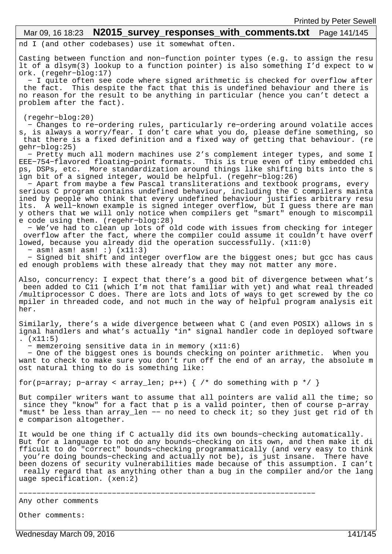## Mar 09, 16 18:23 **N2015 survey responses with comments.txt** Page 141/145

nd I (and other codebases) use it somewhat often.

Casting between function and non−function pointer types (e.g. to assign the resu lt of a dlsym(3) lookup to a function pointer) is also something I'd expect to w ork. (regehr−blog:17)

 − I quite often see code where signed arithmetic is checked for overflow after the fact. This despite the fact that this is undefined behaviour and there is no reason for the result to be anything in particular (hence you can't detect a problem after the fact).

(regehr−blog:20)

 − Changes to re−ordering rules, particularly re−ordering around volatile acces s, is always a worry/fear. I don't care what you do, please define something, so that there is a fixed definition and a fixed way of getting that behaviour. (re gehr−blog:25)

 − Pretty much all modern machines use 2's complement integer types, and some I EEE−754−flavored floating−point formats. This is true even of tiny embedded chi ps, DSPs, etc. More standardization around things like shifting bits into the s ign bit of a signed integer, would be helpful. (regehr−blog:26)

 − Apart from maybe a few Pascal transliterations and textbook programs, every serious C program contains undefined behaviour, including the C compilers mainta ined by people who think that every undefined behaviour justifies arbitrary resu lts. A well−known example is signed integer overflow, but I guess there are man y others that we will only notice when compilers get "smart" enough to miscompil e code using them. (regehr−blog:28)

 − We've had to clean up lots of old code with issues from checking for integer overflow after the fact, where the compiler could assume it couldn't have overf lowed, because you already did the operation successfully. (x11:0)

− asm! asm! asm! :) (x11:3)

 − Signed bit shift and integer overflow are the biggest ones; but gcc has caus ed enough problems with these already that they may not matter any more.

Also, concurrency: I expect that there's a good bit of divergence between what's been added to C11 (which I'm not that familiar with yet) and what real threaded /multiprocessor C does. There are lots and lots of ways to get screwed by the co mpiler in threaded code, and not much in the way of helpful program analysis eit her.

Similarly, there's a wide divergence between what C (and even POSIX) allows in s ignal handlers and what's actually \*in\* signal handler code in deployed software .  $(x11:5)$ 

− memzeroing sensitive data in in memory (x11:6)

 − One of the biggest ones is bounds checking on pointer arithmetic. When you want to check to make sure you don't run off the end of an array, the absolute m ost natural thing to do is something like:

for(p=array; p−array < array\_len; p++) { /\* do something with p \*/ }

But compiler writers want to assume that all pointers are valid all the time; so since they "know" for a fact that p is a valid pointer, then of course p−array \*must\* be less than array\_len −− no need to check it; so they just get rid of th e comparison altogether.

It would be one thing if C actually did its own bounds−checking automatically. But for a language to not do any bounds−checking on its own, and then make it di fficult to do "correct" bounds−checking programmatically (and very easy to think you're doing bounds−checking and actually not be), is just insane. There have been dozens of security vulnerabilities made because of this assumption. I can't really regard that as anything other than a bug in the compiler and/or the lang uage specification. (xen:2)

−−−−−−−−−−−−−−−−−−−−−−−−−−−−−−−−−−−−−−−−−−−−−−−−−−−−−−−−−−−−−−−−−−−

Any other comments

Other comments:

Wednesday March 09, 2016 141/145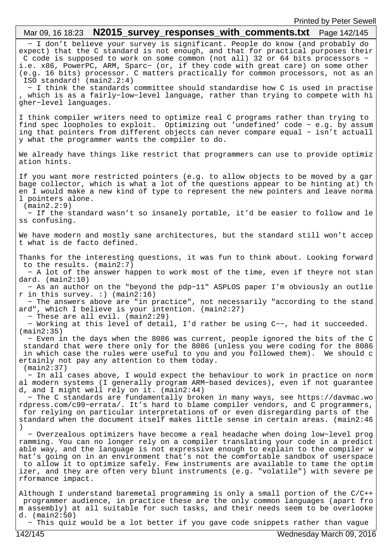## − I don't believe your survey is significant. People do know (and probably do expect) that the C standard is not enough, and that for practical purposes their C code is supposed to work on some common (not all) 32 or 64 bits processors − i.e. x86, PowerPC, ARM, Sparc− (or, if they code with great care) on some other (e.g. 16 bits) processor. C matters practically for common processors, not as an ISO standard! (main2.2:4) − I think the standards committee should standardise how C is used in practise which is as a fairly-low-level language, rather than trying to compete with hi gher−level languages. I think compiler writers need to optimize real C programs rather than trying to find spec loopholes to exploit. Optimizing out 'undefined' code − e.g. by assum ing that pointers from different objects can never compare equal − isn't actuall y what the programmer wants the compiler to do. We already have things like restrict that programmers can use to provide optimiz ation hints. If you want more restricted pointers (e.g. to allow objects to be moved by a gar bage collector, which is what a lot of the questions appear to be hinting at) th en I would make a new kind of type to represent the new pointers and leave norma l pointers alone. (main2.2:9) − If the standard wasn't so insanely portable, it'd be easier to follow and le ss confusing. We have modern and mostly sane architectures, but the standard still won't accep t what is de facto defined. Thanks for the interesting questions, it was fun to think about. Looking forward to the results. (main2:7) − A lot of the answer happen to work most of the time, even if theyre not stan dard. (main2:10) − As an author on the "beyond the pdp−11" ASPLOS paper I'm obviously an outlie r in this survey. :) (main2:16) − The answers above are "in practice", not necessarily "according to the stand ard", which I believe is your intention. (main2:27) − These are all evil. (main2:29) − Working at this level of detail, I'd rather be using C−−, had it succeeded. (main2:35) − Even in the days when the 8086 was current, people ignored the bits of the C standard that were there only for the 8086 (unless you were coding for the 8086 in which case the rules were useful to you and you followed them). We should c ertainly not pay any attention to them today. (main2:37) − In all cases above, I would expect the behaviour to work in practice on norm al modern systems (I generally program ARM−based devices), even if not guarantee d, and I might well rely on it. (main2:44) − The C standards are fundamentally broken in many ways, see https://davmac.wo rdpress.com/c99−errata/. It's hard to blame compiler vendors, and C programmers, for relying on particular interpretations of or even disregarding parts of the standard when the document itself makes little sense in certain areas. (main2:46 ) − Overzealous optimizers have become a real headache when doing low−level prog ramming. You can no longer rely on a compiler translating your code in a predict able way, and the language is not expressive enough to explain to the compiler w hat's going on in an environment that's not the comfortable sandbox of userspace to allow it to optimize safely. Few instruments are available to tame the optim izer, and they are often very blunt instruments (e.g. "volatile") with severe pe rformance impact. Although I understand baremetal programming is only a small portion of the C/C++ programmer audience, in practice these are the only common languages (apart fro m assembly) at all suitable for such tasks, and their needs seem to be overlooke d. (main2:50) Mar 09, 16 18:23 **N2015\_survey\_responses\_with\_comments.txt** Page 142/145

− This quiz would be a lot better if you gave code snippets rather than vague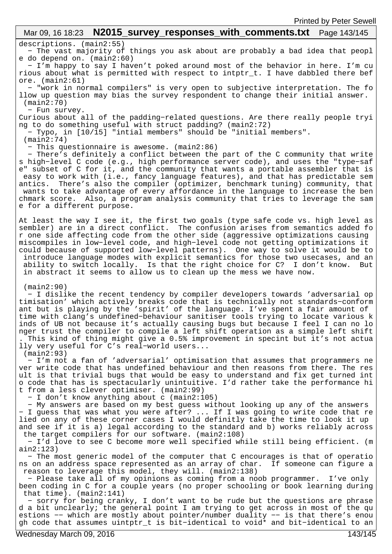#### descriptions. (main2:55) − The vast majority of things you ask about are probably a bad idea that peopl e do depend on. (main2:60) − I'm happy to say I haven't poked around most of the behavior in here. I'm cu rious about what is permitted with respect to intptr\_t. I have dabbled there bef ore. (main2:61) − "work in normal compilers" is very open to subjective interpretation. The fo llow up question may bias the survey respondent to change their initial answer. (main2:70) − Fun survey. Curious about all of the padding−related questions. Are there really people tryi ng to do something useful with struct padding? (main2:72) − Typo, in [10/15] "intial members" should be "initial members". (main2:74) − This questionnaire is awesome. (main2:86) − There's definitely a conflict between the part of the C community that write s high−level C code (e.g., high performance server code), and uses the "type−saf e" subset of C for it, and the community that wants a portable assembler that is easy to work with (i.e., fancy language features), and that has predictable sem antics. There's also the compiler (optimizer, benchmark tuning) community, that wants to take advantage of every affordance in the language to increase the ben chmark score. Also, a program analysis community that tries to leverage the sam e for a different purpose. At least the way I see it, the first two goals (type safe code vs. high level as sembler) are in a direct conflict. The confusion arises from semantics added fo r one side affecting code from the other side (aggressive optimizations causing miscompiles in low−level code, and high−level code not getting optimizations it could because of supported low−level patterns). One way to solve it would be to introduce language modes with explicit semantics for those two usecases, and an ability to switch locally. Is that the right choice for C? I don't know. But in abstract it seems to allow us to clean up the mess we have now. (main2:90) − I dislike the recent tendency by compiler developers towards 'adversarial op timisation' which actively breaks code that is technically not standards−conform ant but is playing by the 'spirit' of the language. I've spent a fair amount of time with clang's undefined−behaviour sanitiser tools trying to locate various k inds of UB not because it's actually causing bugs but because I feel I can no lo nger trust the compiler to compile a left shift operation as a simple left shift . This kind of thing might give a 0.5% improvement in specint but it's not actua lly very useful for C's real−world users... (main2:93) − I'm not a fan of 'adversarial' optimisation that assumes that programmers ne ver write code that has undefined behaviour and then reasons from there. The res ult is that trivial bugs that would be easy to understand and fix get turned int o code that has is spectacularly unintuitive. I'd rather take the performance hi t from a less clever optimiser. (main2:99) − I don't know anything about c (main2:105) − My answers are based on my best guess without looking up any of the answers − I guess that was what you were after? ... If I was going to write code that re lied on any of these corner cases I would definitly take the time to look it up and see if it is a) legal according to the standard and b) works reliably across the target compilers for our software. (main2:108) − I'd love to see C become more well specified while still being efficient. (m ain2:123) Mar 09, 16 18:23 **N2015\_survey\_responses\_with\_comments.txt** Page 143/145

 − The most generic model of the computer that C encourages is that of operatio ns on an address space represented as an array of char. If someone can figure a reason to leverage this model, they will. (main2:138)

 − Please take all of my opinions as coming from a noob programmer. I've only been coding in C for a couple years (no proper schooling or book learning during that time). (main2:141)

 − sorry for being cranky, I don't want to be rude but the questions are phrase d a bit unclearly; the general point I am trying to get across in most of the qu estions −− which are mostly about pointer/number duality −− is that there's enou gh code that assumes uintptr\_t is bit−identical to void\* and bit−identical to an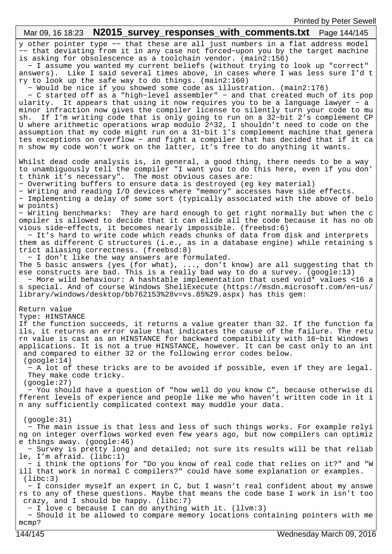| Mar 09, 16 18:23  N2015_survey_responses_with_comments.txt  Page 144/145                                                                                                                                                                                                                                                                                                                                                                                                                                                                                                                                                                                                                                                                                                                                                                                                                                                                                                                                                                                                                                                                                                                                                                                                                                                                                                                                  |
|-----------------------------------------------------------------------------------------------------------------------------------------------------------------------------------------------------------------------------------------------------------------------------------------------------------------------------------------------------------------------------------------------------------------------------------------------------------------------------------------------------------------------------------------------------------------------------------------------------------------------------------------------------------------------------------------------------------------------------------------------------------------------------------------------------------------------------------------------------------------------------------------------------------------------------------------------------------------------------------------------------------------------------------------------------------------------------------------------------------------------------------------------------------------------------------------------------------------------------------------------------------------------------------------------------------------------------------------------------------------------------------------------------------|
| y other pointer type -- that these are all just numbers in a flat address model<br>-- that deviating from it in any case not forced-upon you by the target machine<br>is asking for obsolescence as a toolchain vendor. (main2:156)<br>- I assume you wanted my current beliefs (without trying to look up "correct"<br>answers). Like I said several times above, in cases where I was less sure I'd t<br>ry to look up the safe way to do things. (main2:160)<br>- Would be nice if you showed some code as illustration. (main2:176)<br>- C started off as a "high-level assembler" - and that created much of its pop<br>ularity. It appears that using it now requires you to be a language lawyer - a<br>minor infraction now gives the compiler license to silently turn your code to mu<br>If I'm writing code that is only going to run on a 32-bit 2's complement CP<br>sh.<br>U where arithmetic operations wrap modulo 2^32, I shouldn't need to code on the<br>assumption that my code might run on a 31-bit 1's complement machine that genera<br>tes exceptions on overflow - and fight a compiler that has decided that if it ca<br>n show my code won't work on the latter, it's free to do anything it wants.                                                                                                                                                                           |
| Whilst dead code analysis is, in general, a good thing, there needs to be a way<br>to unambiguously tell the compiler "I want you to do this here, even if you don'<br>t think it's necessary". The most obvious cases are:<br>- Overwriting buffers to ensure data is destroyed (eq key material)<br>- Writing and reading I/O devices where "memory" accesses have side effects.<br>- Implementing a delay of some sort (typically associated with the above of belo<br>w points)<br>- Writing benchmarks: They are hard enough to get right normally but when the c<br>ompiler is allowed to decide that it can elide all the code because it has no ob<br>vious side-effects, it becomes nearly impossible. (freebsd:6)<br>- It's hard to write code which reads chunks of data from disk and interprets<br>them as different C structures (i.e., as in a database engine) while retaining s<br>trict aliasing correctness. (freebsd:8)<br>- I don't like the way answers are formulated.<br>The 5 basic answers (yes (for what), , don't know) are all suggesting that th<br>ese constructs are bad. This is a really bad way to do a survey. (google:13)<br>- More wild behaviour: A hashtable implementation that used void* values <16 a<br>s special. And of course Windows ShellExecute (https://msdn.microsoft.com/en-us/<br>library/windows/desktop/bb762153%28v=vs.85%29.aspx) has this gem: |
| Return value<br>Type: HINSTANCE<br>If the function succeeds, it returns a value greater than 32. If the function fa<br>ils, it returns an error value that indicates the cause of the failure. The retu<br>rn value is cast as an HINSTANCE for backward compatibility with 16-bit Windows<br>applications. It is not a true HINSTANCE, however. It can be cast only to an int<br>and compared to either 32 or the following error codes below.<br>(google:14)<br>- A lot of these tricks are to be avoided if possible, even if they are legal.<br>They make code tricky.<br>(google:27)<br>- You should have a question of "how well do you know C", because otherwise di<br>fferent levels of experience and people like me who haven't written code in it i<br>n any sufficiently complicated context may muddle your data.                                                                                                                                                                                                                                                                                                                                                                                                                                                                                                                                                                           |
| (google:31)<br>- The main issue is that less and less of such things works. For example relyi<br>ng on integer overflows worked even few years ago, but now compilers can optimiz<br>e things away. $(google:46)$<br>- Survey is pretty long and detailed; not sure its results will be that reliab<br>le, I'm afraid. $(libe:1)$<br>- i think the options for "Do you know of real code that relies on it?" and "W<br>ill that work in normal C compilers?" could have some explanation or examples.<br>(libe:3)<br>- I consider myself an expert in C, but I wasn't real confident about my answe<br>rs to any of these questions. Maybe that means the code base I work in isn't too<br>crazy, and I should be happy. $(libe:7)$<br>- I love c because I can do anything with it. (llvm:3)<br>- Should it be allowed to compare memory locations containing pointers with me<br>$mcmp$ ?                                                                                                                                                                                                                                                                                                                                                                                                                                                                                                               |